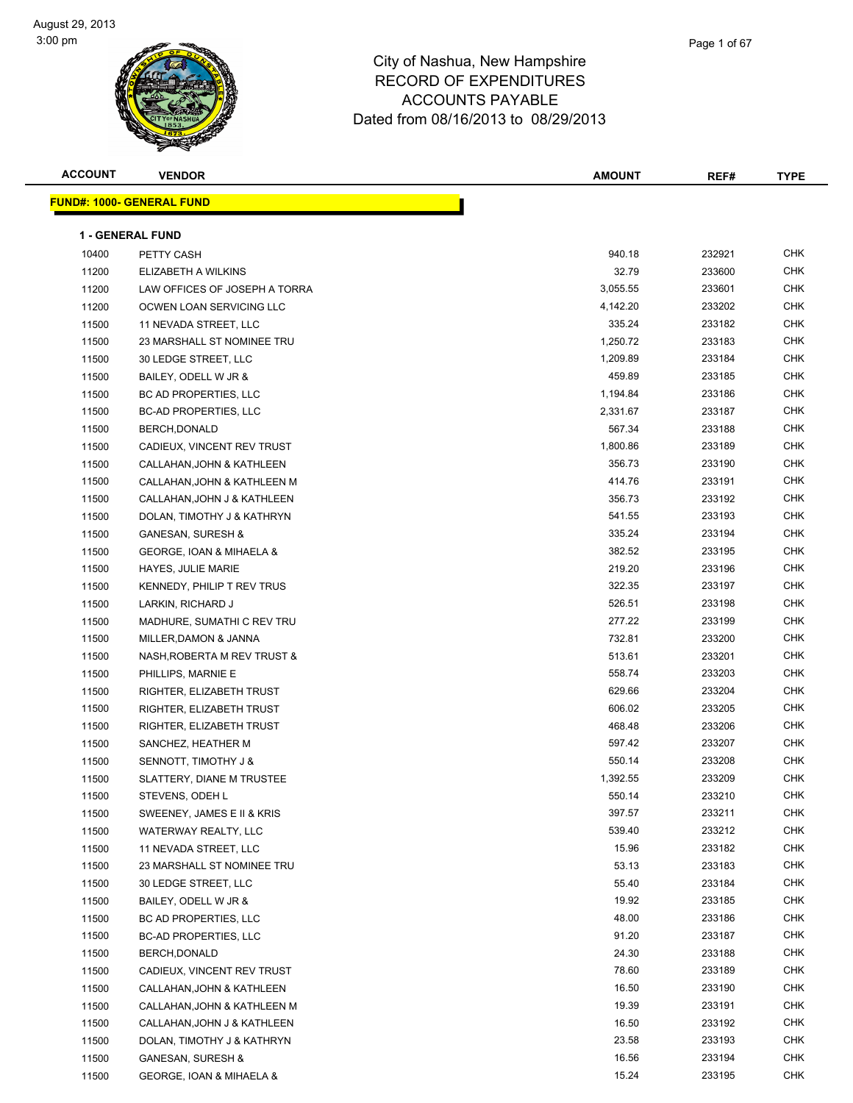| <b>ACCOUNT</b> | <b>VENDOR</b>                    | <b>AMOUNT</b> | REF#   | <b>TYPE</b> |
|----------------|----------------------------------|---------------|--------|-------------|
|                | <b>FUND#: 1000- GENERAL FUND</b> |               |        |             |
|                |                                  |               |        |             |
|                | <b>1 - GENERAL FUND</b>          |               |        |             |
| 10400          | PETTY CASH                       | 940.18        | 232921 | CHK         |
| 11200          | ELIZABETH A WILKINS              | 32.79         | 233600 | <b>CHK</b>  |
| 11200          | LAW OFFICES OF JOSEPH A TORRA    | 3,055.55      | 233601 | CHK         |
| 11200          | OCWEN LOAN SERVICING LLC         | 4,142.20      | 233202 | CHK         |
| 11500          | 11 NEVADA STREET, LLC            | 335.24        | 233182 | <b>CHK</b>  |
| 11500          | 23 MARSHALL ST NOMINEE TRU       | 1,250.72      | 233183 | <b>CHK</b>  |
| 11500          | 30 LEDGE STREET, LLC             | 1,209.89      | 233184 | <b>CHK</b>  |
| 11500          | BAILEY, ODELL W JR &             | 459.89        | 233185 | <b>CHK</b>  |
| 11500          | BC AD PROPERTIES, LLC            | 1,194.84      | 233186 | CHK         |
| 11500          | <b>BC-AD PROPERTIES, LLC</b>     | 2,331.67      | 233187 | <b>CHK</b>  |
| 11500          | BERCH, DONALD                    | 567.34        | 233188 | <b>CHK</b>  |
| 11500          | CADIEUX, VINCENT REV TRUST       | 1,800.86      | 233189 | CHK         |
| 11500          | CALLAHAN, JOHN & KATHLEEN        | 356.73        | 233190 | CHK         |
| 11500          | CALLAHAN, JOHN & KATHLEEN M      | 414.76        | 233191 | CHK         |
| 11500          | CALLAHAN, JOHN J & KATHLEEN      | 356.73        | 233192 | CHK         |
| 11500          | DOLAN, TIMOTHY J & KATHRYN       | 541.55        | 233193 | <b>CHK</b>  |
| 11500          | <b>GANESAN, SURESH &amp;</b>     | 335.24        | 233194 | <b>CHK</b>  |
| 11500          | GEORGE, IOAN & MIHAELA &         | 382.52        | 233195 | <b>CHK</b>  |
| 11500          | <b>HAYES, JULIE MARIE</b>        | 219.20        | 233196 | <b>CHK</b>  |
| 11500          | KENNEDY, PHILIP T REV TRUS       | 322.35        | 233197 | <b>CHK</b>  |
| 11500          | LARKIN, RICHARD J                | 526.51        | 233198 | <b>CHK</b>  |
| 11500          | MADHURE, SUMATHI C REV TRU       | 277.22        | 233199 | <b>CHK</b>  |
| 11500          | MILLER, DAMON & JANNA            | 732.81        | 233200 | <b>CHK</b>  |
| 11500          | NASH, ROBERTA M REV TRUST &      | 513.61        | 233201 | <b>CHK</b>  |
| 11500          | PHILLIPS, MARNIE E               | 558.74        | 233203 | CHK         |
| 11500          | RIGHTER, ELIZABETH TRUST         | 629.66        | 233204 | CHK         |
| 11500          | RIGHTER, ELIZABETH TRUST         | 606.02        | 233205 | <b>CHK</b>  |
| 11500          | RIGHTER, ELIZABETH TRUST         | 468.48        | 233206 | CHK         |
| 11500          | SANCHEZ, HEATHER M               | 597.42        | 233207 | <b>CHK</b>  |
| 11500          | <b>SENNOTT, TIMOTHY J &amp;</b>  | 550.14        | 233208 | <b>CHK</b>  |
| 11500          | SLATTERY, DIANE M TRUSTEE        | 1,392.55      | 233209 | CHK         |
| 11500          | STEVENS, ODEH L                  | 550.14        | 233210 | <b>CHK</b>  |
| 11500          | SWEENEY, JAMES E II & KRIS       | 397.57        | 233211 | <b>CHK</b>  |
| 11500          | WATERWAY REALTY, LLC             | 539.40        | 233212 | <b>CHK</b>  |
| 11500          | 11 NEVADA STREET, LLC            | 15.96         | 233182 | <b>CHK</b>  |
| 11500          | 23 MARSHALL ST NOMINEE TRU       | 53.13         | 233183 | CHK         |
| 11500          | 30 LEDGE STREET, LLC             | 55.40         | 233184 | CHK         |
| 11500          | BAILEY, ODELL W JR &             | 19.92         | 233185 | <b>CHK</b>  |
| 11500          | BC AD PROPERTIES, LLC            | 48.00         | 233186 | <b>CHK</b>  |
| 11500          | <b>BC-AD PROPERTIES, LLC</b>     | 91.20         | 233187 | <b>CHK</b>  |
| 11500          | BERCH, DONALD                    | 24.30         | 233188 | <b>CHK</b>  |
| 11500          | CADIEUX, VINCENT REV TRUST       | 78.60         | 233189 | <b>CHK</b>  |
| 11500          | CALLAHAN, JOHN & KATHLEEN        | 16.50         | 233190 | <b>CHK</b>  |
| 11500          | CALLAHAN, JOHN & KATHLEEN M      | 19.39         | 233191 | <b>CHK</b>  |
| 11500          | CALLAHAN, JOHN J & KATHLEEN      | 16.50         | 233192 | CHK         |
| 11500          | DOLAN, TIMOTHY J & KATHRYN       | 23.58         | 233193 | <b>CHK</b>  |
| 11500          | <b>GANESAN, SURESH &amp;</b>     | 16.56         | 233194 | CHK         |
| 11500          | GEORGE, IOAN & MIHAELA &         | 15.24         | 233195 | CHK         |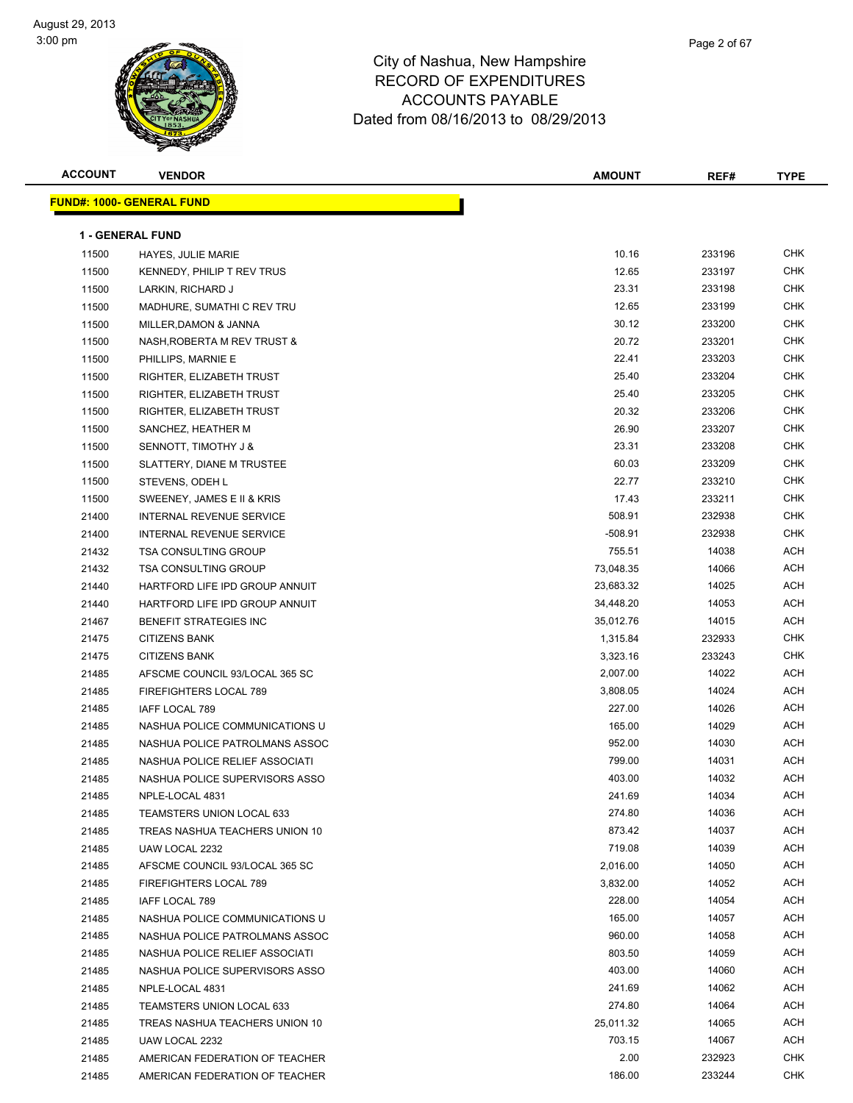| <b>ACCOUNT</b> | <b>VENDOR</b>                     | <b>AMOUNT</b> | REF#   | <b>TYPE</b> |
|----------------|-----------------------------------|---------------|--------|-------------|
|                | <u> FUND#: 1000- GENERAL FUND</u> |               |        |             |
|                |                                   |               |        |             |
|                | <b>1 - GENERAL FUND</b>           |               |        |             |
| 11500          | HAYES, JULIE MARIE                | 10.16         | 233196 | CHK         |
| 11500          | KENNEDY, PHILIP T REV TRUS        | 12.65         | 233197 | <b>CHK</b>  |
| 11500          | LARKIN, RICHARD J                 | 23.31         | 233198 | CHK         |
| 11500          | MADHURE, SUMATHI C REV TRU        | 12.65         | 233199 | <b>CHK</b>  |
| 11500          | MILLER, DAMON & JANNA             | 30.12         | 233200 | CHK         |
| 11500          | NASH, ROBERTA M REV TRUST &       | 20.72         | 233201 | CHK         |
| 11500          | PHILLIPS, MARNIE E                | 22.41         | 233203 | <b>CHK</b>  |
| 11500          | RIGHTER, ELIZABETH TRUST          | 25.40         | 233204 | <b>CHK</b>  |
| 11500          | RIGHTER, ELIZABETH TRUST          | 25.40         | 233205 | <b>CHK</b>  |
| 11500          | RIGHTER, ELIZABETH TRUST          | 20.32         | 233206 | <b>CHK</b>  |
| 11500          | SANCHEZ, HEATHER M                | 26.90         | 233207 | <b>CHK</b>  |
| 11500          | <b>SENNOTT, TIMOTHY J &amp;</b>   | 23.31         | 233208 | <b>CHK</b>  |
| 11500          | SLATTERY, DIANE M TRUSTEE         | 60.03         | 233209 | <b>CHK</b>  |
| 11500          | STEVENS, ODEH L                   | 22.77         | 233210 | <b>CHK</b>  |
| 11500          | SWEENEY, JAMES E II & KRIS        | 17.43         | 233211 | <b>CHK</b>  |
| 21400          | INTERNAL REVENUE SERVICE          | 508.91        | 232938 | <b>CHK</b>  |
| 21400          | INTERNAL REVENUE SERVICE          | $-508.91$     | 232938 | CHK         |
| 21432          | <b>TSA CONSULTING GROUP</b>       | 755.51        | 14038  | ACH         |
| 21432          | <b>TSA CONSULTING GROUP</b>       | 73,048.35     | 14066  | ACH         |
| 21440          | HARTFORD LIFE IPD GROUP ANNUIT    | 23,683.32     | 14025  | ACH         |
| 21440          | HARTFORD LIFE IPD GROUP ANNUIT    | 34,448.20     | 14053  | ACH         |
| 21467          | <b>BENEFIT STRATEGIES INC</b>     | 35,012.76     | 14015  | ACH         |
| 21475          | <b>CITIZENS BANK</b>              | 1,315.84      | 232933 | <b>CHK</b>  |
| 21475          | <b>CITIZENS BANK</b>              | 3,323.16      | 233243 | <b>CHK</b>  |
| 21485          | AFSCME COUNCIL 93/LOCAL 365 SC    | 2,007.00      | 14022  | ACH         |
| 21485          | FIREFIGHTERS LOCAL 789            | 3,808.05      | 14024  | ACH         |
| 21485          | <b>IAFF LOCAL 789</b>             | 227.00        | 14026  | ACH         |
| 21485          | NASHUA POLICE COMMUNICATIONS U    | 165.00        | 14029  | ACH         |
| 21485          | NASHUA POLICE PATROLMANS ASSOC    | 952.00        | 14030  | ACH         |
| 21485          | NASHUA POLICE RELIEF ASSOCIATI    | 799.00        | 14031  | ACH         |
| 21485          | NASHUA POLICE SUPERVISORS ASSO    | 403.00        | 14032  | ACH         |
| 21485          | NPLE-LOCAL 4831                   | 241.69        | 14034  | ACH         |
| 21485          | <b>TEAMSTERS UNION LOCAL 633</b>  | 274.80        | 14036  | ACH         |
| 21485          | TREAS NASHUA TEACHERS UNION 10    | 873.42        | 14037  | ACH         |
| 21485          | UAW LOCAL 2232                    | 719.08        | 14039  | ACH         |
| 21485          | AFSCME COUNCIL 93/LOCAL 365 SC    | 2,016.00      | 14050  | ACH         |
| 21485          | <b>FIREFIGHTERS LOCAL 789</b>     | 3,832.00      | 14052  | ACH         |
| 21485          | <b>IAFF LOCAL 789</b>             | 228.00        | 14054  | ACH         |
| 21485          | NASHUA POLICE COMMUNICATIONS U    | 165.00        | 14057  | ACH         |
| 21485          | NASHUA POLICE PATROLMANS ASSOC    | 960.00        | 14058  | ACH         |
| 21485          | NASHUA POLICE RELIEF ASSOCIATI    | 803.50        | 14059  | ACH         |
| 21485          | NASHUA POLICE SUPERVISORS ASSO    | 403.00        | 14060  | ACH         |
| 21485          | NPLE-LOCAL 4831                   | 241.69        | 14062  | ACH         |
| 21485          | TEAMSTERS UNION LOCAL 633         | 274.80        | 14064  | ACH         |
| 21485          | TREAS NASHUA TEACHERS UNION 10    | 25,011.32     | 14065  | ACH         |
| 21485          | UAW LOCAL 2232                    | 703.15        | 14067  | ACH         |
| 21485          | AMERICAN FEDERATION OF TEACHER    | 2.00          | 232923 | CHK         |
| 21485          | AMERICAN FEDERATION OF TEACHER    | 186.00        | 233244 | CHK         |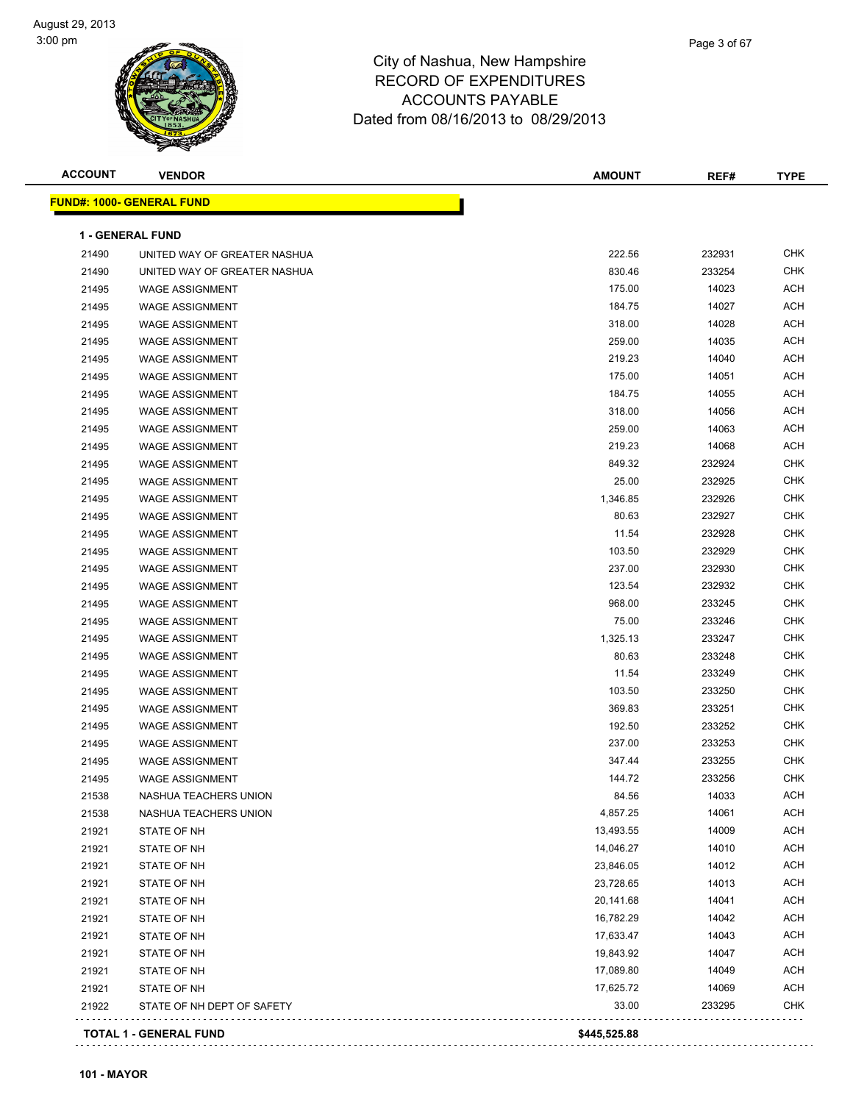| <b>ACCOUNT</b> | <b>VENDOR</b>                             | <b>AMOUNT</b>      | REF#            | <b>TYPE</b>              |
|----------------|-------------------------------------------|--------------------|-----------------|--------------------------|
|                | <b>FUND#: 1000- GENERAL FUND</b>          |                    |                 |                          |
|                | <b>1 - GENERAL FUND</b>                   |                    |                 |                          |
| 21490          | UNITED WAY OF GREATER NASHUA              | 222.56             | 232931          | <b>CHK</b>               |
| 21490          | UNITED WAY OF GREATER NASHUA              | 830.46             | 233254          | <b>CHK</b>               |
| 21495          | <b>WAGE ASSIGNMENT</b>                    | 175.00             | 14023           | <b>ACH</b>               |
| 21495          | <b>WAGE ASSIGNMENT</b>                    | 184.75             | 14027           | <b>ACH</b>               |
| 21495          | <b>WAGE ASSIGNMENT</b>                    | 318.00             | 14028           | <b>ACH</b>               |
| 21495          | <b>WAGE ASSIGNMENT</b>                    | 259.00             | 14035           | <b>ACH</b>               |
| 21495          | <b>WAGE ASSIGNMENT</b>                    | 219.23             | 14040           | <b>ACH</b>               |
| 21495          | <b>WAGE ASSIGNMENT</b>                    | 175.00             | 14051           | <b>ACH</b>               |
| 21495          | <b>WAGE ASSIGNMENT</b>                    | 184.75             | 14055           | <b>ACH</b>               |
| 21495          | <b>WAGE ASSIGNMENT</b>                    | 318.00             | 14056           | <b>ACH</b>               |
| 21495          | <b>WAGE ASSIGNMENT</b>                    | 259.00             | 14063           | <b>ACH</b>               |
| 21495          | <b>WAGE ASSIGNMENT</b>                    | 219.23             | 14068           | <b>ACH</b>               |
| 21495          | <b>WAGE ASSIGNMENT</b>                    | 849.32             | 232924          | <b>CHK</b>               |
| 21495          | <b>WAGE ASSIGNMENT</b>                    | 25.00              | 232925          | <b>CHK</b>               |
| 21495          | <b>WAGE ASSIGNMENT</b>                    | 1,346.85           | 232926          | <b>CHK</b>               |
| 21495          | <b>WAGE ASSIGNMENT</b>                    | 80.63              | 232927          | <b>CHK</b>               |
| 21495          | <b>WAGE ASSIGNMENT</b>                    | 11.54              | 232928          | <b>CHK</b>               |
| 21495          | <b>WAGE ASSIGNMENT</b>                    | 103.50             | 232929          | <b>CHK</b>               |
| 21495          | <b>WAGE ASSIGNMENT</b>                    | 237.00             | 232930          | <b>CHK</b>               |
| 21495          | <b>WAGE ASSIGNMENT</b>                    | 123.54             | 232932          | <b>CHK</b>               |
| 21495          | <b>WAGE ASSIGNMENT</b>                    | 968.00             | 233245          | <b>CHK</b>               |
| 21495          | <b>WAGE ASSIGNMENT</b>                    | 75.00              | 233246          | <b>CHK</b>               |
| 21495          | <b>WAGE ASSIGNMENT</b>                    | 1,325.13           | 233247          | <b>CHK</b>               |
| 21495          | <b>WAGE ASSIGNMENT</b>                    | 80.63              | 233248          | <b>CHK</b>               |
| 21495          | <b>WAGE ASSIGNMENT</b>                    | 11.54              | 233249          | <b>CHK</b>               |
| 21495          | <b>WAGE ASSIGNMENT</b>                    | 103.50             | 233250          | <b>CHK</b>               |
| 21495          | <b>WAGE ASSIGNMENT</b>                    | 369.83             | 233251          | <b>CHK</b>               |
| 21495          | <b>WAGE ASSIGNMENT</b>                    | 192.50             | 233252          | <b>CHK</b>               |
| 21495          | <b>WAGE ASSIGNMENT</b>                    | 237.00             | 233253          | <b>CHK</b>               |
| 21495          | <b>WAGE ASSIGNMENT</b>                    | 347.44             | 233255          | <b>CHK</b>               |
| 21495          | <b>WAGE ASSIGNMENT</b>                    | 144.72             | 233256          | <b>CHK</b>               |
| 21538          | NASHUA TEACHERS UNION                     | 84.56              | 14033           | ACH                      |
| 21538          | NASHUA TEACHERS UNION                     | 4,857.25           | 14061           | <b>ACH</b>               |
| 21921          | STATE OF NH                               | 13,493.55          | 14009           | <b>ACH</b>               |
| 21921          | STATE OF NH                               | 14,046.27          | 14010           | <b>ACH</b>               |
| 21921          | STATE OF NH                               | 23,846.05          | 14012           | <b>ACH</b>               |
| 21921          | STATE OF NH                               | 23,728.65          | 14013           | <b>ACH</b>               |
|                |                                           |                    |                 | <b>ACH</b>               |
| 21921          | STATE OF NH                               | 20,141.68          | 14041           | <b>ACH</b>               |
| 21921          | STATE OF NH                               | 16,782.29          | 14042           | <b>ACH</b>               |
| 21921          | STATE OF NH                               | 17,633.47          | 14043           | <b>ACH</b>               |
| 21921          | STATE OF NH                               | 19,843.92          | 14047           |                          |
| 21921          | STATE OF NH                               | 17,089.80          | 14049           | <b>ACH</b><br><b>ACH</b> |
| 21921<br>21922 | STATE OF NH<br>STATE OF NH DEPT OF SAFETY | 17,625.72<br>33.00 | 14069<br>233295 | <b>CHK</b>               |
|                |                                           |                    |                 |                          |
|                | <b>TOTAL 1 - GENERAL FUND</b>             | \$445,525.88       |                 |                          |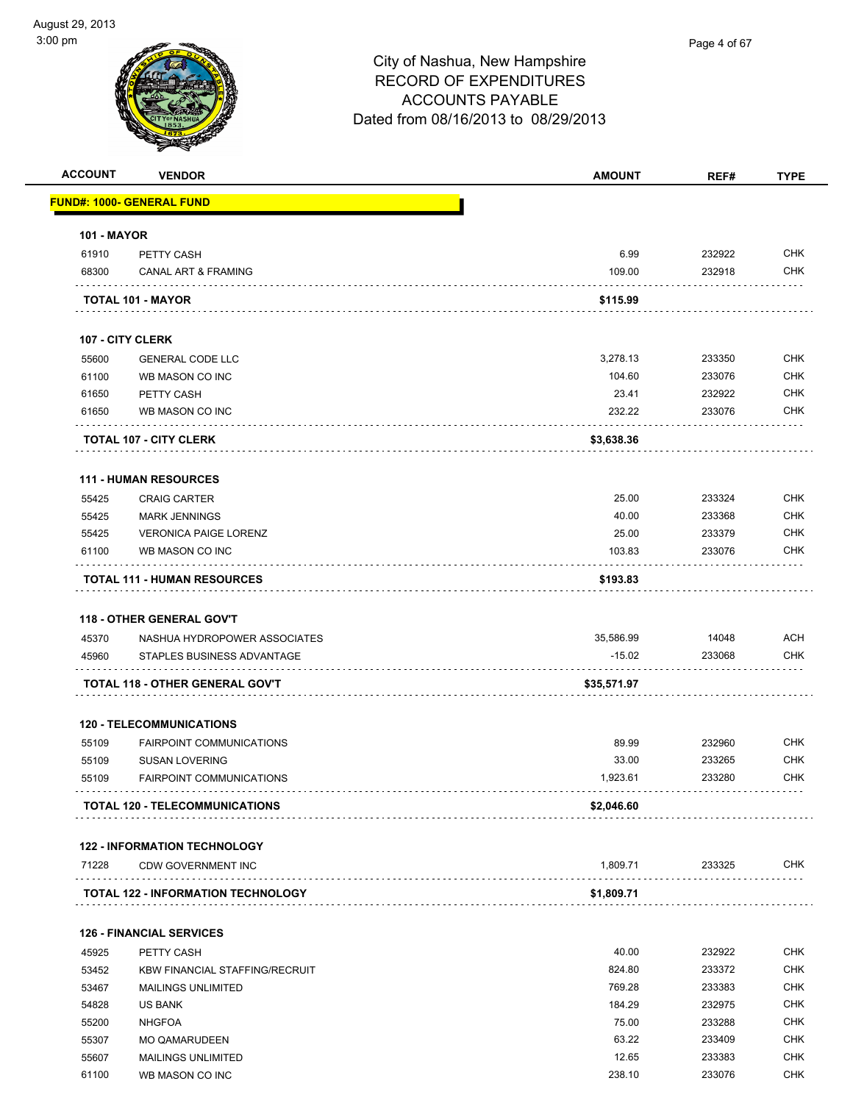| <b>ACCOUNT</b>     | <b>VENDOR</b>                             | <b>AMOUNT</b> | REF#   | <b>TYPE</b> |
|--------------------|-------------------------------------------|---------------|--------|-------------|
|                    | <u> FUND#: 1000- GENERAL FUND</u>         |               |        |             |
| <b>101 - MAYOR</b> |                                           |               |        |             |
| 61910              | PETTY CASH                                | 6.99          | 232922 | <b>CHK</b>  |
| 68300              | <b>CANAL ART &amp; FRAMING</b>            | 109.00        | 232918 | <b>CHK</b>  |
|                    | TOTAL 101 - MAYOR                         | \$115.99      |        |             |
|                    | <b>107 - CITY CLERK</b>                   |               |        |             |
| 55600              | <b>GENERAL CODE LLC</b>                   | 3,278.13      | 233350 | <b>CHK</b>  |
| 61100              | WB MASON CO INC                           | 104.60        | 233076 | <b>CHK</b>  |
| 61650              | PETTY CASH                                | 23.41         | 232922 | <b>CHK</b>  |
| 61650              | WB MASON CO INC                           | 232.22        | 233076 | <b>CHK</b>  |
|                    | <b>TOTAL 107 - CITY CLERK</b>             | \$3,638.36    |        |             |
|                    | <b>111 - HUMAN RESOURCES</b>              |               |        |             |
| 55425              | <b>CRAIG CARTER</b>                       | 25.00         | 233324 | <b>CHK</b>  |
| 55425              | <b>MARK JENNINGS</b>                      | 40.00         | 233368 | <b>CHK</b>  |
| 55425              | <b>VERONICA PAIGE LORENZ</b>              | 25.00         | 233379 | <b>CHK</b>  |
| 61100              | WB MASON CO INC                           | 103.83        | 233076 | <b>CHK</b>  |
|                    | <b>TOTAL 111 - HUMAN RESOURCES</b>        | \$193.83      |        |             |
|                    | <b>118 - OTHER GENERAL GOV'T</b>          |               |        |             |
| 45370              | NASHUA HYDROPOWER ASSOCIATES              | 35,586.99     | 14048  | <b>ACH</b>  |
| 45960              | STAPLES BUSINESS ADVANTAGE                | $-15.02$      | 233068 | CHK         |
|                    | TOTAL 118 - OTHER GENERAL GOV'T           | \$35,571.97   |        |             |
|                    | <b>120 - TELECOMMUNICATIONS</b>           |               |        |             |
| 55109              | <b>FAIRPOINT COMMUNICATIONS</b>           | 89.99         | 232960 | <b>CHK</b>  |
| 55109              | <b>SUSAN LOVERING</b>                     | 33.00         | 233265 | <b>CHK</b>  |
| 55109              | <b>FAIRPOINT COMMUNICATIONS</b>           | 1,923.61      | 233280 | <b>CHK</b>  |
|                    | TOTAL 120 - TELECOMMUNICATIONS            | \$2,046.60    |        |             |
|                    | <b>122 - INFORMATION TECHNOLOGY</b>       |               |        |             |
| 71228              | <b>CDW GOVERNMENT INC</b>                 | 1,809.71      | 233325 | <b>CHK</b>  |
|                    | <b>TOTAL 122 - INFORMATION TECHNOLOGY</b> | \$1,809.71    |        |             |
|                    | <b>126 - FINANCIAL SERVICES</b>           |               |        |             |
| 45925              | PETTY CASH                                | 40.00         | 232922 | <b>CHK</b>  |
| 53452              | <b>KBW FINANCIAL STAFFING/RECRUIT</b>     | 824.80        | 233372 | <b>CHK</b>  |
| 53467              | <b>MAILINGS UNLIMITED</b>                 | 769.28        | 233383 | <b>CHK</b>  |
| 54828              | <b>US BANK</b>                            | 184.29        | 232975 | <b>CHK</b>  |
| 55200              | <b>NHGFOA</b>                             | 75.00         | 233288 | <b>CHK</b>  |
| 55307              | <b>MO QAMARUDEEN</b>                      | 63.22         | 233409 | CHK         |
| 55607              | <b>MAILINGS UNLIMITED</b>                 | 12.65         | 233383 | <b>CHK</b>  |
| 61100              | WB MASON CO INC                           | 238.10        | 233076 | <b>CHK</b>  |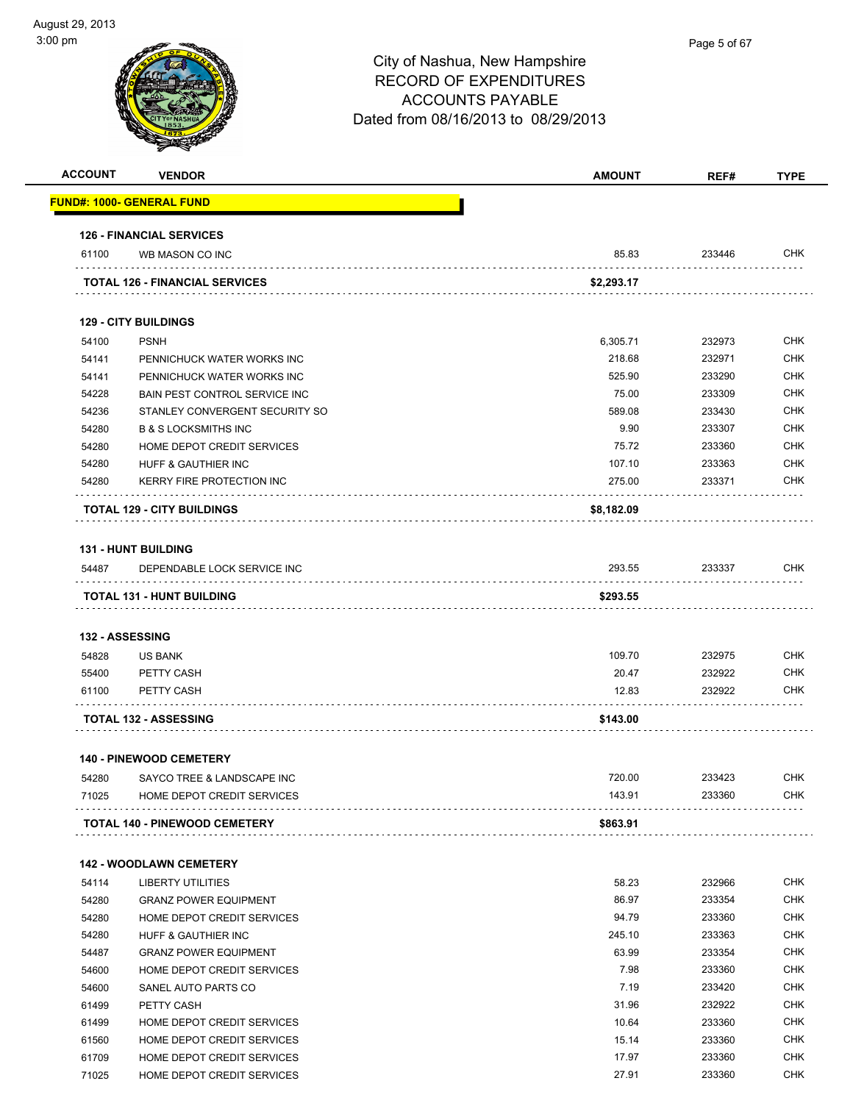| <b>ACCOUNT</b> | <b>VENDOR</b>                                              | <b>AMOUNT</b> | REF#   | <b>TYPE</b> |
|----------------|------------------------------------------------------------|---------------|--------|-------------|
|                | <u> FUND#: 1000- GENERAL FUND</u>                          |               |        |             |
|                | <b>126 - FINANCIAL SERVICES</b>                            |               |        |             |
| 61100          | WB MASON CO INC                                            | 85.83         | 233446 | <b>CHK</b>  |
|                | <b>TOTAL 126 - FINANCIAL SERVICES</b>                      | \$2,293.17    |        |             |
|                | <b>129 - CITY BUILDINGS</b>                                |               |        |             |
| 54100          | <b>PSNH</b>                                                | 6,305.71      | 232973 | <b>CHK</b>  |
| 54141          | PENNICHUCK WATER WORKS INC                                 | 218.68        | 232971 | <b>CHK</b>  |
| 54141          | PENNICHUCK WATER WORKS INC                                 | 525.90        | 233290 | <b>CHK</b>  |
| 54228          | <b>BAIN PEST CONTROL SERVICE INC</b>                       | 75.00         | 233309 | <b>CHK</b>  |
| 54236          | STANLEY CONVERGENT SECURITY SO                             | 589.08        | 233430 | <b>CHK</b>  |
| 54280          | <b>B &amp; S LOCKSMITHS INC</b>                            | 9.90          | 233307 | <b>CHK</b>  |
| 54280          | HOME DEPOT CREDIT SERVICES                                 | 75.72         | 233360 | <b>CHK</b>  |
| 54280          | <b>HUFF &amp; GAUTHIER INC</b>                             | 107.10        | 233363 | <b>CHK</b>  |
| 54280          | KERRY FIRE PROTECTION INC                                  | 275.00        | 233371 | <b>CHK</b>  |
|                | <b>TOTAL 129 - CITY BUILDINGS</b>                          | \$8,182.09    |        |             |
|                | <b>131 - HUNT BUILDING</b>                                 |               |        |             |
| 54487          | DEPENDABLE LOCK SERVICE INC                                | 293.55        | 233337 | <b>CHK</b>  |
|                | <b>TOTAL 131 - HUNT BUILDING</b>                           | \$293.55      |        |             |
|                |                                                            |               |        |             |
|                | 132 - ASSESSING                                            |               |        |             |
| 54828          | <b>US BANK</b>                                             | 109.70        | 232975 | <b>CHK</b>  |
| 55400          | PETTY CASH                                                 | 20.47         | 232922 | <b>CHK</b>  |
| 61100          | PETTY CASH                                                 | 12.83         | 232922 | <b>CHK</b>  |
|                | <b>TOTAL 132 - ASSESSING</b>                               | \$143.00      |        |             |
|                | <b>140 - PINEWOOD CEMETERY</b>                             |               |        |             |
| 54280          | SAYCO TREE & LANDSCAPE INC                                 | 720.00        | 233423 | <b>CHK</b>  |
| 71025          | HOME DEPOT CREDIT SERVICES                                 | 143.91        | 233360 | <b>CHK</b>  |
|                | <b>TOTAL 140 - PINEWOOD CEMETERY</b>                       | \$863.91      |        |             |
|                |                                                            |               |        |             |
|                | <b>142 - WOODLAWN CEMETERY</b>                             | 58.23         | 232966 | <b>CHK</b>  |
| 54114<br>54280 | LIBERTY UTILITIES                                          | 86.97         | 233354 | <b>CHK</b>  |
| 54280          | <b>GRANZ POWER EQUIPMENT</b><br>HOME DEPOT CREDIT SERVICES | 94.79         | 233360 | <b>CHK</b>  |
| 54280          | HUFF & GAUTHIER INC                                        | 245.10        | 233363 | <b>CHK</b>  |
| 54487          | <b>GRANZ POWER EQUIPMENT</b>                               | 63.99         | 233354 | <b>CHK</b>  |
| 54600          | HOME DEPOT CREDIT SERVICES                                 | 7.98          | 233360 | <b>CHK</b>  |
| 54600          | SANEL AUTO PARTS CO                                        | 7.19          | 233420 | <b>CHK</b>  |
| 61499          | PETTY CASH                                                 | 31.96         | 232922 | <b>CHK</b>  |
| 61499          | HOME DEPOT CREDIT SERVICES                                 | 10.64         | 233360 | <b>CHK</b>  |
| 61560          | HOME DEPOT CREDIT SERVICES                                 | 15.14         | 233360 | <b>CHK</b>  |
| 61709          | HOME DEPOT CREDIT SERVICES                                 | 17.97         | 233360 | <b>CHK</b>  |
| 71025          |                                                            | 27.91         | 233360 | <b>CHK</b>  |
|                | HOME DEPOT CREDIT SERVICES                                 |               |        |             |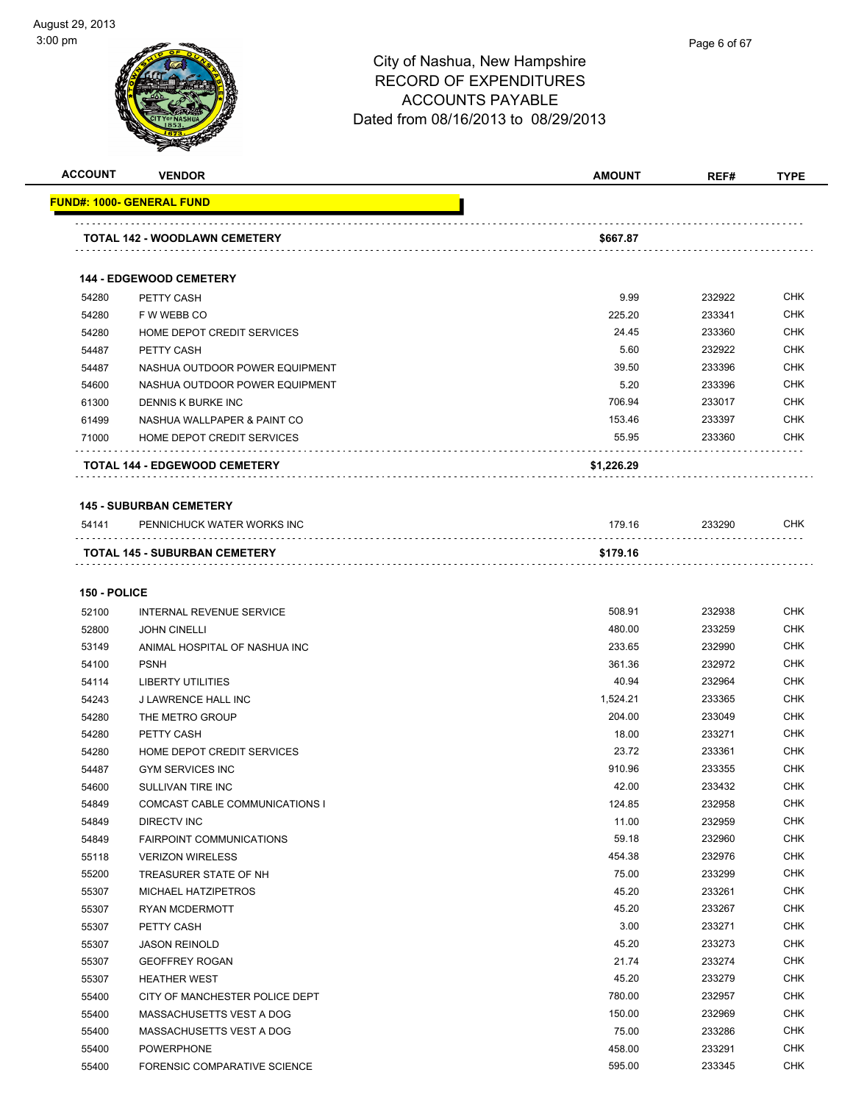| <b>ACCOUNT</b> | <b>VENDOR</b>                        | <b>AMOUNT</b> | REF#   | <b>TYPE</b> |
|----------------|--------------------------------------|---------------|--------|-------------|
|                | <b>FUND#: 1000- GENERAL FUND</b>     |               |        |             |
|                |                                      |               |        |             |
|                | TOTAL 142 - WOODLAWN CEMETERY        | \$667.87      |        |             |
|                |                                      |               |        |             |
|                | <b>144 - EDGEWOOD CEMETERY</b>       |               |        |             |
| 54280          | PETTY CASH                           | 9.99          | 232922 | <b>CHK</b>  |
| 54280          | F W WEBB CO                          | 225.20        | 233341 | <b>CHK</b>  |
| 54280          | HOME DEPOT CREDIT SERVICES           | 24.45         | 233360 | <b>CHK</b>  |
| 54487          | PETTY CASH                           | 5.60          | 232922 | <b>CHK</b>  |
| 54487          | NASHUA OUTDOOR POWER EQUIPMENT       | 39.50         | 233396 | <b>CHK</b>  |
| 54600          | NASHUA OUTDOOR POWER EQUIPMENT       | 5.20          | 233396 | <b>CHK</b>  |
| 61300          | DENNIS K BURKE INC                   | 706.94        | 233017 | <b>CHK</b>  |
| 61499          | NASHUA WALLPAPER & PAINT CO          | 153.46        | 233397 | <b>CHK</b>  |
| 71000          | <b>HOME DEPOT CREDIT SERVICES</b>    | 55.95         | 233360 | <b>CHK</b>  |
|                | TOTAL 144 - EDGEWOOD CEMETERY        | \$1,226.29    |        |             |
|                | <b>145 - SUBURBAN CEMETERY</b>       |               |        |             |
| 54141          | PENNICHUCK WATER WORKS INC           | 179.16        | 233290 | <b>CHK</b>  |
|                | <b>TOTAL 145 - SUBURBAN CEMETERY</b> | \$179.16      |        |             |
|                |                                      |               |        |             |
| 150 - POLICE   |                                      |               |        |             |
| 52100          | INTERNAL REVENUE SERVICE             | 508.91        | 232938 | <b>CHK</b>  |
| 52800          | <b>JOHN CINELLI</b>                  | 480.00        | 233259 | <b>CHK</b>  |
| 53149          | ANIMAL HOSPITAL OF NASHUA INC        | 233.65        | 232990 | <b>CHK</b>  |
| 54100          | <b>PSNH</b>                          | 361.36        | 232972 | <b>CHK</b>  |
| 54114          | <b>LIBERTY UTILITIES</b>             | 40.94         | 232964 | <b>CHK</b>  |
| 54243          | J LAWRENCE HALL INC                  | 1,524.21      | 233365 | <b>CHK</b>  |
| 54280          | THE METRO GROUP                      | 204.00        | 233049 | <b>CHK</b>  |
| 54280          | <b>PETTY CASH</b>                    | 18.00         | 233271 | <b>CHK</b>  |
| 54280          | HOME DEPOT CREDIT SERVICES           | 23.72         | 233361 | <b>CHK</b>  |
| 54487          | <b>GYM SERVICES INC</b>              | 910.96        | 233355 | <b>CHK</b>  |
| 54600          | SULLIVAN TIRE INC                    | 42.00         | 233432 | CHK         |
| 54849          | COMCAST CABLE COMMUNICATIONS I       | 124.85        | 232958 | CHK         |
| 54849          | DIRECTV INC                          | 11.00         | 232959 | <b>CHK</b>  |
| 54849          | <b>FAIRPOINT COMMUNICATIONS</b>      | 59.18         | 232960 | <b>CHK</b>  |
| 55118          | <b>VERIZON WIRELESS</b>              | 454.38        | 232976 | CHK         |
| 55200          | TREASURER STATE OF NH                | 75.00         | 233299 | <b>CHK</b>  |
| 55307          | MICHAEL HATZIPETROS                  | 45.20         | 233261 | <b>CHK</b>  |
| 55307          | RYAN MCDERMOTT                       | 45.20         | 233267 | <b>CHK</b>  |
| 55307          | PETTY CASH                           | 3.00          | 233271 | <b>CHK</b>  |
| 55307          | <b>JASON REINOLD</b>                 | 45.20         | 233273 | <b>CHK</b>  |
| 55307          | <b>GEOFFREY ROGAN</b>                | 21.74         | 233274 | <b>CHK</b>  |
| 55307          | <b>HEATHER WEST</b>                  | 45.20         | 233279 | <b>CHK</b>  |
| 55400          | CITY OF MANCHESTER POLICE DEPT       | 780.00        | 232957 | <b>CHK</b>  |
| 55400          | MASSACHUSETTS VEST A DOG             | 150.00        | 232969 | <b>CHK</b>  |
| 55400          | MASSACHUSETTS VEST A DOG             | 75.00         | 233286 | <b>CHK</b>  |
| 55400          | <b>POWERPHONE</b>                    | 458.00        | 233291 | CHK         |
| 55400          | FORENSIC COMPARATIVE SCIENCE         | 595.00        | 233345 | <b>CHK</b>  |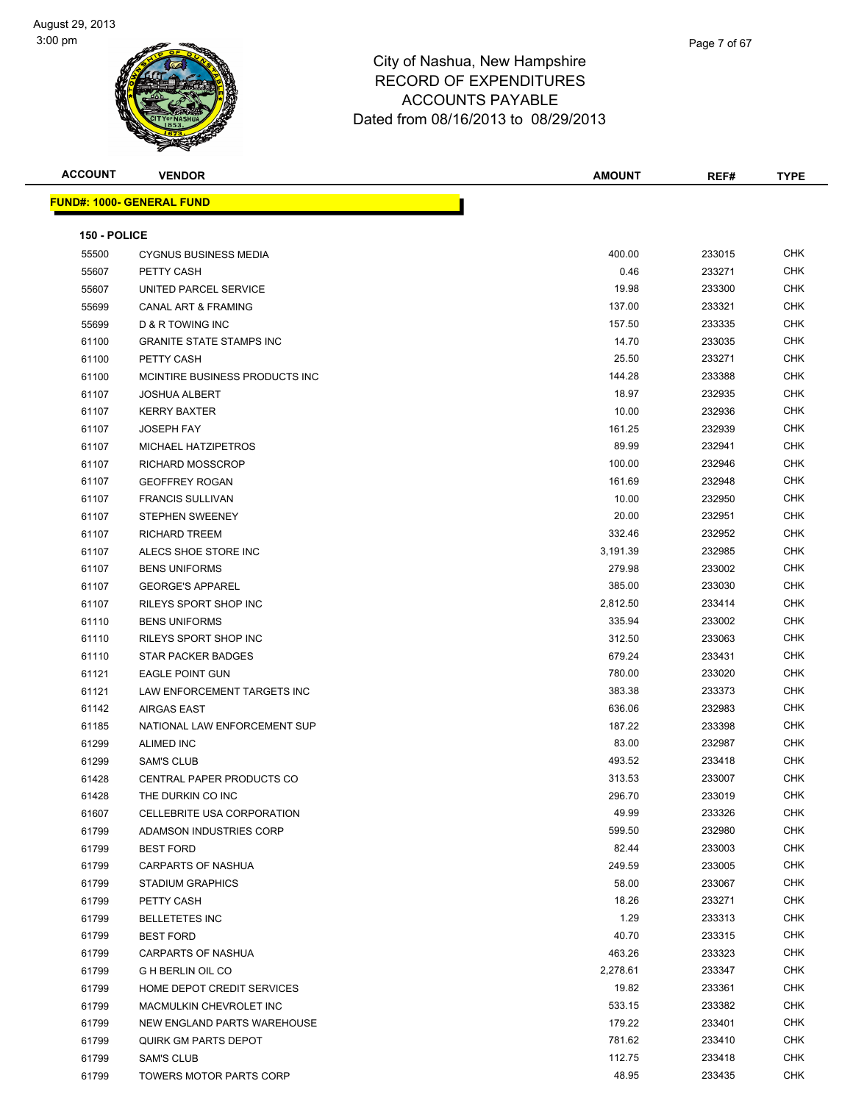

| <b>ACCOUNT</b> | <b>VENDOR</b>                     | <b>AMOUNT</b> | REF#   | <b>TYPE</b> |
|----------------|-----------------------------------|---------------|--------|-------------|
|                | <u> FUND#: 1000- GENERAL FUND</u> |               |        |             |
|                |                                   |               |        |             |
| 150 - POLICE   |                                   |               |        |             |
| 55500          | <b>CYGNUS BUSINESS MEDIA</b>      | 400.00        | 233015 | <b>CHK</b>  |
| 55607          | PETTY CASH                        | 0.46          | 233271 | <b>CHK</b>  |
| 55607          | UNITED PARCEL SERVICE             | 19.98         | 233300 | <b>CHK</b>  |
| 55699          | <b>CANAL ART &amp; FRAMING</b>    | 137.00        | 233321 | <b>CHK</b>  |
| 55699          | D & R TOWING INC                  | 157.50        | 233335 | <b>CHK</b>  |
| 61100          | <b>GRANITE STATE STAMPS INC</b>   | 14.70         | 233035 | <b>CHK</b>  |
| 61100          | PETTY CASH                        | 25.50         | 233271 | <b>CHK</b>  |
| 61100          | MCINTIRE BUSINESS PRODUCTS INC    | 144.28        | 233388 | <b>CHK</b>  |
| 61107          | <b>JOSHUA ALBERT</b>              | 18.97         | 232935 | <b>CHK</b>  |
| 61107          | <b>KERRY BAXTER</b>               | 10.00         | 232936 | <b>CHK</b>  |
| 61107          | <b>JOSEPH FAY</b>                 | 161.25        | 232939 | <b>CHK</b>  |
| 61107          | MICHAEL HATZIPETROS               | 89.99         | 232941 | <b>CHK</b>  |
| 61107          | <b>RICHARD MOSSCROP</b>           | 100.00        | 232946 | <b>CHK</b>  |
| 61107          | <b>GEOFFREY ROGAN</b>             | 161.69        | 232948 | <b>CHK</b>  |
| 61107          | <b>FRANCIS SULLIVAN</b>           | 10.00         | 232950 | <b>CHK</b>  |
| 61107          | <b>STEPHEN SWEENEY</b>            | 20.00         | 232951 | <b>CHK</b>  |
| 61107          | <b>RICHARD TREEM</b>              | 332.46        | 232952 | <b>CHK</b>  |
| 61107          | ALECS SHOE STORE INC              | 3,191.39      | 232985 | <b>CHK</b>  |
| 61107          | <b>BENS UNIFORMS</b>              | 279.98        | 233002 | <b>CHK</b>  |
| 61107          | <b>GEORGE'S APPAREL</b>           | 385.00        | 233030 | <b>CHK</b>  |
| 61107          | RILEYS SPORT SHOP INC             | 2,812.50      | 233414 | <b>CHK</b>  |
| 61110          | <b>BENS UNIFORMS</b>              | 335.94        | 233002 | <b>CHK</b>  |
| 61110          | RILEYS SPORT SHOP INC             | 312.50        | 233063 | <b>CHK</b>  |
| 61110          | STAR PACKER BADGES                | 679.24        | 233431 | <b>CHK</b>  |
| 61121          | <b>EAGLE POINT GUN</b>            | 780.00        | 233020 | <b>CHK</b>  |
| 61121          | LAW ENFORCEMENT TARGETS INC       | 383.38        | 233373 | <b>CHK</b>  |
| 61142          | <b>AIRGAS EAST</b>                | 636.06        | 232983 | <b>CHK</b>  |
| 61185          | NATIONAL LAW ENFORCEMENT SUP      | 187.22        | 233398 | <b>CHK</b>  |
| 61299          | <b>ALIMED INC</b>                 | 83.00         | 232987 | <b>CHK</b>  |
| 61299          | <b>SAM'S CLUB</b>                 | 493.52        | 233418 | <b>CHK</b>  |
| 61428          | CENTRAL PAPER PRODUCTS CO         | 313.53        | 233007 | <b>CHK</b>  |
| 61428          | THE DURKIN CO INC                 | 296.70        | 233019 | <b>CHK</b>  |
| 61607          | CELLEBRITE USA CORPORATION        | 49.99         | 233326 | <b>CHK</b>  |
| 61799          | ADAMSON INDUSTRIES CORP           | 599.50        | 232980 | <b>CHK</b>  |
| 61799          | <b>BEST FORD</b>                  | 82.44         | 233003 | <b>CHK</b>  |
| 61799          | <b>CARPARTS OF NASHUA</b>         | 249.59        | 233005 | <b>CHK</b>  |
| 61799          | <b>STADIUM GRAPHICS</b>           | 58.00         | 233067 | <b>CHK</b>  |
| 61799          | PETTY CASH                        | 18.26         | 233271 | <b>CHK</b>  |
| 61799          | <b>BELLETETES INC</b>             | 1.29          | 233313 | <b>CHK</b>  |
| 61799          | <b>BEST FORD</b>                  | 40.70         | 233315 | <b>CHK</b>  |
| 61799          | CARPARTS OF NASHUA                | 463.26        | 233323 | <b>CHK</b>  |
| 61799          | G H BERLIN OIL CO                 | 2,278.61      | 233347 | <b>CHK</b>  |
| 61799          | HOME DEPOT CREDIT SERVICES        | 19.82         | 233361 | <b>CHK</b>  |
| 61799          | MACMULKIN CHEVROLET INC           | 533.15        | 233382 | <b>CHK</b>  |
| 61799          | NEW ENGLAND PARTS WAREHOUSE       | 179.22        | 233401 | <b>CHK</b>  |
| 61799          | QUIRK GM PARTS DEPOT              | 781.62        | 233410 | <b>CHK</b>  |
| 61799          | <b>SAM'S CLUB</b>                 | 112.75        | 233418 | <b>CHK</b>  |
| 61799          | TOWERS MOTOR PARTS CORP           | 48.95         | 233435 | <b>CHK</b>  |
|                |                                   |               |        |             |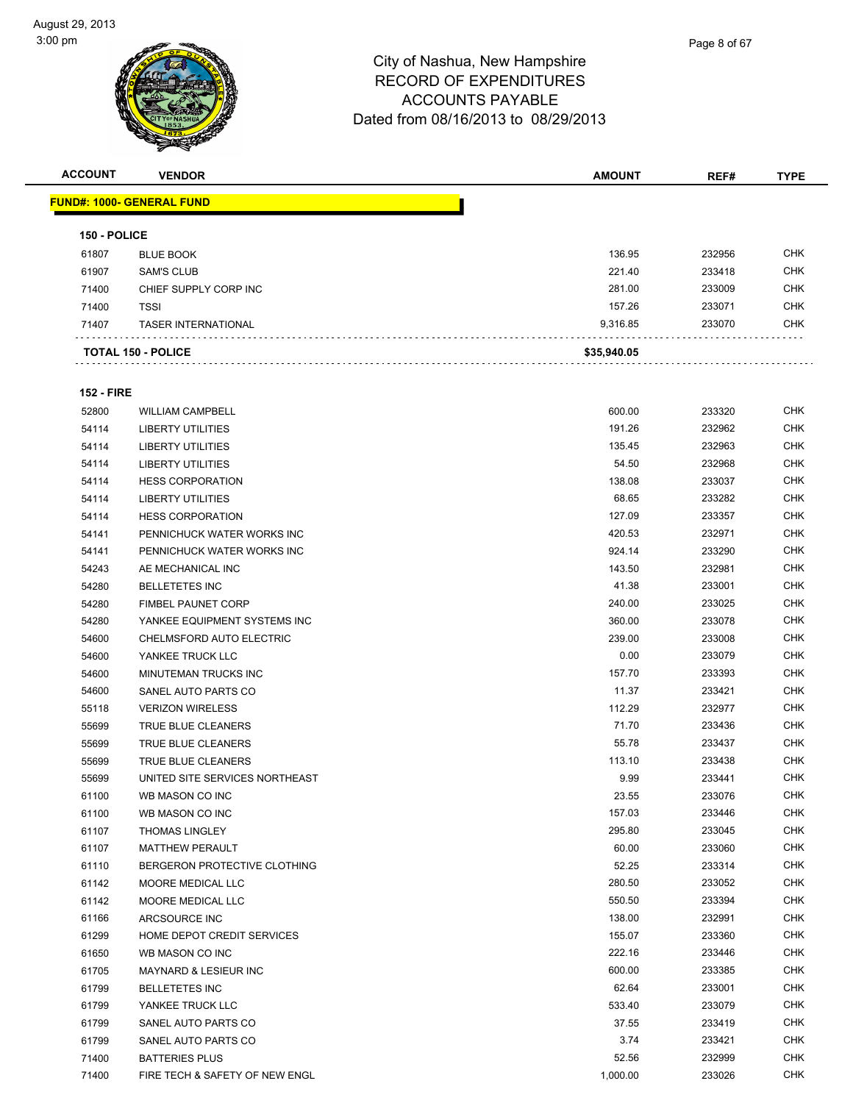

**ACCOUNT VENDOR AMOUNT REF# TYPE**

|                   | <u> FUND#: 1000- GENERAL FUND</u> |             |        |            |
|-------------------|-----------------------------------|-------------|--------|------------|
| 150 - POLICE      |                                   |             |        |            |
| 61807             | <b>BLUE BOOK</b>                  | 136.95      | 232956 | <b>CHK</b> |
| 61907             | <b>SAM'S CLUB</b>                 | 221.40      | 233418 | <b>CHK</b> |
| 71400             | CHIEF SUPPLY CORP INC             | 281.00      | 233009 | <b>CHK</b> |
| 71400             | <b>TSSI</b>                       | 157.26      | 233071 | <b>CHK</b> |
| 71407             | <b>TASER INTERNATIONAL</b>        | 9,316.85    | 233070 | CHK        |
|                   | <b>TOTAL 150 - POLICE</b>         | \$35,940.05 |        |            |
| <b>152 - FIRE</b> |                                   |             |        |            |
| 52800             | <b>WILLIAM CAMPBELL</b>           | 600.00      | 233320 | <b>CHK</b> |
| 54114             | <b>LIBERTY UTILITIES</b>          | 191.26      | 232962 | <b>CHK</b> |
| 54114             | <b>LIBERTY UTILITIES</b>          | 135.45      | 232963 | <b>CHK</b> |
| 54114             | LIBERTY UTILITIES                 | 54.50       | 232968 | CHK        |
| 54114             | <b>HESS CORPORATION</b>           | 138.08      | 233037 | CHK        |
| 54114             | <b>LIBERTY UTILITIES</b>          | 68.65       | 233282 | <b>CHK</b> |
| 54114             | <b>HESS CORPORATION</b>           | 127.09      | 233357 | <b>CHK</b> |
| 54141             | PENNICHUCK WATER WORKS INC        | 420.53      | 232971 | <b>CHK</b> |
| 54141             | PENNICHUCK WATER WORKS INC        | 924.14      | 233290 | <b>CHK</b> |
| 54243             | AE MECHANICAL INC                 | 143.50      | 232981 | <b>CHK</b> |
| 54280             | <b>BELLETETES INC</b>             | 41.38       | 233001 | <b>CHK</b> |
| 54280             | <b>FIMBEL PAUNET CORP</b>         | 240.00      | 233025 | <b>CHK</b> |
| 54280             | YANKEE EQUIPMENT SYSTEMS INC      | 360.00      | 233078 | <b>CHK</b> |
| 54600             | CHELMSFORD AUTO ELECTRIC          | 239.00      | 233008 | <b>CHK</b> |
| 54600             | YANKEE TRUCK LLC                  | 0.00        | 233079 | <b>CHK</b> |
| 54600             | MINUTEMAN TRUCKS INC              | 157.70      | 233393 | <b>CHK</b> |
| 54600             | SANEL AUTO PARTS CO               | 11.37       | 233421 | <b>CHK</b> |
| 55118             | <b>VERIZON WIRELESS</b>           | 112.29      | 232977 | <b>CHK</b> |
| 55699             | TRUE BLUE CLEANERS                | 71.70       | 233436 | <b>CHK</b> |
|                   | <b>TRUE BLUE CLEANERS</b>         | 55.78       | 233437 | CHK        |
| 55699             |                                   |             |        | <b>CHK</b> |
| 55699             | TRUE BLUE CLEANERS                | 113.10      | 233438 |            |
| 55699             | UNITED SITE SERVICES NORTHEAST    | 9.99        | 233441 | <b>CHK</b> |
| 61100             | WB MASON CO INC                   | 23.55       | 233076 | <b>CHK</b> |
| 61100             | WB MASON CO INC                   | 157.03      | 233446 | <b>CHK</b> |
| 61107             | <b>THOMAS LINGLEY</b>             | 295.80      | 233045 | <b>CHK</b> |
| 61107             | <b>MATTHEW PERAULT</b>            | 60.00       | 233060 | <b>CHK</b> |
| 61110             | BERGERON PROTECTIVE CLOTHING      | 52.25       | 233314 | <b>CHK</b> |
| 61142             | <b>MOORE MEDICAL LLC</b>          | 280.50      | 233052 | <b>CHK</b> |
| 61142             | MOORE MEDICAL LLC                 | 550.50      | 233394 | <b>CHK</b> |
| 61166             | ARCSOURCE INC                     | 138.00      | 232991 | <b>CHK</b> |
| 61299             | HOME DEPOT CREDIT SERVICES        | 155.07      | 233360 | <b>CHK</b> |
| 61650             | WB MASON CO INC                   | 222.16      | 233446 | <b>CHK</b> |
| 61705             | MAYNARD & LESIEUR INC             | 600.00      | 233385 | <b>CHK</b> |
| 61799             | <b>BELLETETES INC</b>             | 62.64       | 233001 | <b>CHK</b> |
| 61799             | YANKEE TRUCK LLC                  | 533.40      | 233079 | CHK        |
| 61799             | SANEL AUTO PARTS CO               | 37.55       | 233419 | <b>CHK</b> |
| 61799             | SANEL AUTO PARTS CO               | 3.74        | 233421 | <b>CHK</b> |
| 71400             | <b>BATTERIES PLUS</b>             | 52.56       | 232999 | <b>CHK</b> |
| 71400             | FIRE TECH & SAFETY OF NEW ENGL    | 1,000.00    | 233026 | <b>CHK</b> |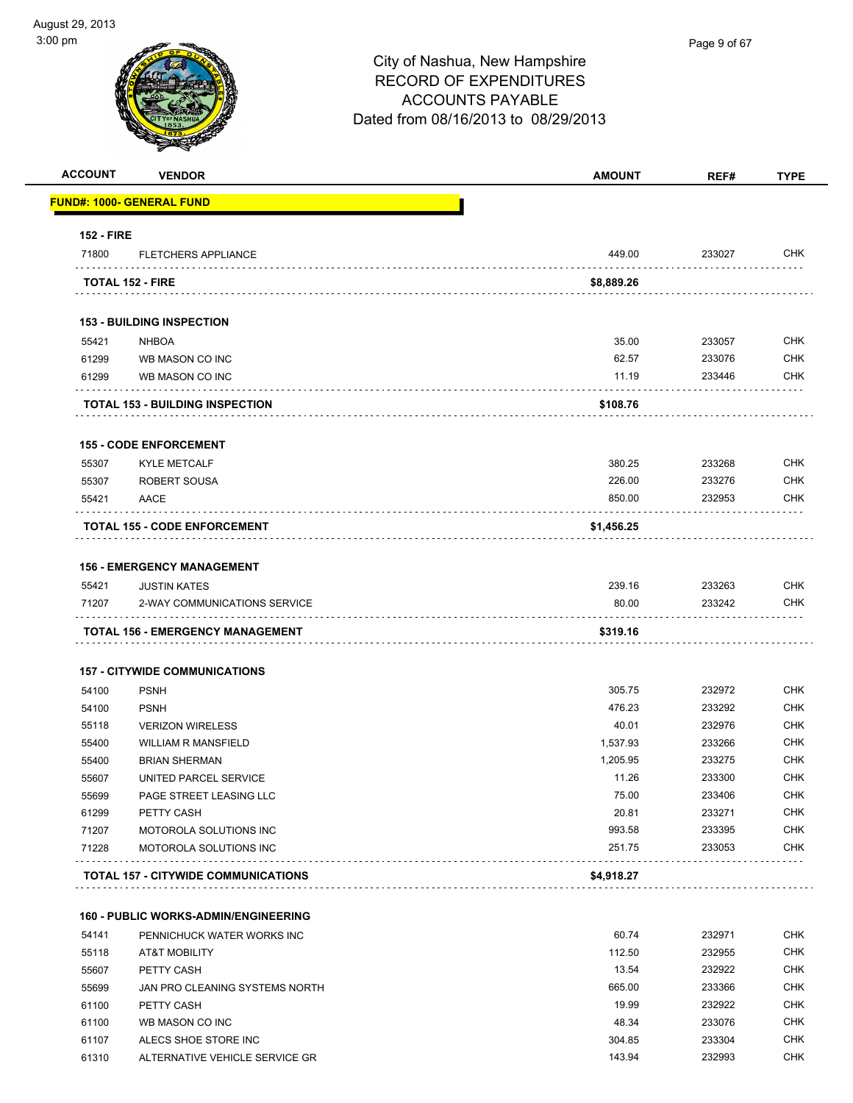-

| וווען טי          |                                             | City of Nashua, New Hampshire<br><b>RECORD OF EXPENDITURES</b><br><b>ACCOUNTS PAYABLE</b><br>Dated from 08/16/2013 to 08/29/2013 | Page 9 of 67 |                |
|-------------------|---------------------------------------------|----------------------------------------------------------------------------------------------------------------------------------|--------------|----------------|
| <b>ACCOUNT</b>    | <b>VENDOR</b>                               | <b>AMOUNT</b>                                                                                                                    | REF#         | <b>TYPE</b>    |
|                   | <b>FUND#: 1000- GENERAL FUND</b>            |                                                                                                                                  |              |                |
| <b>152 - FIRE</b> |                                             |                                                                                                                                  |              |                |
| 71800             | <b>FLETCHERS APPLIANCE</b>                  | 449.00                                                                                                                           | 233027       | <b>CHK</b>     |
|                   | <b>TOTAL 152 - FIRE</b>                     | \$8,889.26                                                                                                                       |              |                |
|                   | <b>153 - BUILDING INSPECTION</b>            |                                                                                                                                  |              |                |
| 55421             | <b>NHBOA</b>                                | 35.00                                                                                                                            | 233057       | <b>CHK</b>     |
| 61299             | WB MASON CO INC                             | 62.57                                                                                                                            | 233076       | <b>CHK</b>     |
| 61299             | WB MASON CO INC                             | 11.19                                                                                                                            | 233446       | <b>CHK</b>     |
|                   | <b>TOTAL 153 - BUILDING INSPECTION</b>      | \$108.76                                                                                                                         |              |                |
|                   | <b>155 - CODE ENFORCEMENT</b>               |                                                                                                                                  |              |                |
| 55307             | <b>KYLE METCALF</b>                         | 380.25                                                                                                                           | 233268       | <b>CHK</b>     |
| 55307             | <b>ROBERT SOUSA</b>                         | 226.00                                                                                                                           | 233276       | <b>CHK</b>     |
| 55421             | AACE                                        | 850.00                                                                                                                           | 232953       | <b>CHK</b>     |
|                   | <b>TOTAL 155 - CODE ENFORCEMENT</b>         | \$1,456.25                                                                                                                       |              |                |
|                   | <b>156 - EMERGENCY MANAGEMENT</b>           |                                                                                                                                  |              |                |
| 55421             | <b>JUSTIN KATES</b>                         | 239.16                                                                                                                           | 233263       | <b>CHK</b>     |
| 71207             | 2-WAY COMMUNICATIONS SERVICE                | 80.00                                                                                                                            | 233242       | CHK            |
|                   | <b>TOTAL 156 - EMERGENCY MANAGEMENT</b>     | \$319.16                                                                                                                         |              |                |
|                   | <b>157 - CITYWIDE COMMUNICATIONS</b>        |                                                                                                                                  |              |                |
| 54100             | <b>PSNH</b>                                 | 305.75                                                                                                                           | 232972       | <b>CHK</b>     |
| 54100             | <b>PSNH</b>                                 | 476.23                                                                                                                           | 233292       | <b>CHK</b>     |
| 55118             | <b>VERIZON WIRELESS</b>                     | 40.01                                                                                                                            | 232976       | <b>CHK</b>     |
| 55400             | <b>WILLIAM R MANSFIELD</b>                  | 1,537.93                                                                                                                         | 233266       | <b>CHK</b>     |
| 55400             | <b>BRIAN SHERMAN</b>                        | 1,205.95                                                                                                                         | 233275       | CHK            |
| 55607             | UNITED PARCEL SERVICE                       | 11.26                                                                                                                            | 233300       | <b>CHK</b>     |
| 55699             | PAGE STREET LEASING LLC                     | 75.00                                                                                                                            | 233406       | <b>CHK</b>     |
| 61299             | PETTY CASH                                  | 20.81                                                                                                                            | 233271       | <b>CHK</b>     |
| 71207             | MOTOROLA SOLUTIONS INC                      | 993.58                                                                                                                           | 233395       | <b>CHK</b>     |
| 71228             | MOTOROLA SOLUTIONS INC<br>.                 | 251.75                                                                                                                           | 233053       | <b>CHK</b>     |
|                   | <b>TOTAL 157 - CITYWIDE COMMUNICATIONS</b>  | \$4,918.27                                                                                                                       |              |                |
|                   | <b>160 - PUBLIC WORKS-ADMIN/ENGINEERING</b> |                                                                                                                                  |              |                |
| <b>E4141</b>      | DEMINICULICK WATER WORKS INC.               | 60.74                                                                                                                            | 232071       | C <sub>H</sub> |

| 54141 | PENNICHUCK WATER WORKS INC     | 60.74  | 232971 | <b>CHK</b> |
|-------|--------------------------------|--------|--------|------------|
| 55118 | <b>AT&amp;T MOBILITY</b>       | 112.50 | 232955 | <b>CHK</b> |
| 55607 | PETTY CASH                     | 13.54  | 232922 | <b>CHK</b> |
| 55699 | JAN PRO CLEANING SYSTEMS NORTH | 665.00 | 233366 | <b>CHK</b> |
| 61100 | PETTY CASH                     | 19.99  | 232922 | <b>CHK</b> |
| 61100 | WB MASON CO INC                | 48.34  | 233076 | <b>CHK</b> |
| 61107 | ALECS SHOE STORE INC           | 304.85 | 233304 | <b>CHK</b> |
| 61310 | ALTERNATIVE VEHICLE SERVICE GR | 143.94 | 232993 | <b>CHK</b> |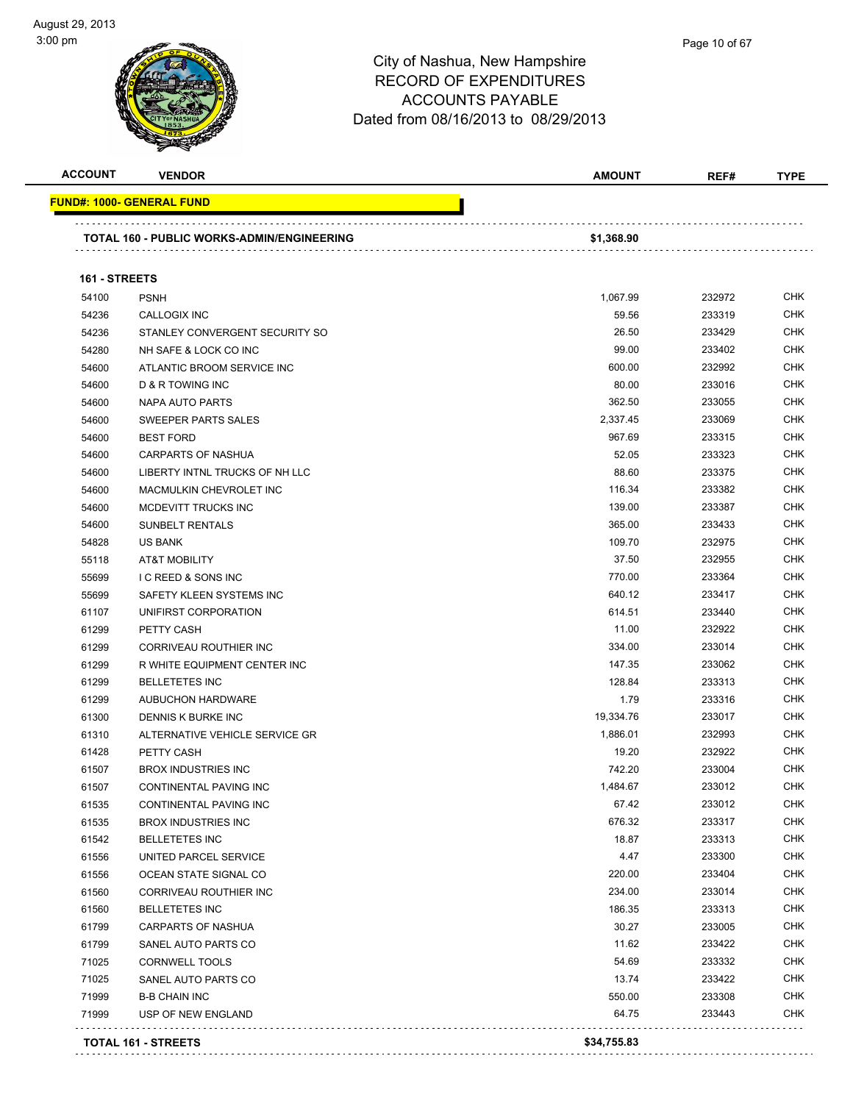| <b>ACCOUNT</b> | <b>VENDOR</b>                                     | <b>AMOUNT</b> | REF#   | <b>TYPE</b> |
|----------------|---------------------------------------------------|---------------|--------|-------------|
|                | <b>FUND#: 1000- GENERAL FUND</b>                  |               |        |             |
|                | <b>TOTAL 160 - PUBLIC WORKS-ADMIN/ENGINEERING</b> | \$1,368.90    |        |             |
|                |                                                   |               |        |             |
| 161 - STREETS  |                                                   |               |        |             |
| 54100          | <b>PSNH</b>                                       | 1,067.99      | 232972 | <b>CHK</b>  |
| 54236          | CALLOGIX INC                                      | 59.56         | 233319 | <b>CHK</b>  |
| 54236          | STANLEY CONVERGENT SECURITY SO                    | 26.50         | 233429 | <b>CHK</b>  |
| 54280          | NH SAFE & LOCK CO INC                             | 99.00         | 233402 | <b>CHK</b>  |
| 54600          | ATLANTIC BROOM SERVICE INC                        | 600.00        | 232992 | <b>CHK</b>  |
| 54600          | D & R TOWING INC                                  | 80.00         | 233016 | <b>CHK</b>  |
| 54600          | NAPA AUTO PARTS                                   | 362.50        | 233055 | <b>CHK</b>  |
| 54600          | SWEEPER PARTS SALES                               | 2,337.45      | 233069 | <b>CHK</b>  |
| 54600          | <b>BEST FORD</b>                                  | 967.69        | 233315 | <b>CHK</b>  |
| 54600          | <b>CARPARTS OF NASHUA</b>                         | 52.05         | 233323 | <b>CHK</b>  |
| 54600          | LIBERTY INTNL TRUCKS OF NH LLC                    | 88.60         | 233375 | <b>CHK</b>  |
| 54600          | MACMULKIN CHEVROLET INC                           | 116.34        | 233382 | <b>CHK</b>  |
| 54600          | MCDEVITT TRUCKS INC                               | 139.00        | 233387 | <b>CHK</b>  |
| 54600          | <b>SUNBELT RENTALS</b>                            | 365.00        | 233433 | <b>CHK</b>  |
| 54828          | <b>US BANK</b>                                    | 109.70        | 232975 | <b>CHK</b>  |
| 55118          | <b>AT&amp;T MOBILITY</b>                          | 37.50         | 232955 | <b>CHK</b>  |
| 55699          | <b>I C REED &amp; SONS INC</b>                    | 770.00        | 233364 | <b>CHK</b>  |
| 55699          | SAFETY KLEEN SYSTEMS INC                          | 640.12        | 233417 | <b>CHK</b>  |
| 61107          | UNIFIRST CORPORATION                              | 614.51        | 233440 | <b>CHK</b>  |
| 61299          | PETTY CASH                                        | 11.00         | 232922 | <b>CHK</b>  |
| 61299          | CORRIVEAU ROUTHIER INC                            | 334.00        | 233014 | <b>CHK</b>  |
| 61299          | R WHITE EQUIPMENT CENTER INC                      | 147.35        | 233062 | <b>CHK</b>  |
| 61299          | <b>BELLETETES INC</b>                             | 128.84        | 233313 | <b>CHK</b>  |
| 61299          | <b>AUBUCHON HARDWARE</b>                          | 1.79          | 233316 | <b>CHK</b>  |
| 61300          | DENNIS K BURKE INC                                | 19,334.76     | 233017 | <b>CHK</b>  |
| 61310          | ALTERNATIVE VEHICLE SERVICE GR                    | 1,886.01      | 232993 | <b>CHK</b>  |
| 61428          | PETTY CASH                                        | 19.20         | 232922 | <b>CHK</b>  |
| 61507          | <b>BROX INDUSTRIES INC</b>                        | 742.20        | 233004 | <b>CHK</b>  |
| 61507          | CONTINENTAL PAVING INC                            | 1,484.67      | 233012 | <b>CHK</b>  |
| 61535          | <b>CONTINENTAL PAVING INC</b>                     | 67.42         | 233012 | <b>CHK</b>  |
| 61535          | <b>BROX INDUSTRIES INC</b>                        | 676.32        | 233317 | <b>CHK</b>  |
| 61542          | <b>BELLETETES INC</b>                             | 18.87         | 233313 | <b>CHK</b>  |
| 61556          | UNITED PARCEL SERVICE                             | 4.47          | 233300 | <b>CHK</b>  |
| 61556          | OCEAN STATE SIGNAL CO                             | 220.00        | 233404 | <b>CHK</b>  |
| 61560          | CORRIVEAU ROUTHIER INC                            | 234.00        | 233014 | <b>CHK</b>  |
| 61560          | <b>BELLETETES INC</b>                             | 186.35        | 233313 | <b>CHK</b>  |
| 61799          | CARPARTS OF NASHUA                                | 30.27         | 233005 | <b>CHK</b>  |
| 61799          | SANEL AUTO PARTS CO                               | 11.62         | 233422 | <b>CHK</b>  |
| 71025          | <b>CORNWELL TOOLS</b>                             | 54.69         | 233332 | <b>CHK</b>  |
| 71025          | SANEL AUTO PARTS CO                               | 13.74         | 233422 | <b>CHK</b>  |
| 71999          | <b>B-B CHAIN INC</b>                              | 550.00        | 233308 | <b>CHK</b>  |
|                | USP OF NEW ENGLAND                                | 64.75         | 233443 | <b>CHK</b>  |

**TOTAL 161 - STREETS \$34,755.83**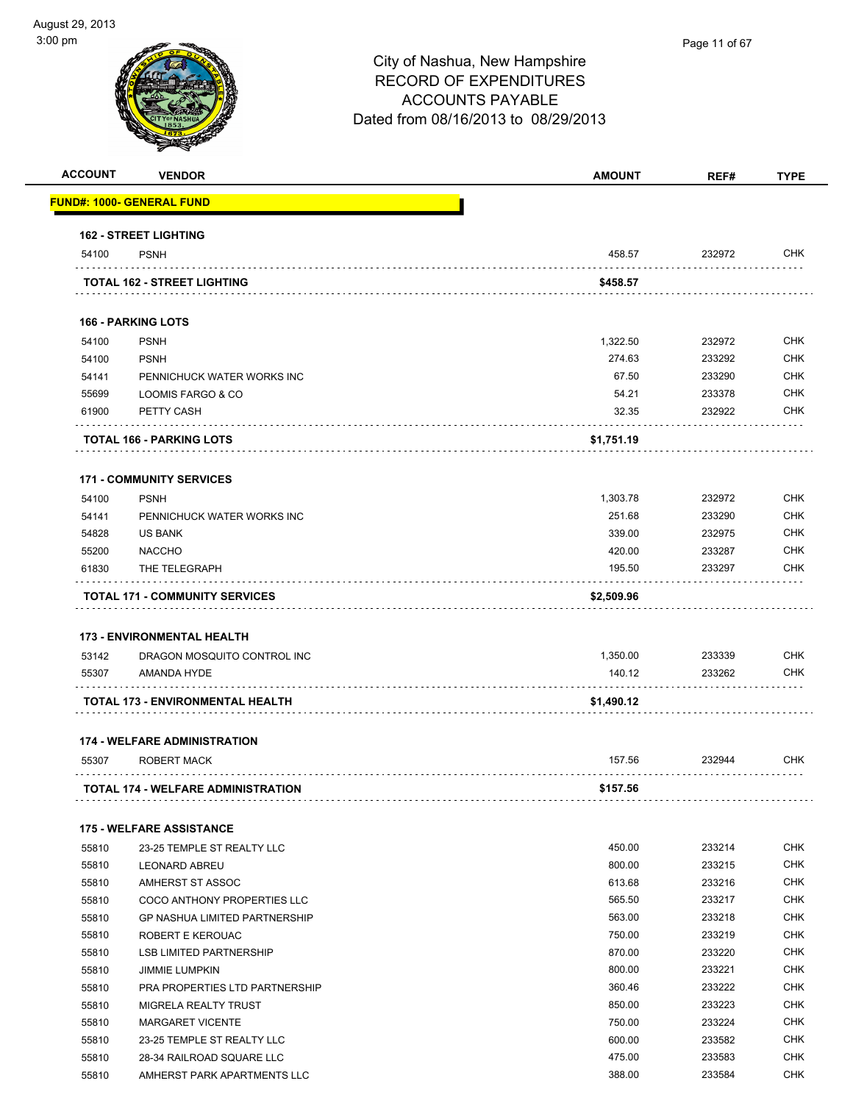| <b>ACCOUNT</b> | <b>VENDOR</b>                                           | <b>AMOUNT</b> | REF#   | <b>TYPE</b> |
|----------------|---------------------------------------------------------|---------------|--------|-------------|
|                | <u> FUND#: 1000- GENERAL FUND</u>                       |               |        |             |
|                | <b>162 - STREET LIGHTING</b>                            |               |        |             |
| 54100          | <b>PSNH</b>                                             | 458.57        | 232972 | <b>CHK</b>  |
|                | <b>TOTAL 162 - STREET LIGHTING</b>                      | \$458.57      |        |             |
|                | <b>166 - PARKING LOTS</b>                               |               |        |             |
| 54100          | <b>PSNH</b>                                             | 1,322.50      | 232972 | <b>CHK</b>  |
| 54100          | <b>PSNH</b>                                             | 274.63        | 233292 | <b>CHK</b>  |
| 54141          | PENNICHUCK WATER WORKS INC                              | 67.50         | 233290 | <b>CHK</b>  |
| 55699          | LOOMIS FARGO & CO                                       | 54.21         | 233378 | CHK         |
| 61900          | PETTY CASH                                              | 32.35         | 232922 | CHK         |
|                | <b>TOTAL 166 - PARKING LOTS</b>                         | \$1,751.19    |        |             |
|                | <b>171 - COMMUNITY SERVICES</b>                         |               |        |             |
| 54100          | <b>PSNH</b>                                             | 1,303.78      | 232972 | <b>CHK</b>  |
| 54141          | PENNICHUCK WATER WORKS INC                              | 251.68        | 233290 | <b>CHK</b>  |
| 54828          | <b>US BANK</b>                                          | 339.00        | 232975 | <b>CHK</b>  |
| 55200          | <b>NACCHO</b>                                           | 420.00        | 233287 | <b>CHK</b>  |
| 61830          | THE TELEGRAPH                                           | 195.50        | 233297 | CHK         |
|                | <b>TOTAL 171 - COMMUNITY SERVICES</b>                   | \$2,509.96    |        |             |
|                |                                                         |               |        |             |
|                | 173 - ENVIRONMENTAL HEALTH                              |               |        |             |
| 53142          | DRAGON MOSQUITO CONTROL INC                             | 1,350.00      | 233339 | CHK         |
| 55307          | AMANDA HYDE                                             | 140.12        | 233262 | <b>CHK</b>  |
|                | TOTAL 173 - ENVIRONMENTAL HEALTH                        | \$1,490.12    |        |             |
|                | <b>174 - WELFARE ADMINISTRATION</b>                     |               |        |             |
| 55307          | ROBERT MACK                                             | 157.56        | 232944 | CHK         |
|                | <b>TOTAL 174 - WELFARE ADMINISTRATION</b>               | \$157.56      |        |             |
|                | <b>175 - WELFARE ASSISTANCE</b>                         |               |        |             |
| 55810          | 23-25 TEMPLE ST REALTY LLC                              | 450.00        | 233214 | <b>CHK</b>  |
| 55810          | <b>LEONARD ABREU</b>                                    | 800.00        | 233215 | <b>CHK</b>  |
| 55810          | AMHERST ST ASSOC                                        | 613.68        | 233216 | <b>CHK</b>  |
| 55810          | COCO ANTHONY PROPERTIES LLC                             | 565.50        | 233217 | <b>CHK</b>  |
| 55810          | <b>GP NASHUA LIMITED PARTNERSHIP</b>                    | 563.00        | 233218 | CHK         |
| 55810          | ROBERT E KEROUAC                                        | 750.00        | 233219 | <b>CHK</b>  |
| 55810          | <b>LSB LIMITED PARTNERSHIP</b>                          | 870.00        | 233220 | <b>CHK</b>  |
| 55810          | <b>JIMMIE LUMPKIN</b>                                   | 800.00        | 233221 | <b>CHK</b>  |
| 55810          | PRA PROPERTIES LTD PARTNERSHIP                          | 360.46        | 233222 | <b>CHK</b>  |
|                | MIGRELA REALTY TRUST                                    | 850.00        | 233223 | <b>CHK</b>  |
| 55810          |                                                         |               |        |             |
| 55810          | <b>MARGARET VICENTE</b>                                 | 750.00        | 233224 | <b>CHK</b>  |
|                |                                                         | 600.00        | 233582 | <b>CHK</b>  |
| 55810<br>55810 | 23-25 TEMPLE ST REALTY LLC<br>28-34 RAILROAD SQUARE LLC | 475.00        | 233583 | <b>CHK</b>  |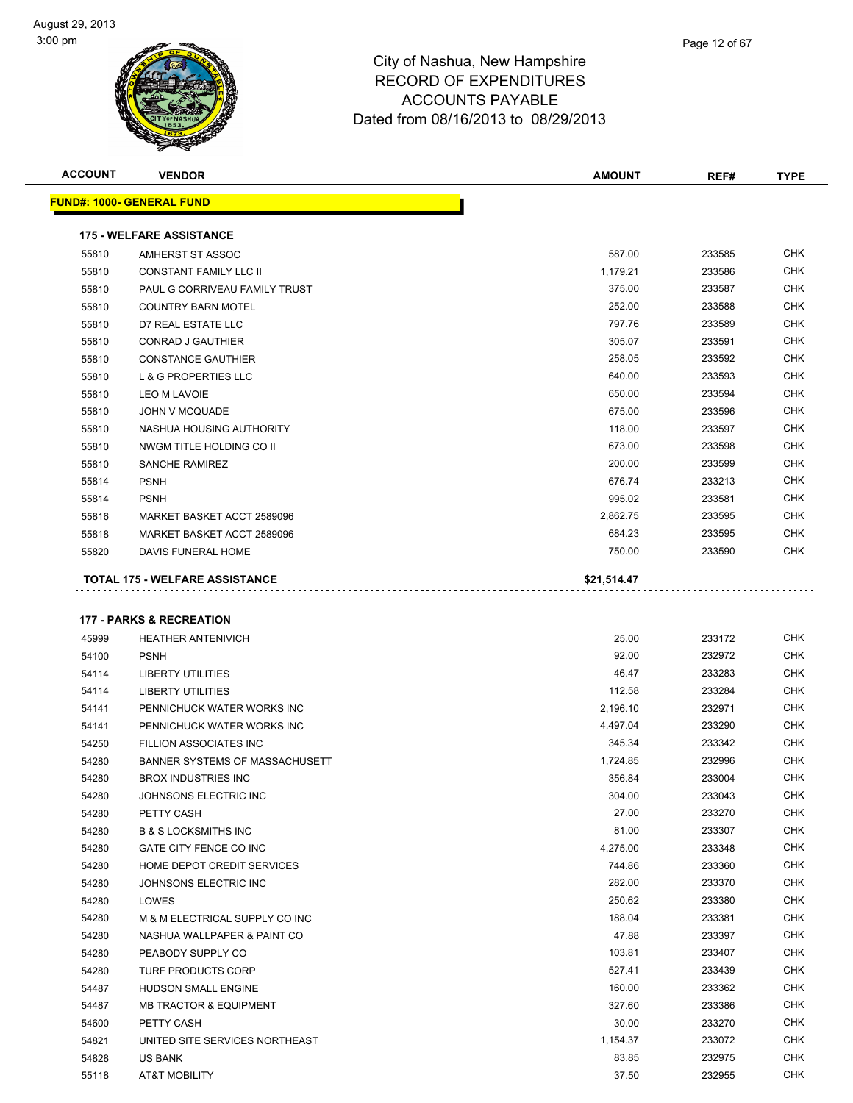| <b>ACCOUNT</b> | <b>VENDOR</b>                                          | <b>AMOUNT</b>   | REF#             | <b>TYPE</b>              |
|----------------|--------------------------------------------------------|-----------------|------------------|--------------------------|
|                | <u> FUND#: 1000- GENERAL FUND</u>                      |                 |                  |                          |
|                | <b>175 - WELFARE ASSISTANCE</b>                        |                 |                  |                          |
| 55810          | AMHERST ST ASSOC                                       | 587.00          | 233585           | <b>CHK</b>               |
| 55810          | <b>CONSTANT FAMILY LLC II</b>                          | 1,179.21        | 233586           | <b>CHK</b>               |
| 55810          | PAUL G CORRIVEAU FAMILY TRUST                          | 375.00          | 233587           | <b>CHK</b>               |
| 55810          | <b>COUNTRY BARN MOTEL</b>                              | 252.00          | 233588           | <b>CHK</b>               |
| 55810          | D7 REAL ESTATE LLC                                     | 797.76          | 233589           | <b>CHK</b>               |
| 55810          | <b>CONRAD J GAUTHIER</b>                               | 305.07          | 233591           | <b>CHK</b>               |
| 55810          | <b>CONSTANCE GAUTHIER</b>                              | 258.05          | 233592           | <b>CHK</b>               |
| 55810          | L & G PROPERTIES LLC                                   | 640.00          | 233593           | <b>CHK</b>               |
| 55810          | <b>LEO M LAVOIE</b>                                    | 650.00          | 233594           | <b>CHK</b>               |
| 55810          | <b>JOHN V MCQUADE</b>                                  | 675.00          | 233596           | <b>CHK</b>               |
| 55810          | NASHUA HOUSING AUTHORITY                               | 118.00          | 233597           | <b>CHK</b>               |
| 55810          | NWGM TITLE HOLDING CO II                               | 673.00          | 233598           | <b>CHK</b>               |
| 55810          | <b>SANCHE RAMIREZ</b>                                  | 200.00          | 233599           | <b>CHK</b>               |
| 55814          | <b>PSNH</b>                                            | 676.74          | 233213           | <b>CHK</b>               |
| 55814          | <b>PSNH</b>                                            | 995.02          | 233581           | <b>CHK</b>               |
| 55816          | MARKET BASKET ACCT 2589096                             | 2,862.75        | 233595           | <b>CHK</b>               |
| 55818          | MARKET BASKET ACCT 2589096                             | 684.23          | 233595           | <b>CHK</b>               |
| 55820          | DAVIS FUNERAL HOME                                     | 750.00          | 233590           | <b>CHK</b>               |
|                | TOTAL 175 - WELFARE ASSISTANCE                         | \$21,514.47     |                  |                          |
|                |                                                        |                 |                  |                          |
|                |                                                        |                 |                  |                          |
|                | <b>177 - PARKS &amp; RECREATION</b>                    |                 |                  |                          |
| 45999          | <b>HEATHER ANTENIVICH</b>                              | 25.00           | 233172           | <b>CHK</b>               |
| 54100          | <b>PSNH</b>                                            | 92.00           | 232972           | <b>CHK</b>               |
| 54114          | <b>LIBERTY UTILITIES</b>                               | 46.47<br>112.58 | 233283           | <b>CHK</b><br><b>CHK</b> |
| 54114          | <b>LIBERTY UTILITIES</b><br>PENNICHUCK WATER WORKS INC | 2,196.10        | 233284<br>232971 | <b>CHK</b>               |
| 54141<br>54141 |                                                        | 4,497.04        | 233290           | <b>CHK</b>               |
| 54250          | PENNICHUCK WATER WORKS INC<br>FILLION ASSOCIATES INC   | 345.34          | 233342           | <b>CHK</b>               |
| 54280          | BANNER SYSTEMS OF MASSACHUSETT                         | 1,724.85        | 232996           | CHK                      |
| 54280          | <b>BROX INDUSTRIES INC</b>                             | 356.84          | 233004           | <b>CHK</b>               |
| 54280          | JOHNSONS ELECTRIC INC                                  | 304.00          | 233043           | <b>CHK</b>               |
| 54280          | PETTY CASH                                             | 27.00           | 233270           | <b>CHK</b>               |
| 54280          | <b>B &amp; S LOCKSMITHS INC</b>                        | 81.00           | 233307           | <b>CHK</b>               |
| 54280          | GATE CITY FENCE CO INC                                 | 4,275.00        | 233348           | <b>CHK</b>               |
| 54280          | HOME DEPOT CREDIT SERVICES                             | 744.86          | 233360           | <b>CHK</b>               |
| 54280          | JOHNSONS ELECTRIC INC                                  | 282.00          | 233370           | <b>CHK</b>               |
| 54280          | LOWES                                                  | 250.62          | 233380           | <b>CHK</b>               |
| 54280          | M & M ELECTRICAL SUPPLY CO INC                         | 188.04          | 233381           | <b>CHK</b>               |
| 54280          | NASHUA WALLPAPER & PAINT CO                            | 47.88           | 233397           | <b>CHK</b>               |
| 54280          | PEABODY SUPPLY CO                                      | 103.81          | 233407           | <b>CHK</b>               |
| 54280          | <b>TURF PRODUCTS CORP</b>                              | 527.41          | 233439           | <b>CHK</b>               |
| 54487          | HUDSON SMALL ENGINE                                    | 160.00          | 233362           | <b>CHK</b>               |
| 54487          | <b>MB TRACTOR &amp; EQUIPMENT</b>                      | 327.60          | 233386           | CHK                      |
|                |                                                        |                 |                  |                          |

 PETTY CASH 30.00 233270 CHK UNITED SITE SERVICES NORTHEAST 1,154.37 233072 CHK US BANK 83.85 232975 CHK AT&T MOBILITY 37.50 232955 CHK

Page 12 of 67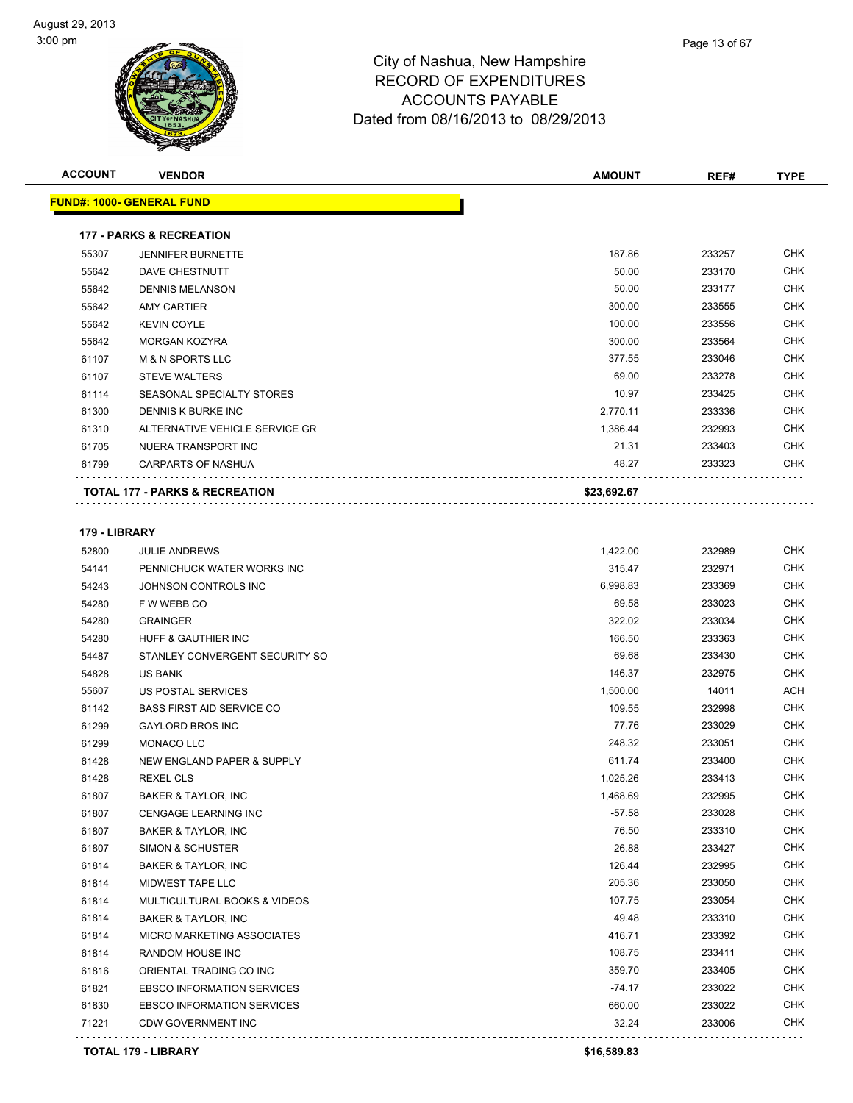| <b>ACCOUNT</b> | <b>VENDOR</b>                             | <b>AMOUNT</b>   | REF#             | <b>TYPE</b>       |
|----------------|-------------------------------------------|-----------------|------------------|-------------------|
|                | <u> FUND#: 1000- GENERAL FUND</u>         |                 |                  |                   |
|                | <b>177 - PARKS &amp; RECREATION</b>       |                 |                  |                   |
| 55307          | <b>JENNIFER BURNETTE</b>                  | 187.86          | 233257           | <b>CHK</b>        |
| 55642          | DAVE CHESTNUTT                            | 50.00           | 233170           | <b>CHK</b>        |
| 55642          | <b>DENNIS MELANSON</b>                    | 50.00           | 233177           | CHK               |
| 55642          | <b>AMY CARTIER</b>                        | 300.00          | 233555           | <b>CHK</b>        |
| 55642          | <b>KEVIN COYLE</b>                        | 100.00          | 233556           | <b>CHK</b>        |
| 55642          | <b>MORGAN KOZYRA</b>                      | 300.00          | 233564           | CHK               |
| 61107          | <b>M &amp; N SPORTS LLC</b>               | 377.55          | 233046           | <b>CHK</b>        |
| 61107          | <b>STEVE WALTERS</b>                      | 69.00           | 233278           | CHK               |
| 61114          | SEASONAL SPECIALTY STORES                 | 10.97           | 233425           | CHK               |
| 61300          | DENNIS K BURKE INC                        | 2,770.11        | 233336           | <b>CHK</b>        |
| 61310          | ALTERNATIVE VEHICLE SERVICE GR            | 1,386.44        | 232993           | CHK               |
| 61705          | NUERA TRANSPORT INC                       | 21.31           | 233403           | CHK               |
| 61799          | CARPARTS OF NASHUA                        | 48.27           | 233323           | CHK               |
|                | <b>TOTAL 177 - PARKS &amp; RECREATION</b> | \$23,692.67     |                  |                   |
|                |                                           |                 |                  |                   |
| 179 - LIBRARY  |                                           |                 |                  |                   |
| 52800          | <b>JULIE ANDREWS</b>                      | 1,422.00        | 232989           | <b>CHK</b>        |
| 54141          | PENNICHUCK WATER WORKS INC                | 315.47          | 232971           | <b>CHK</b>        |
| 54243          | JOHNSON CONTROLS INC                      | 6,998.83        | 233369           | CHK               |
| 54280          | F W WEBB CO                               | 69.58           | 233023           | CHK               |
| 54280          | <b>GRAINGER</b>                           | 322.02          | 233034           | CHK               |
| 54280          | HUFF & GAUTHIER INC                       | 166.50          | 233363           | CHK<br><b>CHK</b> |
| 54487<br>54828 | STANLEY CONVERGENT SECURITY SO            | 69.68<br>146.37 | 233430<br>232975 | CHK               |
| 55607          | US BANK<br>US POSTAL SERVICES             | 1,500.00        | 14011            | ACH               |
| 61142          | <b>BASS FIRST AID SERVICE CO</b>          | 109.55          | 232998           | CHK               |
| 61299          | <b>GAYLORD BROS INC</b>                   | 77.76           | 233029           | CHK               |
| 61299          | MONACO LLC                                | 248.32          | 233051           | <b>CHK</b>        |
| 61428          | NEW ENGLAND PAPER & SUPPLY                | 611.74          | 233400           | CHK               |
| 61428          | <b>REXEL CLS</b>                          | 1,025.26        | 233413           | CHK               |
| 61807          | <b>BAKER &amp; TAYLOR, INC</b>            | 1,468.69        | 232995           | <b>CHK</b>        |
| 61807          | CENGAGE LEARNING INC                      | $-57.58$        | 233028           | CHK               |
| 61807          | BAKER & TAYLOR, INC                       | 76.50           | 233310           | CHK               |
| 61807          | <b>SIMON &amp; SCHUSTER</b>               | 26.88           | 233427           | <b>CHK</b>        |
| 61814          | BAKER & TAYLOR, INC                       | 126.44          | 232995           | CHK               |
| 61814          | MIDWEST TAPE LLC                          | 205.36          | 233050           | CHK               |
| 61814          | MULTICULTURAL BOOKS & VIDEOS              | 107.75          | 233054           | CHK               |
| 61814          | BAKER & TAYLOR, INC                       | 49.48           | 233310           | CHK               |
| 61814          | MICRO MARKETING ASSOCIATES                | 416.71          | 233392           | <b>CHK</b>        |
| 61814          | RANDOM HOUSE INC                          | 108.75          | 233411           | <b>CHK</b>        |
| 61816          | ORIENTAL TRADING CO INC                   | 359.70          | 233405           | CHK               |
| 61821          | <b>EBSCO INFORMATION SERVICES</b>         | $-74.17$        | 233022           | CHK               |
| 61830          | <b>EBSCO INFORMATION SERVICES</b>         | 660.00          | 233022           | CHK               |
| 71221          | <b>CDW GOVERNMENT INC</b>                 | 32.24           | 233006           | CHK               |
|                |                                           |                 |                  |                   |

**TOTAL 179 - LIBRARY \$16,589.83**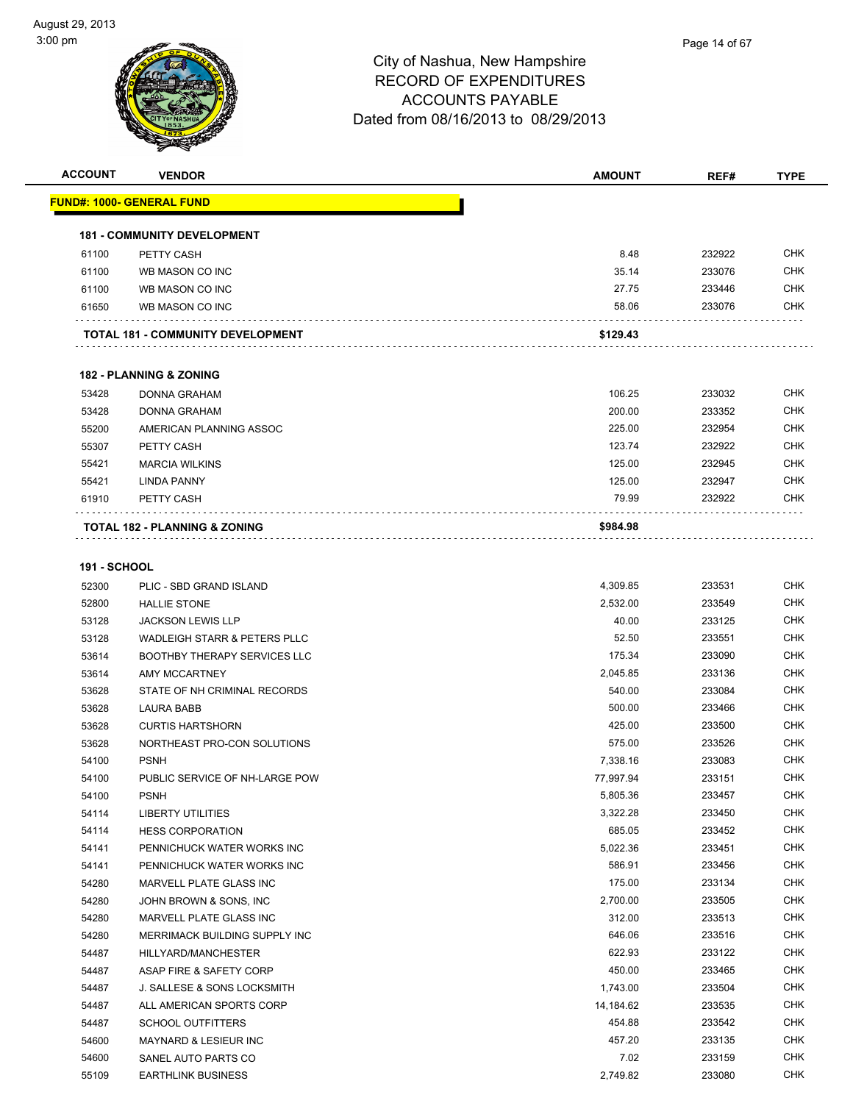| <b>ACCOUNT</b>      | <b>VENDOR</b>                            | AMOUNT    | REF#   | <b>TYPE</b> |
|---------------------|------------------------------------------|-----------|--------|-------------|
|                     | <u> FUND#: 1000- GENERAL FUND</u>        |           |        |             |
|                     |                                          |           |        |             |
|                     | <b>181 - COMMUNITY DEVELOPMENT</b>       |           |        |             |
| 61100               | PETTY CASH                               | 8.48      | 232922 | <b>CHK</b>  |
| 61100               | WB MASON CO INC                          | 35.14     | 233076 | <b>CHK</b>  |
| 61100               | WB MASON CO INC                          | 27.75     | 233446 | <b>CHK</b>  |
| 61650               | WB MASON CO INC                          | 58.06     | 233076 | CHK         |
|                     |                                          |           |        |             |
|                     | <b>TOTAL 181 - COMMUNITY DEVELOPMENT</b> | \$129.43  |        |             |
|                     | <b>182 - PLANNING &amp; ZONING</b>       |           |        |             |
| 53428               | <b>DONNA GRAHAM</b>                      | 106.25    | 233032 | <b>CHK</b>  |
| 53428               | <b>DONNA GRAHAM</b>                      | 200.00    | 233352 | <b>CHK</b>  |
| 55200               | AMERICAN PLANNING ASSOC                  | 225.00    | 232954 | <b>CHK</b>  |
| 55307               | PETTY CASH                               | 123.74    | 232922 | <b>CHK</b>  |
| 55421               | <b>MARCIA WILKINS</b>                    | 125.00    | 232945 | <b>CHK</b>  |
|                     |                                          | 125.00    | 232947 | <b>CHK</b>  |
| 55421<br>61910      | <b>LINDA PANNY</b>                       | 79.99     |        | <b>CHK</b>  |
|                     | PETTY CASH                               |           | 232922 |             |
|                     | TOTAL 182 - PLANNING & ZONING            | \$984.98  |        |             |
|                     |                                          |           |        |             |
| <b>191 - SCHOOL</b> |                                          |           |        |             |
| 52300               | PLIC - SBD GRAND ISLAND                  | 4,309.85  | 233531 | <b>CHK</b>  |
| 52800               | <b>HALLIE STONE</b>                      | 2,532.00  | 233549 | <b>CHK</b>  |
| 53128               | <b>JACKSON LEWIS LLP</b>                 | 40.00     | 233125 | <b>CHK</b>  |
| 53128               | WADLEIGH STARR & PETERS PLLC             | 52.50     | 233551 | <b>CHK</b>  |
| 53614               | <b>BOOTHBY THERAPY SERVICES LLC</b>      | 175.34    | 233090 | <b>CHK</b>  |
| 53614               | AMY MCCARTNEY                            | 2,045.85  | 233136 | <b>CHK</b>  |
| 53628               | STATE OF NH CRIMINAL RECORDS             | 540.00    | 233084 | <b>CHK</b>  |
| 53628               | <b>LAURA BABB</b>                        | 500.00    | 233466 | <b>CHK</b>  |
| 53628               | <b>CURTIS HARTSHORN</b>                  | 425.00    | 233500 | <b>CHK</b>  |
| 53628               | NORTHEAST PRO-CON SOLUTIONS              | 575.00    | 233526 | <b>CHK</b>  |
| 54100               | <b>PSNH</b>                              | 7,338.16  | 233083 | <b>CHK</b>  |
| 54100               | PUBLIC SERVICE OF NH-LARGE POW           | 77,997.94 | 233151 | <b>CHK</b>  |
| 54100               | <b>PSNH</b>                              | 5,805.36  | 233457 | CHK         |
| 54114               | LIBERTY UTILITIES                        | 3,322.28  | 233450 | <b>CHK</b>  |
| 54114               | <b>HESS CORPORATION</b>                  | 685.05    | 233452 | <b>CHK</b>  |
| 54141               | PENNICHUCK WATER WORKS INC               | 5,022.36  | 233451 | <b>CHK</b>  |
| 54141               | PENNICHUCK WATER WORKS INC               | 586.91    | 233456 | <b>CHK</b>  |
| 54280               | MARVELL PLATE GLASS INC                  | 175.00    | 233134 | <b>CHK</b>  |
| 54280               | JOHN BROWN & SONS, INC                   | 2,700.00  | 233505 | <b>CHK</b>  |
| 54280               | MARVELL PLATE GLASS INC                  | 312.00    | 233513 | <b>CHK</b>  |
| 54280               | MERRIMACK BUILDING SUPPLY INC            | 646.06    | 233516 | <b>CHK</b>  |
| 54487               | HILLYARD/MANCHESTER                      | 622.93    | 233122 | <b>CHK</b>  |
| 54487               | ASAP FIRE & SAFETY CORP                  | 450.00    | 233465 | <b>CHK</b>  |
| 54487               | J. SALLESE & SONS LOCKSMITH              | 1,743.00  | 233504 | <b>CHK</b>  |
| 54487               | ALL AMERICAN SPORTS CORP                 | 14,184.62 | 233535 | <b>CHK</b>  |
| 54487               | <b>SCHOOL OUTFITTERS</b>                 | 454.88    | 233542 | <b>CHK</b>  |
| 54600               | <b>MAYNARD &amp; LESIEUR INC</b>         | 457.20    | 233135 | <b>CHK</b>  |
| 54600               | SANEL AUTO PARTS CO                      | 7.02      | 233159 | <b>CHK</b>  |
| 55109               | <b>EARTHLINK BUSINESS</b>                | 2,749.82  | 233080 | <b>CHK</b>  |
|                     |                                          |           |        |             |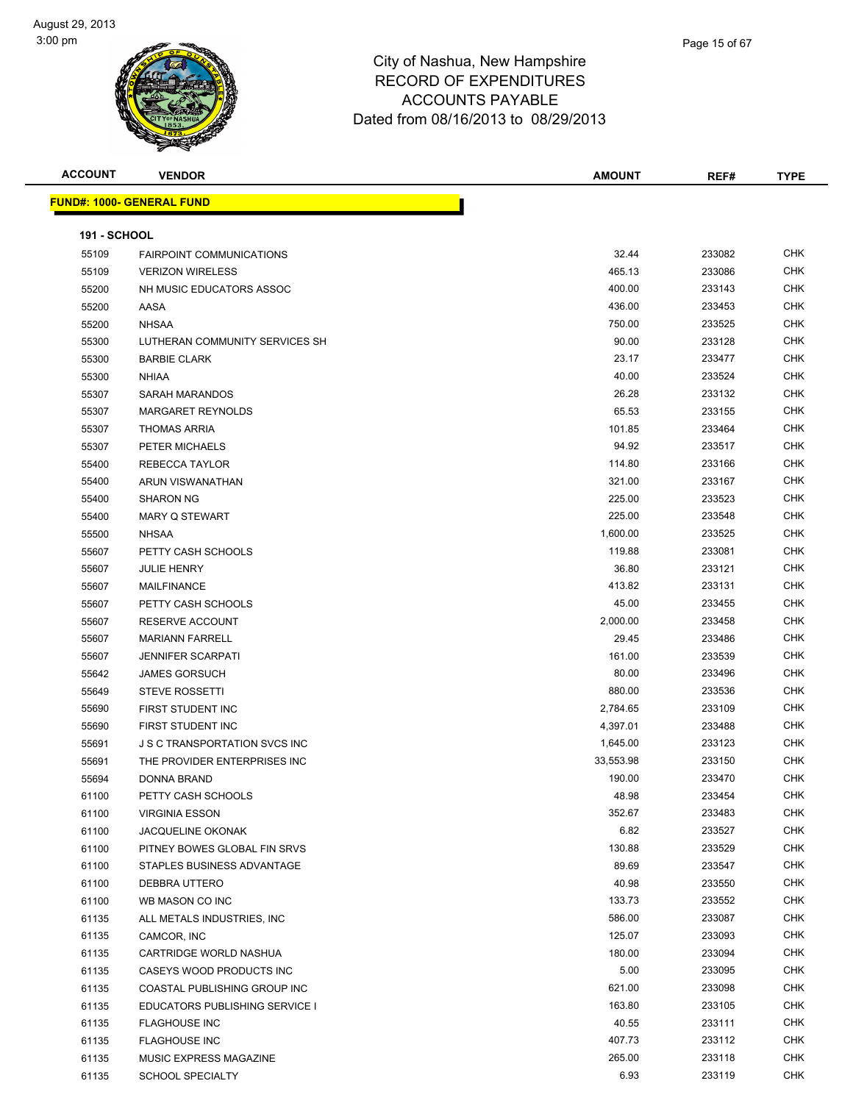| <b>ACCOUNT</b>      | <b>VENDOR</b>                        | <b>AMOUNT</b> | REF#   | <b>TYPE</b> |
|---------------------|--------------------------------------|---------------|--------|-------------|
|                     | <b>FUND#: 1000- GENERAL FUND</b>     |               |        |             |
|                     |                                      |               |        |             |
| <b>191 - SCHOOL</b> |                                      |               |        |             |
| 55109               | <b>FAIRPOINT COMMUNICATIONS</b>      | 32.44         | 233082 | <b>CHK</b>  |
| 55109               | <b>VERIZON WIRELESS</b>              | 465.13        | 233086 | <b>CHK</b>  |
| 55200               | NH MUSIC EDUCATORS ASSOC             | 400.00        | 233143 | <b>CHK</b>  |
| 55200               | AASA                                 | 436.00        | 233453 | <b>CHK</b>  |
| 55200               | <b>NHSAA</b>                         | 750.00        | 233525 | <b>CHK</b>  |
| 55300               | LUTHERAN COMMUNITY SERVICES SH       | 90.00         | 233128 | <b>CHK</b>  |
| 55300               | <b>BARBIE CLARK</b>                  | 23.17         | 233477 | <b>CHK</b>  |
| 55300               | <b>NHIAA</b>                         | 40.00         | 233524 | <b>CHK</b>  |
| 55307               | SARAH MARANDOS                       | 26.28         | 233132 | <b>CHK</b>  |
| 55307               | <b>MARGARET REYNOLDS</b>             | 65.53         | 233155 | <b>CHK</b>  |
| 55307               | <b>THOMAS ARRIA</b>                  | 101.85        | 233464 | <b>CHK</b>  |
| 55307               | PETER MICHAELS                       | 94.92         | 233517 | <b>CHK</b>  |
| 55400               | <b>REBECCA TAYLOR</b>                | 114.80        | 233166 | <b>CHK</b>  |
| 55400               | ARUN VISWANATHAN                     | 321.00        | 233167 | <b>CHK</b>  |
| 55400               | <b>SHARON NG</b>                     | 225.00        | 233523 | <b>CHK</b>  |
| 55400               | <b>MARY Q STEWART</b>                | 225.00        | 233548 | <b>CHK</b>  |
| 55500               | <b>NHSAA</b>                         | 1,600.00      | 233525 | <b>CHK</b>  |
| 55607               | PETTY CASH SCHOOLS                   | 119.88        | 233081 | <b>CHK</b>  |
| 55607               | <b>JULIE HENRY</b>                   | 36.80         | 233121 | <b>CHK</b>  |
| 55607               | <b>MAILFINANCE</b>                   | 413.82        | 233131 | <b>CHK</b>  |
| 55607               | PETTY CASH SCHOOLS                   | 45.00         | 233455 | <b>CHK</b>  |
| 55607               | <b>RESERVE ACCOUNT</b>               | 2,000.00      | 233458 | <b>CHK</b>  |
| 55607               | <b>MARIANN FARRELL</b>               | 29.45         | 233486 | <b>CHK</b>  |
| 55607               | <b>JENNIFER SCARPATI</b>             | 161.00        | 233539 | <b>CHK</b>  |
| 55642               | <b>JAMES GORSUCH</b>                 | 80.00         | 233496 | <b>CHK</b>  |
| 55649               | <b>STEVE ROSSETTI</b>                | 880.00        | 233536 | <b>CHK</b>  |
| 55690               | FIRST STUDENT INC                    | 2,784.65      | 233109 | <b>CHK</b>  |
| 55690               | FIRST STUDENT INC                    | 4,397.01      | 233488 | <b>CHK</b>  |
| 55691               | <b>J S C TRANSPORTATION SVCS INC</b> | 1,645.00      | 233123 | <b>CHK</b>  |
| 55691               | THE PROVIDER ENTERPRISES INC         | 33,553.98     | 233150 | <b>CHK</b>  |
| 55694               | DONNA BRAND                          | 190.00        | 233470 | <b>CHK</b>  |
| 61100               | PETTY CASH SCHOOLS                   | 48.98         | 233454 | <b>CHK</b>  |
| 61100               | <b>VIRGINIA ESSON</b>                | 352.67        | 233483 | <b>CHK</b>  |
| 61100               | <b>JACQUELINE OKONAK</b>             | 6.82          | 233527 | <b>CHK</b>  |
| 61100               | PITNEY BOWES GLOBAL FIN SRVS         | 130.88        | 233529 | <b>CHK</b>  |
| 61100               | STAPLES BUSINESS ADVANTAGE           | 89.69         | 233547 | CHK         |
| 61100               | DEBBRA UTTERO                        | 40.98         | 233550 | <b>CHK</b>  |
| 61100               | WB MASON CO INC                      | 133.73        | 233552 | <b>CHK</b>  |
| 61135               | ALL METALS INDUSTRIES, INC           | 586.00        | 233087 | <b>CHK</b>  |
| 61135               | CAMCOR, INC                          | 125.07        | 233093 | <b>CHK</b>  |
| 61135               | CARTRIDGE WORLD NASHUA               | 180.00        | 233094 | <b>CHK</b>  |
| 61135               | CASEYS WOOD PRODUCTS INC             | 5.00          | 233095 | <b>CHK</b>  |
| 61135               | COASTAL PUBLISHING GROUP INC         | 621.00        | 233098 | <b>CHK</b>  |
| 61135               | EDUCATORS PUBLISHING SERVICE I       | 163.80        | 233105 | CHK         |
| 61135               | <b>FLAGHOUSE INC</b>                 | 40.55         | 233111 | <b>CHK</b>  |
| 61135               | <b>FLAGHOUSE INC</b>                 | 407.73        | 233112 | CHK         |
| 61135               | MUSIC EXPRESS MAGAZINE               | 265.00        | 233118 | CHK         |
| 61135               | SCHOOL SPECIALTY                     | 6.93          | 233119 | <b>CHK</b>  |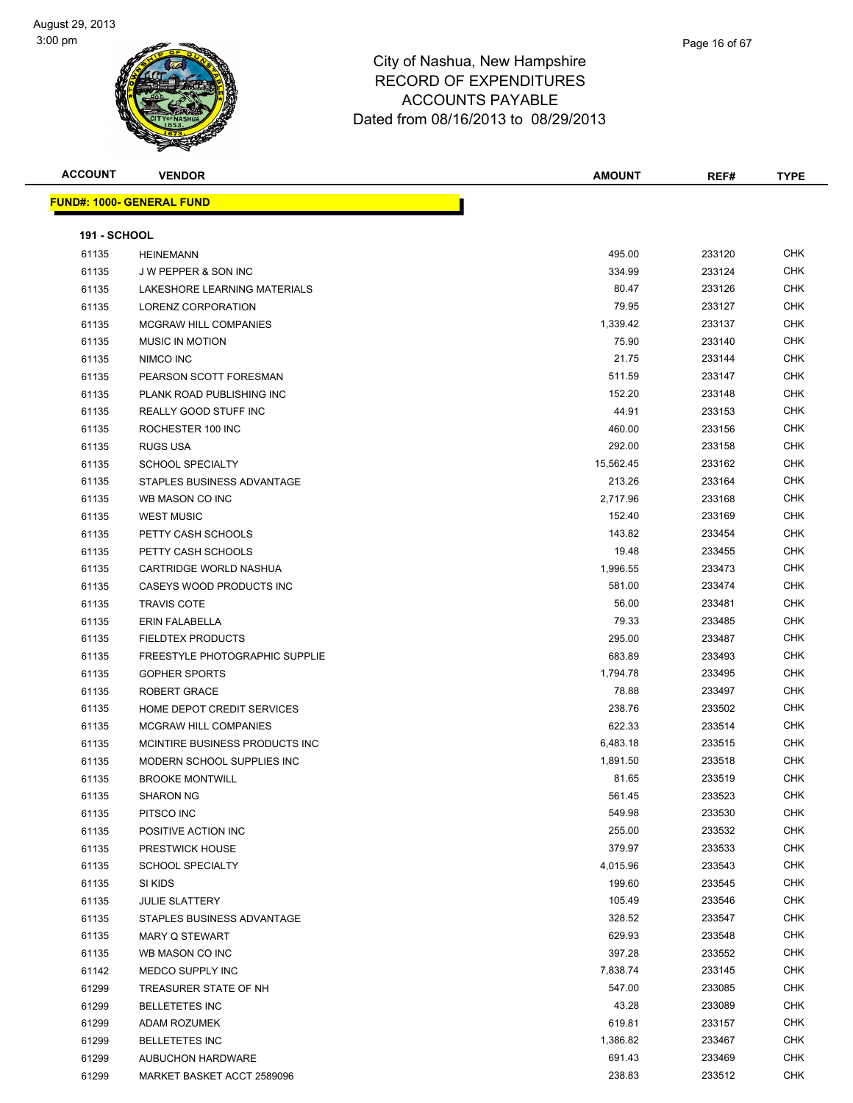| <b>ACCOUNT</b>      | <b>VENDOR</b>                     | AMOUNT    | REF#   | <b>TYPE</b> |
|---------------------|-----------------------------------|-----------|--------|-------------|
|                     | <u> FUND#: 1000- GENERAL FUND</u> |           |        |             |
|                     |                                   |           |        |             |
| <b>191 - SCHOOL</b> |                                   |           |        |             |
| 61135               | <b>HEINEMANN</b>                  | 495.00    | 233120 | <b>CHK</b>  |
| 61135               | J W PEPPER & SON INC              | 334.99    | 233124 | <b>CHK</b>  |
| 61135               | LAKESHORE LEARNING MATERIALS      | 80.47     | 233126 | <b>CHK</b>  |
| 61135               | LORENZ CORPORATION                | 79.95     | 233127 | <b>CHK</b>  |
| 61135               | <b>MCGRAW HILL COMPANIES</b>      | 1,339.42  | 233137 | <b>CHK</b>  |
| 61135               | <b>MUSIC IN MOTION</b>            | 75.90     | 233140 | <b>CHK</b>  |
| 61135               | NIMCO INC                         | 21.75     | 233144 | <b>CHK</b>  |
| 61135               | PEARSON SCOTT FORESMAN            | 511.59    | 233147 | <b>CHK</b>  |
| 61135               | PLANK ROAD PUBLISHING INC         | 152.20    | 233148 | <b>CHK</b>  |
| 61135               | REALLY GOOD STUFF INC             | 44.91     | 233153 | <b>CHK</b>  |
| 61135               | ROCHESTER 100 INC                 | 460.00    | 233156 | <b>CHK</b>  |
| 61135               | <b>RUGS USA</b>                   | 292.00    | 233158 | <b>CHK</b>  |
| 61135               | <b>SCHOOL SPECIALTY</b>           | 15,562.45 | 233162 | <b>CHK</b>  |
| 61135               | STAPLES BUSINESS ADVANTAGE        | 213.26    | 233164 | <b>CHK</b>  |
| 61135               | WB MASON CO INC                   | 2,717.96  | 233168 | <b>CHK</b>  |
| 61135               | <b>WEST MUSIC</b>                 | 152.40    | 233169 | <b>CHK</b>  |
| 61135               | PETTY CASH SCHOOLS                | 143.82    | 233454 | <b>CHK</b>  |
| 61135               | PETTY CASH SCHOOLS                | 19.48     | 233455 | <b>CHK</b>  |
| 61135               | CARTRIDGE WORLD NASHUA            | 1,996.55  | 233473 | <b>CHK</b>  |
| 61135               | CASEYS WOOD PRODUCTS INC          | 581.00    | 233474 | <b>CHK</b>  |
| 61135               | <b>TRAVIS COTE</b>                | 56.00     | 233481 | <b>CHK</b>  |
| 61135               | <b>ERIN FALABELLA</b>             | 79.33     | 233485 | <b>CHK</b>  |
| 61135               | <b>FIELDTEX PRODUCTS</b>          | 295.00    | 233487 | <b>CHK</b>  |
| 61135               | FREESTYLE PHOTOGRAPHIC SUPPLIE    | 683.89    | 233493 | <b>CHK</b>  |
| 61135               | <b>GOPHER SPORTS</b>              | 1,794.78  | 233495 | <b>CHK</b>  |
| 61135               | <b>ROBERT GRACE</b>               | 78.88     | 233497 | <b>CHK</b>  |
| 61135               | HOME DEPOT CREDIT SERVICES        | 238.76    | 233502 | <b>CHK</b>  |
| 61135               | <b>MCGRAW HILL COMPANIES</b>      | 622.33    | 233514 | <b>CHK</b>  |
| 61135               | MCINTIRE BUSINESS PRODUCTS INC    | 6,483.18  | 233515 | <b>CHK</b>  |
| 61135               | MODERN SCHOOL SUPPLIES INC        | 1,891.50  | 233518 | <b>CHK</b>  |
| 61135               | <b>BROOKE MONTWILL</b>            | 81.65     | 233519 | <b>CHK</b>  |
| 61135               | <b>SHARON NG</b>                  | 561.45    | 233523 | <b>CHK</b>  |
| 61135               | PITSCO INC                        | 549.98    | 233530 | <b>CHK</b>  |
| 61135               | POSITIVE ACTION INC               | 255.00    | 233532 | <b>CHK</b>  |
| 61135               | PRESTWICK HOUSE                   | 379.97    | 233533 | <b>CHK</b>  |
| 61135               | <b>SCHOOL SPECIALTY</b>           | 4,015.96  | 233543 | <b>CHK</b>  |
| 61135               | SI KIDS                           | 199.60    | 233545 | <b>CHK</b>  |
| 61135               | <b>JULIE SLATTERY</b>             | 105.49    | 233546 | <b>CHK</b>  |
| 61135               | STAPLES BUSINESS ADVANTAGE        | 328.52    | 233547 | <b>CHK</b>  |
| 61135               | <b>MARY Q STEWART</b>             | 629.93    | 233548 | <b>CHK</b>  |
| 61135               | WB MASON CO INC                   | 397.28    | 233552 | <b>CHK</b>  |
| 61142               | MEDCO SUPPLY INC                  | 7,838.74  | 233145 | <b>CHK</b>  |
| 61299               | TREASURER STATE OF NH             | 547.00    | 233085 | <b>CHK</b>  |
| 61299               | <b>BELLETETES INC</b>             | 43.28     | 233089 | CHK         |
| 61299               | ADAM ROZUMEK                      | 619.81    | 233157 | CHK         |
| 61299               | <b>BELLETETES INC</b>             | 1,386.82  | 233467 | CHK         |
| 61299               | <b>AUBUCHON HARDWARE</b>          | 691.43    | 233469 | <b>CHK</b>  |
| 61299               | MARKET BASKET ACCT 2589096        | 238.83    | 233512 | <b>CHK</b>  |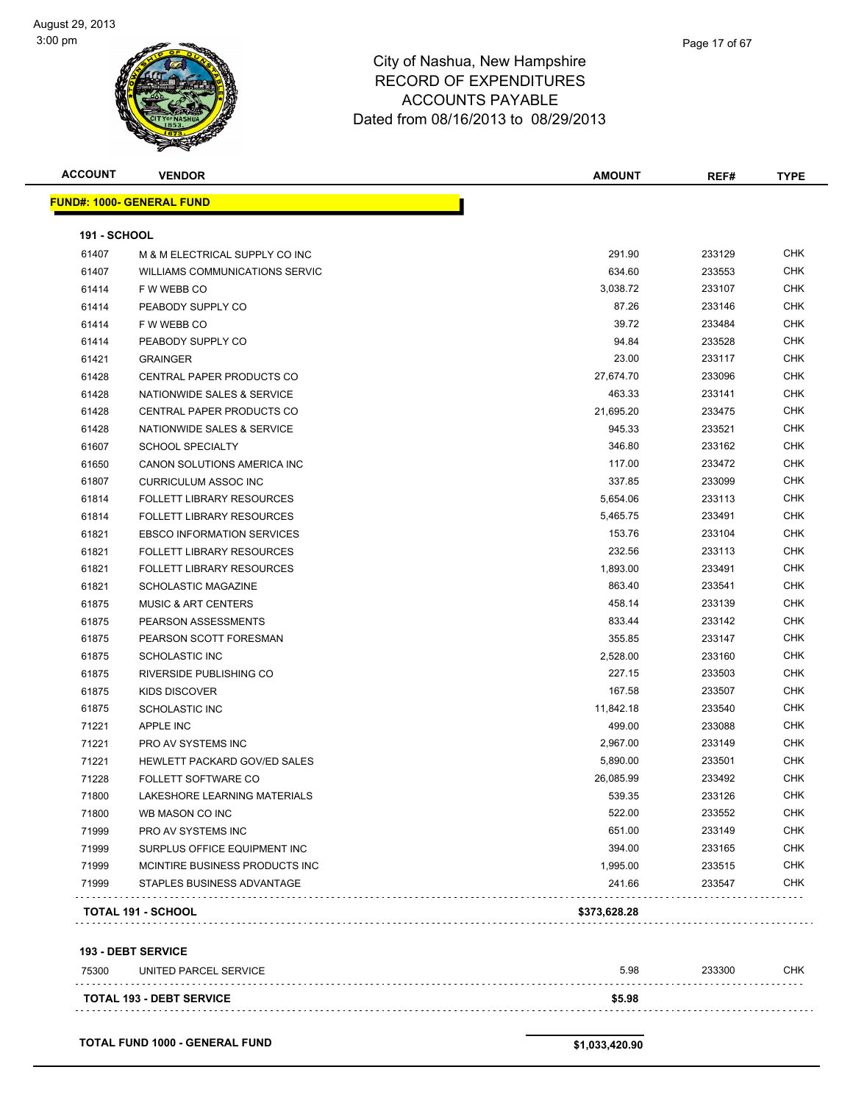| <b>ACCOUNT</b>      | <b>VENDOR</b>                                           | <b>AMOUNT</b>       | REF#             | <b>TYPE</b>              |
|---------------------|---------------------------------------------------------|---------------------|------------------|--------------------------|
|                     | <b>FUND#: 1000- GENERAL FUND</b>                        |                     |                  |                          |
|                     |                                                         |                     |                  |                          |
| <b>191 - SCHOOL</b> |                                                         |                     |                  |                          |
| 61407               | M & M ELECTRICAL SUPPLY CO INC                          | 291.90              | 233129           | <b>CHK</b>               |
| 61407               | <b>WILLIAMS COMMUNICATIONS SERVIC</b>                   | 634.60              | 233553           | <b>CHK</b>               |
| 61414               | F W WEBB CO                                             | 3,038.72            | 233107           | <b>CHK</b>               |
| 61414               | PEABODY SUPPLY CO                                       | 87.26               | 233146           | <b>CHK</b>               |
| 61414               | F W WEBB CO                                             | 39.72<br>94.84      | 233484           | <b>CHK</b><br><b>CHK</b> |
| 61414               | PEABODY SUPPLY CO                                       | 23.00               | 233528<br>233117 | <b>CHK</b>               |
| 61421<br>61428      | <b>GRAINGER</b><br>CENTRAL PAPER PRODUCTS CO            | 27,674.70           | 233096           | <b>CHK</b>               |
|                     |                                                         | 463.33              | 233141           | <b>CHK</b>               |
| 61428<br>61428      | NATIONWIDE SALES & SERVICE<br>CENTRAL PAPER PRODUCTS CO |                     |                  | <b>CHK</b>               |
|                     |                                                         | 21,695.20<br>945.33 | 233475           | <b>CHK</b>               |
| 61428               | NATIONWIDE SALES & SERVICE                              | 346.80              | 233521           | <b>CHK</b>               |
| 61607               | <b>SCHOOL SPECIALTY</b>                                 |                     | 233162           |                          |
| 61650               | CANON SOLUTIONS AMERICA INC                             | 117.00              | 233472           | <b>CHK</b>               |
| 61807               | <b>CURRICULUM ASSOC INC</b>                             | 337.85              | 233099           | <b>CHK</b>               |
| 61814               | <b>FOLLETT LIBRARY RESOURCES</b>                        | 5,654.06            | 233113           | <b>CHK</b>               |
| 61814               | <b>FOLLETT LIBRARY RESOURCES</b>                        | 5,465.75            | 233491           | <b>CHK</b>               |
| 61821               | <b>EBSCO INFORMATION SERVICES</b>                       | 153.76              | 233104           | <b>CHK</b>               |
| 61821               | <b>FOLLETT LIBRARY RESOURCES</b>                        | 232.56              | 233113           | <b>CHK</b>               |
| 61821               | <b>FOLLETT LIBRARY RESOURCES</b>                        | 1,893.00            | 233491           | <b>CHK</b>               |
| 61821               | SCHOLASTIC MAGAZINE                                     | 863.40              | 233541           | <b>CHK</b>               |
| 61875               | <b>MUSIC &amp; ART CENTERS</b>                          | 458.14              | 233139           | <b>CHK</b>               |
| 61875               | PEARSON ASSESSMENTS                                     | 833.44              | 233142           | <b>CHK</b>               |
| 61875               | PEARSON SCOTT FORESMAN                                  | 355.85              | 233147           | <b>CHK</b>               |
| 61875               | SCHOLASTIC INC                                          | 2,528.00            | 233160           | <b>CHK</b>               |
| 61875               | RIVERSIDE PUBLISHING CO                                 | 227.15              | 233503           | <b>CHK</b>               |
| 61875               | KIDS DISCOVER                                           | 167.58              | 233507           | <b>CHK</b>               |
| 61875               | <b>SCHOLASTIC INC</b>                                   | 11,842.18           | 233540           | <b>CHK</b>               |
| 71221               | <b>APPLE INC</b>                                        | 499.00              | 233088           | <b>CHK</b>               |
| 71221               | PRO AV SYSTEMS INC                                      | 2,967.00            | 233149           | <b>CHK</b>               |
| 71221               | <b>HEWLETT PACKARD GOV/ED SALES</b>                     | 5,890.00            | 233501           | <b>CHK</b>               |
| 71228               | <b>FOLLETT SOFTWARE CO</b>                              | 26,085.99           | 233492           | <b>CHK</b>               |
| 71800               | LAKESHORE LEARNING MATERIALS                            | 539.35              | 233126           | CHK                      |
| 71800               | WB MASON CO INC                                         | 522.00              | 233552           | <b>CHK</b>               |
| 71999               | PRO AV SYSTEMS INC                                      | 651.00              | 233149           | <b>CHK</b>               |
| 71999               | SURPLUS OFFICE EQUIPMENT INC                            | 394.00              | 233165           | <b>CHK</b>               |
| 71999               | MCINTIRE BUSINESS PRODUCTS INC                          | 1,995.00            | 233515           | <b>CHK</b>               |
| 71999               | STAPLES BUSINESS ADVANTAGE                              | 241.66              | 233547           | <b>CHK</b>               |
|                     | TOTAL 191 - SCHOOL                                      | \$373,628.28        |                  |                          |
|                     | 193 - DEBT SERVICE                                      |                     |                  |                          |
| 75300               | UNITED PARCEL SERVICE                                   | 5.98                | 233300           | <b>CHK</b>               |
|                     | <b>TOTAL 193 - DEBT SERVICE</b>                         | \$5.98              |                  |                          |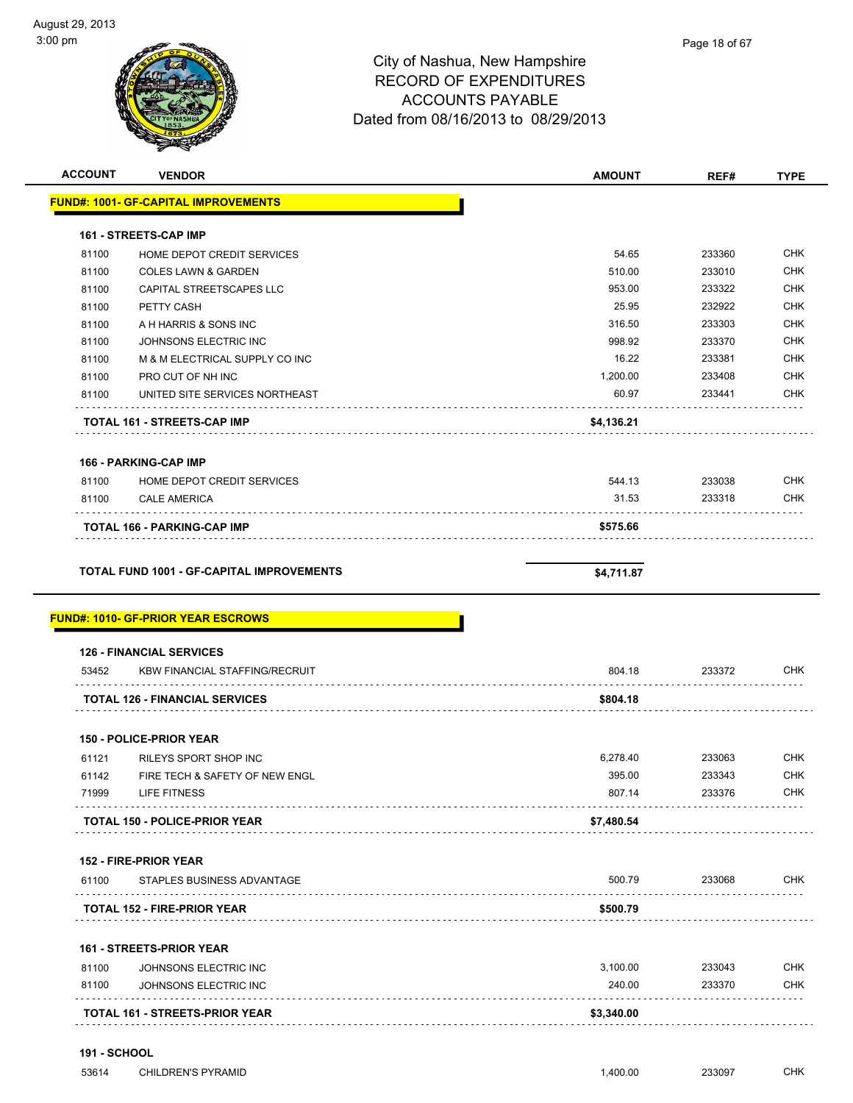| $3:00$ pm      |                                                                                                                                                                                                                                                                                                                                                                                                                                                             | City of Nashua, New Hampshire<br><b>RECORD OF EXPENDITURES</b><br><b>ACCOUNTS PAYABLE</b><br>Dated from 08/16/2013 to 08/29/2013 | Page 18 of 67 |             |
|----------------|-------------------------------------------------------------------------------------------------------------------------------------------------------------------------------------------------------------------------------------------------------------------------------------------------------------------------------------------------------------------------------------------------------------------------------------------------------------|----------------------------------------------------------------------------------------------------------------------------------|---------------|-------------|
| <b>ACCOUNT</b> | <b>VENDOR</b>                                                                                                                                                                                                                                                                                                                                                                                                                                               | <b>AMOUNT</b>                                                                                                                    | REF#          | <b>TYPE</b> |
|                | <b>FUND#: 1001- GF-CAPITAL IMPROVEMENTS</b>                                                                                                                                                                                                                                                                                                                                                                                                                 |                                                                                                                                  |               |             |
|                | 161 - STREETS-CAP IMP                                                                                                                                                                                                                                                                                                                                                                                                                                       |                                                                                                                                  |               |             |
| 81100          | HOME DEPOT CREDIT SERVICES                                                                                                                                                                                                                                                                                                                                                                                                                                  | 54.65                                                                                                                            | 233360        | <b>CHK</b>  |
| 81100          | <b>COLES LAWN &amp; GARDEN</b>                                                                                                                                                                                                                                                                                                                                                                                                                              | 510.00                                                                                                                           | 233010        | <b>CHK</b>  |
| 81100          | CAPITAL STREETSCAPES LLC                                                                                                                                                                                                                                                                                                                                                                                                                                    | 953.00                                                                                                                           | 233322        | <b>CHK</b>  |
| 81100          | PETTY CASH                                                                                                                                                                                                                                                                                                                                                                                                                                                  | 25.95                                                                                                                            | 232922        | <b>CHK</b>  |
| 0.4400         | $\lambda$ , $\lambda$ , $\lambda$ , $\lambda$ , $\lambda$ , $\lambda$ , $\lambda$ , $\lambda$ , $\lambda$ , $\lambda$ , $\lambda$ , $\lambda$ , $\lambda$ , $\lambda$ , $\lambda$ , $\lambda$ , $\lambda$ , $\lambda$ , $\lambda$ , $\lambda$ , $\lambda$ , $\lambda$ , $\lambda$ , $\lambda$ , $\lambda$ , $\lambda$ , $\lambda$ , $\lambda$ , $\lambda$ , $\lambda$ , $\lambda$ , $\lambda$ , $\lambda$ , $\lambda$ , $\lambda$ , $\lambda$ , $\lambda$ , | 240F                                                                                                                             | 000000        | $\sim$ 11/  |

| 81100 | HOME DEPOT CREDIT SERVICES                       | 54.65      | 233360 | <b>CHK</b> |
|-------|--------------------------------------------------|------------|--------|------------|
| 81100 | <b>COLES LAWN &amp; GARDEN</b>                   | 510.00     | 233010 | <b>CHK</b> |
| 81100 | CAPITAL STREETSCAPES LLC                         | 953.00     | 233322 | <b>CHK</b> |
| 81100 | PETTY CASH                                       | 25.95      | 232922 | <b>CHK</b> |
| 81100 | A H HARRIS & SONS INC                            | 316.50     | 233303 | <b>CHK</b> |
| 81100 | JOHNSONS ELECTRIC INC                            | 998.92     | 233370 | <b>CHK</b> |
| 81100 | M & M ELECTRICAL SUPPLY CO INC                   | 16.22      | 233381 | <b>CHK</b> |
| 81100 | PRO CUT OF NH INC                                | 1,200.00   | 233408 | <b>CHK</b> |
| 81100 | UNITED SITE SERVICES NORTHEAST                   | 60.97      | 233441 | <b>CHK</b> |
|       | TOTAL 161 - STREETS-CAP IMP                      | \$4,136.21 |        |            |
|       | <b>166 - PARKING-CAP IMP</b>                     |            |        |            |
| 81100 | HOME DEPOT CREDIT SERVICES                       | 544.13     | 233038 | <b>CHK</b> |
| 81100 | <b>CALE AMERICA</b>                              | 31.53      | 233318 | <b>CHK</b> |
|       | TOTAL 166 - PARKING-CAP IMP                      | \$575.66   |        |            |
|       | <b>TOTAL FUND 1001 - GF-CAPITAL IMPROVEMENTS</b> | \$4,711.87 |        |            |
|       |                                                  |            |        |            |
|       | <b>126 - FINANCIAL SERVICES</b>                  |            |        |            |
| 53452 | <b>KBW FINANCIAL STAFFING/RECRUIT</b>            | 804.18     | 233372 | <b>CHK</b> |
|       | <b>TOTAL 126 - FINANCIAL SERVICES</b>            | \$804.18   |        |            |
|       | <b>150 - POLICE-PRIOR YEAR</b>                   |            |        |            |
| 61121 | RILEYS SPORT SHOP INC                            | 6,278.40   | 233063 | <b>CHK</b> |
| 61142 | FIRE TECH & SAFETY OF NEW ENGL                   | 395.00     | 233343 | <b>CHK</b> |
| 71999 | LIFE FITNESS                                     | 807.14     | 233376 | <b>CHK</b> |
|       | <b>TOTAL 150 - POLICE-PRIOR YEAR</b>             | \$7,480.54 |        |            |
|       | 152 - FIRE-PRIOR YEAR                            |            |        |            |
| 61100 | STAPLES BUSINESS ADVANTAGE                       | 500.79     | 233068 | <b>CHK</b> |
|       | <b>TOTAL 152 - FIRE-PRIOR YEAR</b>               | \$500.79   |        |            |
|       |                                                  |            |        |            |
|       | <b>161 - STREETS-PRIOR YEAR</b>                  |            |        |            |
| 81100 | JOHNSONS ELECTRIC INC                            | 3,100.00   | 233043 | <b>CHK</b> |
| 81100 | JOHNSONS ELECTRIC INC                            | 240.00     | 233370 | <b>CHK</b> |
|       | TOTAL 161 - STREETS-PRIOR YEAR                   | \$3,340.00 |        |            |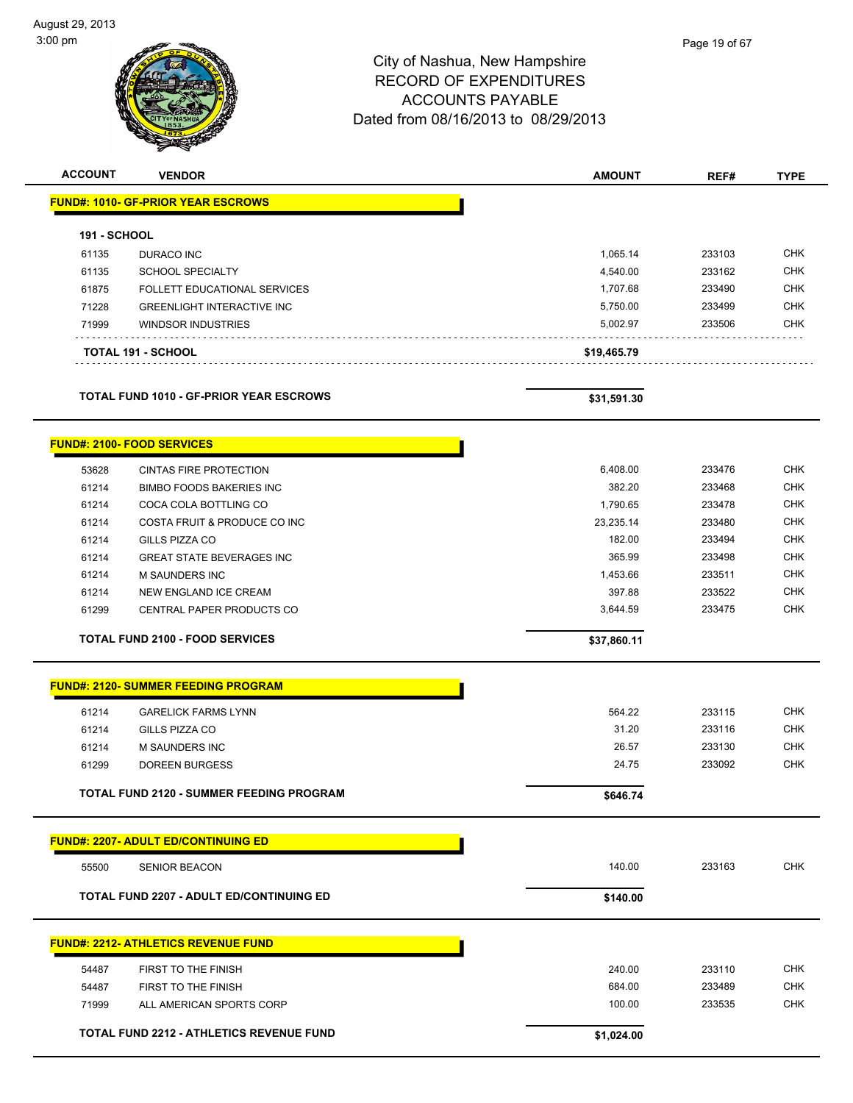| yust zə, zu ib<br>00 pm |                                                 | City of Nashua, New Hampshire<br><b>RECORD OF EXPENDITURES</b><br><b>ACCOUNTS PAYABLE</b><br>Dated from 08/16/2013 to 08/29/2013 | Page 19 of 67 |             |
|-------------------------|-------------------------------------------------|----------------------------------------------------------------------------------------------------------------------------------|---------------|-------------|
| <b>ACCOUNT</b>          | <b>VENDOR</b>                                   | <b>AMOUNT</b>                                                                                                                    | REF#          | <b>TYPE</b> |
|                         | <b>FUND#: 1010- GF-PRIOR YEAR ESCROWS</b>       |                                                                                                                                  |               |             |
| 191 - SCHOOL            |                                                 |                                                                                                                                  |               |             |
| 61135                   | DURACO INC                                      | 1,065.14                                                                                                                         | 233103        | <b>CHK</b>  |
| 61135                   | <b>SCHOOL SPECIALTY</b>                         | 4,540.00                                                                                                                         | 233162        | <b>CHK</b>  |
| 61875                   | FOLLETT EDUCATIONAL SERVICES                    | 1,707.68                                                                                                                         | 233490        | <b>CHK</b>  |
| 71228                   | <b>GREENLIGHT INTERACTIVE INC</b>               | 5,750.00                                                                                                                         | 233499        | <b>CHK</b>  |
| 71999                   | <b>WINDSOR INDUSTRIES</b>                       | 5,002.97                                                                                                                         | 233506        | <b>CHK</b>  |
|                         | TOTAL 191 - SCHOOL                              | \$19,465.79                                                                                                                      |               |             |
|                         | <b>TOTAL FUND 1010 - GF-PRIOR YEAR ESCROWS</b>  | \$31,591.30                                                                                                                      |               |             |
|                         | <b>FUND#: 2100- FOOD SERVICES</b>               |                                                                                                                                  |               |             |
| 53628                   | <b>CINTAS FIRE PROTECTION</b>                   | 6,408.00                                                                                                                         | 233476        | <b>CHK</b>  |
| 61214                   | <b>BIMBO FOODS BAKERIES INC</b>                 | 382.20                                                                                                                           | 233468        | <b>CHK</b>  |
| 61214                   | COCA COLA BOTTLING CO                           | 1,790.65                                                                                                                         | 233478        | <b>CHK</b>  |
| 61214                   | COSTA FRUIT & PRODUCE CO INC                    | 23,235.14                                                                                                                        | 233480        | <b>CHK</b>  |
| 61214                   | GILLS PIZZA CO                                  | 182.00                                                                                                                           | 233494        | <b>CHK</b>  |
| 61214                   | <b>GREAT STATE BEVERAGES INC</b>                | 365.99                                                                                                                           | 233498        | <b>CHK</b>  |
| 61214                   | M SAUNDERS INC                                  | 1,453.66                                                                                                                         | 233511        | <b>CHK</b>  |
| 61214                   | NEW ENGLAND ICE CREAM                           | 397.88                                                                                                                           | 233522        | <b>CHK</b>  |
| 61299                   | CENTRAL PAPER PRODUCTS CO                       | 3,644.59                                                                                                                         | 233475        | CHK         |
|                         | <b>TOTAL FUND 2100 - FOOD SERVICES</b>          | \$37,860.11                                                                                                                      |               |             |
|                         | <b>FUND#: 2120- SUMMER FEEDING PROGRAM</b>      |                                                                                                                                  |               |             |
| 61214                   | <b>GARELICK FARMS LYNN</b>                      | 564.22                                                                                                                           | 233115        | <b>CHK</b>  |
| 61214                   | GILLS PIZZA CO                                  | 31.20                                                                                                                            | 233116        | <b>CHK</b>  |
| 61214                   | <b>M SAUNDERS INC</b>                           | 26.57                                                                                                                            | 233130        | <b>CHK</b>  |
| 61299                   | <b>DOREEN BURGESS</b>                           | 24.75                                                                                                                            | 233092        | <b>CHK</b>  |
|                         | TOTAL FUND 2120 - SUMMER FEEDING PROGRAM        | \$646.74                                                                                                                         |               |             |
|                         | <b>FUND#: 2207- ADULT ED/CONTINUING ED</b>      |                                                                                                                                  |               |             |
| 55500                   | <b>SENIOR BEACON</b>                            | 140.00                                                                                                                           | 233163        | <b>CHK</b>  |
|                         | <b>TOTAL FUND 2207 - ADULT ED/CONTINUING ED</b> | \$140.00                                                                                                                         |               |             |

# **FUND#: 2212- ATHLETICS REVENUE FUND** 54487 FIRST TO THE FINISH 240.00 233110 CHK 54487 FIRST TO THE FINISH **684.00** CHK Produced a method of the US 233535 CHK of the US 233535 CHK of the US 233535 CHK of the US 233535 CHK **TOTAL FUND 2212 - ATHLETICS REVENUE FUND \$1,024.00**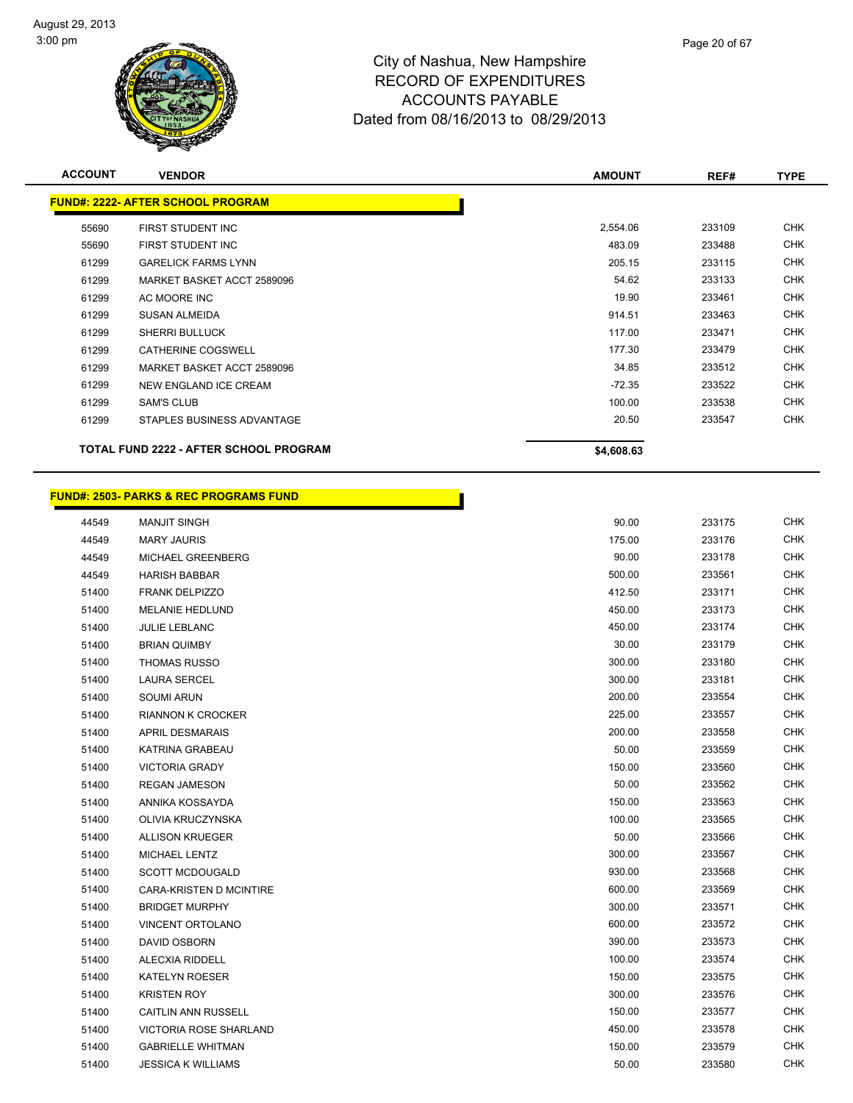

| Page 20 of 67 |  |
|---------------|--|
|               |  |

| <b>ACCOUNT</b> | <b>VENDOR</b>                                 | <b>AMOUNT</b> | REF#   | <b>TYPE</b> |
|----------------|-----------------------------------------------|---------------|--------|-------------|
|                | <b>FUND#: 2222- AFTER SCHOOL PROGRAM</b>      |               |        |             |
| 55690          | FIRST STUDENT INC                             | 2,554.06      | 233109 | <b>CHK</b>  |
| 55690          | FIRST STUDENT INC                             | 483.09        | 233488 | <b>CHK</b>  |
| 61299          | <b>GARELICK FARMS LYNN</b>                    | 205.15        | 233115 | <b>CHK</b>  |
| 61299          | MARKET BASKET ACCT 2589096                    | 54.62         | 233133 | <b>CHK</b>  |
| 61299          | AC MOORE INC                                  | 19.90         | 233461 | <b>CHK</b>  |
| 61299          | <b>SUSAN ALMEIDA</b>                          | 914.51        | 233463 | <b>CHK</b>  |
| 61299          | <b>SHERRI BULLUCK</b>                         | 117.00        | 233471 | <b>CHK</b>  |
| 61299          | CATHERINE COGSWELL                            | 177.30        | 233479 | <b>CHK</b>  |
| 61299          | MARKET BASKET ACCT 2589096                    | 34.85         | 233512 | <b>CHK</b>  |
| 61299          | NEW ENGLAND ICE CREAM                         | $-72.35$      | 233522 | <b>CHK</b>  |
| 61299          | <b>SAM'S CLUB</b>                             | 100.00        | 233538 | <b>CHK</b>  |
| 61299          | STAPLES BUSINESS ADVANTAGE                    | 20.50         | 233547 | <b>CHK</b>  |
|                | <b>TOTAL FUND 2222 - AFTER SCHOOL PROGRAM</b> | \$4,608.63    |        |             |

Т

### **FUND#: 2503- PARKS & REC PROGRAMS FUND**

| 44549 | <b>MANJIT SINGH</b>       | 90.00  | 233175 | <b>CHK</b> |
|-------|---------------------------|--------|--------|------------|
| 44549 | <b>MARY JAURIS</b>        | 175.00 | 233176 | <b>CHK</b> |
| 44549 | MICHAEL GREENBERG         | 90.00  | 233178 | <b>CHK</b> |
| 44549 | <b>HARISH BABBAR</b>      | 500.00 | 233561 | <b>CHK</b> |
| 51400 | <b>FRANK DELPIZZO</b>     | 412.50 | 233171 | <b>CHK</b> |
| 51400 | <b>MELANIE HEDLUND</b>    | 450.00 | 233173 | <b>CHK</b> |
| 51400 | JULIE LEBLANC             | 450.00 | 233174 | <b>CHK</b> |
| 51400 | <b>BRIAN QUIMBY</b>       | 30.00  | 233179 | <b>CHK</b> |
| 51400 | <b>THOMAS RUSSO</b>       | 300.00 | 233180 | <b>CHK</b> |
| 51400 | <b>LAURA SERCEL</b>       | 300.00 | 233181 | <b>CHK</b> |
| 51400 | <b>SOUMI ARUN</b>         | 200.00 | 233554 | <b>CHK</b> |
| 51400 | <b>RIANNON K CROCKER</b>  | 225.00 | 233557 | <b>CHK</b> |
| 51400 | <b>APRIL DESMARAIS</b>    | 200.00 | 233558 | CHK        |
| 51400 | KATRINA GRABEAU           | 50.00  | 233559 | <b>CHK</b> |
| 51400 | <b>VICTORIA GRADY</b>     | 150.00 | 233560 | <b>CHK</b> |
| 51400 | <b>REGAN JAMESON</b>      | 50.00  | 233562 | <b>CHK</b> |
| 51400 | ANNIKA KOSSAYDA           | 150.00 | 233563 | <b>CHK</b> |
| 51400 | OLIVIA KRUCZYNSKA         | 100.00 | 233565 | <b>CHK</b> |
| 51400 | <b>ALLISON KRUEGER</b>    | 50.00  | 233566 | <b>CHK</b> |
| 51400 | MICHAEL LENTZ             | 300.00 | 233567 | CHK        |
| 51400 | <b>SCOTT MCDOUGALD</b>    | 930.00 | 233568 | <b>CHK</b> |
| 51400 | CARA-KRISTEN D MCINTIRE   | 600.00 | 233569 | <b>CHK</b> |
| 51400 | <b>BRIDGET MURPHY</b>     | 300.00 | 233571 | <b>CHK</b> |
| 51400 | VINCENT ORTOLANO          | 600.00 | 233572 | <b>CHK</b> |
| 51400 | DAVID OSBORN              | 390.00 | 233573 | <b>CHK</b> |
| 51400 | ALECXIA RIDDELL           | 100.00 | 233574 | <b>CHK</b> |
| 51400 | <b>KATELYN ROESER</b>     | 150.00 | 233575 | <b>CHK</b> |
| 51400 | <b>KRISTEN ROY</b>        | 300.00 | 233576 | <b>CHK</b> |
| 51400 | CAITLIN ANN RUSSELL       | 150.00 | 233577 | <b>CHK</b> |
| 51400 | VICTORIA ROSE SHARLAND    | 450.00 | 233578 | <b>CHK</b> |
| 51400 | <b>GABRIELLE WHITMAN</b>  | 150.00 | 233579 | <b>CHK</b> |
| 51400 | <b>JESSICA K WILLIAMS</b> | 50.00  | 233580 | <b>CHK</b> |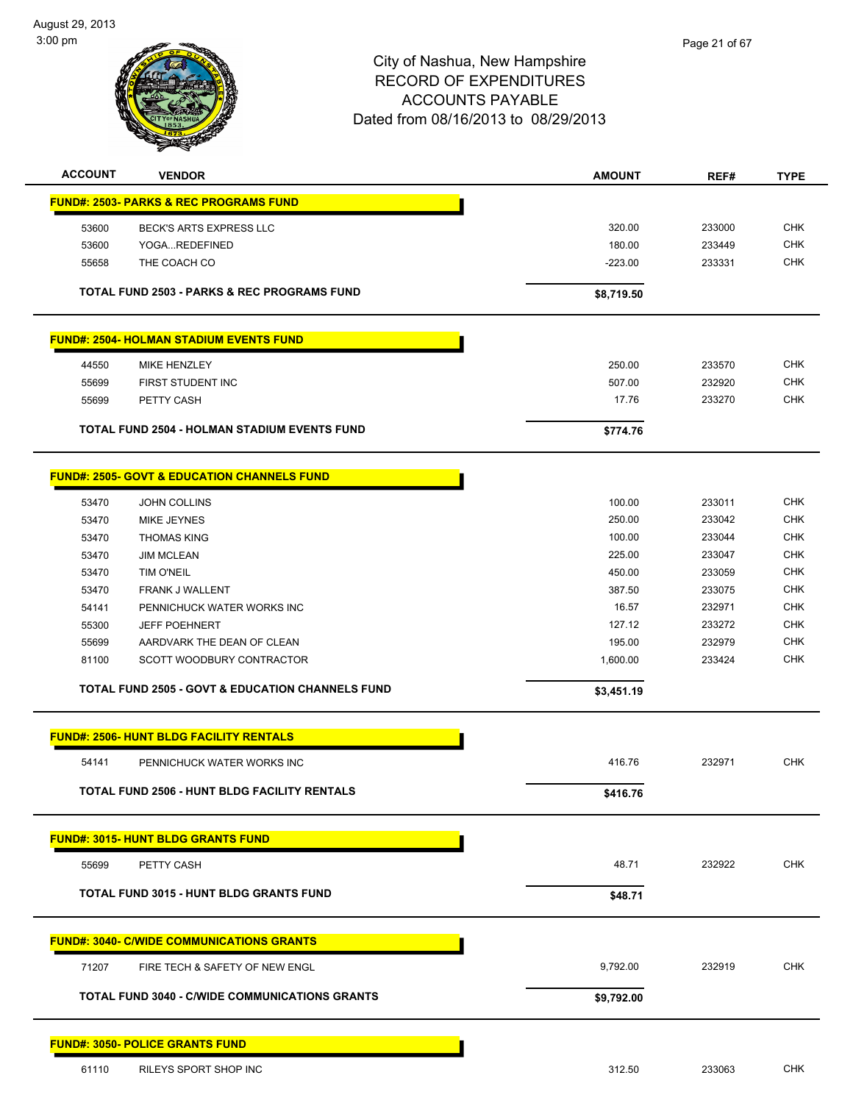

| <b>ACCOUNT</b> | <b>VENDOR</b>                                               | <b>AMOUNT</b> | REF#   | <b>TYPE</b> |
|----------------|-------------------------------------------------------------|---------------|--------|-------------|
|                | <b>FUND#: 2503- PARKS &amp; REC PROGRAMS FUND</b>           |               |        |             |
| 53600          | BECK'S ARTS EXPRESS LLC                                     | 320.00        | 233000 | <b>CHK</b>  |
| 53600          | YOGAREDEFINED                                               | 180.00        | 233449 | <b>CHK</b>  |
| 55658          | THE COACH CO                                                | $-223.00$     | 233331 | <b>CHK</b>  |
|                |                                                             |               |        |             |
|                | <b>TOTAL FUND 2503 - PARKS &amp; REC PROGRAMS FUND</b>      | \$8,719.50    |        |             |
|                | <b>FUND#: 2504- HOLMAN STADIUM EVENTS FUND</b>              |               |        |             |
| 44550          | MIKE HENZLEY                                                | 250.00        | 233570 | <b>CHK</b>  |
| 55699          | FIRST STUDENT INC                                           | 507.00        | 232920 | <b>CHK</b>  |
| 55699          | PETTY CASH                                                  | 17.76         | 233270 | <b>CHK</b>  |
|                | <b>TOTAL FUND 2504 - HOLMAN STADIUM EVENTS FUND</b>         | \$774.76      |        |             |
|                |                                                             |               |        |             |
|                | <b>FUND#: 2505- GOVT &amp; EDUCATION CHANNELS FUND</b>      |               |        |             |
| 53470          | <b>JOHN COLLINS</b>                                         | 100.00        | 233011 | <b>CHK</b>  |
| 53470          | <b>MIKE JEYNES</b>                                          | 250.00        | 233042 | <b>CHK</b>  |
| 53470          | <b>THOMAS KING</b>                                          | 100.00        | 233044 | <b>CHK</b>  |
| 53470          | <b>JIM MCLEAN</b>                                           | 225.00        | 233047 | <b>CHK</b>  |
| 53470          | <b>TIM O'NEIL</b>                                           | 450.00        | 233059 | <b>CHK</b>  |
| 53470          | <b>FRANK J WALLENT</b>                                      | 387.50        | 233075 | <b>CHK</b>  |
| 54141          | PENNICHUCK WATER WORKS INC                                  | 16.57         | 232971 | <b>CHK</b>  |
| 55300          | <b>JEFF POEHNERT</b>                                        | 127.12        | 233272 | <b>CHK</b>  |
| 55699          | AARDVARK THE DEAN OF CLEAN                                  | 195.00        | 232979 | <b>CHK</b>  |
| 81100          | SCOTT WOODBURY CONTRACTOR                                   | 1,600.00      | 233424 | <b>CHK</b>  |
|                | <b>TOTAL FUND 2505 - GOVT &amp; EDUCATION CHANNELS FUND</b> | \$3,451.19    |        |             |
|                | <b>FUND#: 2506- HUNT BLDG FACILITY RENTALS</b>              |               |        |             |
| 54141          | PENNICHUCK WATER WORKS INC                                  | 416.76        | 232971 | <b>CHK</b>  |
|                |                                                             |               |        |             |
|                | TOTAL FUND 2506 - HUNT BLDG FACILITY RENTALS                | \$416.76      |        |             |
|                | <b>FUND#: 3015- HUNT BLDG GRANTS FUND</b>                   |               |        |             |
| 55699          | PETTY CASH                                                  | 48.71         | 232922 | <b>CHK</b>  |
|                | TOTAL FUND 3015 - HUNT BLDG GRANTS FUND                     | \$48.71       |        |             |
|                | <u> FUND#: 3040- C/WIDE COMMUNICATIONS GRANTS</u>           |               |        |             |
| 71207          | FIRE TECH & SAFETY OF NEW ENGL                              | 9,792.00      | 232919 | <b>CHK</b>  |
|                |                                                             |               |        |             |
|                | <b>TOTAL FUND 3040 - C/WIDE COMMUNICATIONS GRANTS</b>       | \$9,792.00    |        |             |
|                | <u> FUND#: 3050- POLICE GRANTS FUND</u>                     |               |        |             |
| 61110          | RILEYS SPORT SHOP INC                                       | 312.50        | 233063 | <b>CHK</b>  |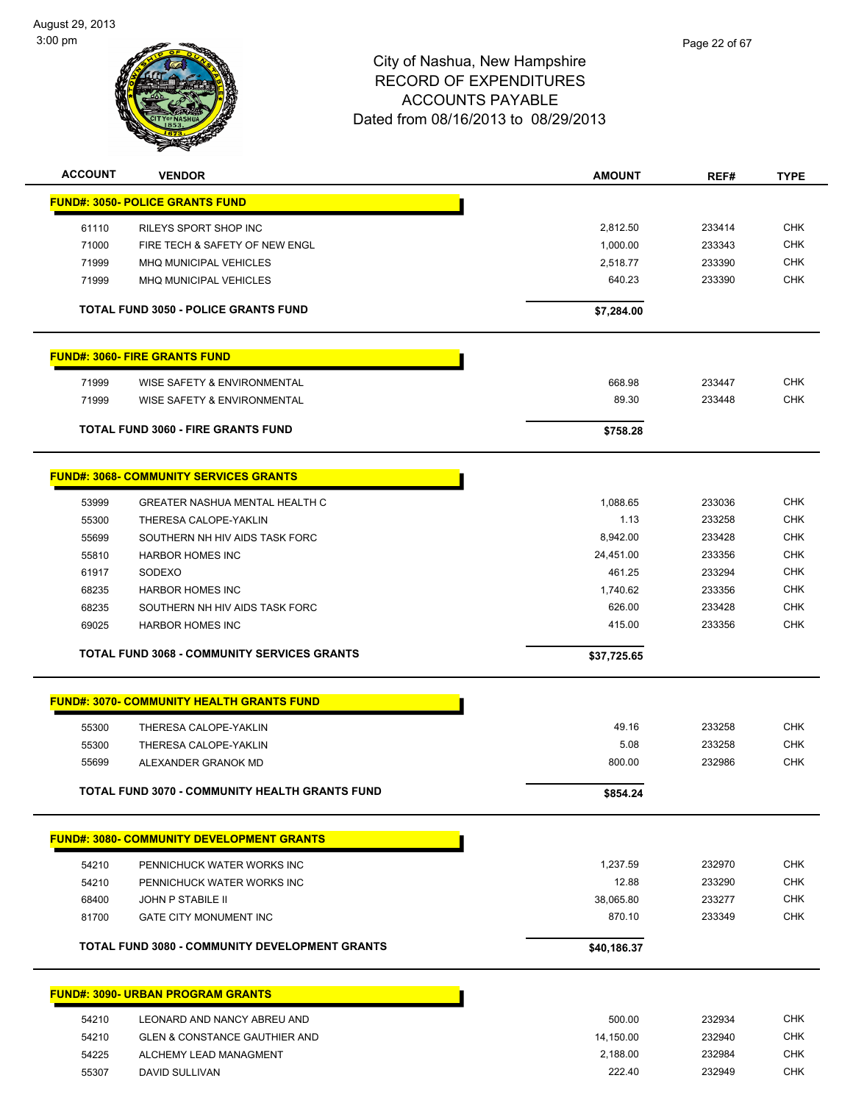

| <b>ACCOUNT</b> | <b>VENDOR</b>                                    | <b>AMOUNT</b> | REF#   | <b>TYPE</b> |
|----------------|--------------------------------------------------|---------------|--------|-------------|
|                | <b>FUND#: 3050- POLICE GRANTS FUND</b>           |               |        |             |
| 61110          | RILEYS SPORT SHOP INC                            | 2,812.50      | 233414 | <b>CHK</b>  |
| 71000          | FIRE TECH & SAFETY OF NEW ENGL                   | 1,000.00      | 233343 | <b>CHK</b>  |
| 71999          | <b>MHQ MUNICIPAL VEHICLES</b>                    | 2,518.77      | 233390 | <b>CHK</b>  |
| 71999          | <b>MHQ MUNICIPAL VEHICLES</b>                    | 640.23        | 233390 | <b>CHK</b>  |
|                | <b>TOTAL FUND 3050 - POLICE GRANTS FUND</b>      | \$7,284.00    |        |             |
|                | <b>FUND#: 3060- FIRE GRANTS FUND</b>             |               |        |             |
| 71999          | WISE SAFETY & ENVIRONMENTAL                      | 668.98        | 233447 | <b>CHK</b>  |
| 71999          | WISE SAFETY & ENVIRONMENTAL                      | 89.30         | 233448 | <b>CHK</b>  |
|                | <b>TOTAL FUND 3060 - FIRE GRANTS FUND</b>        | \$758.28      |        |             |
|                | <b>FUND#: 3068- COMMUNITY SERVICES GRANTS</b>    |               |        |             |
| 53999          | <b>GREATER NASHUA MENTAL HEALTH C</b>            | 1.088.65      | 233036 | <b>CHK</b>  |
| 55300          | THERESA CALOPE-YAKLIN                            | 1.13          | 233258 | <b>CHK</b>  |
| 55699          | SOUTHERN NH HIV AIDS TASK FORC                   | 8,942.00      | 233428 | <b>CHK</b>  |
| 55810          | <b>HARBOR HOMES INC</b>                          | 24,451.00     | 233356 | <b>CHK</b>  |
| 61917          | SODEXO                                           | 461.25        | 233294 | <b>CHK</b>  |
| 68235          | <b>HARBOR HOMES INC</b>                          | 1,740.62      | 233356 | <b>CHK</b>  |
| 68235          | SOUTHERN NH HIV AIDS TASK FORC                   | 626.00        | 233428 | <b>CHK</b>  |
| 69025          | <b>HARBOR HOMES INC</b>                          | 415.00        | 233356 | <b>CHK</b>  |
|                | TOTAL FUND 3068 - COMMUNITY SERVICES GRANTS      | \$37,725.65   |        |             |
|                | <b>FUND#: 3070- COMMUNITY HEALTH GRANTS FUND</b> |               |        |             |
| 55300          | THERESA CALOPE-YAKLIN                            | 49.16         | 233258 | <b>CHK</b>  |
| 55300          | THERESA CALOPE-YAKLIN                            | 5.08          | 233258 | <b>CHK</b>  |
| 55699          | ALEXANDER GRANOK MD                              | 800.00        | 232986 | <b>CHK</b>  |
|                | TOTAL FUND 3070 - COMMUNITY HEALTH GRANTS FUND   | \$854.24      |        |             |
|                |                                                  |               |        |             |
|                | <b>FUND#: 3080- COMMUNITY DEVELOPMENT GRANTS</b> |               |        |             |
| 54210          | PENNICHUCK WATER WORKS INC                       | 1,237.59      | 232970 | <b>CHK</b>  |
| 54210          | PENNICHUCK WATER WORKS INC                       | 12.88         | 233290 | <b>CHK</b>  |
| 68400          | <b>JOHN P STABILE II</b>                         | 38,065.80     | 233277 | <b>CHK</b>  |
| 81700          | GATE CITY MONUMENT INC                           | 870.10        | 233349 | <b>CHK</b>  |
|                | TOTAL FUND 3080 - COMMUNITY DEVELOPMENT GRANTS   | \$40,186.37   |        |             |
|                | <b>FUND#: 3090- URBAN PROGRAM GRANTS</b>         |               |        |             |
| 54210          | LEONARD AND NANCY ABREU AND                      | 500.00        | 232934 | <b>CHK</b>  |
| 54210          | <b>GLEN &amp; CONSTANCE GAUTHIER AND</b>         | 14,150.00     | 232940 | <b>CHK</b>  |
| 54225          | ALCHEMY LEAD MANAGMENT                           | 2,188.00      | 232984 | <b>CHK</b>  |
| 55307          | DAVID SULLIVAN                                   | 222.40        | 232949 | <b>CHK</b>  |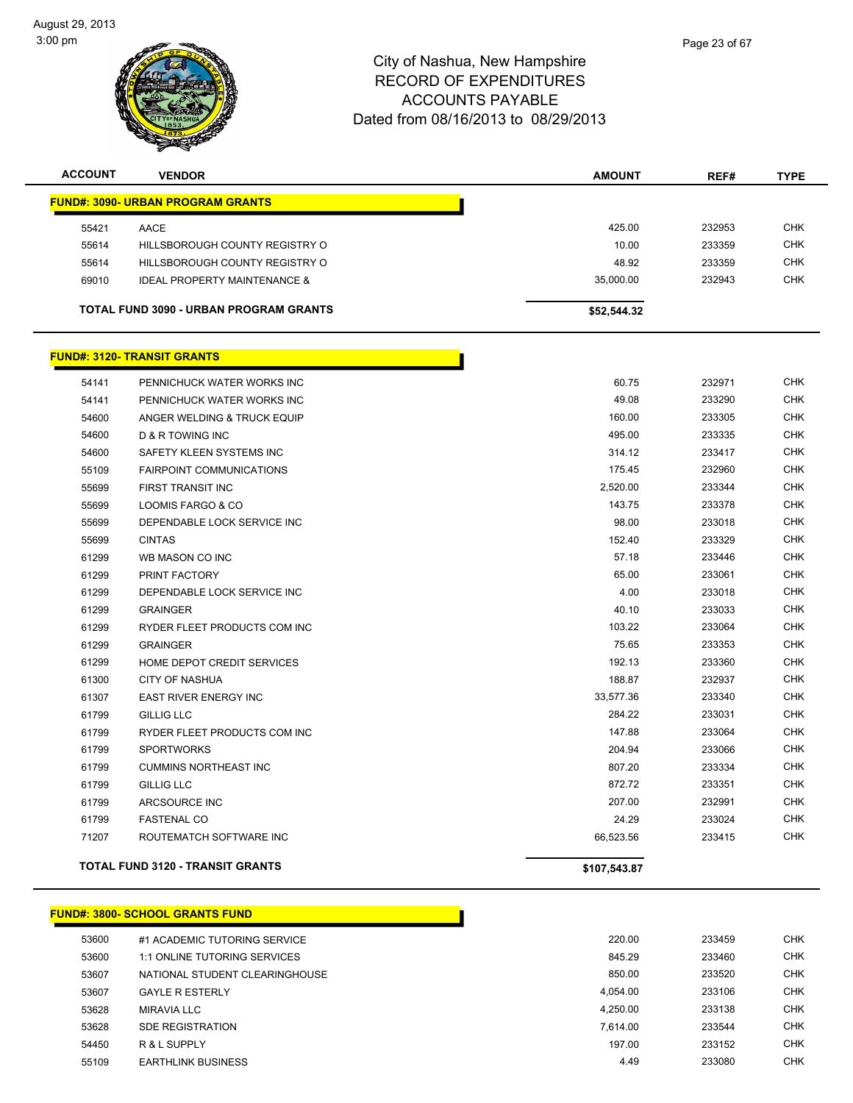

| <b>ACCOUNT</b> | <b>VENDOR</b>                                 | <b>AMOUNT</b> | REF#   | <b>TYPE</b> |
|----------------|-----------------------------------------------|---------------|--------|-------------|
|                | <b>FUND#: 3090- URBAN PROGRAM GRANTS</b>      |               |        |             |
| 55421          | AACE                                          | 425.00        | 232953 | <b>CHK</b>  |
| 55614          | HILLSBOROUGH COUNTY REGISTRY O                | 10.00         | 233359 | <b>CHK</b>  |
| 55614          | HILLSBOROUGH COUNTY REGISTRY O                | 48.92         | 233359 | <b>CHK</b>  |
| 69010          | <b>IDEAL PROPERTY MAINTENANCE &amp;</b>       | 35,000.00     | 232943 | <b>CHK</b>  |
|                | <b>TOTAL FUND 3090 - URBAN PROGRAM GRANTS</b> | \$52,544.32   |        |             |
|                | <b>FUND#: 3120- TRANSIT GRANTS</b>            |               |        |             |
| 54141          | PENNICHUCK WATER WORKS INC                    | 60.75         | 232971 | <b>CHK</b>  |
| 54141          | PENNICHUCK WATER WORKS INC                    | 49.08         | 233290 | <b>CHK</b>  |
| 54600          | ANGER WELDING & TRUCK EQUIP                   | 160.00        | 233305 | <b>CHK</b>  |
| 54600          | <b>D &amp; R TOWING INC</b>                   | 495.00        | 233335 | <b>CHK</b>  |
| 54600          | SAFETY KLEEN SYSTEMS INC                      | 314.12        | 233417 | <b>CHK</b>  |
| 55109          | <b>FAIRPOINT COMMUNICATIONS</b>               | 175.45        | 232960 | <b>CHK</b>  |
| 55699          | FIRST TRANSIT INC                             | 2,520.00      | 233344 | <b>CHK</b>  |
| 55699          | LOOMIS FARGO & CO                             | 143.75        | 233378 | <b>CHK</b>  |
| 55699          | DEPENDABLE LOCK SERVICE INC                   | 98.00         | 233018 | <b>CHK</b>  |
| 55699          | <b>CINTAS</b>                                 | 152.40        | 233329 | <b>CHK</b>  |
| 61299          | WB MASON CO INC                               | 57.18         | 233446 | <b>CHK</b>  |

| 55699 | <b>CINTAS</b>                     | 152.40    | 233329 | <b>CHK</b> |
|-------|-----------------------------------|-----------|--------|------------|
| 61299 | WB MASON CO INC                   | 57.18     | 233446 | <b>CHK</b> |
| 61299 | PRINT FACTORY                     | 65.00     | 233061 | <b>CHK</b> |
| 61299 | DEPENDABLE LOCK SERVICE INC       | 4.00      | 233018 | <b>CHK</b> |
| 61299 | <b>GRAINGER</b>                   | 40.10     | 233033 | <b>CHK</b> |
| 61299 | RYDER FLEET PRODUCTS COM INC      | 103.22    | 233064 | <b>CHK</b> |
| 61299 | <b>GRAINGER</b>                   | 75.65     | 233353 | <b>CHK</b> |
| 61299 | <b>HOME DEPOT CREDIT SERVICES</b> | 192.13    | 233360 | <b>CHK</b> |
| 61300 | <b>CITY OF NASHUA</b>             | 188.87    | 232937 | <b>CHK</b> |
| 61307 | <b>EAST RIVER ENERGY INC</b>      | 33,577.36 | 233340 | <b>CHK</b> |
| 61799 | <b>GILLIG LLC</b>                 | 284.22    | 233031 | <b>CHK</b> |
| 61799 | RYDER FLEET PRODUCTS COM INC      | 147.88    | 233064 | <b>CHK</b> |
| 61799 | <b>SPORTWORKS</b>                 | 204.94    | 233066 | <b>CHK</b> |
| 61799 | <b>CUMMINS NORTHEAST INC</b>      | 807.20    | 233334 | <b>CHK</b> |
| 61799 | <b>GILLIG LLC</b>                 | 872.72    | 233351 | <b>CHK</b> |
| 61799 | ARCSOURCE INC                     | 207.00    | 232991 | <b>CHK</b> |
| 61799 | <b>FASTENAL CO</b>                | 24.29     | 233024 | <b>CHK</b> |
| 71207 | ROUTEMATCH SOFTWARE INC           | 66,523.56 | 233415 | <b>CHK</b> |
|       |                                   |           |        |            |

**TOTAL FUND 3120 - TRANSIT GRANTS \$107,543.87**

### **FUND#: 3800- SCHOOL GRANTS FUND**

| 53600 | #1 ACADEMIC TUTORING SERVICE   | 220.00   | 233459 | <b>CHK</b> |
|-------|--------------------------------|----------|--------|------------|
| 53600 | 1:1 ONLINE TUTORING SERVICES   | 845.29   | 233460 | <b>CHK</b> |
| 53607 | NATIONAL STUDENT CLEARINGHOUSE | 850.00   | 233520 | <b>CHK</b> |
| 53607 | <b>GAYLE R ESTERLY</b>         | 4.054.00 | 233106 | <b>CHK</b> |
| 53628 | MIRAVIA LLC                    | 4.250.00 | 233138 | <b>CHK</b> |
| 53628 | <b>SDE REGISTRATION</b>        | 7.614.00 | 233544 | <b>CHK</b> |
| 54450 | R & L SUPPLY                   | 197.00   | 233152 | <b>CHK</b> |
| 55109 | <b>EARTHLINK BUSINESS</b>      | 4.49     | 233080 | CHK        |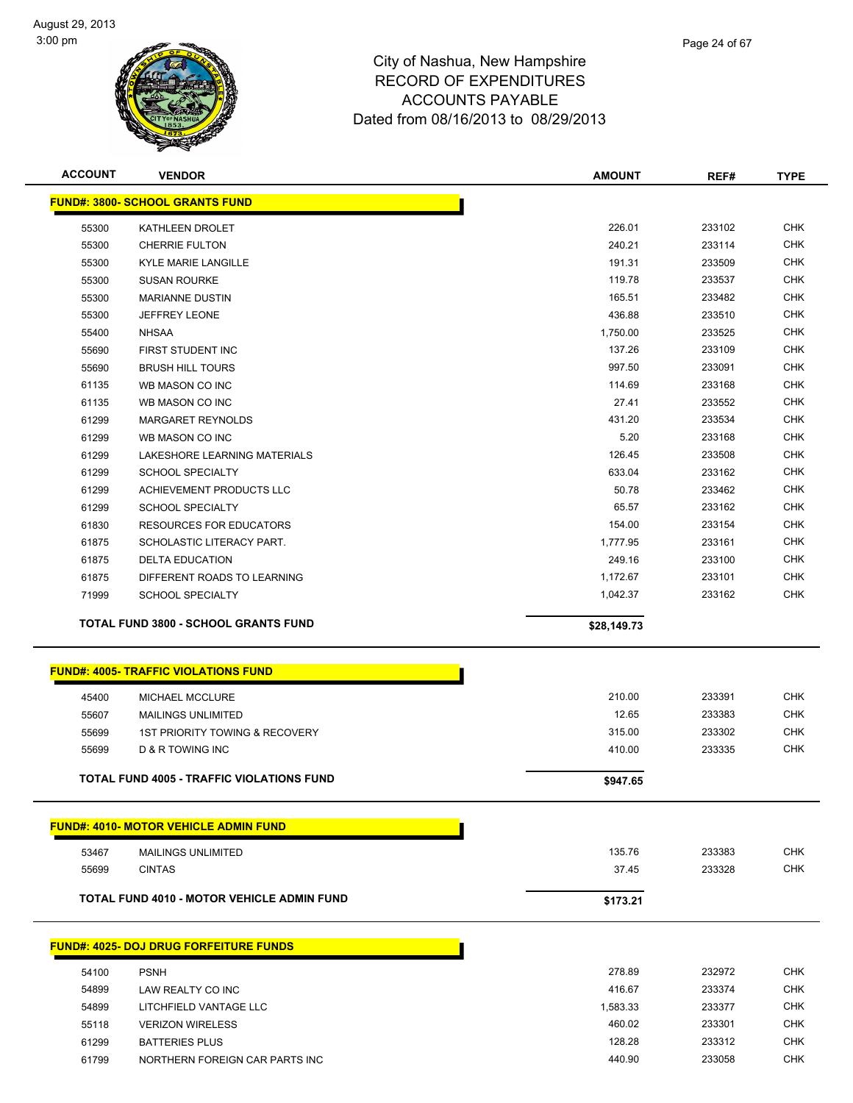

| <b>ACCOUNT</b> | <b>VENDOR</b>                                     | <b>AMOUNT</b> | REF#   | <b>TYPE</b> |
|----------------|---------------------------------------------------|---------------|--------|-------------|
|                | <b>FUND#: 3800- SCHOOL GRANTS FUND</b>            |               |        |             |
| 55300          | KATHLEEN DROLET                                   | 226.01        | 233102 | <b>CHK</b>  |
| 55300          | <b>CHERRIE FULTON</b>                             | 240.21        | 233114 | <b>CHK</b>  |
| 55300          | <b>KYLE MARIE LANGILLE</b>                        | 191.31        | 233509 | <b>CHK</b>  |
| 55300          | <b>SUSAN ROURKE</b>                               | 119.78        | 233537 | <b>CHK</b>  |
| 55300          | <b>MARIANNE DUSTIN</b>                            | 165.51        | 233482 | <b>CHK</b>  |
| 55300          | <b>JEFFREY LEONE</b>                              | 436.88        | 233510 | <b>CHK</b>  |
| 55400          | <b>NHSAA</b>                                      | 1,750.00      | 233525 | <b>CHK</b>  |
| 55690          | FIRST STUDENT INC                                 | 137.26        | 233109 | <b>CHK</b>  |
| 55690          | <b>BRUSH HILL TOURS</b>                           | 997.50        | 233091 | <b>CHK</b>  |
| 61135          | WB MASON CO INC                                   | 114.69        | 233168 | <b>CHK</b>  |
| 61135          | WB MASON CO INC                                   | 27.41         | 233552 | <b>CHK</b>  |
| 61299          | <b>MARGARET REYNOLDS</b>                          | 431.20        | 233534 | <b>CHK</b>  |
| 61299          | WB MASON CO INC                                   | 5.20          | 233168 | <b>CHK</b>  |
| 61299          | LAKESHORE LEARNING MATERIALS                      | 126.45        | 233508 | <b>CHK</b>  |
| 61299          | SCHOOL SPECIALTY                                  | 633.04        | 233162 | <b>CHK</b>  |
| 61299          | <b>ACHIEVEMENT PRODUCTS LLC</b>                   | 50.78         | 233462 | <b>CHK</b>  |
| 61299          | <b>SCHOOL SPECIALTY</b>                           | 65.57         | 233162 | <b>CHK</b>  |
| 61830          | <b>RESOURCES FOR EDUCATORS</b>                    | 154.00        | 233154 | <b>CHK</b>  |
| 61875          | SCHOLASTIC LITERACY PART.                         | 1,777.95      | 233161 | <b>CHK</b>  |
| 61875          | <b>DELTA EDUCATION</b>                            | 249.16        | 233100 | <b>CHK</b>  |
| 61875          | DIFFERENT ROADS TO LEARNING                       | 1,172.67      | 233101 | <b>CHK</b>  |
| 71999          | <b>SCHOOL SPECIALTY</b>                           | 1,042.37      | 233162 | <b>CHK</b>  |
|                | <b>TOTAL FUND 3800 - SCHOOL GRANTS FUND</b>       | \$28,149.73   |        |             |
|                | <b>FUND#: 4005- TRAFFIC VIOLATIONS FUND</b>       |               |        |             |
| 45400          | MICHAEL MCCLURE                                   | 210.00        | 233391 | <b>CHK</b>  |
| 55607          | <b>MAILINGS UNLIMITED</b>                         | 12.65         | 233383 | <b>CHK</b>  |
| 55699          | 1ST PRIORITY TOWING & RECOVERY                    | 315.00        | 233302 | <b>CHK</b>  |
| 55699          | <b>D &amp; R TOWING INC</b>                       | 410.00        | 233335 | <b>CHK</b>  |
|                |                                                   |               |        |             |
|                | <b>TOTAL FUND 4005 - TRAFFIC VIOLATIONS FUND</b>  | \$947.65      |        |             |
|                | <b>FUND#: 4010- MOTOR VEHICLE ADMIN FUND</b>      |               |        |             |
| 53467          | <b>MAILINGS UNLIMITED</b>                         | 135.76        | 233383 | <b>CHK</b>  |
| 55699          | <b>CINTAS</b>                                     | 37.45         | 233328 | <b>CHK</b>  |
|                |                                                   |               |        |             |
|                | <b>TOTAL FUND 4010 - MOTOR VEHICLE ADMIN FUND</b> | \$173.21      |        |             |
|                | <b>FUND#: 4025- DOJ DRUG FORFEITURE FUNDS</b>     |               |        |             |
| 54100          | <b>PSNH</b>                                       | 278.89        | 232972 | <b>CHK</b>  |
| 54899          | LAW REALTY CO INC                                 | 416.67        | 233374 | <b>CHK</b>  |
| 54899          | LITCHFIELD VANTAGE LLC                            | 1,583.33      | 233377 | <b>CHK</b>  |
| 55118          | <b>VERIZON WIRELESS</b>                           | 460.02        | 233301 | <b>CHK</b>  |
| 61299          | <b>BATTERIES PLUS</b>                             | 128.28        | 233312 | <b>CHK</b>  |
| 61799          | NORTHERN FOREIGN CAR PARTS INC                    | 440.90        | 233058 | <b>CHK</b>  |
|                |                                                   |               |        |             |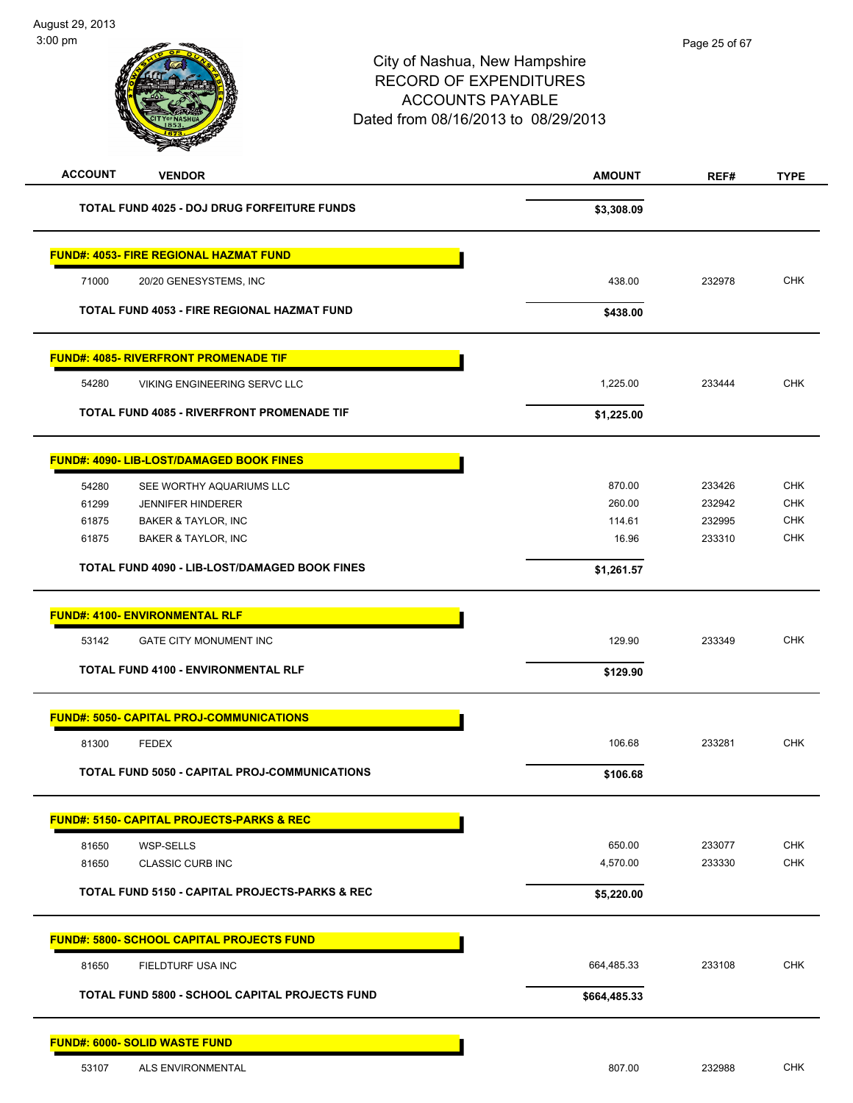# City of Nashua, New Hampshire RECORD OF EXPENDITURES ACCOUNTS PAYABLE Dated from 08/16/2013 to 08/29/2013 **ACCOUNT VENDOR AMOUNT REF# TYPE TOTAL FUND 4025 - DOJ DRUG FORFEITURE FUNDS \$3,308.09 FUND#: 4053- FIRE REGIONAL HAZMAT FUND** 71000 20/20 GENESYSTEMS, INC 438.00 232978 CHK **TOTAL FUND 4053 - FIRE REGIONAL HAZMAT FUND \$438.00 FUND#: 4085- RIVERFRONT PROMENADE TIF** 54280 VIKING ENGINEERING SERVC LLC 1,225.00 233444 CHK **TOTAL FUND 4085 - RIVERFRONT PROMENADE TIF** \$1,225.00 **FUND#: 4090- LIB-LOST/DAMAGED BOOK FINES** 54280 SEE WORTHY AQUARIUMS LLC 870.00 233426 CHK 61299 JENNIFER HINDERER 260.00 232942 CHK 61875 BAKER & TAYLOR, INC 114.61 232995 CHK 61875 BAKER & TAYLOR, INC 16.96 233310 CHK **TOTAL FUND 4090 - LIB-LOST/DAMAGED BOOK FINES \$1,261.57 FUND#: 4100- ENVIRONMENTAL RLF** 53142 GATE CITY MONUMENT INC 129.90 233349 CHK **TOTAL FUND 4100 - ENVIRONMENTAL RLF \$129.90 FUND#: 5050- CAPITAL PROJ-COMMUNICATIONS** 81300 FEDEX 106.68 233281 CHK **TOTAL FUND 5050 - CAPITAL PROJ-COMMUNICATIONS \$106.68 FUND#: 5150- CAPITAL PROJECTS-PARKS & REC** 81650 WSP-SELLS 650.00 233077 CHK 81650 CLASSIC CURB INC 4,570.00 233330 CHK **TOTAL FUND 5150 - CAPITAL PROJECTS-PARKS & REC \$5,220.00 FUND#: 5800- SCHOOL CAPITAL PROJECTS FUND** 81650 FIELDTURF USA INC 664,485.33 233108 CHK **TOTAL FUND 5800 - SCHOOL CAPITAL PROJECTS FUND**  $$664,485.33$ **FUND#: 6000- SOLID WASTE FUND**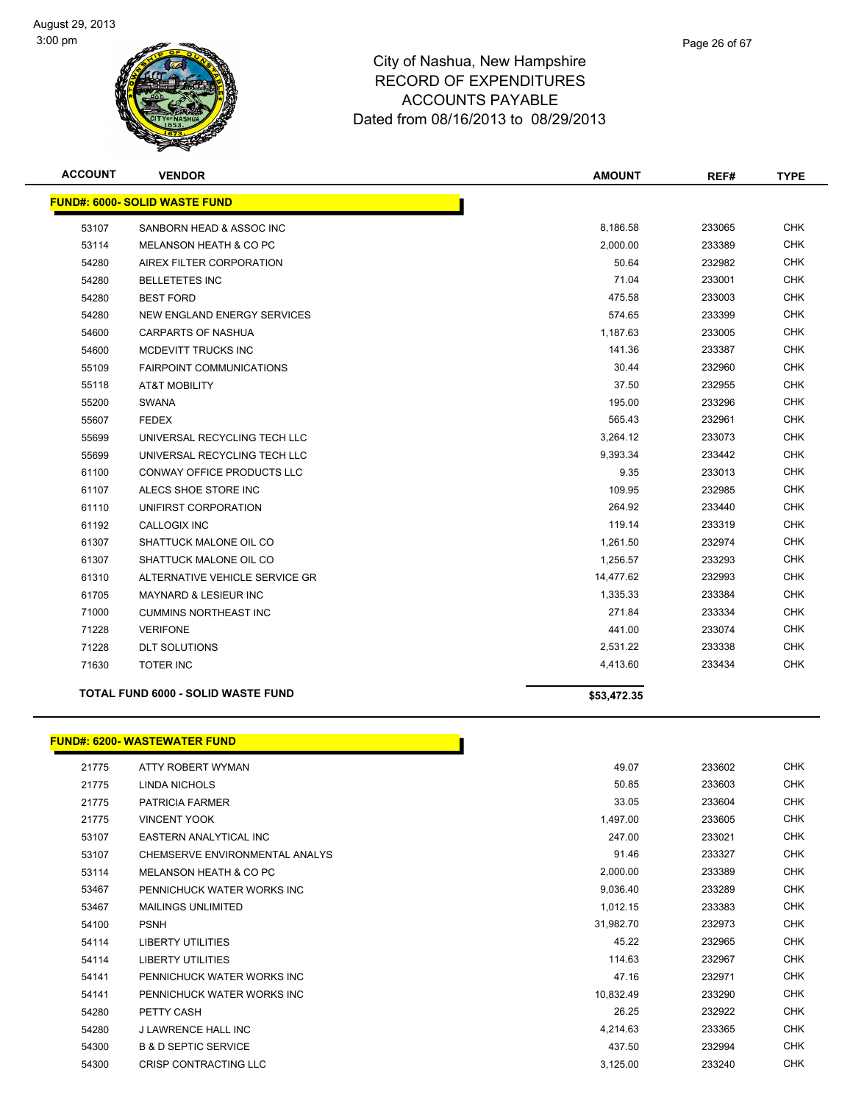

| <b>ACCOUNT</b> | <b>VENDOR</b>                             | <b>AMOUNT</b> | REF#   | <b>TYPE</b> |
|----------------|-------------------------------------------|---------------|--------|-------------|
|                | <b>FUND#: 6000- SOLID WASTE FUND</b>      |               |        |             |
| 53107          | SANBORN HEAD & ASSOC INC                  | 8,186.58      | 233065 | <b>CHK</b>  |
| 53114          | <b>MELANSON HEATH &amp; CO PC</b>         | 2,000.00      | 233389 | <b>CHK</b>  |
| 54280          | AIREX FILTER CORPORATION                  | 50.64         | 232982 | <b>CHK</b>  |
| 54280          | <b>BELLETETES INC</b>                     | 71.04         | 233001 | <b>CHK</b>  |
| 54280          | <b>BEST FORD</b>                          | 475.58        | 233003 | <b>CHK</b>  |
| 54280          | NEW ENGLAND ENERGY SERVICES               | 574.65        | 233399 | <b>CHK</b>  |
| 54600          | <b>CARPARTS OF NASHUA</b>                 | 1,187.63      | 233005 | <b>CHK</b>  |
| 54600          | MCDEVITT TRUCKS INC                       | 141.36        | 233387 | <b>CHK</b>  |
| 55109          | <b>FAIRPOINT COMMUNICATIONS</b>           | 30.44         | 232960 | <b>CHK</b>  |
| 55118          | AT&T MOBILITY                             | 37.50         | 232955 | <b>CHK</b>  |
| 55200          | <b>SWANA</b>                              | 195.00        | 233296 | <b>CHK</b>  |
| 55607          | <b>FEDEX</b>                              | 565.43        | 232961 | <b>CHK</b>  |
| 55699          | UNIVERSAL RECYCLING TECH LLC              | 3,264.12      | 233073 | <b>CHK</b>  |
| 55699          | UNIVERSAL RECYCLING TECH LLC              | 9,393.34      | 233442 | <b>CHK</b>  |
| 61100          | <b>CONWAY OFFICE PRODUCTS LLC</b>         | 9.35          | 233013 | <b>CHK</b>  |
| 61107          | ALECS SHOE STORE INC                      | 109.95        | 232985 | <b>CHK</b>  |
| 61110          | UNIFIRST CORPORATION                      | 264.92        | 233440 | <b>CHK</b>  |
| 61192          | <b>CALLOGIX INC</b>                       | 119.14        | 233319 | <b>CHK</b>  |
| 61307          | SHATTUCK MALONE OIL CO                    | 1,261.50      | 232974 | <b>CHK</b>  |
| 61307          | SHATTUCK MALONE OIL CO                    | 1,256.57      | 233293 | <b>CHK</b>  |
| 61310          | ALTERNATIVE VEHICLE SERVICE GR            | 14,477.62     | 232993 | <b>CHK</b>  |
| 61705          | <b>MAYNARD &amp; LESIEUR INC</b>          | 1,335.33      | 233384 | <b>CHK</b>  |
| 71000          | <b>CUMMINS NORTHEAST INC</b>              | 271.84        | 233334 | <b>CHK</b>  |
| 71228          | <b>VERIFONE</b>                           | 441.00        | 233074 | <b>CHK</b>  |
| 71228          | <b>DLT SOLUTIONS</b>                      | 2,531.22      | 233338 | <b>CHK</b>  |
| 71630          | <b>TOTER INC</b>                          | 4,413.60      | 233434 | <b>CHK</b>  |
|                | <b>TOTAL FUND 6000 - SOLID WASTE FUND</b> | \$53,472.35   |        |             |

### **FUND#: 6200- WASTEWATER FUND**

| 21775 | ATTY ROBERT WYMAN               | 49.07     | 233602 | <b>CHK</b> |
|-------|---------------------------------|-----------|--------|------------|
| 21775 | <b>LINDA NICHOLS</b>            | 50.85     | 233603 | <b>CHK</b> |
| 21775 | <b>PATRICIA FARMER</b>          | 33.05     | 233604 | <b>CHK</b> |
| 21775 | <b>VINCENT YOOK</b>             | 1,497.00  | 233605 | <b>CHK</b> |
| 53107 | EASTERN ANALYTICAL INC          | 247.00    | 233021 | CHK        |
| 53107 | CHEMSERVE ENVIRONMENTAL ANALYS  | 91.46     | 233327 | <b>CHK</b> |
| 53114 | MELANSON HEATH & CO PC          | 2,000.00  | 233389 | <b>CHK</b> |
| 53467 | PENNICHUCK WATER WORKS INC      | 9,036.40  | 233289 | <b>CHK</b> |
| 53467 | <b>MAILINGS UNLIMITED</b>       | 1,012.15  | 233383 | <b>CHK</b> |
| 54100 | <b>PSNH</b>                     | 31,982.70 | 232973 | <b>CHK</b> |
| 54114 | LIBERTY UTILITIES               | 45.22     | 232965 | <b>CHK</b> |
| 54114 | <b>LIBERTY UTILITIES</b>        | 114.63    | 232967 | <b>CHK</b> |
| 54141 | PENNICHUCK WATER WORKS INC      | 47.16     | 232971 | <b>CHK</b> |
| 54141 | PENNICHUCK WATER WORKS INC      | 10,832.49 | 233290 | <b>CHK</b> |
| 54280 | PETTY CASH                      | 26.25     | 232922 | <b>CHK</b> |
| 54280 | <b>J LAWRENCE HALL INC</b>      | 4,214.63  | 233365 | <b>CHK</b> |
| 54300 | <b>B &amp; D SEPTIC SERVICE</b> | 437.50    | 232994 | <b>CHK</b> |
| 54300 | CRISP CONTRACTING LLC           | 3,125.00  | 233240 | <b>CHK</b> |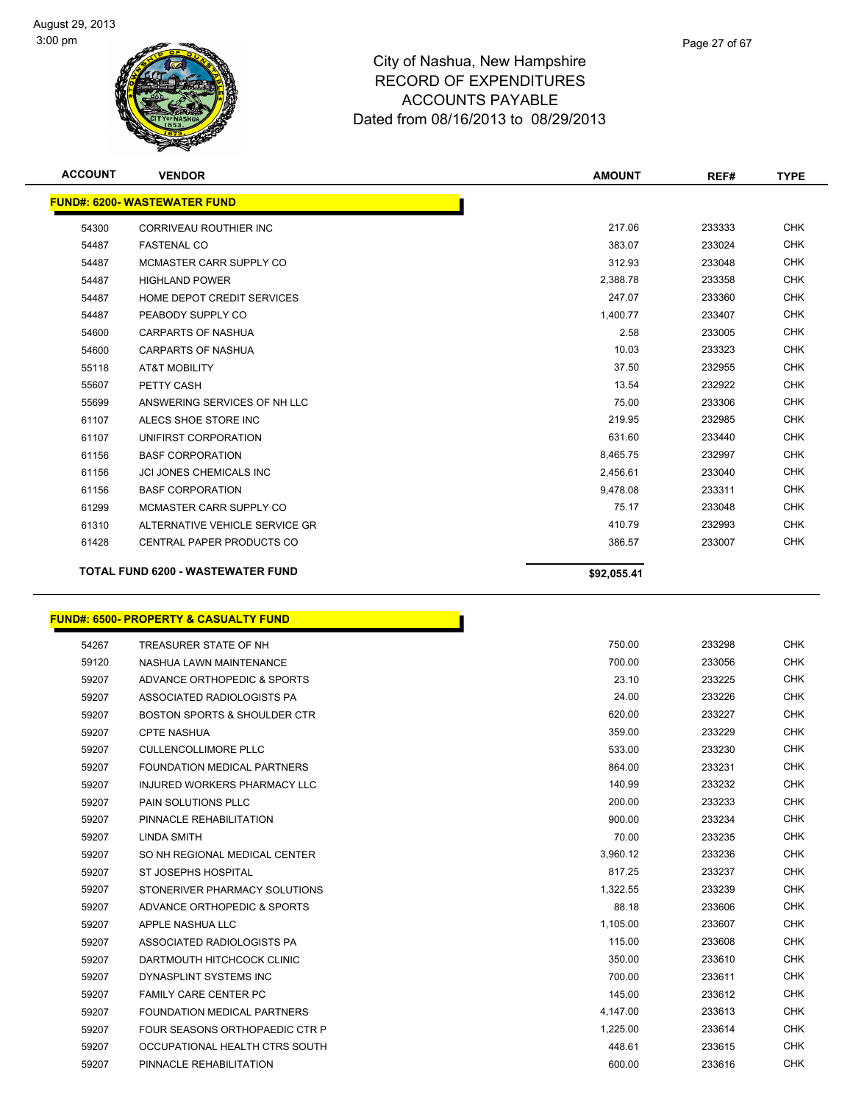

| <b>ACCOUNT</b> | <b>VENDOR</b>                            | <b>AMOUNT</b> | REF#   | <b>TYPE</b> |
|----------------|------------------------------------------|---------------|--------|-------------|
|                | <b>FUND#: 6200- WASTEWATER FUND</b>      |               |        |             |
| 54300          | <b>CORRIVEAU ROUTHIER INC</b>            | 217.06        | 233333 | <b>CHK</b>  |
| 54487          | <b>FASTENAL CO</b>                       | 383.07        | 233024 | <b>CHK</b>  |
| 54487          | MCMASTER CARR SUPPLY CO                  | 312.93        | 233048 | <b>CHK</b>  |
| 54487          | <b>HIGHLAND POWER</b>                    | 2,388.78      | 233358 | <b>CHK</b>  |
| 54487          | HOME DEPOT CREDIT SERVICES               | 247.07        | 233360 | <b>CHK</b>  |
| 54487          | PEABODY SUPPLY CO                        | 1,400.77      | 233407 | <b>CHK</b>  |
| 54600          | <b>CARPARTS OF NASHUA</b>                | 2.58          | 233005 | <b>CHK</b>  |
| 54600          | <b>CARPARTS OF NASHUA</b>                | 10.03         | 233323 | <b>CHK</b>  |
| 55118          | <b>AT&amp;T MOBILITY</b>                 | 37.50         | 232955 | <b>CHK</b>  |
| 55607          | PETTY CASH                               | 13.54         | 232922 | <b>CHK</b>  |
| 55699          | ANSWERING SERVICES OF NH LLC             | 75.00         | 233306 | <b>CHK</b>  |
| 61107          | ALECS SHOE STORE INC                     | 219.95        | 232985 | <b>CHK</b>  |
| 61107          | UNIFIRST CORPORATION                     | 631.60        | 233440 | <b>CHK</b>  |
| 61156          | <b>BASF CORPORATION</b>                  | 8,465.75      | 232997 | <b>CHK</b>  |
| 61156          | <b>JCI JONES CHEMICALS INC</b>           | 2,456.61      | 233040 | <b>CHK</b>  |
| 61156          | <b>BASE CORPORATION</b>                  | 9.478.08      | 233311 | <b>CHK</b>  |
| 61299          | MCMASTER CARR SUPPLY CO                  | 75.17         | 233048 | <b>CHK</b>  |
| 61310          | ALTERNATIVE VEHICLE SERVICE GR           | 410.79        | 232993 | <b>CHK</b>  |
| 61428          | <b>CENTRAL PAPER PRODUCTS CO</b>         | 386.57        | 233007 | <b>CHK</b>  |
|                | <b>TOTAL FUND 6200 - WASTEWATER FUND</b> | \$92,055.41   |        |             |

# **FUND#: 6500- PROPERTY & CASUALTY FUND**

| 54267 | TREASURER STATE OF NH                   | 750.00   | 233298 | <b>CHK</b> |
|-------|-----------------------------------------|----------|--------|------------|
| 59120 | NASHUA LAWN MAINTENANCE                 | 700.00   | 233056 | <b>CHK</b> |
| 59207 | ADVANCE ORTHOPEDIC & SPORTS             | 23.10    | 233225 | <b>CHK</b> |
| 59207 | ASSOCIATED RADIOLOGISTS PA              | 24.00    | 233226 | <b>CHK</b> |
| 59207 | <b>BOSTON SPORTS &amp; SHOULDER CTR</b> | 620.00   | 233227 | <b>CHK</b> |
| 59207 | <b>CPTE NASHUA</b>                      | 359.00   | 233229 | <b>CHK</b> |
| 59207 | <b>CULLENCOLLIMORE PLLC</b>             | 533.00   | 233230 | <b>CHK</b> |
| 59207 | <b>FOUNDATION MEDICAL PARTNERS</b>      | 864.00   | 233231 | <b>CHK</b> |
| 59207 | INJURED WORKERS PHARMACY LLC            | 140.99   | 233232 | <b>CHK</b> |
| 59207 | <b>PAIN SOLUTIONS PLLC</b>              | 200.00   | 233233 | <b>CHK</b> |
| 59207 | PINNACLE REHABILITATION                 | 900.00   | 233234 | <b>CHK</b> |
| 59207 | <b>LINDA SMITH</b>                      | 70.00    | 233235 | <b>CHK</b> |
| 59207 | SO NH REGIONAL MEDICAL CENTER           | 3,960.12 | 233236 | <b>CHK</b> |
| 59207 | ST JOSEPHS HOSPITAL                     | 817.25   | 233237 | <b>CHK</b> |
| 59207 | STONERIVER PHARMACY SOLUTIONS           | 1,322.55 | 233239 | <b>CHK</b> |
| 59207 | ADVANCE ORTHOPEDIC & SPORTS             | 88.18    | 233606 | <b>CHK</b> |
| 59207 | APPLE NASHUA LLC                        | 1,105.00 | 233607 | <b>CHK</b> |
| 59207 | ASSOCIATED RADIOLOGISTS PA              | 115.00   | 233608 | <b>CHK</b> |
| 59207 | DARTMOUTH HITCHCOCK CLINIC              | 350.00   | 233610 | <b>CHK</b> |
| 59207 | DYNASPLINT SYSTEMS INC                  | 700.00   | 233611 | <b>CHK</b> |
| 59207 | <b>FAMILY CARE CENTER PC</b>            | 145.00   | 233612 | <b>CHK</b> |
| 59207 | <b>FOUNDATION MEDICAL PARTNERS</b>      | 4,147.00 | 233613 | <b>CHK</b> |
| 59207 | FOUR SEASONS ORTHOPAEDIC CTR P          | 1,225.00 | 233614 | <b>CHK</b> |
| 59207 | OCCUPATIONAL HEALTH CTRS SOUTH          | 448.61   | 233615 | <b>CHK</b> |
| 59207 | PINNACLE REHABILITATION                 | 600.00   | 233616 | <b>CHK</b> |

h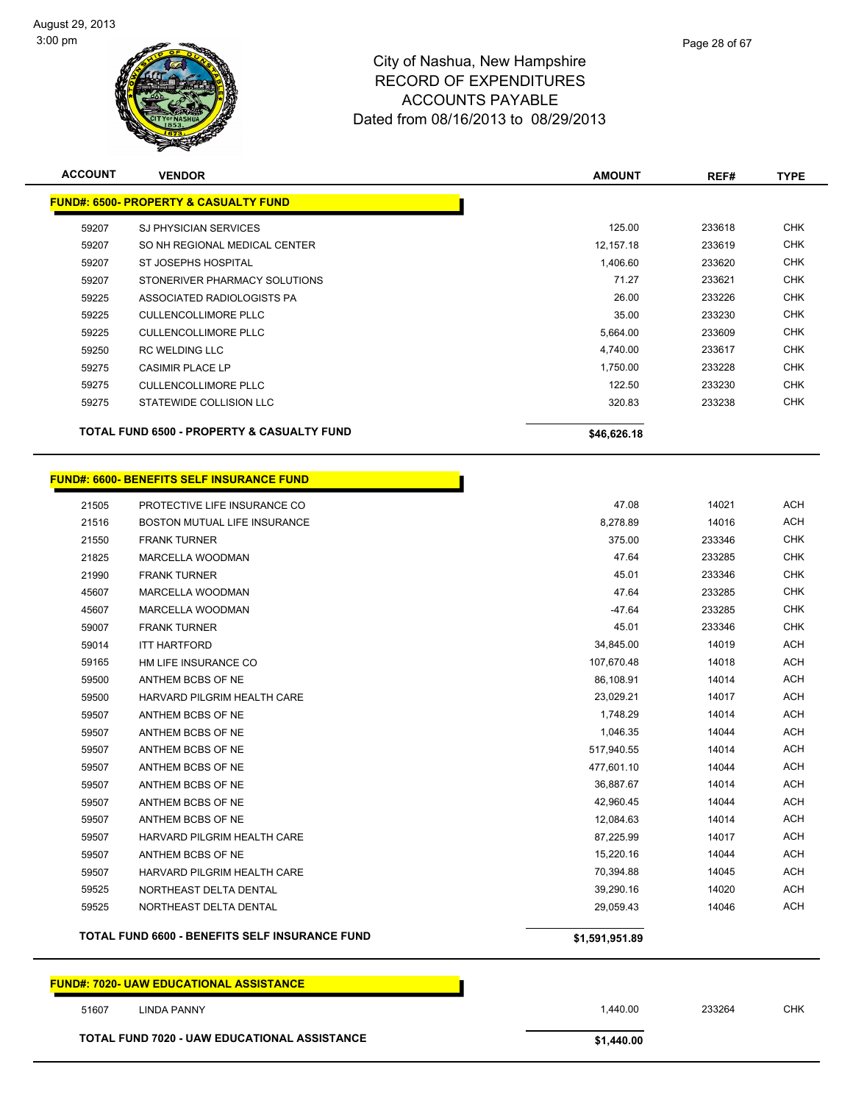

| <b>ACCOUNT</b> | <b>VENDOR</b>                                    | <b>AMOUNT</b>  | REF#   | <b>TYPE</b> |
|----------------|--------------------------------------------------|----------------|--------|-------------|
|                | <b>FUND#: 6500- PROPERTY &amp; CASUALTY FUND</b> |                |        |             |
| 59207          | <b>SJ PHYSICIAN SERVICES</b>                     | 125.00         | 233618 | <b>CHK</b>  |
| 59207          | SO NH REGIONAL MEDICAL CENTER                    | 12,157.18      | 233619 | <b>CHK</b>  |
| 59207          | ST JOSEPHS HOSPITAL                              | 1,406.60       | 233620 | <b>CHK</b>  |
| 59207          | STONERIVER PHARMACY SOLUTIONS                    | 71.27          | 233621 | <b>CHK</b>  |
| 59225          | ASSOCIATED RADIOLOGISTS PA                       | 26.00          | 233226 | <b>CHK</b>  |
| 59225          | <b>CULLENCOLLIMORE PLLC</b>                      | 35.00          | 233230 | <b>CHK</b>  |
| 59225          | <b>CULLENCOLLIMORE PLLC</b>                      | 5,664.00       | 233609 | <b>CHK</b>  |
| 59250          | <b>RC WELDING LLC</b>                            | 4,740.00       | 233617 | <b>CHK</b>  |
| 59275          | <b>CASIMIR PLACE LP</b>                          | 1,750.00       | 233228 | <b>CHK</b>  |
| 59275          | <b>CULLENCOLLIMORE PLLC</b>                      | 122.50         | 233230 | <b>CHK</b>  |
| 59275          | STATEWIDE COLLISION LLC                          | 320.83         | 233238 | <b>CHK</b>  |
|                | TOTAL FUND 6500 - PROPERTY & CASUALTY FUND       | \$46,626.18    |        |             |
|                |                                                  |                |        |             |
|                | <b>FUND#: 6600- BENEFITS SELF INSURANCE FUND</b> |                |        |             |
| 21505          | PROTECTIVE LIFE INSURANCE CO                     | 47.08          | 14021  | <b>ACH</b>  |
| 21516          | BOSTON MUTUAL LIFE INSURANCE                     | 8,278.89       | 14016  | <b>ACH</b>  |
| 21550          | <b>FRANK TURNER</b>                              | 375.00         | 233346 | <b>CHK</b>  |
| 21825          | <b>MARCELLA WOODMAN</b>                          | 47.64          | 233285 | <b>CHK</b>  |
| 21990          | <b>FRANK TURNER</b>                              | 45.01          | 233346 | <b>CHK</b>  |
| 45607          | MARCELLA WOODMAN                                 | 47.64          | 233285 | <b>CHK</b>  |
| 45607          | <b>MARCELLA WOODMAN</b>                          | $-47.64$       | 233285 | <b>CHK</b>  |
| 59007          | <b>FRANK TURNER</b>                              | 45.01          | 233346 | <b>CHK</b>  |
| 59014          | <b>ITT HARTFORD</b>                              | 34,845.00      | 14019  | ACH         |
| 59165          | HM LIFE INSURANCE CO                             | 107,670.48     | 14018  | ACH         |
| 59500          | ANTHEM BCBS OF NE                                | 86,108.91      | 14014  | ACH         |
| 59500          | HARVARD PILGRIM HEALTH CARE                      | 23,029.21      | 14017  | ACH         |
| 59507          | ANTHEM BCBS OF NE                                | 1,748.29       | 14014  | ACH         |
| 59507          | ANTHEM BCBS OF NE                                | 1,046.35       | 14044  | ACH         |
| 59507          | ANTHEM BCBS OF NE                                | 517,940.55     | 14014  | ACH         |
| 59507          | ANTHEM BCBS OF NE                                | 477,601.10     | 14044  | ACH         |
| 59507          | ANTHEM BCBS OF NE                                | 36,887.67      | 14014  | <b>ACH</b>  |
| 59507          | ANTHEM BCBS OF NE                                | 42,960.45      | 14044  | ACH         |
| 59507          | ANTHEM BCBS OF NE                                | 12,084.63      | 14014  | <b>ACH</b>  |
| 59507          | HARVARD PILGRIM HEALTH CARE                      | 87,225.99      | 14017  | ACH         |
| 59507          | ANTHEM BCBS OF NE                                | 15,220.16      | 14044  | ACH         |
| 59507          | HARVARD PILGRIM HEALTH CARE                      | 70,394.88      | 14045  | ACH         |
| 59525          | NORTHEAST DELTA DENTAL                           | 39,290.16      | 14020  | ACH         |
| 59525          | NORTHEAST DELTA DENTAL                           | 29,059.43      | 14046  | <b>ACH</b>  |
|                | TOTAL FUND 6600 - BENEFITS SELF INSURANCE FUND   | \$1,591,951.89 |        |             |
|                |                                                  |                |        |             |

**FUND#: 7020- UAW EDUCATIONAL ASSISTANCE**

 LINDA PANNY 1,440.00 233264 CHK **TOTAL FUND 7020 - UAW EDUCATIONAL ASSISTANCE \$1,440.00**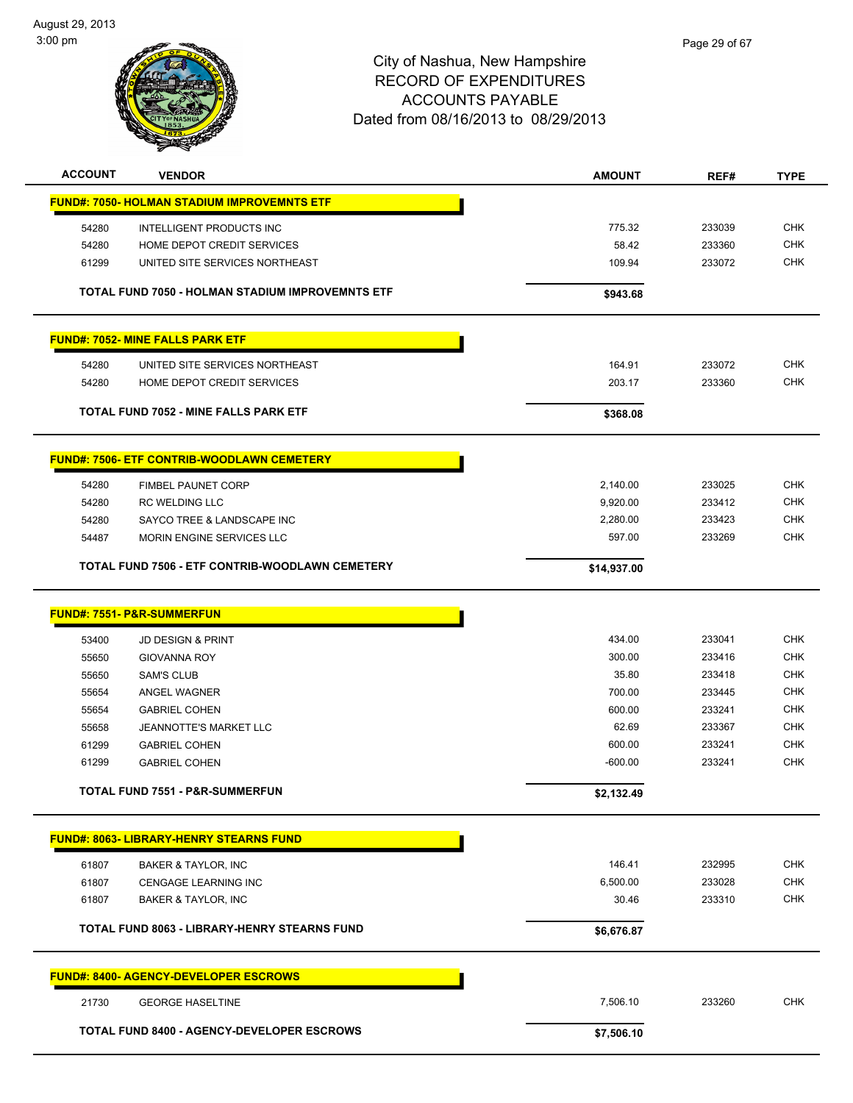

| <b>ACCOUNT</b> | <b>VENDOR</b>                                      | <b>AMOUNT</b> | REF#   | <b>TYPE</b> |
|----------------|----------------------------------------------------|---------------|--------|-------------|
|                | <u>FUND#: 7050- HOLMAN STADIUM IMPROVEMNTS ETF</u> |               |        |             |
| 54280          | INTELLIGENT PRODUCTS INC                           | 775.32        | 233039 | <b>CHK</b>  |
| 54280          | HOME DEPOT CREDIT SERVICES                         | 58.42         | 233360 | <b>CHK</b>  |
| 61299          | UNITED SITE SERVICES NORTHEAST                     | 109.94        | 233072 | <b>CHK</b>  |
|                |                                                    |               |        |             |
|                | TOTAL FUND 7050 - HOLMAN STADIUM IMPROVEMNTS ETF   | \$943.68      |        |             |
|                | <b>FUND#: 7052- MINE FALLS PARK ETF</b>            |               |        |             |
| 54280          | UNITED SITE SERVICES NORTHEAST                     | 164.91        | 233072 | <b>CHK</b>  |
| 54280          | HOME DEPOT CREDIT SERVICES                         | 203.17        | 233360 | <b>CHK</b>  |
|                |                                                    |               |        |             |
|                | <b>TOTAL FUND 7052 - MINE FALLS PARK ETF</b>       | \$368.08      |        |             |
|                | <b>FUND#: 7506- ETF CONTRIB-WOODLAWN CEMETERY</b>  |               |        |             |
| 54280          | <b>FIMBEL PAUNET CORP</b>                          | 2,140.00      | 233025 | <b>CHK</b>  |
| 54280          | <b>RC WELDING LLC</b>                              | 9,920.00      | 233412 | <b>CHK</b>  |
| 54280          | SAYCO TREE & LANDSCAPE INC                         | 2,280.00      | 233423 | <b>CHK</b>  |
| 54487          | MORIN ENGINE SERVICES LLC                          | 597.00        | 233269 | <b>CHK</b>  |
|                |                                                    |               |        |             |
|                | TOTAL FUND 7506 - ETF CONTRIB-WOODLAWN CEMETERY    | \$14,937.00   |        |             |
|                | <b>FUND#: 7551- P&amp;R-SUMMERFUN</b>              |               |        |             |
|                |                                                    |               |        |             |
| 53400          | <b>JD DESIGN &amp; PRINT</b>                       | 434.00        | 233041 | <b>CHK</b>  |
| 55650          | <b>GIOVANNA ROY</b>                                | 300.00        | 233416 | <b>CHK</b>  |
| 55650          | <b>SAM'S CLUB</b>                                  | 35.80         | 233418 | <b>CHK</b>  |
| 55654          | ANGEL WAGNER                                       | 700.00        | 233445 | <b>CHK</b>  |
| 55654          | <b>GABRIEL COHEN</b>                               | 600.00        | 233241 | <b>CHK</b>  |
| 55658          | JEANNOTTE'S MARKET LLC                             | 62.69         | 233367 | <b>CHK</b>  |
| 61299          | <b>GABRIEL COHEN</b>                               | 600.00        | 233241 | <b>CHK</b>  |
| 61299          | <b>GABRIEL COHEN</b>                               | $-600.00$     | 233241 | <b>CHK</b>  |
|                | TOTAL FUND 7551 - P&R-SUMMERFUN                    | \$2,132.49    |        |             |
|                | <b>FUND#: 8063- LIBRARY-HENRY STEARNS FUND</b>     |               |        |             |
|                |                                                    |               |        |             |
| 61807          | BAKER & TAYLOR, INC                                | 146.41        | 232995 | <b>CHK</b>  |
| 61807          | CENGAGE LEARNING INC                               | 6,500.00      | 233028 | CHK         |
| 61807          | <b>BAKER &amp; TAYLOR, INC</b>                     | 30.46         | 233310 | <b>CHK</b>  |
|                | TOTAL FUND 8063 - LIBRARY-HENRY STEARNS FUND       | \$6,676.87    |        |             |
|                | <b>FUND#: 8400- AGENCY-DEVELOPER ESCROWS</b>       |               |        |             |
| 21730          | <b>GEORGE HASELTINE</b>                            | 7,506.10      | 233260 | <b>CHK</b>  |
|                | TOTAL FUND 8400 - AGENCY-DEVELOPER ESCROWS         | \$7,506.10    |        |             |
|                |                                                    |               |        |             |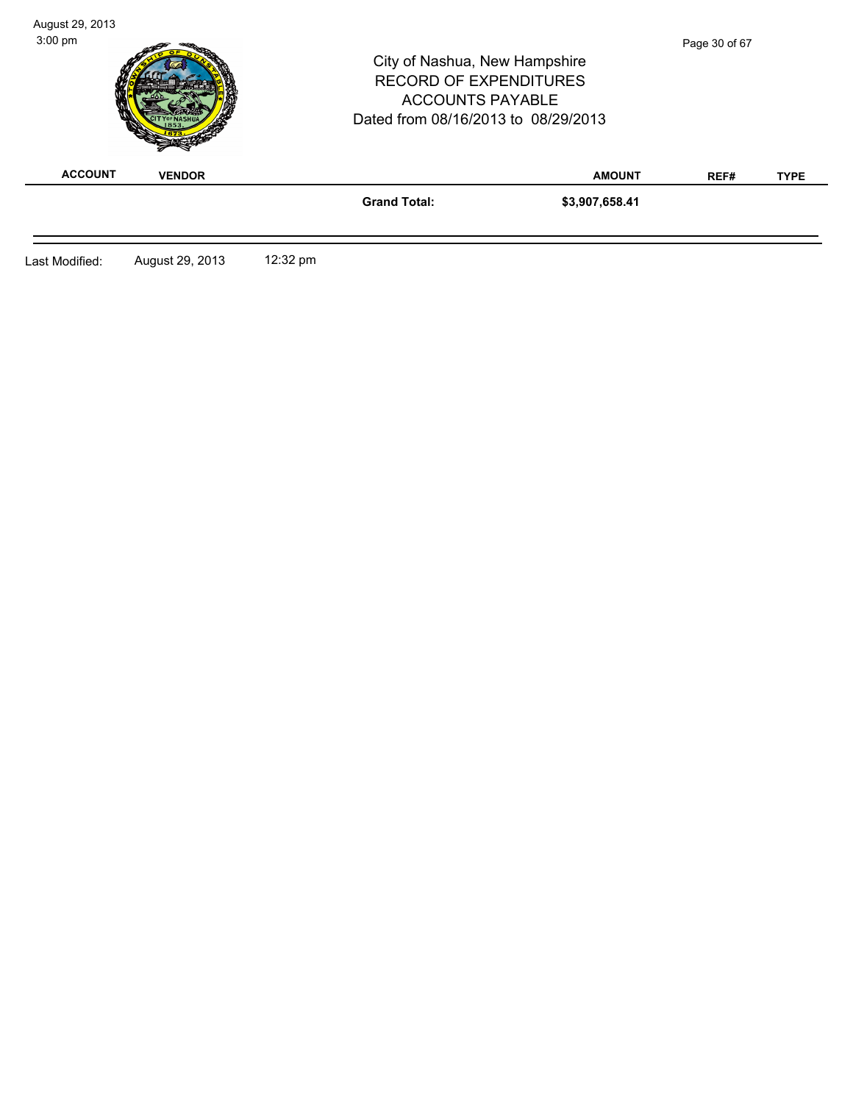| $3:00 \text{ pm}$ |                 |          | City of Nashua, New Hampshire<br><b>RECORD OF EXPENDITURES</b><br><b>ACCOUNTS PAYABLE</b><br>Dated from 08/16/2013 to 08/29/2013 |                | Page 30 of 67 |             |
|-------------------|-----------------|----------|----------------------------------------------------------------------------------------------------------------------------------|----------------|---------------|-------------|
| <b>ACCOUNT</b>    | <b>VENDOR</b>   |          |                                                                                                                                  | <b>AMOUNT</b>  | REF#          | <b>TYPE</b> |
|                   |                 |          | <b>Grand Total:</b>                                                                                                              | \$3,907,658.41 |               |             |
| Last Modified:    | August 29, 2013 | 12:32 pm |                                                                                                                                  |                |               |             |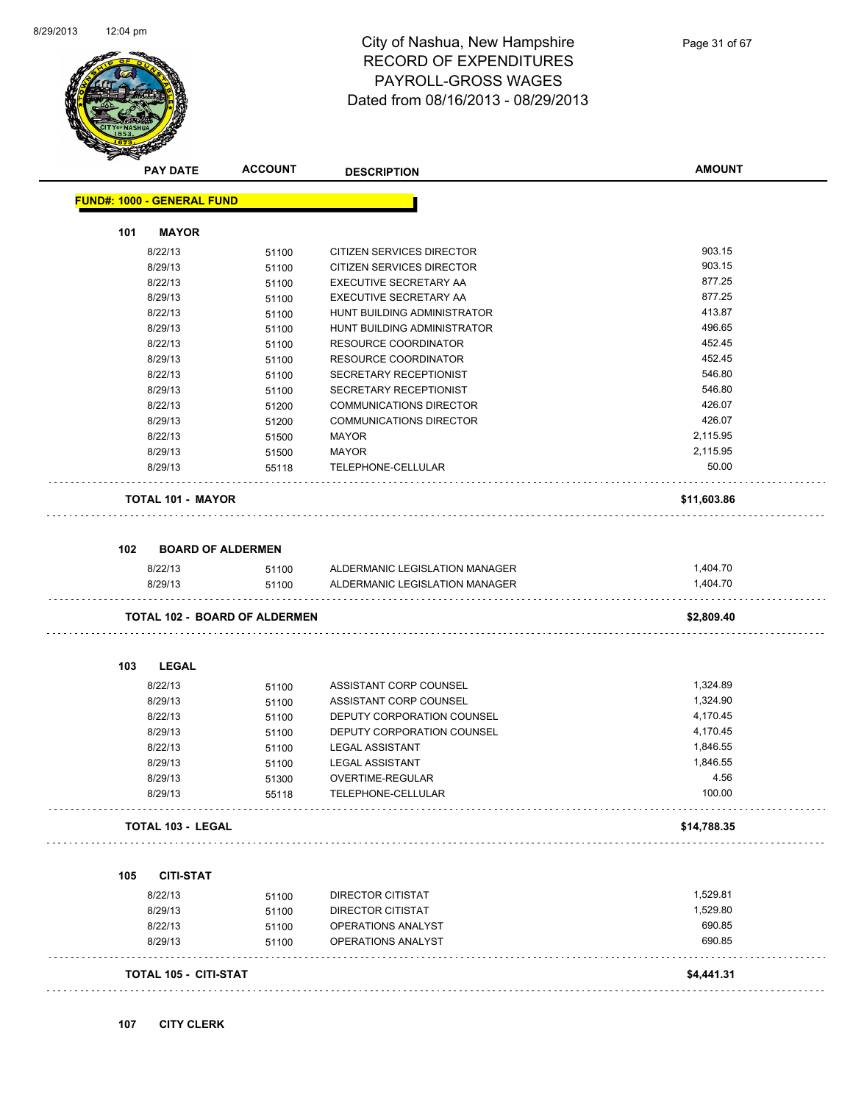

|     | <b>PAY DATE</b>                   | <b>ACCOUNT</b>                       | <b>DESCRIPTION</b>             | <b>AMOUNT</b> |
|-----|-----------------------------------|--------------------------------------|--------------------------------|---------------|
|     | <b>FUND#: 1000 - GENERAL FUND</b> |                                      |                                |               |
| 101 | <b>MAYOR</b>                      |                                      |                                |               |
|     | 8/22/13                           | 51100                                | CITIZEN SERVICES DIRECTOR      | 903.15        |
|     | 8/29/13                           | 51100                                | CITIZEN SERVICES DIRECTOR      | 903.15        |
|     | 8/22/13                           | 51100                                | EXECUTIVE SECRETARY AA         | 877.25        |
|     | 8/29/13                           | 51100                                | EXECUTIVE SECRETARY AA         | 877.25        |
|     | 8/22/13                           | 51100                                | HUNT BUILDING ADMINISTRATOR    | 413.87        |
|     | 8/29/13                           | 51100                                | HUNT BUILDING ADMINISTRATOR    | 496.65        |
|     | 8/22/13                           | 51100                                | <b>RESOURCE COORDINATOR</b>    | 452.45        |
|     | 8/29/13                           | 51100                                | <b>RESOURCE COORDINATOR</b>    | 452.45        |
|     | 8/22/13                           | 51100                                | SECRETARY RECEPTIONIST         | 546.80        |
|     | 8/29/13                           | 51100                                | SECRETARY RECEPTIONIST         | 546.80        |
|     | 8/22/13                           | 51200                                | <b>COMMUNICATIONS DIRECTOR</b> | 426.07        |
|     | 8/29/13                           | 51200                                | <b>COMMUNICATIONS DIRECTOR</b> | 426.07        |
|     | 8/22/13                           | 51500                                | <b>MAYOR</b>                   | 2,115.95      |
|     | 8/29/13                           | 51500                                | <b>MAYOR</b>                   | 2,115.95      |
|     | 8/29/13                           | 55118                                | TELEPHONE-CELLULAR             | 50.00         |
|     | <b>TOTAL 101 - MAYOR</b>          |                                      |                                | \$11,603.86   |
|     |                                   |                                      |                                |               |
| 102 |                                   | <b>BOARD OF ALDERMEN</b>             |                                |               |
|     | 8/22/13                           | 51100                                | ALDERMANIC LEGISLATION MANAGER | 1,404.70      |
|     | 8/29/13                           | 51100                                | ALDERMANIC LEGISLATION MANAGER | 1,404.70      |
|     |                                   | <b>TOTAL 102 - BOARD OF ALDERMEN</b> |                                | \$2,809.40    |
| 103 | <b>LEGAL</b>                      |                                      |                                |               |
|     |                                   |                                      |                                |               |
|     | 8/22/13                           | 51100                                | ASSISTANT CORP COUNSEL         | 1,324.89      |
|     | 8/29/13                           | 51100                                | ASSISTANT CORP COUNSEL         | 1,324.90      |
|     | 8/22/13                           | 51100                                | DEPUTY CORPORATION COUNSEL     | 4,170.45      |
|     | 8/29/13                           | 51100                                | DEPUTY CORPORATION COUNSEL     | 4,170.45      |
|     | 8/22/13                           | 51100                                | <b>LEGAL ASSISTANT</b>         | 1,846.55      |
|     | 8/29/13                           | 51100                                | <b>LEGAL ASSISTANT</b>         | 1,846.55      |
|     | 8/29/13                           | 51300                                | OVERTIME-REGULAR               | 4.56          |
|     | 8/29/13                           | 55118                                | TELEPHONE-CELLULAR             | 100.00        |
|     | <b>TOTAL 103 - LEGAL</b>          |                                      |                                | \$14,788.35   |
|     |                                   |                                      |                                |               |
| 105 | <b>CITI-STAT</b><br>8/22/13       | 51100                                | <b>DIRECTOR CITISTAT</b>       | 1,529.81      |
|     | 8/29/13                           | 51100                                | <b>DIRECTOR CITISTAT</b>       | 1,529.80      |
|     | 8/22/13                           | 51100                                | OPERATIONS ANALYST             | 690.85        |
|     | 8/29/13                           | 51100                                | OPERATIONS ANALYST             | 690.85        |
|     |                                   |                                      |                                |               |
|     | <b>TOTAL 105 - CITI-STAT</b>      |                                      |                                | \$4,441.31    |
|     |                                   |                                      |                                |               |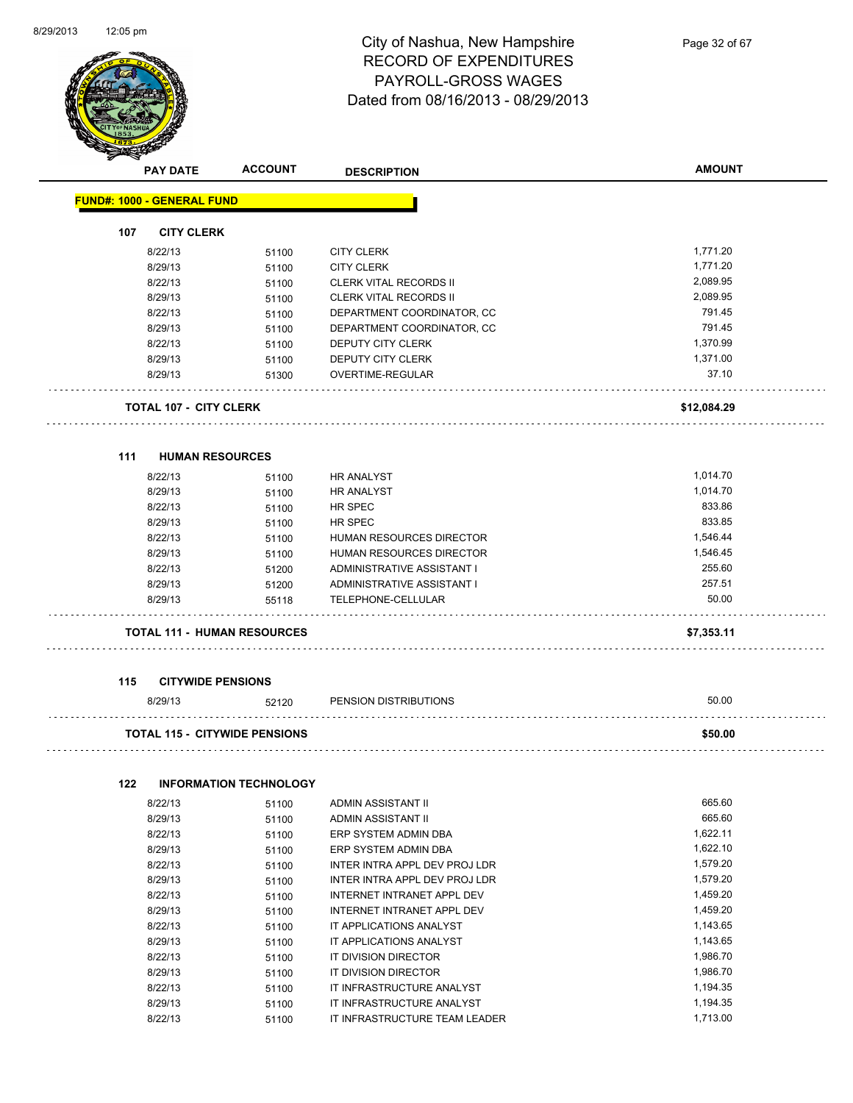

|     | <b>PAY DATE</b>                      | <b>ACCOUNT</b>                | <b>DESCRIPTION</b>            | <b>AMOUNT</b> |
|-----|--------------------------------------|-------------------------------|-------------------------------|---------------|
|     | <b>FUND#: 1000 - GENERAL FUND</b>    |                               |                               |               |
| 107 | <b>CITY CLERK</b>                    |                               |                               |               |
|     | 8/22/13                              | 51100                         | <b>CITY CLERK</b>             | 1,771.20      |
|     | 8/29/13                              | 51100                         | <b>CITY CLERK</b>             | 1,771.20      |
|     | 8/22/13                              | 51100                         | <b>CLERK VITAL RECORDS II</b> | 2,089.95      |
|     | 8/29/13                              | 51100                         | <b>CLERK VITAL RECORDS II</b> | 2,089.95      |
|     | 8/22/13                              | 51100                         | DEPARTMENT COORDINATOR, CC    | 791.45        |
|     | 8/29/13                              | 51100                         | DEPARTMENT COORDINATOR, CC    | 791.45        |
|     | 8/22/13                              | 51100                         | DEPUTY CITY CLERK             | 1,370.99      |
|     | 8/29/13                              | 51100                         | DEPUTY CITY CLERK             | 1,371.00      |
|     | 8/29/13                              | 51300                         | OVERTIME-REGULAR              | 37.10         |
|     | <b>TOTAL 107 - CITY CLERK</b>        |                               |                               | \$12,084.29   |
| 111 | <b>HUMAN RESOURCES</b>               |                               |                               |               |
|     | 8/22/13                              | 51100                         | <b>HR ANALYST</b>             | 1,014.70      |
|     | 8/29/13                              | 51100                         | <b>HR ANALYST</b>             | 1,014.70      |
|     | 8/22/13                              | 51100                         | HR SPEC                       | 833.86        |
|     | 8/29/13                              | 51100                         | <b>HR SPEC</b>                | 833.85        |
|     | 8/22/13                              | 51100                         | HUMAN RESOURCES DIRECTOR      | 1,546.44      |
|     | 8/29/13                              | 51100                         | HUMAN RESOURCES DIRECTOR      | 1,546.45      |
|     | 8/22/13                              | 51200                         | ADMINISTRATIVE ASSISTANT I    | 255.60        |
|     | 8/29/13                              | 51200                         | ADMINISTRATIVE ASSISTANT I    | 257.51        |
|     | 8/29/13                              | 55118                         | TELEPHONE-CELLULAR            | 50.00         |
|     | <b>TOTAL 111 - HUMAN RESOURCES</b>   |                               |                               | \$7,353.11    |
| 115 | <b>CITYWIDE PENSIONS</b>             |                               |                               |               |
|     | 8/29/13                              | 52120                         | PENSION DISTRIBUTIONS         | 50.00         |
|     | <b>TOTAL 115 - CITYWIDE PENSIONS</b> |                               |                               | \$50.00       |
| 122 |                                      | <b>INFORMATION TECHNOLOGY</b> |                               |               |
|     | 8/22/13                              | 51100                         | ADMIN ASSISTANT II            | 665.60        |
|     | 8/29/13                              | 51100                         | ADMIN ASSISTANT II            | 665.60        |
|     | 8/22/13                              | 51100                         | ERP SYSTEM ADMIN DBA          | 1,622.11      |
|     | 8/29/13                              | 51100                         | ERP SYSTEM ADMIN DBA          | 1,622.10      |
|     | 8/22/13                              | 51100                         | INTER INTRA APPL DEV PROJ LDR | 1,579.20      |
|     | 8/29/13                              | 51100                         | INTER INTRA APPL DEV PROJ LDR | 1,579.20      |
|     | 8/22/13                              | 51100                         | INTERNET INTRANET APPL DEV    | 1,459.20      |
|     | 8/29/13                              | 51100                         | INTERNET INTRANET APPL DEV    | 1,459.20      |
|     | 8/22/13                              | 51100                         | IT APPLICATIONS ANALYST       | 1,143.65      |
|     | 8/29/13                              | 51100                         | IT APPLICATIONS ANALYST       | 1,143.65      |
|     | 8/22/13                              | 51100                         | IT DIVISION DIRECTOR          | 1,986.70      |
|     | 8/29/13                              | 51100                         | IT DIVISION DIRECTOR          | 1,986.70      |

8/22/13 51100 IT INFRASTRUCTURE ANALYST 1,194.35 8/29/13 51100 IT INFRASTRUCTURE ANALYST 1,194.35 8/22/13 51100 IT INFRASTRUCTURE TEAM LEADER 1,713.00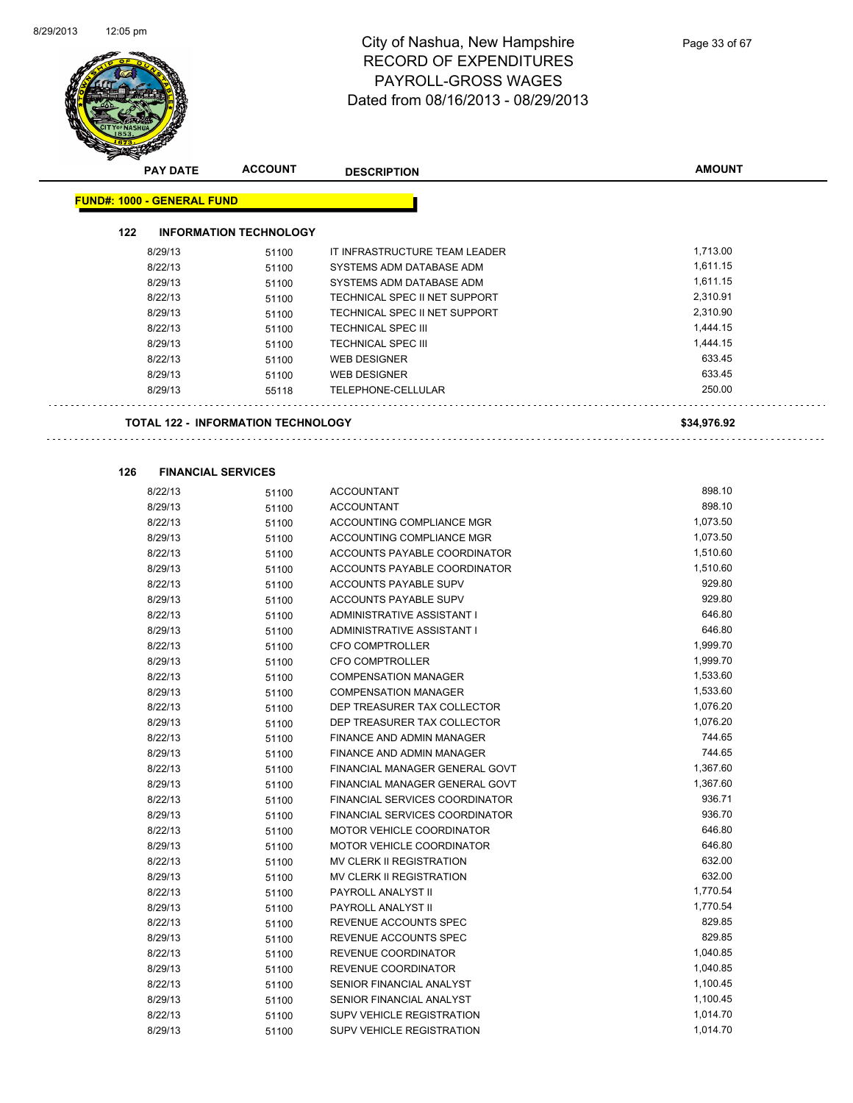

|     | <b>PAY DATE</b>                   | <b>ACCOUNT</b>                     | <b>DESCRIPTION</b>                        | <b>AMOUNT</b>    |
|-----|-----------------------------------|------------------------------------|-------------------------------------------|------------------|
|     | <b>FUND#: 1000 - GENERAL FUND</b> |                                    |                                           |                  |
|     |                                   |                                    |                                           |                  |
| 122 |                                   | <b>INFORMATION TECHNOLOGY</b>      |                                           |                  |
|     | 8/29/13                           | 51100                              | IT INFRASTRUCTURE TEAM LEADER             | 1,713.00         |
|     | 8/22/13                           | 51100                              | SYSTEMS ADM DATABASE ADM                  | 1,611.15         |
|     | 8/29/13                           | 51100                              | SYSTEMS ADM DATABASE ADM                  | 1,611.15         |
|     | 8/22/13                           | 51100                              | TECHNICAL SPEC II NET SUPPORT             | 2,310.91         |
|     | 8/29/13                           | 51100                              | TECHNICAL SPEC II NET SUPPORT             | 2,310.90         |
|     | 8/22/13                           | 51100                              | <b>TECHNICAL SPEC III</b>                 | 1,444.15         |
|     | 8/29/13                           | 51100                              | <b>TECHNICAL SPEC III</b>                 | 1,444.15         |
|     | 8/22/13                           | 51100                              | <b>WEB DESIGNER</b>                       | 633.45           |
|     | 8/29/13<br>8/29/13                | 51100<br>55118                     | <b>WEB DESIGNER</b><br>TELEPHONE-CELLULAR | 633.45<br>250.00 |
|     |                                   |                                    |                                           |                  |
|     |                                   | TOTAL 122 - INFORMATION TECHNOLOGY |                                           | \$34,976.92      |
|     |                                   |                                    |                                           |                  |
| 126 |                                   | <b>FINANCIAL SERVICES</b>          |                                           |                  |
|     | 8/22/13                           | 51100                              | ACCOUNTANT                                | 898.10           |
|     | 8/29/13                           | 51100                              | <b>ACCOUNTANT</b>                         | 898.10           |
|     | 8/22/13                           | 51100                              | ACCOUNTING COMPLIANCE MGR                 | 1,073.50         |
|     | 8/29/13                           | 51100                              | ACCOUNTING COMPLIANCE MGR                 | 1,073.50         |
|     | 8/22/13                           | 51100                              | ACCOUNTS PAYABLE COORDINATOR              | 1,510.60         |
|     | 8/29/13                           | 51100                              | ACCOUNTS PAYABLE COORDINATOR              | 1,510.60         |
|     | 8/22/13                           | 51100                              | ACCOUNTS PAYABLE SUPV                     | 929.80           |
|     | 8/29/13                           | 51100                              | ACCOUNTS PAYABLE SUPV                     | 929.80           |
|     | 8/22/13                           | 51100                              | ADMINISTRATIVE ASSISTANT I                | 646.80           |
|     | 8/29/13                           | 51100                              | ADMINISTRATIVE ASSISTANT I                | 646.80           |
|     | 8/22/13                           | 51100                              | <b>CFO COMPTROLLER</b>                    | 1,999.70         |
|     | 8/29/13                           | 51100                              | <b>CFO COMPTROLLER</b>                    | 1,999.70         |
|     | 8/22/13                           | 51100                              | <b>COMPENSATION MANAGER</b>               | 1,533.60         |
|     | 8/29/13                           | 51100                              | <b>COMPENSATION MANAGER</b>               | 1,533.60         |
|     | 8/22/13                           | 51100                              | DEP TREASURER TAX COLLECTOR               | 1,076.20         |
|     | 8/29/13                           | 51100                              | DEP TREASURER TAX COLLECTOR               | 1,076.20         |
|     | 8/22/13                           | 51100                              | <b>FINANCE AND ADMIN MANAGER</b>          | 744.65           |
|     | 8/29/13                           | 51100                              | FINANCE AND ADMIN MANAGER                 | 744.65           |
|     | 8/22/13                           | 51100                              | FINANCIAL MANAGER GENERAL GOVT            | 1,367.60         |
|     | 8/29/13                           | 51100                              | FINANCIAL MANAGER GENERAL GOVT            | 1,367.60         |
|     | 8/22/13                           | 51100                              | FINANCIAL SERVICES COORDINATOR            | 936.71           |
|     | 8/29/13                           | 51100                              | FINANCIAL SERVICES COORDINATOR            | 936.70           |
|     | 8/22/13                           | 51100                              | MOTOR VEHICLE COORDINATOR                 | 646.80           |
|     | 8/29/13                           | 51100                              | MOTOR VEHICLE COORDINATOR                 | 646.80           |
|     | 8/22/13                           | 51100                              | MV CLERK II REGISTRATION                  | 632.00           |
|     | 8/29/13                           | 51100                              | MV CLERK II REGISTRATION                  | 632.00           |
|     | 8/22/13                           | 51100                              | PAYROLL ANALYST II                        | 1,770.54         |
|     | 8/29/13                           | 51100                              | PAYROLL ANALYST II                        | 1,770.54         |
|     | 8/22/13                           | 51100                              | REVENUE ACCOUNTS SPEC                     | 829.85           |
|     | 8/29/13                           | 51100                              | REVENUE ACCOUNTS SPEC                     | 829.85           |
|     | 8/22/13                           | 51100                              | REVENUE COORDINATOR                       | 1,040.85         |
|     | 8/29/13                           | 51100                              | REVENUE COORDINATOR                       | 1,040.85         |
|     | 8/22/13                           | 51100                              | SENIOR FINANCIAL ANALYST                  | 1,100.45         |
|     | 8/29/13                           | 51100                              | SENIOR FINANCIAL ANALYST                  | 1,100.45         |
|     | 8/22/13                           | 51100                              | SUPV VEHICLE REGISTRATION                 | 1,014.70         |
|     | 8/29/13                           | 51100                              | SUPV VEHICLE REGISTRATION                 | 1,014.70         |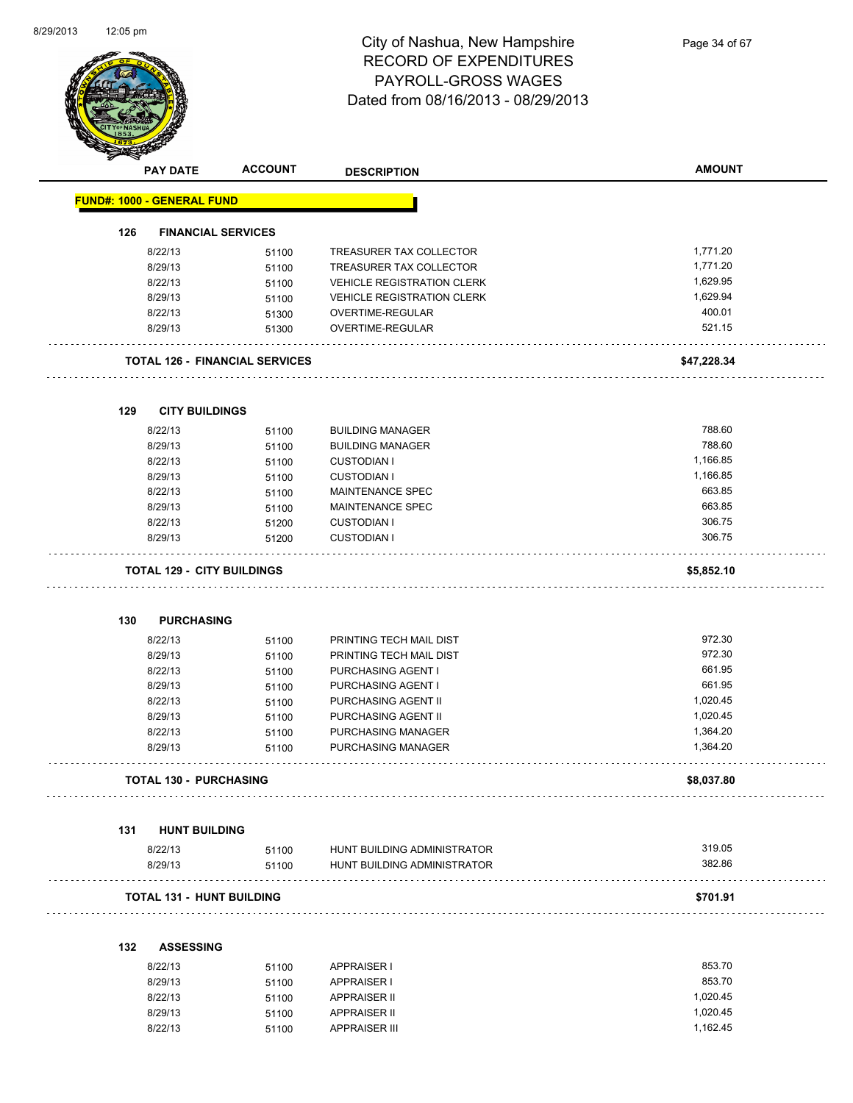$\overline{\phantom{0}}$ 



| <b>PAY DATE</b>                   | <b>ACCOUNT</b>                        | <b>DESCRIPTION</b>                | <b>AMOUNT</b> |
|-----------------------------------|---------------------------------------|-----------------------------------|---------------|
| <b>FUND#: 1000 - GENERAL FUND</b> |                                       |                                   |               |
| 126                               | <b>FINANCIAL SERVICES</b>             |                                   |               |
| 8/22/13                           | 51100                                 | TREASURER TAX COLLECTOR           | 1,771.20      |
| 8/29/13                           | 51100                                 | TREASURER TAX COLLECTOR           | 1,771.20      |
| 8/22/13                           | 51100                                 | <b>VEHICLE REGISTRATION CLERK</b> | 1,629.95      |
| 8/29/13                           | 51100                                 | <b>VEHICLE REGISTRATION CLERK</b> | 1,629.94      |
| 8/22/13                           | 51300                                 | OVERTIME-REGULAR                  | 400.01        |
| 8/29/13                           | 51300                                 | OVERTIME-REGULAR                  | 521.15        |
|                                   | <b>TOTAL 126 - FINANCIAL SERVICES</b> |                                   | \$47,228.34   |
| 129                               | <b>CITY BUILDINGS</b>                 |                                   |               |
| 8/22/13                           | 51100                                 | <b>BUILDING MANAGER</b>           | 788.60        |
| 8/29/13                           | 51100                                 | <b>BUILDING MANAGER</b>           | 788.60        |
| 8/22/13                           | 51100                                 | <b>CUSTODIAN I</b>                | 1,166.85      |
| 8/29/13                           | 51100                                 | <b>CUSTODIAN I</b>                | 1,166.85      |
| 8/22/13                           | 51100                                 | MAINTENANCE SPEC                  | 663.85        |
| 8/29/13                           | 51100                                 | MAINTENANCE SPEC                  | 663.85        |
| 8/22/13                           | 51200                                 | <b>CUSTODIAN I</b>                | 306.75        |
| 8/29/13                           | 51200                                 | <b>CUSTODIAN I</b>                | 306.75        |
|                                   | <b>TOTAL 129 - CITY BUILDINGS</b>     |                                   | \$5,852.10    |
| 130                               | <b>PURCHASING</b>                     |                                   |               |
| 8/22/13                           | 51100                                 | PRINTING TECH MAIL DIST           | 972.30        |
| 8/29/13                           | 51100                                 | PRINTING TECH MAIL DIST           | 972.30        |
| 8/22/13                           | 51100                                 | PURCHASING AGENT I                | 661.95        |
| 8/29/13                           | 51100                                 | PURCHASING AGENT I                | 661.95        |
| 8/22/13                           | 51100                                 | PURCHASING AGENT II               | 1,020.45      |
| 8/29/13                           | 51100                                 | PURCHASING AGENT II               | 1,020.45      |
| 8/22/13                           | 51100                                 | PURCHASING MANAGER                | 1,364.20      |
| 8/29/13                           | 51100                                 | <b>PURCHASING MANAGER</b>         | 1,364.20      |
|                                   | <b>TOTAL 130 - PURCHASING</b>         |                                   | \$8,037.80    |
| 131                               | <b>HUNT BUILDING</b>                  |                                   |               |
| 8/22/13                           | 51100                                 | HUNT BUILDING ADMINISTRATOR       | 319.05        |
| 8/29/13                           | 51100                                 | HUNT BUILDING ADMINISTRATOR       | 382.86        |
|                                   | TOTAL 131 - HUNT BUILDING             |                                   | \$701.91      |
|                                   |                                       |                                   |               |

| 8/22/13 | 51100 | <b>APPRAISER I</b>   | 853.70   |
|---------|-------|----------------------|----------|
| 8/29/13 | 51100 | APPRAISER I          | 853.70   |
| 8/22/13 | 51100 | <b>APPRAISER II</b>  | 1.020.45 |
| 8/29/13 | 51100 | <b>APPRAISER II</b>  | 1.020.45 |
| 8/22/13 | 51100 | <b>APPRAISER III</b> | 1.162.45 |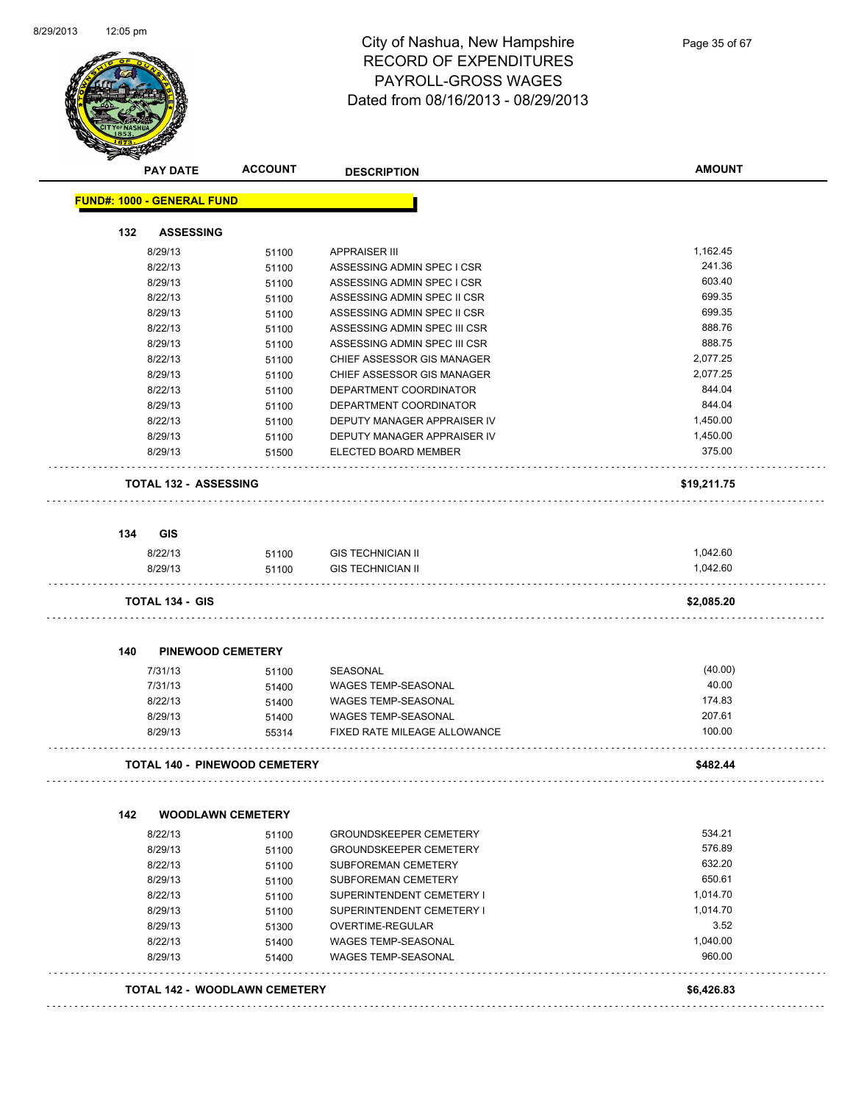

|     | <b>PAY DATE</b>                   | <b>ACCOUNT</b>                       | <b>DESCRIPTION</b>            | <b>AMOUNT</b> |
|-----|-----------------------------------|--------------------------------------|-------------------------------|---------------|
|     | <b>FUND#: 1000 - GENERAL FUND</b> |                                      |                               |               |
| 132 | <b>ASSESSING</b>                  |                                      |                               |               |
|     | 8/29/13                           | 51100                                | <b>APPRAISER III</b>          | 1,162.45      |
|     | 8/22/13                           | 51100                                | ASSESSING ADMIN SPEC I CSR    | 241.36        |
|     | 8/29/13                           | 51100                                | ASSESSING ADMIN SPEC I CSR    | 603.40        |
|     | 8/22/13                           | 51100                                | ASSESSING ADMIN SPEC II CSR   | 699.35        |
|     | 8/29/13                           | 51100                                | ASSESSING ADMIN SPEC II CSR   | 699.35        |
|     | 8/22/13                           | 51100                                | ASSESSING ADMIN SPEC III CSR  | 888.76        |
|     | 8/29/13                           | 51100                                | ASSESSING ADMIN SPEC III CSR  | 888.75        |
|     | 8/22/13                           | 51100                                | CHIEF ASSESSOR GIS MANAGER    | 2,077.25      |
|     | 8/29/13                           | 51100                                | CHIEF ASSESSOR GIS MANAGER    | 2,077.25      |
|     | 8/22/13                           | 51100                                | DEPARTMENT COORDINATOR        | 844.04        |
|     | 8/29/13                           | 51100                                | DEPARTMENT COORDINATOR        | 844.04        |
|     | 8/22/13                           | 51100                                | DEPUTY MANAGER APPRAISER IV   | 1,450.00      |
|     | 8/29/13                           | 51100                                | DEPUTY MANAGER APPRAISER IV   | 1,450.00      |
|     | 8/29/13                           | 51500                                | ELECTED BOARD MEMBER          | 375.00        |
|     | <b>TOTAL 132 - ASSESSING</b>      |                                      |                               | \$19,211.75   |
| 134 | <b>GIS</b>                        |                                      |                               |               |
|     |                                   |                                      | <b>GIS TECHNICIAN II</b>      | 1,042.60      |
|     | 8/22/13                           | 51100                                |                               | 1,042.60      |
|     | 8/29/13                           | 51100                                | <b>GIS TECHNICIAN II</b>      |               |
|     | <b>TOTAL 134 - GIS</b>            |                                      |                               | \$2,085.20    |
| 140 | <b>PINEWOOD CEMETERY</b>          |                                      |                               |               |
|     | 7/31/13                           | 51100                                | SEASONAL                      | (40.00)       |
|     | 7/31/13                           | 51400                                | WAGES TEMP-SEASONAL           | 40.00         |
|     | 8/22/13                           | 51400                                | WAGES TEMP-SEASONAL           | 174.83        |
|     | 8/29/13                           | 51400                                | WAGES TEMP-SEASONAL           | 207.61        |
|     | 8/29/13                           | 55314                                | FIXED RATE MILEAGE ALLOWANCE  | 100.00        |
|     |                                   | <b>TOTAL 140 - PINEWOOD CEMETERY</b> |                               | \$482.44      |
| 142 |                                   | <b>WOODLAWN CEMETERY</b>             |                               |               |
|     | 8/22/13                           | 51100                                | <b>GROUNDSKEEPER CEMETERY</b> | 534.21        |
|     | 8/29/13                           | 51100                                | <b>GROUNDSKEEPER CEMETERY</b> | 576.89        |
|     | 8/22/13                           | 51100                                | SUBFOREMAN CEMETERY           | 632.20        |
|     | 8/29/13                           | 51100                                | SUBFOREMAN CEMETERY           | 650.61        |
|     | 8/22/13                           | 51100                                | SUPERINTENDENT CEMETERY I     | 1,014.70      |
|     | 8/29/13                           | 51100                                | SUPERINTENDENT CEMETERY I     | 1,014.70      |
|     | 8/29/13                           | 51300                                | OVERTIME-REGULAR              | 3.52          |
|     | 8/22/13                           | 51400                                | <b>WAGES TEMP-SEASONAL</b>    | 1,040.00      |
|     | 8/29/13                           | 51400                                | <b>WAGES TEMP-SEASONAL</b>    | 960.00        |
|     |                                   |                                      |                               |               |
|     |                                   | <b>TOTAL 142 - WOODLAWN CEMETERY</b> |                               | \$6,426.83    |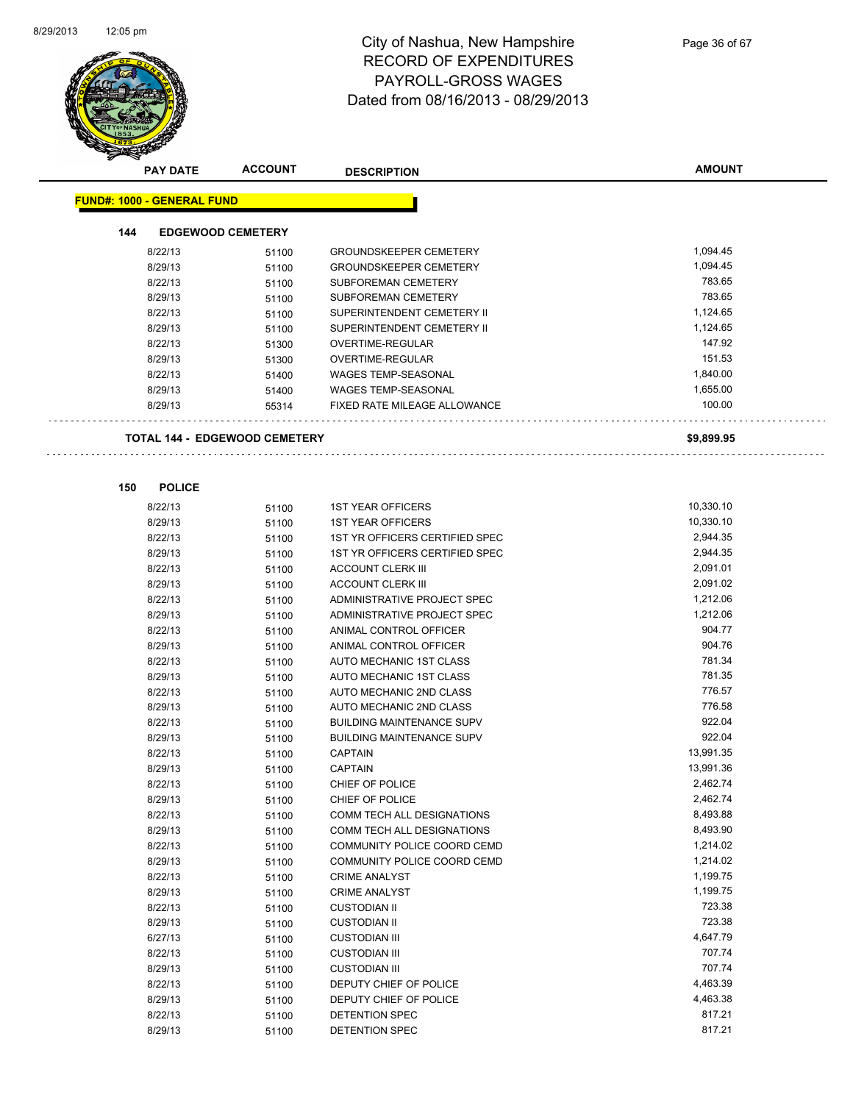$\overline{\phantom{a}}$ 



| <b>PAY DATE</b>                      | <b>ACCOUNT</b> | <b>DESCRIPTION</b>               | <b>AMOUNT</b> |
|--------------------------------------|----------------|----------------------------------|---------------|
|                                      |                |                                  |               |
| <b>FUND#: 1000 - GENERAL FUND</b>    |                |                                  |               |
| 144<br><b>EDGEWOOD CEMETERY</b>      |                |                                  |               |
| 8/22/13                              | 51100          | <b>GROUNDSKEEPER CEMETERY</b>    | 1,094.45      |
| 8/29/13                              | 51100          | <b>GROUNDSKEEPER CEMETERY</b>    | 1,094.45      |
| 8/22/13                              | 51100          | SUBFOREMAN CEMETERY              | 783.65        |
| 8/29/13                              | 51100          | SUBFOREMAN CEMETERY              | 783.65        |
| 8/22/13                              | 51100          | SUPERINTENDENT CEMETERY II       | 1,124.65      |
| 8/29/13                              | 51100          | SUPERINTENDENT CEMETERY II       | 1,124.65      |
| 8/22/13                              | 51300          | OVERTIME-REGULAR                 | 147.92        |
| 8/29/13                              | 51300          | <b>OVERTIME-REGULAR</b>          | 151.53        |
| 8/22/13                              | 51400          | <b>WAGES TEMP-SEASONAL</b>       | 1,840.00      |
| 8/29/13                              | 51400          | <b>WAGES TEMP-SEASONAL</b>       | 1,655.00      |
| 8/29/13                              | 55314          | FIXED RATE MILEAGE ALLOWANCE     | 100.00        |
|                                      |                |                                  |               |
| <b>TOTAL 144 - EDGEWOOD CEMETERY</b> |                |                                  | \$9,899.95    |
|                                      |                |                                  |               |
|                                      |                |                                  |               |
| 150<br><b>POLICE</b>                 |                |                                  |               |
| 8/22/13                              | 51100          | <b>1ST YEAR OFFICERS</b>         | 10,330.10     |
| 8/29/13                              | 51100          | <b>1ST YEAR OFFICERS</b>         | 10,330.10     |
| 8/22/13                              | 51100          | 1ST YR OFFICERS CERTIFIED SPEC   | 2,944.35      |
| 8/29/13                              | 51100          | 1ST YR OFFICERS CERTIFIED SPEC   | 2,944.35      |
| 8/22/13                              | 51100          | <b>ACCOUNT CLERK III</b>         | 2,091.01      |
| 8/29/13                              | 51100          | <b>ACCOUNT CLERK III</b>         | 2,091.02      |
| 8/22/13                              |                | ADMINISTRATIVE PROJECT SPEC      | 1,212.06      |
| 8/29/13                              | 51100          | ADMINISTRATIVE PROJECT SPEC      | 1,212.06      |
| 8/22/13                              | 51100<br>51100 | ANIMAL CONTROL OFFICER           | 904.77        |
| 8/29/13                              | 51100          | ANIMAL CONTROL OFFICER           | 904.76        |
| 8/22/13                              | 51100          | AUTO MECHANIC 1ST CLASS          | 781.34        |
| 8/29/13                              | 51100          | AUTO MECHANIC 1ST CLASS          | 781.35        |
| 8/22/13                              | 51100          | AUTO MECHANIC 2ND CLASS          | 776.57        |
| 8/29/13                              | 51100          | AUTO MECHANIC 2ND CLASS          | 776.58        |
| 8/22/13                              | 51100          | <b>BUILDING MAINTENANCE SUPV</b> | 922.04        |
| 8/29/13                              | 51100          | <b>BUILDING MAINTENANCE SUPV</b> | 922.04        |
| 8/22/13                              | 51100          | <b>CAPTAIN</b>                   | 13,991.35     |
| 8/29/13                              | 51100          | <b>CAPTAIN</b>                   | 13,991.36     |
| 8/22/13                              | 51100          | CHIEF OF POLICE                  | 2,462.74      |
| 8/29/13                              | 51100          | CHIEF OF POLICE                  | 2,462.74      |
| 8/22/13                              | 51100          | COMM TECH ALL DESIGNATIONS       | 8,493.88      |
| 8/29/13                              | 51100          | COMM TECH ALL DESIGNATIONS       | 8,493.90      |
| 8/22/13                              | 51100          | COMMUNITY POLICE COORD CEMD      | 1,214.02      |
| 8/29/13                              | 51100          | COMMUNITY POLICE COORD CEMD      | 1,214.02      |
| 8/22/13                              | 51100          | <b>CRIME ANALYST</b>             | 1,199.75      |
| 8/29/13                              | 51100          | <b>CRIME ANALYST</b>             | 1,199.75      |
| 8/22/13                              | 51100          | <b>CUSTODIAN II</b>              | 723.38        |
| 8/29/13                              | 51100          | <b>CUSTODIAN II</b>              | 723.38        |
| 6/27/13                              | 51100          | <b>CUSTODIAN III</b>             | 4,647.79      |
| 8/22/13                              | 51100          | <b>CUSTODIAN III</b>             | 707.74        |
| 8/29/13                              | 51100          | <b>CUSTODIAN III</b>             | 707.74        |
| 8/22/13                              | 51100          | DEPUTY CHIEF OF POLICE           | 4,463.39      |
| 8/29/13                              | 51100          | DEPUTY CHIEF OF POLICE           | 4,463.38      |
| 8/22/13                              | 51100          | DETENTION SPEC                   | 817.21        |
| 8/29/13                              | 51100          | DETENTION SPEC                   | 817.21        |
|                                      |                |                                  |               |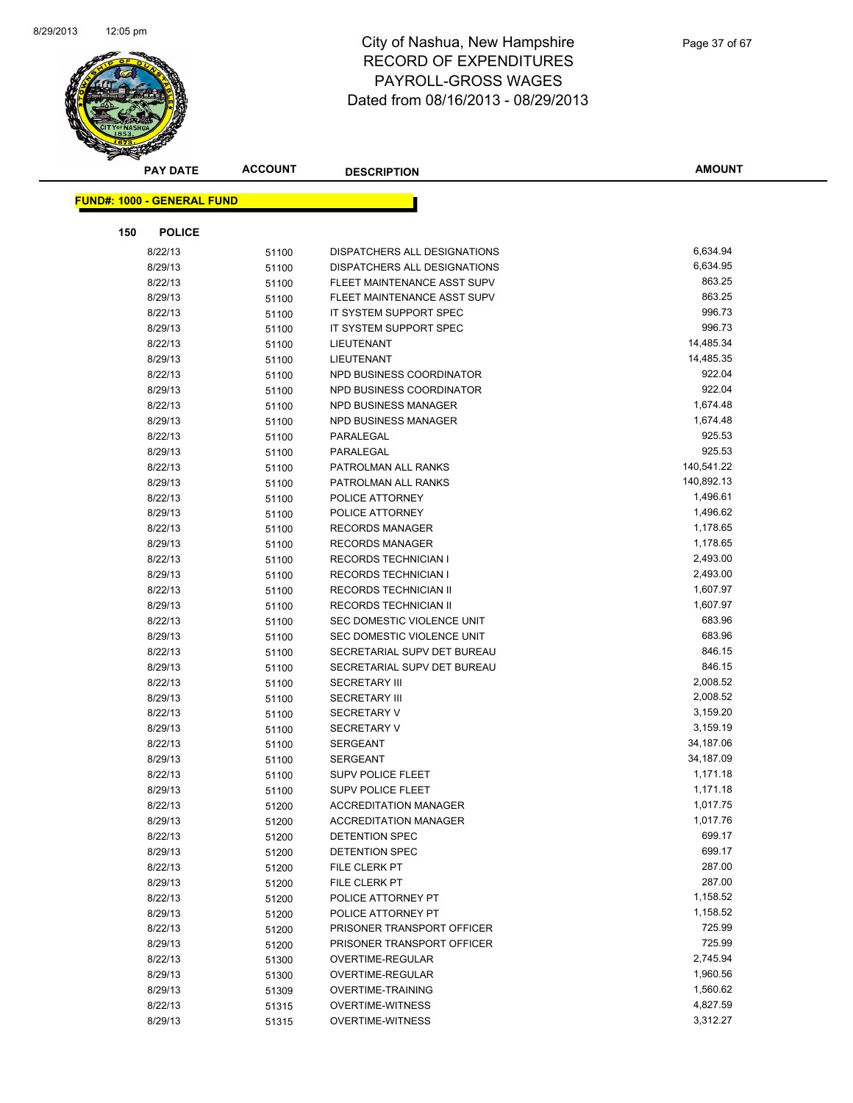

| <b>PAY DATE</b>                   | <b>ACCOUNT</b> | <b>DESCRIPTION</b>           | <b>AMOUNT</b> |
|-----------------------------------|----------------|------------------------------|---------------|
|                                   |                |                              |               |
| <b>FUND#: 1000 - GENERAL FUND</b> |                |                              |               |
| <b>POLICE</b><br>150              |                |                              |               |
| 8/22/13                           | 51100          | DISPATCHERS ALL DESIGNATIONS | 6,634.94      |
| 8/29/13                           | 51100          | DISPATCHERS ALL DESIGNATIONS | 6,634.95      |
| 8/22/13                           | 51100          | FLEET MAINTENANCE ASST SUPV  | 863.25        |
| 8/29/13                           | 51100          | FLEET MAINTENANCE ASST SUPV  | 863.25        |
| 8/22/13                           | 51100          | IT SYSTEM SUPPORT SPEC       | 996.73        |
| 8/29/13                           | 51100          | IT SYSTEM SUPPORT SPEC       | 996.73        |
| 8/22/13                           | 51100          | LIEUTENANT                   | 14,485.34     |
| 8/29/13                           | 51100          | LIEUTENANT                   | 14,485.35     |
| 8/22/13                           | 51100          | NPD BUSINESS COORDINATOR     | 922.04        |
| 8/29/13                           | 51100          | NPD BUSINESS COORDINATOR     | 922.04        |
| 8/22/13                           | 51100          | <b>NPD BUSINESS MANAGER</b>  | 1,674.48      |
| 8/29/13                           | 51100          | NPD BUSINESS MANAGER         | 1,674.48      |
| 8/22/13                           | 51100          | PARALEGAL                    | 925.53        |
| 8/29/13                           | 51100          | PARALEGAL                    | 925.53        |
| 8/22/13                           | 51100          | PATROLMAN ALL RANKS          | 140,541.22    |
| 8/29/13                           | 51100          | PATROLMAN ALL RANKS          | 140,892.13    |
| 8/22/13                           | 51100          | POLICE ATTORNEY              | 1,496.61      |
| 8/29/13                           | 51100          | POLICE ATTORNEY              | 1,496.62      |
| 8/22/13                           | 51100          | <b>RECORDS MANAGER</b>       | 1,178.65      |
| 8/29/13                           | 51100          | <b>RECORDS MANAGER</b>       | 1,178.65      |
| 8/22/13                           | 51100          | <b>RECORDS TECHNICIAN I</b>  | 2,493.00      |
| 8/29/13                           | 51100          | <b>RECORDS TECHNICIAN I</b>  | 2,493.00      |
| 8/22/13                           | 51100          | RECORDS TECHNICIAN II        | 1,607.97      |
| 8/29/13                           | 51100          | RECORDS TECHNICIAN II        | 1,607.97      |
| 8/22/13                           | 51100          | SEC DOMESTIC VIOLENCE UNIT   | 683.96        |
| 8/29/13                           | 51100          | SEC DOMESTIC VIOLENCE UNIT   | 683.96        |
| 8/22/13                           | 51100          | SECRETARIAL SUPV DET BUREAU  | 846.15        |
| 8/29/13                           | 51100          | SECRETARIAL SUPV DET BUREAU  | 846.15        |
| 8/22/13                           | 51100          | <b>SECRETARY III</b>         | 2,008.52      |
| 8/29/13                           | 51100          | <b>SECRETARY III</b>         | 2,008.52      |
| 8/22/13                           | 51100          | <b>SECRETARY V</b>           | 3,159.20      |
| 8/29/13                           | 51100          | <b>SECRETARY V</b>           | 3,159.19      |
| 8/22/13                           | 51100          | <b>SERGEANT</b>              | 34,187.06     |
| 8/29/13                           | 51100          | <b>SERGEANT</b>              | 34,187.09     |
| 8/22/13                           | 51100          | <b>SUPV POLICE FLEET</b>     | 1,171.18      |
| 8/29/13                           | 51100          | <b>SUPV POLICE FLEET</b>     | 1,171.18      |
| 8/22/13                           | 51200          | <b>ACCREDITATION MANAGER</b> | 1,017.75      |
| 8/29/13                           | 51200          | <b>ACCREDITATION MANAGER</b> | 1,017.76      |
| 8/22/13                           | 51200          | <b>DETENTION SPEC</b>        | 699.17        |
| 8/29/13                           | 51200          | <b>DETENTION SPEC</b>        | 699.17        |
| 8/22/13                           | 51200          | FILE CLERK PT                | 287.00        |
| 8/29/13                           | 51200          | FILE CLERK PT                | 287.00        |
| 8/22/13                           | 51200          | POLICE ATTORNEY PT           | 1,158.52      |
| 8/29/13                           | 51200          | POLICE ATTORNEY PT           | 1,158.52      |
| 8/22/13                           | 51200          | PRISONER TRANSPORT OFFICER   | 725.99        |
| 8/29/13                           | 51200          | PRISONER TRANSPORT OFFICER   | 725.99        |
| 8/22/13                           | 51300          | OVERTIME-REGULAR             | 2,745.94      |
| 8/29/13                           | 51300          | OVERTIME-REGULAR             | 1,960.56      |
| 8/29/13                           | 51309          | <b>OVERTIME-TRAINING</b>     | 1,560.62      |
| 8/22/13                           | 51315          | <b>OVERTIME-WITNESS</b>      | 4,827.59      |
| 8/29/13                           | 51315          | <b>OVERTIME-WITNESS</b>      | 3,312.27      |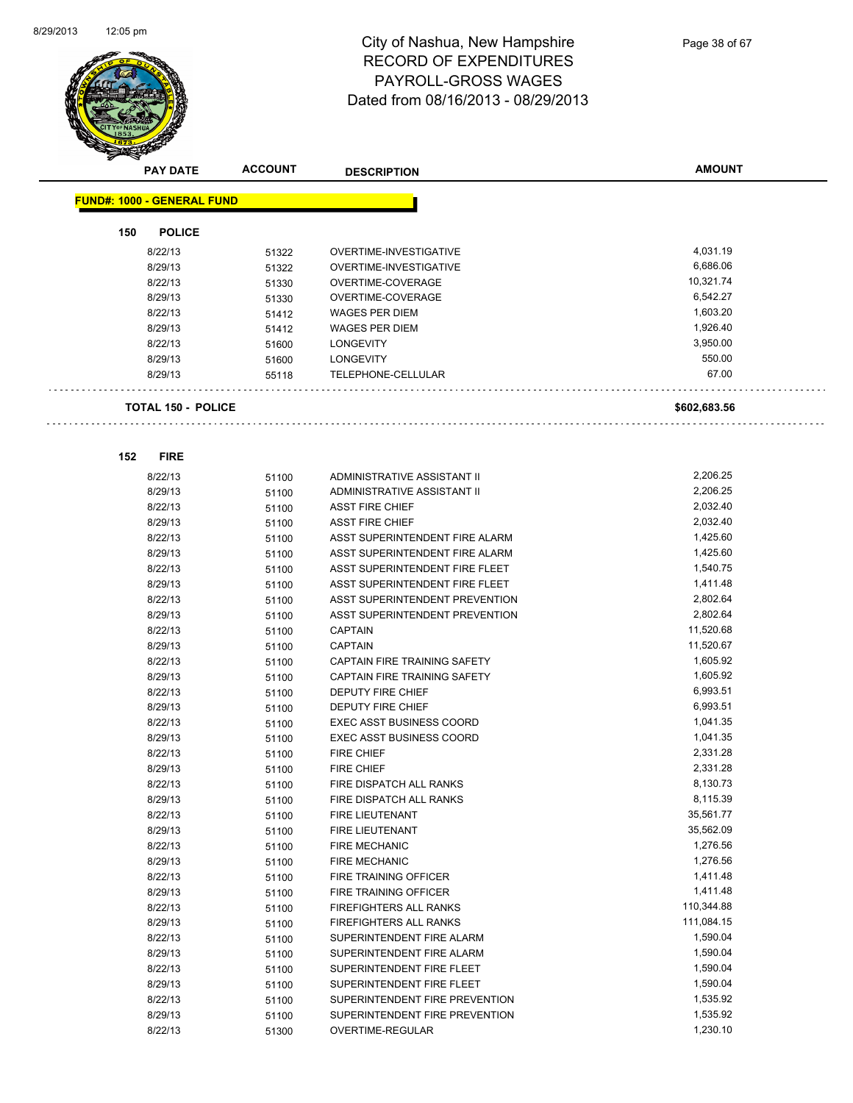

| <b>PAY DATE</b>                   | <b>ACCOUNT</b> | <b>DESCRIPTION</b>              | <b>AMOUNT</b> |
|-----------------------------------|----------------|---------------------------------|---------------|
| <b>FUND#: 1000 - GENERAL FUND</b> |                |                                 |               |
|                                   |                |                                 |               |
| <b>POLICE</b><br>150              |                |                                 |               |
| 8/22/13                           | 51322          | OVERTIME-INVESTIGATIVE          | 4,031.19      |
| 8/29/13                           | 51322          | OVERTIME-INVESTIGATIVE          | 6,686.06      |
| 8/22/13                           | 51330          | OVERTIME-COVERAGE               | 10,321.74     |
| 8/29/13                           | 51330          | OVERTIME-COVERAGE               | 6,542.27      |
| 8/22/13                           | 51412          | <b>WAGES PER DIEM</b>           | 1,603.20      |
| 8/29/13                           | 51412          | <b>WAGES PER DIEM</b>           | 1,926.40      |
| 8/22/13                           | 51600          | <b>LONGEVITY</b>                | 3,950.00      |
| 8/29/13                           | 51600          | <b>LONGEVITY</b>                | 550.00        |
| 8/29/13                           | 55118          | TELEPHONE-CELLULAR              | 67.00         |
| TOTAL 150 - POLICE                |                |                                 | \$602,683.56  |
|                                   |                |                                 |               |
| <b>FIRE</b><br>152                |                |                                 |               |
| 8/22/13                           | 51100          | ADMINISTRATIVE ASSISTANT II     | 2,206.25      |
| 8/29/13                           | 51100          | ADMINISTRATIVE ASSISTANT II     | 2,206.25      |
| 8/22/13                           | 51100          | <b>ASST FIRE CHIEF</b>          | 2,032.40      |
| 8/29/13                           | 51100          | <b>ASST FIRE CHIEF</b>          | 2,032.40      |
| 8/22/13                           | 51100          | ASST SUPERINTENDENT FIRE ALARM  | 1,425.60      |
| 8/29/13                           | 51100          | ASST SUPERINTENDENT FIRE ALARM  | 1,425.60      |
| 8/22/13                           | 51100          | ASST SUPERINTENDENT FIRE FLEET  | 1,540.75      |
| 8/29/13                           | 51100          | ASST SUPERINTENDENT FIRE FLEET  | 1,411.48      |
| 8/22/13                           | 51100          | ASST SUPERINTENDENT PREVENTION  | 2,802.64      |
| 8/29/13                           | 51100          | ASST SUPERINTENDENT PREVENTION  | 2,802.64      |
| 8/22/13                           | 51100          | <b>CAPTAIN</b>                  | 11,520.68     |
| 8/29/13                           | 51100          | <b>CAPTAIN</b>                  | 11,520.67     |
| 8/22/13                           | 51100          | CAPTAIN FIRE TRAINING SAFETY    | 1,605.92      |
| 8/29/13                           | 51100          | CAPTAIN FIRE TRAINING SAFETY    | 1,605.92      |
| 8/22/13                           | 51100          | <b>DEPUTY FIRE CHIEF</b>        | 6,993.51      |
| 8/29/13                           | 51100          | DEPUTY FIRE CHIEF               | 6,993.51      |
| 8/22/13                           | 51100          | <b>EXEC ASST BUSINESS COORD</b> | 1,041.35      |
| 8/29/13                           | 51100          | <b>EXEC ASST BUSINESS COORD</b> | 1,041.35      |
| 8/22/13                           | 51100          | <b>FIRE CHIEF</b>               | 2,331.28      |
| 8/29/13                           | 51100          | <b>FIRE CHIEF</b>               | 2,331.28      |
| 8/22/13                           | 51100          | FIRE DISPATCH ALL RANKS         | 8,130.73      |
| 8/29/13                           | 51100          | FIRE DISPATCH ALL RANKS         | 8,115.39      |
| 8/22/13                           | 51100          | FIRE LIEUTENANT                 | 35,561.77     |
| 8/29/13                           | 51100          | FIRE LIEUTENANT                 | 35,562.09     |
| 8/22/13                           | 51100          | <b>FIRE MECHANIC</b>            | 1,276.56      |
| 8/29/13                           | 51100          | <b>FIRE MECHANIC</b>            | 1,276.56      |
| 8/22/13                           | 51100          | FIRE TRAINING OFFICER           | 1,411.48      |
| 8/29/13                           | 51100          | FIRE TRAINING OFFICER           | 1,411.48      |
| 8/22/13                           | 51100          | FIREFIGHTERS ALL RANKS          | 110,344.88    |
| 8/29/13                           | 51100          | FIREFIGHTERS ALL RANKS          | 111,084.15    |
| 8/22/13                           | 51100          | SUPERINTENDENT FIRE ALARM       | 1,590.04      |
| 8/29/13                           | 51100          | SUPERINTENDENT FIRE ALARM       | 1,590.04      |
| 8/22/13                           | 51100          | SUPERINTENDENT FIRE FLEET       | 1,590.04      |
| 8/29/13                           | 51100          | SUPERINTENDENT FIRE FLEET       | 1,590.04      |
| 8/22/13                           | 51100          | SUPERINTENDENT FIRE PREVENTION  | 1,535.92      |
| 8/29/13                           | 51100          | SUPERINTENDENT FIRE PREVENTION  | 1,535.92      |
| 8/22/13                           | 51300          | OVERTIME-REGULAR                | 1,230.10      |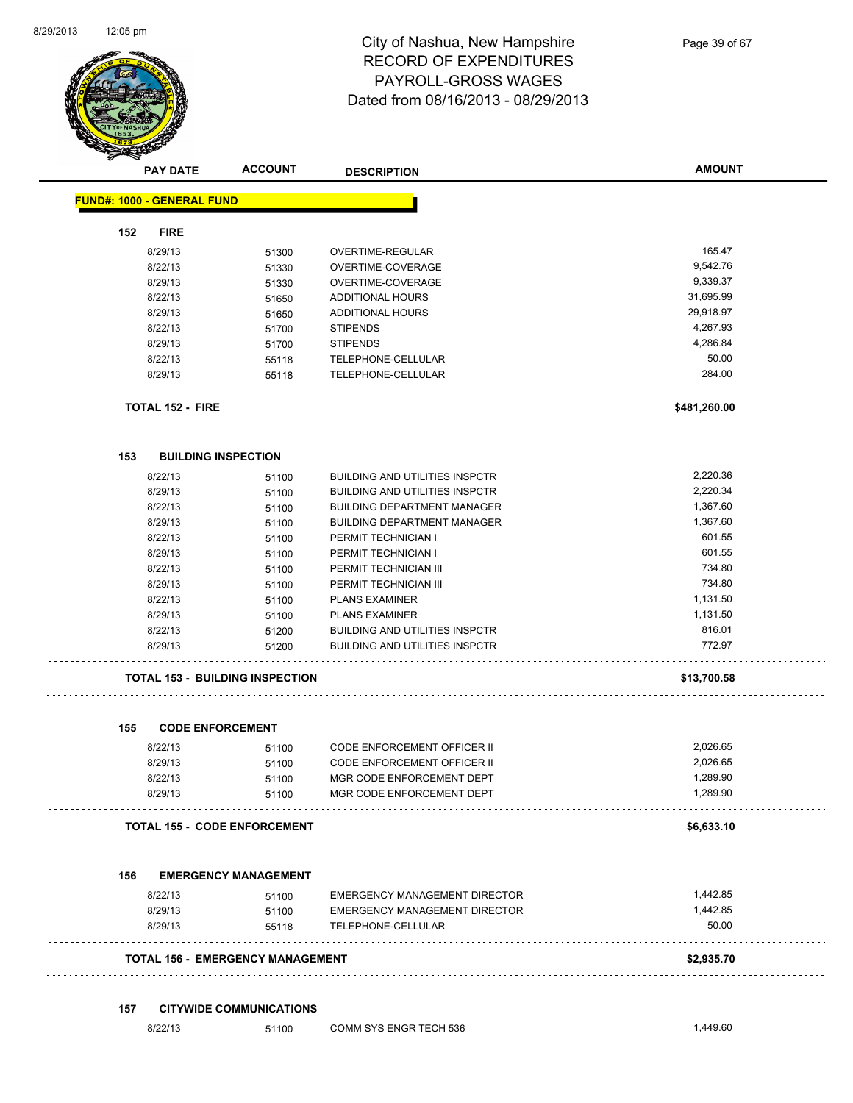

Page 39 of 67

| <b>PAY DATE</b>                   | <b>ACCOUNT</b>                         | <b>DESCRIPTION</b>                    | <b>AMOUNT</b>     |
|-----------------------------------|----------------------------------------|---------------------------------------|-------------------|
| <b>FUND#: 1000 - GENERAL FUND</b> |                                        |                                       |                   |
| <b>FIRE</b><br>152                |                                        |                                       |                   |
| 8/29/13                           | 51300                                  | <b>OVERTIME-REGULAR</b>               | 165.47            |
| 8/22/13                           | 51330                                  | OVERTIME-COVERAGE                     | 9,542.76          |
| 8/29/13                           | 51330                                  | OVERTIME-COVERAGE                     | 9,339.37          |
| 8/22/13                           | 51650                                  | <b>ADDITIONAL HOURS</b>               | 31,695.99         |
| 8/29/13                           | 51650                                  | <b>ADDITIONAL HOURS</b>               | 29,918.97         |
| 8/22/13                           | 51700                                  | <b>STIPENDS</b>                       | 4,267.93          |
| 8/29/13                           | 51700                                  | <b>STIPENDS</b>                       | 4,286.84          |
| 8/22/13                           | 55118                                  | TELEPHONE-CELLULAR                    | 50.00             |
| 8/29/13                           | 55118                                  | TELEPHONE-CELLULAR                    | 284.00            |
| <b>TOTAL 152 - FIRE</b>           |                                        |                                       | \$481,260.00      |
| 153                               | <b>BUILDING INSPECTION</b>             |                                       |                   |
| 8/22/13                           | 51100                                  | <b>BUILDING AND UTILITIES INSPCTR</b> | 2,220.36          |
| 8/29/13                           | 51100                                  | <b>BUILDING AND UTILITIES INSPCTR</b> | 2,220.34          |
| 8/22/13                           | 51100                                  | <b>BUILDING DEPARTMENT MANAGER</b>    | 1,367.60          |
| 8/29/13                           | 51100                                  | <b>BUILDING DEPARTMENT MANAGER</b>    | 1,367.60          |
| 8/22/13                           | 51100                                  | PERMIT TECHNICIAN I                   | 601.55            |
| 8/29/13                           | 51100                                  | PERMIT TECHNICIAN I                   | 601.55            |
| 8/22/13                           | 51100                                  | PERMIT TECHNICIAN III                 | 734.80            |
| 8/29/13                           | 51100                                  | PERMIT TECHNICIAN III                 | 734.80            |
| 8/22/13                           | 51100                                  | <b>PLANS EXAMINER</b>                 | 1,131.50          |
| 8/29/13                           | 51100                                  | <b>PLANS EXAMINER</b>                 | 1,131.50          |
| 8/22/13                           | 51200                                  | <b>BUILDING AND UTILITIES INSPCTR</b> | 816.01            |
| 8/29/13                           | 51200                                  | <b>BUILDING AND UTILITIES INSPCTR</b> | 772.97            |
|                                   | <b>TOTAL 153 - BUILDING INSPECTION</b> |                                       | \$13,700.58       |
| 155                               | <b>CODE ENFORCEMENT</b>                |                                       |                   |
| 8/22/13                           | 51100                                  | CODE ENFORCEMENT OFFICER II           | 2,026.65          |
| 8/29/13                           | 51100                                  | CODE ENFORCEMENT OFFICER II           | 2,026.65          |
| 8/22/13                           | 51100                                  | MGR CODE ENFORCEMENT DEPT             | 1,289.90          |
| 8/29/13                           | 51100                                  | MGR CODE ENFORCEMENT DEPT             | 1,289.90          |
|                                   | <b>TOTAL 155 - CODE ENFORCEMENT</b>    |                                       | \$6,633.10        |
|                                   |                                        |                                       |                   |
| 156                               | <b>EMERGENCY MANAGEMENT</b>            |                                       | 1,442.85          |
| 8/22/13                           | 51100                                  | <b>EMERGENCY MANAGEMENT DIRECTOR</b>  |                   |
| 8/29/13                           | 51100                                  | EMERGENCY MANAGEMENT DIRECTOR         | 1,442.85<br>50.00 |
| 8/29/13                           | 55118                                  | TELEPHONE-CELLULAR                    |                   |
|                                   | TOTAL 156 - EMERGENCY MANAGEMENT       |                                       | \$2,935.70        |
|                                   |                                        |                                       |                   |

### **157 CITYWIDE COMMUNICATIONS**

| .449.60 |
|---------|
|         |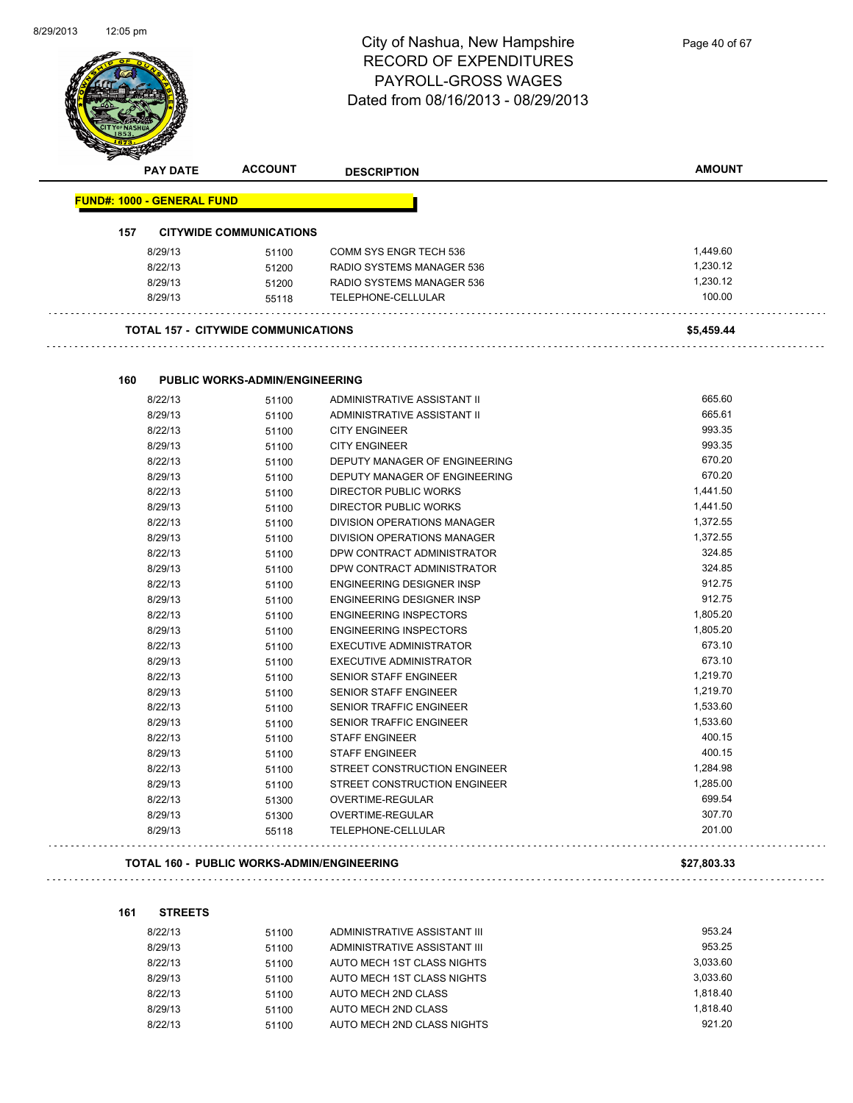

|     |                                   |                                                   | <b>DESCRIPTION</b>                  |             |
|-----|-----------------------------------|---------------------------------------------------|-------------------------------------|-------------|
|     | <b>FUND#: 1000 - GENERAL FUND</b> |                                                   |                                     |             |
| 157 |                                   | <b>CITYWIDE COMMUNICATIONS</b>                    |                                     |             |
|     | 8/29/13                           | 51100                                             | <b>COMM SYS ENGR TECH 536</b>       | 1,449.60    |
|     | 8/22/13                           | 51200                                             | RADIO SYSTEMS MANAGER 536           | 1,230.12    |
|     | 8/29/13                           | 51200                                             | RADIO SYSTEMS MANAGER 536           | 1,230.12    |
|     | 8/29/13                           | 55118                                             | TELEPHONE-CELLULAR                  | 100.00      |
|     |                                   | <b>TOTAL 157 - CITYWIDE COMMUNICATIONS</b>        |                                     | \$5,459.44  |
| 160 |                                   | <b>PUBLIC WORKS-ADMIN/ENGINEERING</b>             |                                     |             |
|     | 8/22/13                           |                                                   | ADMINISTRATIVE ASSISTANT II         | 665.60      |
|     | 8/29/13                           | 51100<br>51100                                    | ADMINISTRATIVE ASSISTANT II         | 665.61      |
|     | 8/22/13                           | 51100                                             | <b>CITY ENGINEER</b>                | 993.35      |
|     | 8/29/13                           | 51100                                             | <b>CITY ENGINEER</b>                | 993.35      |
|     | 8/22/13                           |                                                   | DEPUTY MANAGER OF ENGINEERING       | 670.20      |
|     | 8/29/13                           | 51100                                             | DEPUTY MANAGER OF ENGINEERING       | 670.20      |
|     | 8/22/13                           | 51100                                             | DIRECTOR PUBLIC WORKS               | 1,441.50    |
|     | 8/29/13                           | 51100                                             | DIRECTOR PUBLIC WORKS               | 1,441.50    |
|     | 8/22/13                           | 51100                                             | DIVISION OPERATIONS MANAGER         | 1,372.55    |
|     | 8/29/13                           | 51100<br>51100                                    | DIVISION OPERATIONS MANAGER         | 1,372.55    |
|     | 8/22/13                           | 51100                                             | DPW CONTRACT ADMINISTRATOR          | 324.85      |
|     | 8/29/13                           | 51100                                             | DPW CONTRACT ADMINISTRATOR          | 324.85      |
|     | 8/22/13                           | 51100                                             | <b>ENGINEERING DESIGNER INSP</b>    | 912.75      |
|     | 8/29/13                           | 51100                                             | <b>ENGINEERING DESIGNER INSP</b>    | 912.75      |
|     | 8/22/13                           | 51100                                             | <b>ENGINEERING INSPECTORS</b>       | 1,805.20    |
|     | 8/29/13                           | 51100                                             | <b>ENGINEERING INSPECTORS</b>       | 1,805.20    |
|     | 8/22/13                           | 51100                                             | <b>EXECUTIVE ADMINISTRATOR</b>      | 673.10      |
|     | 8/29/13                           | 51100                                             | <b>EXECUTIVE ADMINISTRATOR</b>      | 673.10      |
|     | 8/22/13                           | 51100                                             | SENIOR STAFF ENGINEER               | 1,219.70    |
|     | 8/29/13                           | 51100                                             | SENIOR STAFF ENGINEER               | 1,219.70    |
|     | 8/22/13                           | 51100                                             | <b>SENIOR TRAFFIC ENGINEER</b>      | 1,533.60    |
|     | 8/29/13                           | 51100                                             | SENIOR TRAFFIC ENGINEER             | 1,533.60    |
|     | 8/22/13                           | 51100                                             | <b>STAFF ENGINEER</b>               | 400.15      |
|     | 8/29/13                           | 51100                                             | <b>STAFF ENGINEER</b>               | 400.15      |
|     | 8/22/13                           | 51100                                             | STREET CONSTRUCTION ENGINEER        | 1,284.98    |
|     | 8/29/13                           | 51100                                             | <b>STREET CONSTRUCTION ENGINEER</b> | 1,285.00    |
|     | 8/22/13                           | 51300                                             | OVERTIME-REGULAR                    | 699.54      |
|     | 8/29/13                           |                                                   | OVERTIME-REGULAR                    | 307.70      |
|     | 8/29/13                           | 51300<br>55118                                    | TELEPHONE-CELLULAR                  | 201.00      |
|     |                                   |                                                   |                                     |             |
|     |                                   | <b>TOTAL 160 - PUBLIC WORKS-ADMIN/ENGINEERING</b> |                                     | \$27,803.33 |

**161 STREETS**

| 8/22/13 | 51100 | ADMINISTRATIVE ASSISTANT III | 953.24   |
|---------|-------|------------------------------|----------|
| 8/29/13 | 51100 | ADMINISTRATIVE ASSISTANT III | 953.25   |
| 8/22/13 | 51100 | AUTO MECH 1ST CLASS NIGHTS   | 3.033.60 |
| 8/29/13 | 51100 | AUTO MECH 1ST CLASS NIGHTS   | 3.033.60 |
| 8/22/13 | 51100 | AUTO MECH 2ND CLASS          | 1.818.40 |
| 8/29/13 | 51100 | AUTO MECH 2ND CLASS          | 1.818.40 |
| 8/22/13 | 51100 | AUTO MECH 2ND CLASS NIGHTS   | 921.20   |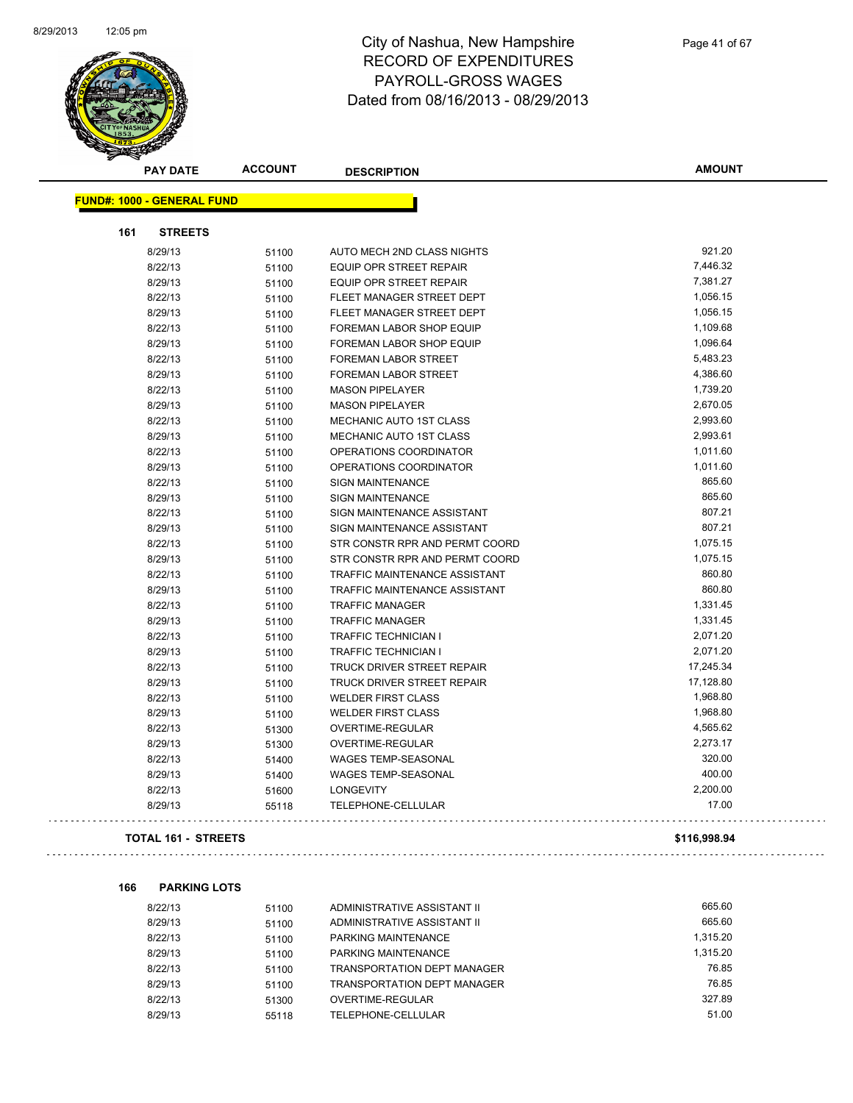

|                                   | <b>PAY DATE</b> | <b>ACCOUNT</b> | <b>DESCRIPTION</b>                   | <b>AMOUNT</b> |  |
|-----------------------------------|-----------------|----------------|--------------------------------------|---------------|--|
| <b>FUND#: 1000 - GENERAL FUND</b> |                 |                |                                      |               |  |
|                                   |                 |                |                                      |               |  |
| 161                               | <b>STREETS</b>  |                |                                      |               |  |
|                                   | 8/29/13         | 51100          | AUTO MECH 2ND CLASS NIGHTS           | 921.20        |  |
|                                   | 8/22/13         | 51100          | <b>EQUIP OPR STREET REPAIR</b>       | 7,446.32      |  |
|                                   | 8/29/13         | 51100          | <b>EQUIP OPR STREET REPAIR</b>       | 7,381.27      |  |
|                                   | 8/22/13         | 51100          | FLEET MANAGER STREET DEPT            | 1,056.15      |  |
|                                   | 8/29/13         | 51100          | FLEET MANAGER STREET DEPT            | 1,056.15      |  |
|                                   | 8/22/13         | 51100          | <b>FOREMAN LABOR SHOP EQUIP</b>      | 1,109.68      |  |
|                                   | 8/29/13         | 51100          | FOREMAN LABOR SHOP EQUIP             | 1,096.64      |  |
|                                   | 8/22/13         | 51100          | FOREMAN LABOR STREET                 | 5,483.23      |  |
|                                   | 8/29/13         | 51100          | FOREMAN LABOR STREET                 | 4,386.60      |  |
|                                   | 8/22/13         | 51100          | <b>MASON PIPELAYER</b>               | 1,739.20      |  |
|                                   | 8/29/13         | 51100          | <b>MASON PIPELAYER</b>               | 2,670.05      |  |
|                                   | 8/22/13         | 51100          | <b>MECHANIC AUTO 1ST CLASS</b>       | 2,993.60      |  |
|                                   | 8/29/13         | 51100          | <b>MECHANIC AUTO 1ST CLASS</b>       | 2,993.61      |  |
|                                   | 8/22/13         | 51100          | OPERATIONS COORDINATOR               | 1,011.60      |  |
|                                   | 8/29/13         | 51100          | OPERATIONS COORDINATOR               | 1,011.60      |  |
|                                   | 8/22/13         | 51100          | SIGN MAINTENANCE                     | 865.60        |  |
|                                   | 8/29/13         | 51100          | <b>SIGN MAINTENANCE</b>              | 865.60        |  |
|                                   | 8/22/13         | 51100          | SIGN MAINTENANCE ASSISTANT           | 807.21        |  |
|                                   | 8/29/13         | 51100          | SIGN MAINTENANCE ASSISTANT           | 807.21        |  |
|                                   | 8/22/13         | 51100          | STR CONSTR RPR AND PERMT COORD       | 1,075.15      |  |
|                                   | 8/29/13         | 51100          | STR CONSTR RPR AND PERMT COORD       | 1,075.15      |  |
|                                   | 8/22/13         | 51100          | <b>TRAFFIC MAINTENANCE ASSISTANT</b> | 860.80        |  |
|                                   | 8/29/13         | 51100          | <b>TRAFFIC MAINTENANCE ASSISTANT</b> | 860.80        |  |
|                                   | 8/22/13         | 51100          | <b>TRAFFIC MANAGER</b>               | 1,331.45      |  |
|                                   | 8/29/13         | 51100          | <b>TRAFFIC MANAGER</b>               | 1,331.45      |  |
|                                   | 8/22/13         | 51100          | <b>TRAFFIC TECHNICIAN I</b>          | 2,071.20      |  |
|                                   | 8/29/13         | 51100          | <b>TRAFFIC TECHNICIAN I</b>          | 2,071.20      |  |
|                                   | 8/22/13         | 51100          | TRUCK DRIVER STREET REPAIR           | 17,245.34     |  |
|                                   | 8/29/13         | 51100          | TRUCK DRIVER STREET REPAIR           | 17,128.80     |  |
|                                   | 8/22/13         | 51100          | <b>WELDER FIRST CLASS</b>            | 1,968.80      |  |
|                                   | 8/29/13         | 51100          | <b>WELDER FIRST CLASS</b>            | 1,968.80      |  |
|                                   | 8/22/13         | 51300          | OVERTIME-REGULAR                     | 4,565.62      |  |
|                                   | 8/29/13         | 51300          | OVERTIME-REGULAR                     | 2,273.17      |  |
|                                   | 8/22/13         | 51400          | WAGES TEMP-SEASONAL                  | 320.00        |  |
|                                   | 8/29/13         | 51400          | WAGES TEMP-SEASONAL                  | 400.00        |  |
|                                   | 8/22/13         | 51600          | <b>LONGEVITY</b>                     | 2,200.00      |  |
|                                   | 8/29/13         | 55118          | TELEPHONE-CELLULAR                   | 17.00         |  |
|                                   |                 |                |                                      |               |  |

### **TOTAL 161 - STREETS \$116,998.94**

 $\bar{z}$  is a

**166 PARKING LOTS**

| 8/22/13 | 51100 | ADMINISTRATIVE ASSISTANT II | 665.60   |
|---------|-------|-----------------------------|----------|
| 8/29/13 | 51100 | ADMINISTRATIVE ASSISTANT II | 665.60   |
| 8/22/13 | 51100 | PARKING MAINTENANCE         | 1.315.20 |
| 8/29/13 | 51100 | PARKING MAINTENANCE         | 1.315.20 |
| 8/22/13 | 51100 | TRANSPORTATION DEPT MANAGER | 76.85    |
| 8/29/13 | 51100 | TRANSPORTATION DEPT MANAGER | 76.85    |
| 8/22/13 | 51300 | OVERTIME-REGULAR            | 327.89   |
| 8/29/13 | 55118 | TELEPHONE-CELLULAR          | 51.00    |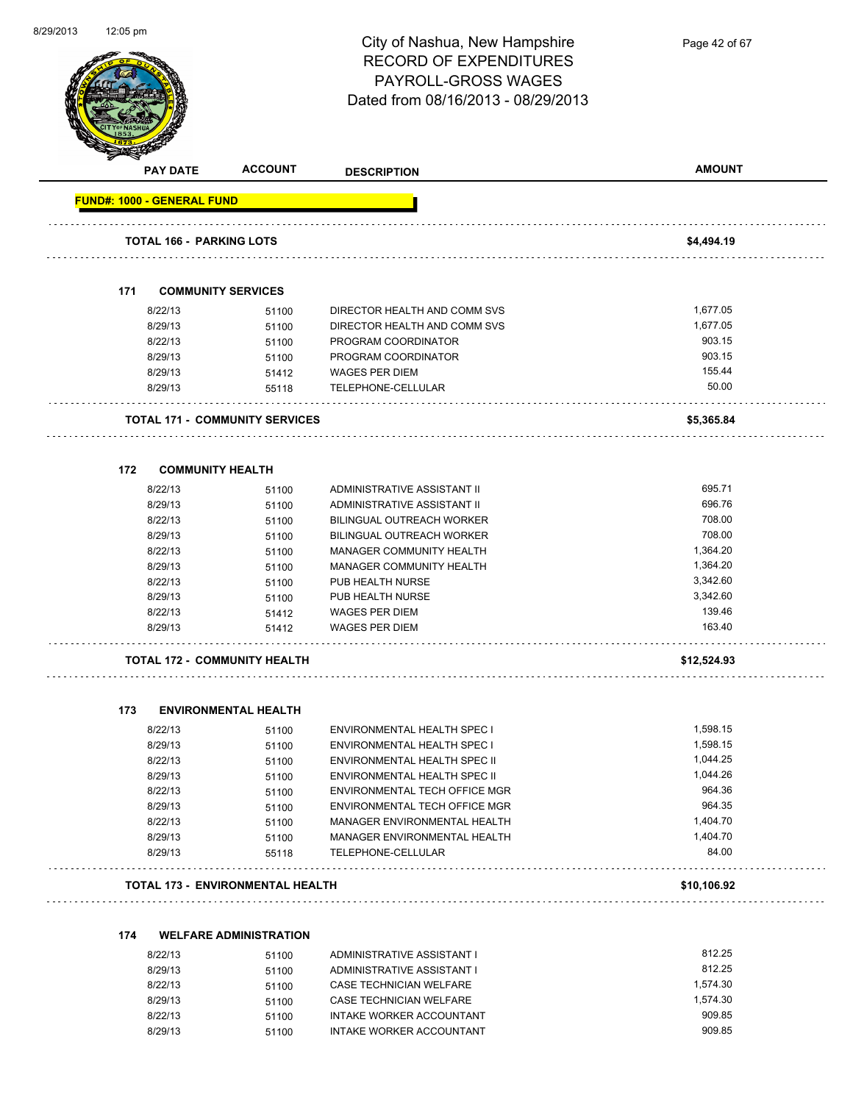

Page 42 of 67

| <b>PAY DATE</b>                   | <b>ACCOUNT</b>                        | <b>DESCRIPTION</b>            | <b>AMOUNT</b> |
|-----------------------------------|---------------------------------------|-------------------------------|---------------|
| <b>FUND#: 1000 - GENERAL FUND</b> |                                       |                               |               |
|                                   |                                       |                               |               |
| <b>TOTAL 166 - PARKING LOTS</b>   |                                       |                               | \$4,494.19    |
|                                   |                                       |                               |               |
| 171                               | <b>COMMUNITY SERVICES</b>             |                               |               |
| 8/22/13                           | 51100                                 | DIRECTOR HEALTH AND COMM SVS  | 1,677.05      |
| 8/29/13                           | 51100                                 | DIRECTOR HEALTH AND COMM SVS  | 1,677.05      |
| 8/22/13                           | 51100                                 | PROGRAM COORDINATOR           | 903.15        |
| 8/29/13                           | 51100                                 | PROGRAM COORDINATOR           | 903.15        |
| 8/29/13                           | 51412                                 | <b>WAGES PER DIEM</b>         | 155.44        |
| 8/29/13                           | 55118                                 | TELEPHONE-CELLULAR            | 50.00         |
|                                   | <b>TOTAL 171 - COMMUNITY SERVICES</b> |                               | \$5,365.84    |
| <b>COMMUNITY HEALTH</b><br>172    |                                       |                               |               |
| 8/22/13                           | 51100                                 | ADMINISTRATIVE ASSISTANT II   | 695.71        |
| 8/29/13                           | 51100                                 | ADMINISTRATIVE ASSISTANT II   | 696.76        |
| 8/22/13                           | 51100                                 | BILINGUAL OUTREACH WORKER     | 708.00        |
| 8/29/13                           | 51100                                 | BILINGUAL OUTREACH WORKER     | 708.00        |
| 8/22/13                           | 51100                                 | MANAGER COMMUNITY HEALTH      | 1,364.20      |
| 8/29/13                           | 51100                                 | MANAGER COMMUNITY HEALTH      | 1,364.20      |
| 8/22/13                           | 51100                                 | PUB HEALTH NURSE              | 3,342.60      |
| 8/29/13                           | 51100                                 | PUB HEALTH NURSE              | 3,342.60      |
| 8/22/13                           | 51412                                 | <b>WAGES PER DIEM</b>         | 139.46        |
| 8/29/13                           | 51412                                 | <b>WAGES PER DIEM</b>         | 163.40        |
|                                   | <b>TOTAL 172 - COMMUNITY HEALTH</b>   |                               | \$12,524.93   |
| 173                               | <b>ENVIRONMENTAL HEALTH</b>           |                               |               |
| 8/22/13                           | 51100                                 | ENVIRONMENTAL HEALTH SPEC I   | 1,598.15      |
| 8/29/13                           | 51100                                 | ENVIRONMENTAL HEALTH SPEC I   | 1,598.15      |
| 8/22/13                           | 51100                                 | ENVIRONMENTAL HEALTH SPEC II  | 1,044.25      |
| 8/29/13                           | 51100                                 | ENVIRONMENTAL HEALTH SPEC II  | 1,044.26      |
| 8/22/13                           | 51100                                 | ENVIRONMENTAL TECH OFFICE MGR | 964.36        |
| 8/29/13                           | 51100                                 | ENVIRONMENTAL TECH OFFICE MGR | 964.35        |
| 8/22/13                           | 51100                                 | MANAGER ENVIRONMENTAL HEALTH  | 1,404.70      |
| 8/29/13                           | 51100                                 | MANAGER ENVIRONMENTAL HEALTH  | 1,404.70      |
| 8/29/13                           | 55118                                 | TELEPHONE-CELLULAR            | 84.00         |
|                                   | TOTAL 173 - ENVIRONMENTAL HEALTH      |                               | \$10,106.92   |

### **174 WELFARE ADMINISTRATION**

| 8/22/13 | 51100 | ADMINISTRATIVE ASSISTANT I | 812.25   |
|---------|-------|----------------------------|----------|
| 8/29/13 | 51100 | ADMINISTRATIVE ASSISTANT I | 812.25   |
| 8/22/13 | 51100 | CASE TECHNICIAN WELFARE    | 1.574.30 |
| 8/29/13 | 51100 | CASE TECHNICIAN WELFARE    | 1.574.30 |
| 8/22/13 | 51100 | INTAKE WORKER ACCOUNTANT   | 909.85   |
| 8/29/13 | 51100 | INTAKE WORKER ACCOUNTANT   | 909.85   |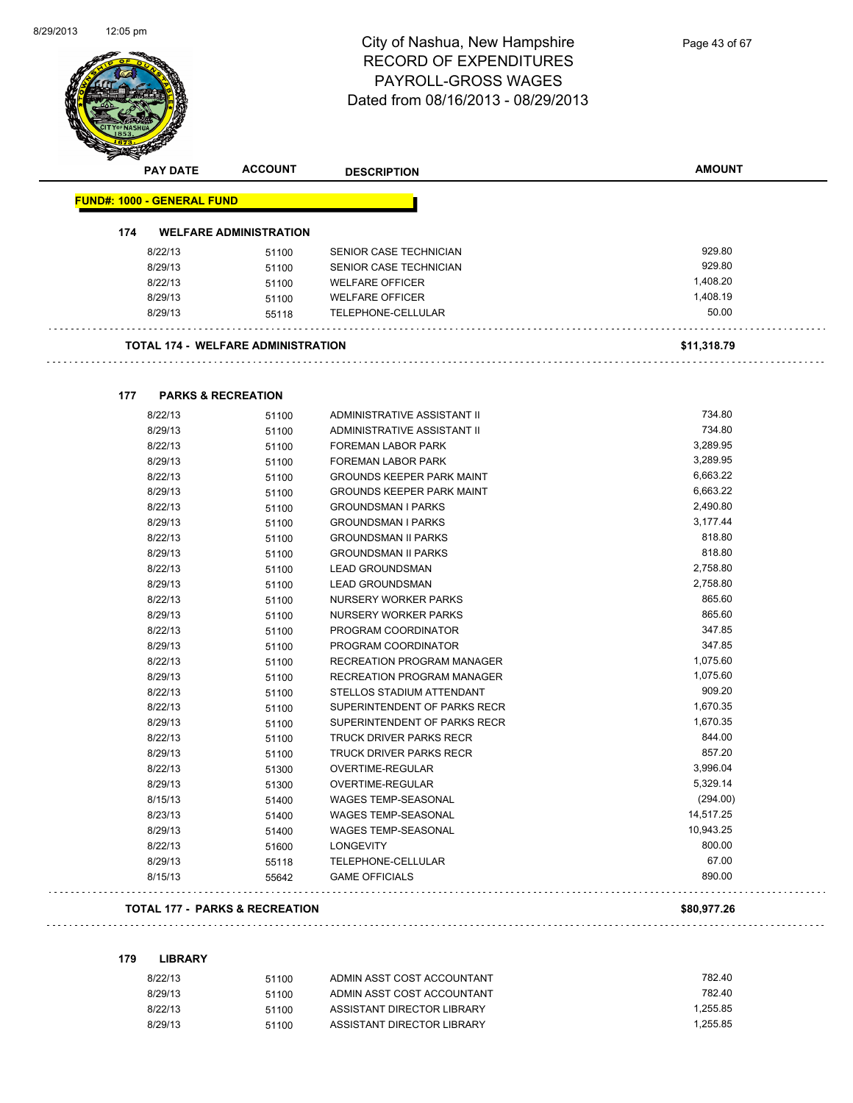

Page 43 of 67

| <b>PAY DATE</b>                           | <b>ACCOUNT</b>                | <b>DESCRIPTION</b>               | <b>AMOUNT</b> |
|-------------------------------------------|-------------------------------|----------------------------------|---------------|
| <b>FUND#: 1000 - GENERAL FUND</b>         |                               |                                  |               |
| 174                                       | <b>WELFARE ADMINISTRATION</b> |                                  |               |
|                                           |                               |                                  | 929.80        |
| 8/22/13                                   | 51100                         | SENIOR CASE TECHNICIAN           |               |
| 8/29/13                                   | 51100                         | SENIOR CASE TECHNICIAN           | 929.80        |
| 8/22/13                                   | 51100                         | <b>WELFARE OFFICER</b>           | 1,408.20      |
| 8/29/13                                   | 51100                         | <b>WELFARE OFFICER</b>           | 1,408.19      |
| 8/29/13                                   | 55118                         | TELEPHONE-CELLULAR               | 50.00         |
| <b>TOTAL 174 - WELFARE ADMINISTRATION</b> |                               |                                  | \$11,318.79   |
| 177                                       | <b>PARKS &amp; RECREATION</b> |                                  |               |
| 8/22/13                                   | 51100                         | ADMINISTRATIVE ASSISTANT II      | 734.80        |
| 8/29/13                                   | 51100                         | ADMINISTRATIVE ASSISTANT II      | 734.80        |
| 8/22/13                                   | 51100                         | <b>FOREMAN LABOR PARK</b>        | 3,289.95      |
| 8/29/13                                   | 51100                         | <b>FOREMAN LABOR PARK</b>        | 3,289.95      |
| 8/22/13                                   | 51100                         | <b>GROUNDS KEEPER PARK MAINT</b> | 6,663.22      |
| 8/29/13                                   | 51100                         | <b>GROUNDS KEEPER PARK MAINT</b> | 6,663.22      |
| 8/22/13                                   | 51100                         | <b>GROUNDSMAN I PARKS</b>        | 2,490.80      |
| 8/29/13                                   | 51100                         | <b>GROUNDSMAN I PARKS</b>        | 3,177.44      |
| 8/22/13                                   | 51100                         | <b>GROUNDSMAN II PARKS</b>       | 818.80        |
| 8/29/13                                   | 51100                         | <b>GROUNDSMAN II PARKS</b>       | 818.80        |
| 8/22/13                                   | 51100                         | <b>LEAD GROUNDSMAN</b>           | 2,758.80      |
| 8/29/13                                   | 51100                         | <b>LEAD GROUNDSMAN</b>           | 2,758.80      |
| 8/22/13                                   | 51100                         | NURSERY WORKER PARKS             | 865.60        |
| 8/29/13                                   | 51100                         | NURSERY WORKER PARKS             | 865.60        |
| 8/22/13                                   | 51100                         | PROGRAM COORDINATOR              | 347.85        |
| 8/29/13                                   | 51100                         | PROGRAM COORDINATOR              | 347.85        |
| 8/22/13                                   | 51100                         | RECREATION PROGRAM MANAGER       | 1,075.60      |
| 8/29/13                                   | 51100                         | RECREATION PROGRAM MANAGER       | 1,075.60      |
| 8/22/13                                   | 51100                         | STELLOS STADIUM ATTENDANT        | 909.20        |
| 8/22/13                                   | 51100                         | SUPERINTENDENT OF PARKS RECR     | 1,670.35      |
| 8/29/13                                   | 51100                         | SUPERINTENDENT OF PARKS RECR     | 1,670.35      |
| 8/22/13                                   | 51100                         | TRUCK DRIVER PARKS RECR          | 844.00        |
| 8/29/13                                   | 51100                         | TRUCK DRIVER PARKS RECR          | 857.20        |
| 8/22/13                                   | 51300                         | OVERTIME-REGULAR                 | 3,996.04      |
| 8/29/13                                   | 51300                         | OVERTIME-REGULAR                 | 5,329.14      |
| 8/15/13                                   | 51400                         | <b>WAGES TEMP-SEASONAL</b>       | (294.00)      |
| 8/23/13                                   | 51400                         | WAGES TEMP-SEASONAL              | 14,517.25     |
| 8/29/13                                   | 51400                         | WAGES TEMP-SEASONAL              | 10,943.25     |
| 8/22/13                                   | 51600                         | <b>LONGEVITY</b>                 | 800.00        |
| 8/29/13                                   | 55118                         | TELEPHONE-CELLULAR               | 67.00         |
| 8/15/13                                   | 55642                         | <b>GAME OFFICIALS</b>            | 890.00        |
| <b>TOTAL 177 - PARKS &amp; RECREATION</b> |                               |                                  | \$80,977.26   |

# 

**179 LIBRARY**

| 8/22/13 | 51100 | ADMIN ASST COST ACCOUNTANT | 782.40   |
|---------|-------|----------------------------|----------|
| 8/29/13 | 51100 | ADMIN ASST COST ACCOUNTANT | 782.40   |
| 8/22/13 | 51100 | ASSISTANT DIRECTOR LIBRARY | 1.255.85 |
| 8/29/13 | 51100 | ASSISTANT DIRECTOR LIBRARY | 1.255.85 |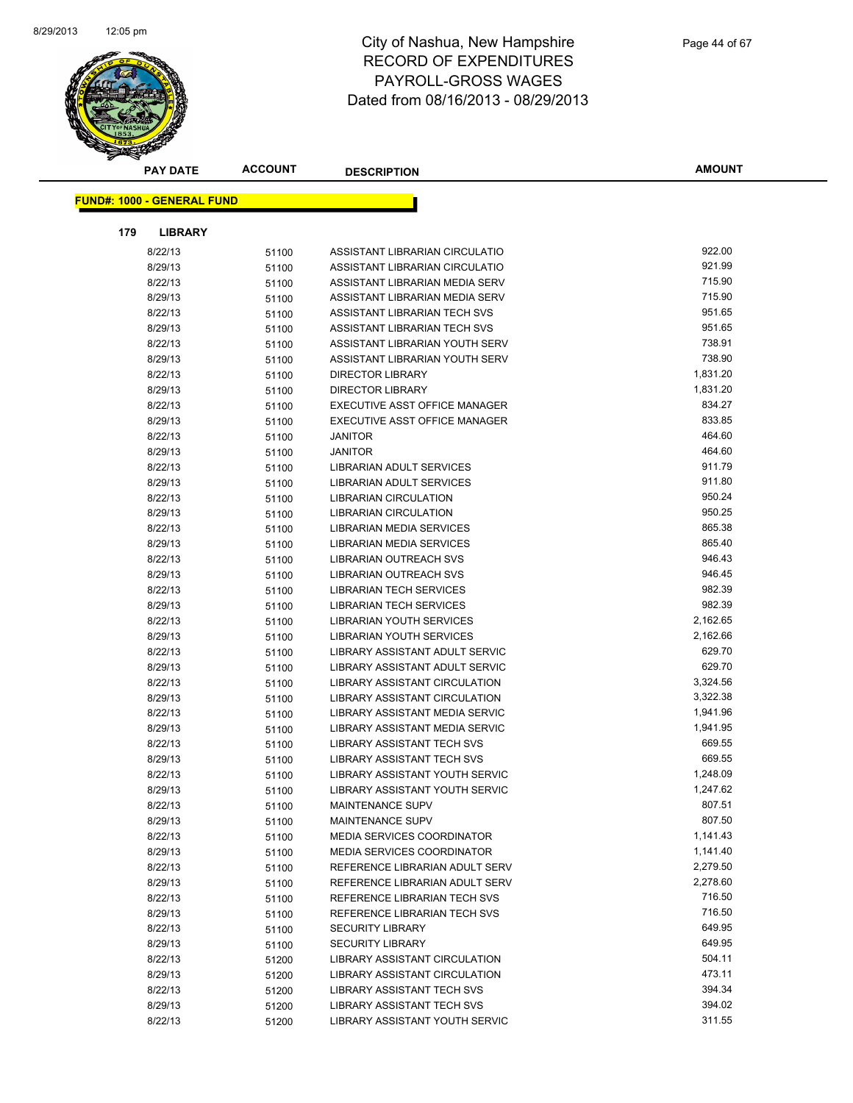

| <b>PAY DATE</b>                   | <b>ACCOUNT</b> | <b>DESCRIPTION</b>                                              | <b>AMOUNT</b>        |
|-----------------------------------|----------------|-----------------------------------------------------------------|----------------------|
|                                   |                |                                                                 |                      |
| <b>FUND#: 1000 - GENERAL FUND</b> |                |                                                                 |                      |
| 179<br><b>LIBRARY</b>             |                |                                                                 |                      |
| 8/22/13                           | 51100          | ASSISTANT LIBRARIAN CIRCULATIO                                  | 922.00               |
| 8/29/13                           | 51100          | ASSISTANT LIBRARIAN CIRCULATIO                                  | 921.99               |
| 8/22/13                           | 51100          | ASSISTANT LIBRARIAN MEDIA SERV                                  | 715.90               |
| 8/29/13                           | 51100          | ASSISTANT LIBRARIAN MEDIA SERV                                  | 715.90               |
| 8/22/13                           | 51100          | ASSISTANT LIBRARIAN TECH SVS                                    | 951.65               |
| 8/29/13                           | 51100          | ASSISTANT LIBRARIAN TECH SVS                                    | 951.65               |
| 8/22/13                           | 51100          | ASSISTANT LIBRARIAN YOUTH SERV                                  | 738.91               |
| 8/29/13                           | 51100          | ASSISTANT LIBRARIAN YOUTH SERV                                  | 738.90               |
| 8/22/13                           | 51100          | <b>DIRECTOR LIBRARY</b>                                         | 1,831.20             |
| 8/29/13                           | 51100          | <b>DIRECTOR LIBRARY</b>                                         | 1,831.20             |
| 8/22/13                           | 51100          | EXECUTIVE ASST OFFICE MANAGER                                   | 834.27               |
| 8/29/13                           | 51100          | EXECUTIVE ASST OFFICE MANAGER                                   | 833.85               |
| 8/22/13                           | 51100          | <b>JANITOR</b>                                                  | 464.60               |
| 8/29/13                           | 51100          | <b>JANITOR</b>                                                  | 464.60               |
| 8/22/13                           | 51100          | <b>LIBRARIAN ADULT SERVICES</b>                                 | 911.79               |
| 8/29/13                           | 51100          | LIBRARIAN ADULT SERVICES                                        | 911.80               |
| 8/22/13                           | 51100          | <b>LIBRARIAN CIRCULATION</b>                                    | 950.24               |
| 8/29/13                           | 51100          | <b>LIBRARIAN CIRCULATION</b>                                    | 950.25               |
| 8/22/13                           | 51100          | LIBRARIAN MEDIA SERVICES                                        | 865.38               |
| 8/29/13                           | 51100          | LIBRARIAN MEDIA SERVICES                                        | 865.40               |
| 8/22/13                           | 51100          | LIBRARIAN OUTREACH SVS                                          | 946.43               |
| 8/29/13                           | 51100          | LIBRARIAN OUTREACH SVS                                          | 946.45               |
| 8/22/13                           | 51100          | <b>LIBRARIAN TECH SERVICES</b>                                  | 982.39               |
| 8/29/13                           | 51100          | LIBRARIAN TECH SERVICES                                         | 982.39               |
| 8/22/13                           | 51100          | LIBRARIAN YOUTH SERVICES                                        | 2,162.65             |
| 8/29/13                           | 51100          | LIBRARIAN YOUTH SERVICES                                        | 2,162.66             |
| 8/22/13                           | 51100          | LIBRARY ASSISTANT ADULT SERVIC                                  | 629.70               |
| 8/29/13                           | 51100          | LIBRARY ASSISTANT ADULT SERVIC                                  | 629.70               |
| 8/22/13                           | 51100          | LIBRARY ASSISTANT CIRCULATION                                   | 3,324.56             |
| 8/29/13                           | 51100          | LIBRARY ASSISTANT CIRCULATION                                   | 3,322.38             |
| 8/22/13                           | 51100          | LIBRARY ASSISTANT MEDIA SERVIC                                  | 1,941.96             |
| 8/29/13                           | 51100          | LIBRARY ASSISTANT MEDIA SERVIC                                  | 1,941.95             |
| 8/22/13                           | 51100          | <b>LIBRARY ASSISTANT TECH SVS</b>                               | 669.55               |
| 8/29/13                           | 51100          | LIBRARY ASSISTANT TECH SVS                                      | 669.55               |
| 8/22/13                           | 51100          | LIBRARY ASSISTANT YOUTH SERVIC                                  | 1,248.09<br>1,247.62 |
| 8/29/13                           | 51100          | LIBRARY ASSISTANT YOUTH SERVIC                                  | 807.51               |
| 8/22/13                           | 51100          | MAINTENANCE SUPV                                                | 807.50               |
| 8/29/13                           | 51100          | MAINTENANCE SUPV                                                | 1,141.43             |
| 8/22/13<br>8/29/13                | 51100          | <b>MEDIA SERVICES COORDINATOR</b><br>MEDIA SERVICES COORDINATOR | 1,141.40             |
| 8/22/13                           | 51100          | REFERENCE LIBRARIAN ADULT SERV                                  | 2,279.50             |
| 8/29/13                           | 51100          | REFERENCE LIBRARIAN ADULT SERV                                  | 2,278.60             |
| 8/22/13                           | 51100          | REFERENCE LIBRARIAN TECH SVS                                    | 716.50               |
| 8/29/13                           | 51100<br>51100 | REFERENCE LIBRARIAN TECH SVS                                    | 716.50               |
| 8/22/13                           | 51100          | <b>SECURITY LIBRARY</b>                                         | 649.95               |
| 8/29/13                           | 51100          | <b>SECURITY LIBRARY</b>                                         | 649.95               |
| 8/22/13                           | 51200          | LIBRARY ASSISTANT CIRCULATION                                   | 504.11               |
| 8/29/13                           | 51200          | LIBRARY ASSISTANT CIRCULATION                                   | 473.11               |
| 8/22/13                           | 51200          | LIBRARY ASSISTANT TECH SVS                                      | 394.34               |
| 8/29/13                           | 51200          | LIBRARY ASSISTANT TECH SVS                                      | 394.02               |
| 8/22/13                           | 51200          | LIBRARY ASSISTANT YOUTH SERVIC                                  | 311.55               |
|                                   |                |                                                                 |                      |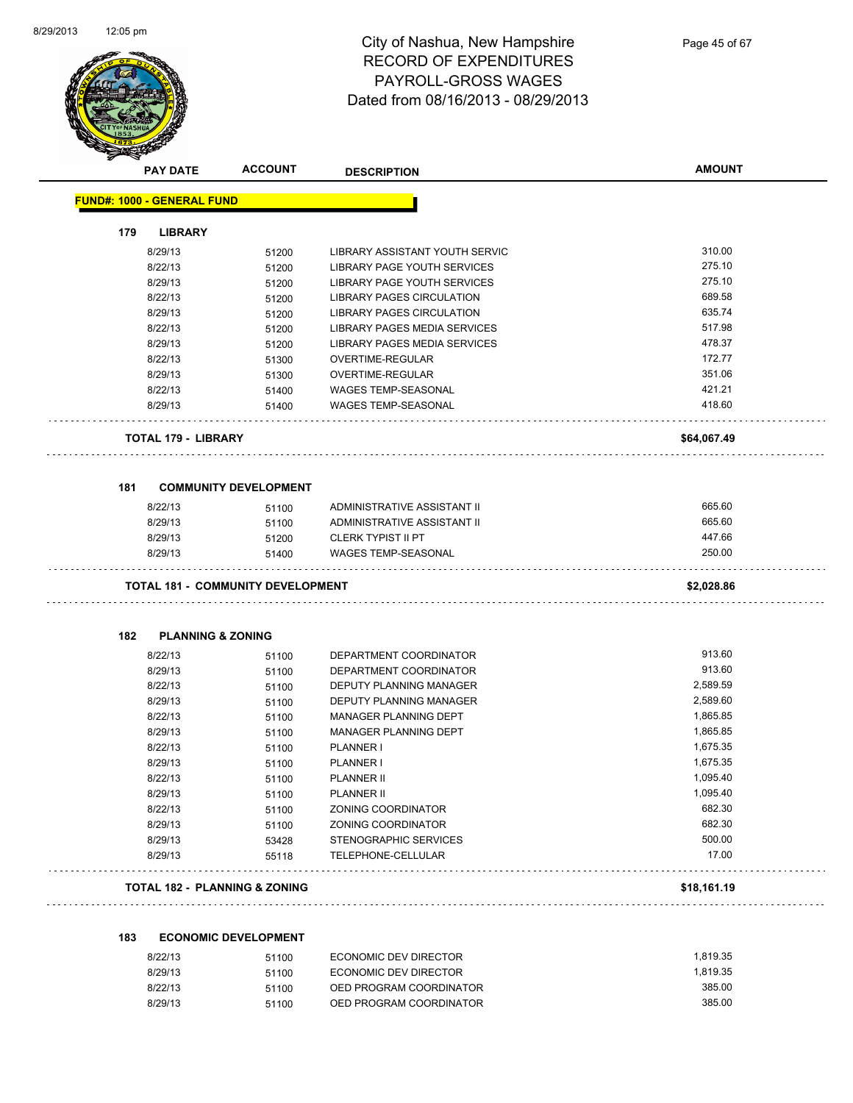

| <b>PAY DATE</b>                   | <b>ACCOUNT</b>                           | <b>DESCRIPTION</b>               | <b>AMOUNT</b> |
|-----------------------------------|------------------------------------------|----------------------------------|---------------|
| <b>FUND#: 1000 - GENERAL FUND</b> |                                          |                                  |               |
| 179<br><b>LIBRARY</b>             |                                          |                                  |               |
| 8/29/13                           | 51200                                    | LIBRARY ASSISTANT YOUTH SERVIC   | 310.00        |
| 8/22/13                           | 51200                                    | LIBRARY PAGE YOUTH SERVICES      | 275.10        |
| 8/29/13                           | 51200                                    | LIBRARY PAGE YOUTH SERVICES      | 275.10        |
| 8/22/13                           | 51200                                    | <b>LIBRARY PAGES CIRCULATION</b> | 689.58        |
| 8/29/13                           | 51200                                    | <b>LIBRARY PAGES CIRCULATION</b> | 635.74        |
| 8/22/13                           | 51200                                    | LIBRARY PAGES MEDIA SERVICES     | 517.98        |
| 8/29/13                           | 51200                                    | LIBRARY PAGES MEDIA SERVICES     | 478.37        |
| 8/22/13                           | 51300                                    | OVERTIME-REGULAR                 | 172.77        |
| 8/29/13                           | 51300                                    | OVERTIME-REGULAR                 | 351.06        |
| 8/22/13                           | 51400                                    | <b>WAGES TEMP-SEASONAL</b>       | 421.21        |
| 8/29/13                           | 51400                                    | <b>WAGES TEMP-SEASONAL</b>       | 418.60        |
| <b>TOTAL 179 - LIBRARY</b>        |                                          |                                  | \$64,067.49   |
| 181                               | <b>COMMUNITY DEVELOPMENT</b>             |                                  |               |
| 8/22/13                           | 51100                                    | ADMINISTRATIVE ASSISTANT II      | 665.60        |
| 8/29/13                           | 51100                                    | ADMINISTRATIVE ASSISTANT II      | 665.60        |
| 8/29/13                           | 51200                                    | <b>CLERK TYPIST II PT</b>        | 447.66        |
| 8/29/13                           | 51400                                    | <b>WAGES TEMP-SEASONAL</b>       | 250.00        |
|                                   | <b>TOTAL 181 - COMMUNITY DEVELOPMENT</b> |                                  | \$2,028.86    |
| 182                               | <b>PLANNING &amp; ZONING</b>             |                                  |               |
| 8/22/13                           | 51100                                    | DEPARTMENT COORDINATOR           | 913.60        |
| 8/29/13                           | 51100                                    | DEPARTMENT COORDINATOR           | 913.60        |
| 8/22/13                           | 51100                                    | DEPUTY PLANNING MANAGER          | 2,589.59      |
| 8/29/13                           | 51100                                    | DEPUTY PLANNING MANAGER          | 2,589.60      |
| 8/22/13                           | 51100                                    | <b>MANAGER PLANNING DEPT</b>     | 1,865.85      |
| 8/29/13                           | 51100                                    | <b>MANAGER PLANNING DEPT</b>     | 1,865.85      |
| 8/22/13                           | 51100                                    | PLANNER I                        | 1,675.35      |
| 8/29/13                           | 51100                                    | <b>PLANNER I</b>                 | 1,675.35      |
| 8/22/13                           | 51100                                    | <b>PLANNER II</b>                | 1,095.40      |
| 8/29/13                           | 51100                                    | PLANNER II                       | 1,095.40      |
| 8/22/13                           | 51100                                    | ZONING COORDINATOR               | 682.30        |
| 8/29/13                           | 51100                                    | ZONING COORDINATOR               | 682.30        |
| 8/29/13                           | 53428                                    | STENOGRAPHIC SERVICES            | 500.00        |
| 8/29/13                           | 55118                                    | TELEPHONE-CELLULAR               | 17.00         |
|                                   |                                          |                                  |               |

### **183 ECONOMIC DEVELOPMENT**

| 8/22/13 | 51100 | ECONOMIC DEV DIRECTOR   | 1.819.35 |
|---------|-------|-------------------------|----------|
| 8/29/13 | 51100 | ECONOMIC DEV DIRECTOR   | 1.819.35 |
| 8/22/13 | 51100 | OED PROGRAM COORDINATOR | 385.00   |
| 8/29/13 | 51100 | OED PROGRAM COORDINATOR | 385.00   |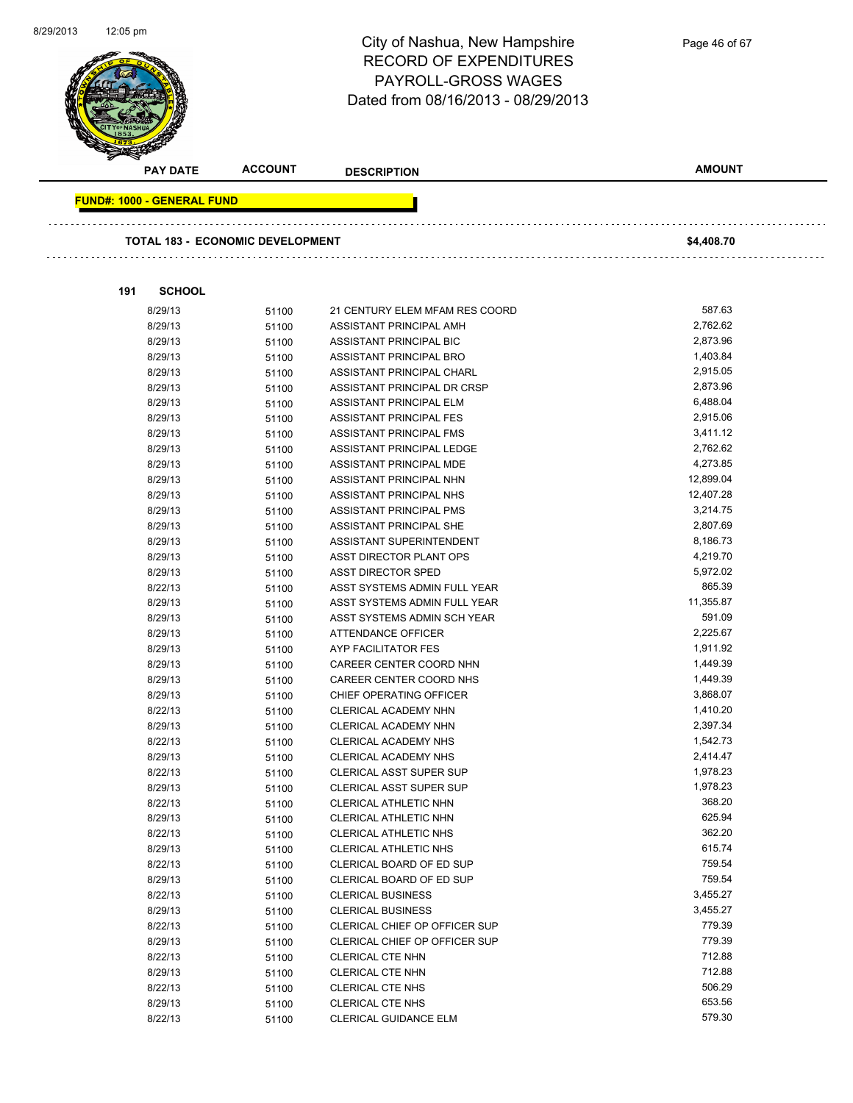

| <b>PAY DATE</b>                         | <b>ACCOUNT</b> | <b>DESCRIPTION</b>                             | <b>AMOUNT</b>      |
|-----------------------------------------|----------------|------------------------------------------------|--------------------|
| <b>FUND#: 1000 - GENERAL FUND</b>       |                |                                                |                    |
|                                         |                |                                                |                    |
| <b>TOTAL 183 - ECONOMIC DEVELOPMENT</b> |                |                                                | \$4,408.70         |
|                                         |                |                                                |                    |
| <b>SCHOOL</b><br>191                    |                |                                                |                    |
| 8/29/13                                 | 51100          | 21 CENTURY ELEM MFAM RES COORD                 | 587.63             |
| 8/29/13                                 | 51100          | ASSISTANT PRINCIPAL AMH                        | 2,762.62           |
| 8/29/13                                 | 51100          | ASSISTANT PRINCIPAL BIC                        | 2,873.96           |
| 8/29/13                                 | 51100          | ASSISTANT PRINCIPAL BRO                        | 1,403.84           |
| 8/29/13                                 | 51100          | ASSISTANT PRINCIPAL CHARL                      | 2,915.05           |
| 8/29/13                                 | 51100          | ASSISTANT PRINCIPAL DR CRSP                    | 2,873.96           |
| 8/29/13                                 | 51100          | ASSISTANT PRINCIPAL ELM                        | 6,488.04           |
| 8/29/13                                 | 51100          | ASSISTANT PRINCIPAL FES                        | 2,915.06           |
| 8/29/13                                 | 51100          | ASSISTANT PRINCIPAL FMS                        | 3,411.12           |
| 8/29/13                                 | 51100          | ASSISTANT PRINCIPAL LEDGE                      | 2,762.62           |
| 8/29/13                                 | 51100          | ASSISTANT PRINCIPAL MDE                        | 4,273.85           |
| 8/29/13                                 | 51100          | ASSISTANT PRINCIPAL NHN                        | 12,899.04          |
| 8/29/13                                 | 51100          | ASSISTANT PRINCIPAL NHS                        | 12,407.28          |
| 8/29/13                                 | 51100          | ASSISTANT PRINCIPAL PMS                        | 3,214.75           |
| 8/29/13                                 | 51100          | ASSISTANT PRINCIPAL SHE                        | 2,807.69           |
| 8/29/13                                 | 51100          | ASSISTANT SUPERINTENDENT                       | 8,186.73           |
| 8/29/13                                 | 51100          | ASST DIRECTOR PLANT OPS                        | 4,219.70           |
| 8/29/13                                 | 51100          | <b>ASST DIRECTOR SPED</b>                      | 5,972.02           |
| 8/22/13                                 | 51100          | ASST SYSTEMS ADMIN FULL YEAR                   | 865.39             |
| 8/29/13                                 | 51100          | ASST SYSTEMS ADMIN FULL YEAR                   | 11,355.87          |
| 8/29/13                                 | 51100          | ASST SYSTEMS ADMIN SCH YEAR                    | 591.09             |
| 8/29/13                                 | 51100          | ATTENDANCE OFFICER                             | 2,225.67           |
| 8/29/13                                 | 51100          | AYP FACILITATOR FES                            | 1,911.92           |
| 8/29/13                                 | 51100          | CAREER CENTER COORD NHN                        | 1,449.39           |
| 8/29/13                                 | 51100          | CAREER CENTER COORD NHS                        | 1,449.39           |
| 8/29/13                                 | 51100          | CHIEF OPERATING OFFICER                        | 3,868.07           |
| 8/22/13                                 | 51100          | CLERICAL ACADEMY NHN                           | 1,410.20           |
| 8/29/13                                 | 51100          | CLERICAL ACADEMY NHN                           | 2,397.34           |
| 8/22/13                                 | 51100          | CLERICAL ACADEMY NHS                           | 1,542.73           |
| 8/29/13                                 | 51100          | <b>CLERICAL ACADEMY NHS</b>                    | 2,414.47           |
| 8/22/13                                 | 51100          | <b>CLERICAL ASST SUPER SUP</b>                 | 1,978.23           |
| 8/29/13                                 | 51100          | CLERICAL ASST SUPER SUP                        | 1,978.23<br>368.20 |
| 8/22/13                                 | 51100          | CLERICAL ATHLETIC NHN<br>CLERICAL ATHLETIC NHN | 625.94             |
| 8/29/13                                 | 51100          |                                                | 362.20             |
| 8/22/13                                 | 51100          | CLERICAL ATHLETIC NHS<br>CLERICAL ATHLETIC NHS | 615.74             |
| 8/29/13<br>8/22/13                      | 51100          | CLERICAL BOARD OF ED SUP                       | 759.54             |
| 8/29/13                                 | 51100          | CLERICAL BOARD OF ED SUP                       | 759.54             |
| 8/22/13                                 | 51100<br>51100 | <b>CLERICAL BUSINESS</b>                       | 3,455.27           |
| 8/29/13                                 | 51100          | <b>CLERICAL BUSINESS</b>                       | 3,455.27           |
| 8/22/13                                 | 51100          | CLERICAL CHIEF OP OFFICER SUP                  | 779.39             |
| 8/29/13                                 | 51100          | CLERICAL CHIEF OP OFFICER SUP                  | 779.39             |
| 8/22/13                                 | 51100          | CLERICAL CTE NHN                               | 712.88             |
| 8/29/13                                 | 51100          | CLERICAL CTE NHN                               | 712.88             |
| 8/22/13                                 | 51100          | CLERICAL CTE NHS                               | 506.29             |
| 8/29/13                                 | 51100          | CLERICAL CTE NHS                               | 653.56             |
| 8/22/13                                 | 51100          | CLERICAL GUIDANCE ELM                          | 579.30             |

Page 46 of 67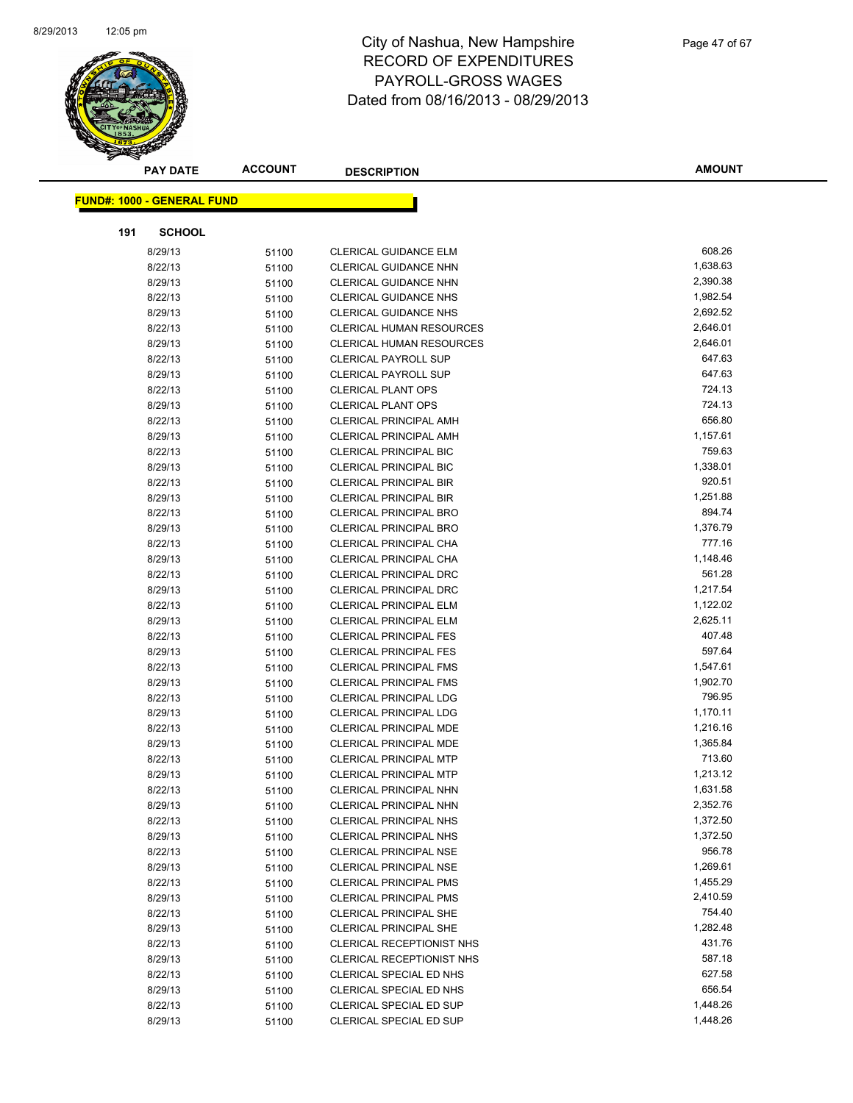

| <b>PAY DATE</b>                   | <b>ACCOUNT</b> | <b>DESCRIPTION</b>              | <b>AMOUNT</b> |
|-----------------------------------|----------------|---------------------------------|---------------|
|                                   |                |                                 |               |
| <b>FUND#: 1000 - GENERAL FUND</b> |                |                                 |               |
| 191<br><b>SCHOOL</b>              |                |                                 |               |
| 8/29/13                           | 51100          | <b>CLERICAL GUIDANCE ELM</b>    | 608.26        |
| 8/22/13                           | 51100          | <b>CLERICAL GUIDANCE NHN</b>    | 1,638.63      |
| 8/29/13                           | 51100          | <b>CLERICAL GUIDANCE NHN</b>    | 2,390.38      |
| 8/22/13                           | 51100          | <b>CLERICAL GUIDANCE NHS</b>    | 1,982.54      |
| 8/29/13                           | 51100          | <b>CLERICAL GUIDANCE NHS</b>    | 2,692.52      |
| 8/22/13                           | 51100          | <b>CLERICAL HUMAN RESOURCES</b> | 2,646.01      |
| 8/29/13                           | 51100          | <b>CLERICAL HUMAN RESOURCES</b> | 2,646.01      |
| 8/22/13                           | 51100          | <b>CLERICAL PAYROLL SUP</b>     | 647.63        |
| 8/29/13                           | 51100          | <b>CLERICAL PAYROLL SUP</b>     | 647.63        |
| 8/22/13                           | 51100          | <b>CLERICAL PLANT OPS</b>       | 724.13        |
| 8/29/13                           | 51100          | <b>CLERICAL PLANT OPS</b>       | 724.13        |
| 8/22/13                           | 51100          | <b>CLERICAL PRINCIPAL AMH</b>   | 656.80        |
| 8/29/13                           | 51100          | <b>CLERICAL PRINCIPAL AMH</b>   | 1,157.61      |
| 8/22/13                           | 51100          | <b>CLERICAL PRINCIPAL BIC</b>   | 759.63        |
| 8/29/13                           | 51100          | <b>CLERICAL PRINCIPAL BIC</b>   | 1,338.01      |
| 8/22/13                           | 51100          | <b>CLERICAL PRINCIPAL BIR</b>   | 920.51        |
| 8/29/13                           | 51100          | <b>CLERICAL PRINCIPAL BIR</b>   | 1,251.88      |
| 8/22/13                           | 51100          | <b>CLERICAL PRINCIPAL BRO</b>   | 894.74        |
| 8/29/13                           | 51100          | <b>CLERICAL PRINCIPAL BRO</b>   | 1,376.79      |
| 8/22/13                           | 51100          | CLERICAL PRINCIPAL CHA          | 777.16        |
| 8/29/13                           | 51100          | CLERICAL PRINCIPAL CHA          | 1,148.46      |
| 8/22/13                           | 51100          | <b>CLERICAL PRINCIPAL DRC</b>   | 561.28        |
| 8/29/13                           | 51100          | <b>CLERICAL PRINCIPAL DRC</b>   | 1,217.54      |
| 8/22/13                           | 51100          | <b>CLERICAL PRINCIPAL ELM</b>   | 1,122.02      |
| 8/29/13                           | 51100          | <b>CLERICAL PRINCIPAL ELM</b>   | 2,625.11      |
| 8/22/13                           | 51100          | <b>CLERICAL PRINCIPAL FES</b>   | 407.48        |
| 8/29/13                           | 51100          | <b>CLERICAL PRINCIPAL FES</b>   | 597.64        |
| 8/22/13                           | 51100          | <b>CLERICAL PRINCIPAL FMS</b>   | 1,547.61      |
| 8/29/13                           | 51100          | <b>CLERICAL PRINCIPAL FMS</b>   | 1,902.70      |
| 8/22/13                           | 51100          | <b>CLERICAL PRINCIPAL LDG</b>   | 796.95        |
| 8/29/13                           | 51100          | <b>CLERICAL PRINCIPAL LDG</b>   | 1,170.11      |
| 8/22/13                           | 51100          | <b>CLERICAL PRINCIPAL MDE</b>   | 1,216.16      |
| 8/29/13                           | 51100          | <b>CLERICAL PRINCIPAL MDE</b>   | 1,365.84      |
| 8/22/13                           | 51100          | <b>CLERICAL PRINCIPAL MTP</b>   | 713.60        |
| 8/29/13                           | 51100          | <b>CLERICAL PRINCIPAL MTP</b>   | 1,213.12      |
| 8/22/13                           | 51100          | CLERICAL PRINCIPAL NHN          | 1,631.58      |
| 8/29/13                           | 51100          | <b>CLERICAL PRINCIPAL NHN</b>   | 2,352.76      |
| 8/22/13                           | 51100          | <b>CLERICAL PRINCIPAL NHS</b>   | 1,372.50      |
| 8/29/13                           | 51100          | <b>CLERICAL PRINCIPAL NHS</b>   | 1,372.50      |
| 8/22/13                           | 51100          | <b>CLERICAL PRINCIPAL NSE</b>   | 956.78        |
| 8/29/13                           | 51100          | <b>CLERICAL PRINCIPAL NSE</b>   | 1,269.61      |
| 8/22/13                           | 51100          | <b>CLERICAL PRINCIPAL PMS</b>   | 1,455.29      |
| 8/29/13                           | 51100          | <b>CLERICAL PRINCIPAL PMS</b>   | 2,410.59      |
| 8/22/13                           | 51100          | <b>CLERICAL PRINCIPAL SHE</b>   | 754.40        |
| 8/29/13                           | 51100          | <b>CLERICAL PRINCIPAL SHE</b>   | 1,282.48      |
| 8/22/13                           | 51100          | CLERICAL RECEPTIONIST NHS       | 431.76        |
| 8/29/13                           | 51100          | CLERICAL RECEPTIONIST NHS       | 587.18        |
| 8/22/13                           | 51100          | CLERICAL SPECIAL ED NHS         | 627.58        |
| 8/29/13                           | 51100          | CLERICAL SPECIAL ED NHS         | 656.54        |
| 8/22/13                           | 51100          | CLERICAL SPECIAL ED SUP         | 1,448.26      |
| 8/29/13                           | 51100          | CLERICAL SPECIAL ED SUP         | 1,448.26      |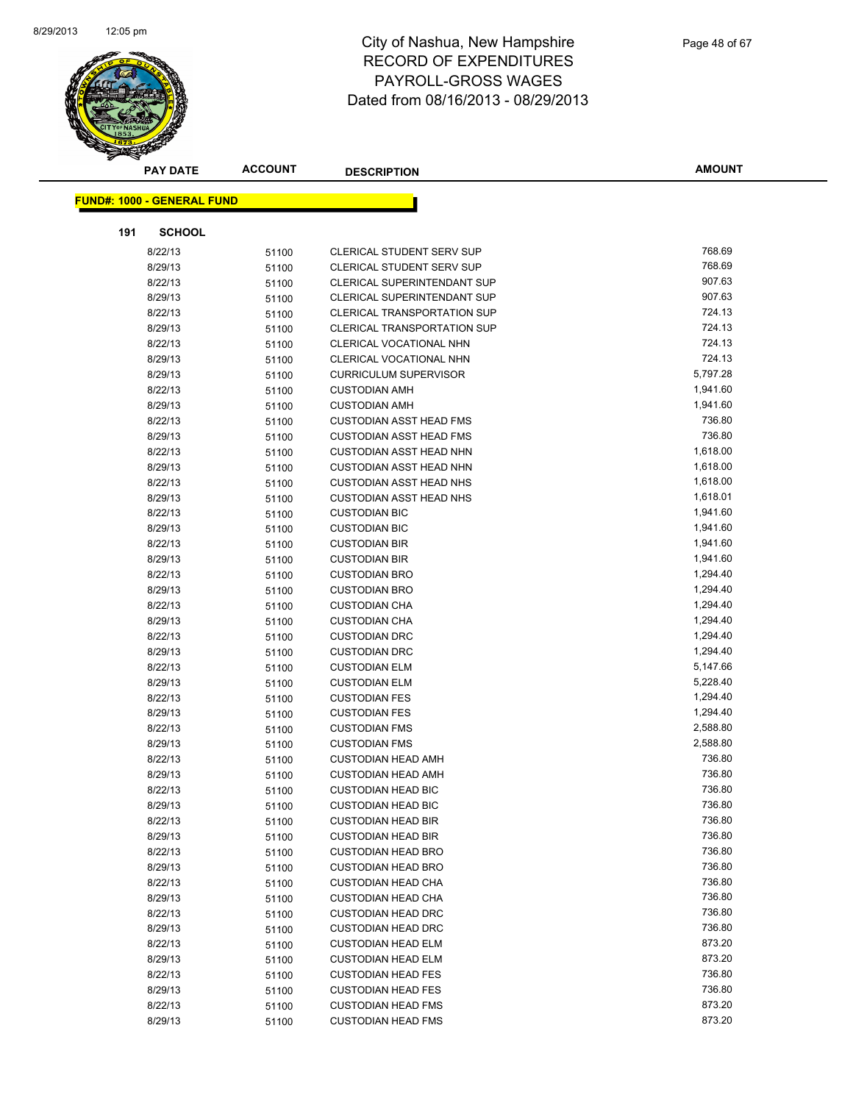

|     | <b>PAY DATE</b>                   | <b>ACCOUNT</b> | <b>DESCRIPTION</b>                           | AMOUNT               |
|-----|-----------------------------------|----------------|----------------------------------------------|----------------------|
|     | <b>FUND#: 1000 - GENERAL FUND</b> |                |                                              |                      |
|     |                                   |                |                                              |                      |
| 191 | <b>SCHOOL</b>                     |                |                                              |                      |
|     | 8/22/13                           | 51100          | CLERICAL STUDENT SERV SUP                    | 768.69               |
|     | 8/29/13                           | 51100          | CLERICAL STUDENT SERV SUP                    | 768.69               |
|     | 8/22/13                           | 51100          | <b>CLERICAL SUPERINTENDANT SUP</b>           | 907.63               |
|     | 8/29/13                           | 51100          | <b>CLERICAL SUPERINTENDANT SUP</b>           | 907.63               |
|     | 8/22/13                           | 51100          | <b>CLERICAL TRANSPORTATION SUP</b>           | 724.13               |
|     | 8/29/13                           | 51100          | <b>CLERICAL TRANSPORTATION SUP</b>           | 724.13               |
|     | 8/22/13                           | 51100          | CLERICAL VOCATIONAL NHN                      | 724.13               |
|     | 8/29/13                           | 51100          | CLERICAL VOCATIONAL NHN                      | 724.13               |
|     | 8/29/13                           | 51100          | <b>CURRICULUM SUPERVISOR</b>                 | 5,797.28             |
|     | 8/22/13                           | 51100          | <b>CUSTODIAN AMH</b>                         | 1,941.60             |
|     | 8/29/13                           | 51100          | <b>CUSTODIAN AMH</b>                         | 1,941.60             |
|     | 8/22/13                           | 51100          | <b>CUSTODIAN ASST HEAD FMS</b>               | 736.80               |
|     | 8/29/13                           | 51100          | <b>CUSTODIAN ASST HEAD FMS</b>               | 736.80               |
|     | 8/22/13                           | 51100          | <b>CUSTODIAN ASST HEAD NHN</b>               | 1,618.00             |
|     | 8/29/13                           | 51100          | <b>CUSTODIAN ASST HEAD NHN</b>               | 1,618.00             |
|     | 8/22/13                           | 51100          | <b>CUSTODIAN ASST HEAD NHS</b>               | 1,618.00             |
|     | 8/29/13                           | 51100          | <b>CUSTODIAN ASST HEAD NHS</b>               | 1,618.01             |
|     | 8/22/13                           | 51100          | <b>CUSTODIAN BIC</b>                         | 1,941.60             |
|     | 8/29/13                           | 51100          | <b>CUSTODIAN BIC</b>                         | 1,941.60             |
|     | 8/22/13                           | 51100          | <b>CUSTODIAN BIR</b>                         | 1,941.60             |
|     | 8/29/13                           | 51100          | <b>CUSTODIAN BIR</b>                         | 1,941.60             |
|     | 8/22/13                           | 51100          | <b>CUSTODIAN BRO</b>                         | 1,294.40             |
|     | 8/29/13                           | 51100          | <b>CUSTODIAN BRO</b>                         | 1,294.40             |
|     | 8/22/13                           | 51100          | <b>CUSTODIAN CHA</b>                         | 1,294.40             |
|     | 8/29/13                           | 51100          | <b>CUSTODIAN CHA</b>                         | 1,294.40             |
|     | 8/22/13                           | 51100          | <b>CUSTODIAN DRC</b>                         | 1,294.40             |
|     | 8/29/13                           | 51100          | <b>CUSTODIAN DRC</b>                         | 1,294.40             |
|     | 8/22/13                           | 51100          | <b>CUSTODIAN ELM</b>                         | 5,147.66             |
|     | 8/29/13                           | 51100          | <b>CUSTODIAN ELM</b>                         | 5,228.40             |
|     | 8/22/13                           | 51100          | <b>CUSTODIAN FES</b><br><b>CUSTODIAN FES</b> | 1,294.40<br>1,294.40 |
|     | 8/29/13<br>8/22/13                | 51100          | <b>CUSTODIAN FMS</b>                         | 2,588.80             |
|     | 8/29/13                           | 51100          | <b>CUSTODIAN FMS</b>                         | 2,588.80             |
|     | 8/22/13                           | 51100          | <b>CUSTODIAN HEAD AMH</b>                    | 736.80               |
|     | 8/29/13                           | 51100<br>51100 | <b>CUSTODIAN HEAD AMH</b>                    | 736.80               |
|     | 8/22/13                           | 51100          | <b>CUSTODIAN HEAD BIC</b>                    | 736.80               |
|     | 8/29/13                           | 51100          | <b>CUSTODIAN HEAD BIC</b>                    | 736.80               |
|     | 8/22/13                           | 51100          | <b>CUSTODIAN HEAD BIR</b>                    | 736.80               |
|     | 8/29/13                           | 51100          | <b>CUSTODIAN HEAD BIR</b>                    | 736.80               |
|     | 8/22/13                           | 51100          | <b>CUSTODIAN HEAD BRO</b>                    | 736.80               |
|     | 8/29/13                           | 51100          | <b>CUSTODIAN HEAD BRO</b>                    | 736.80               |
|     | 8/22/13                           | 51100          | <b>CUSTODIAN HEAD CHA</b>                    | 736.80               |
|     | 8/29/13                           | 51100          | <b>CUSTODIAN HEAD CHA</b>                    | 736.80               |
|     | 8/22/13                           | 51100          | <b>CUSTODIAN HEAD DRC</b>                    | 736.80               |
|     | 8/29/13                           | 51100          | <b>CUSTODIAN HEAD DRC</b>                    | 736.80               |
|     | 8/22/13                           | 51100          | <b>CUSTODIAN HEAD ELM</b>                    | 873.20               |
|     | 8/29/13                           | 51100          | <b>CUSTODIAN HEAD ELM</b>                    | 873.20               |
|     | 8/22/13                           | 51100          | <b>CUSTODIAN HEAD FES</b>                    | 736.80               |
|     | 8/29/13                           | 51100          | <b>CUSTODIAN HEAD FES</b>                    | 736.80               |
|     | 8/22/13                           | 51100          | <b>CUSTODIAN HEAD FMS</b>                    | 873.20               |
|     | 8/29/13                           | 51100          | <b>CUSTODIAN HEAD FMS</b>                    | 873.20               |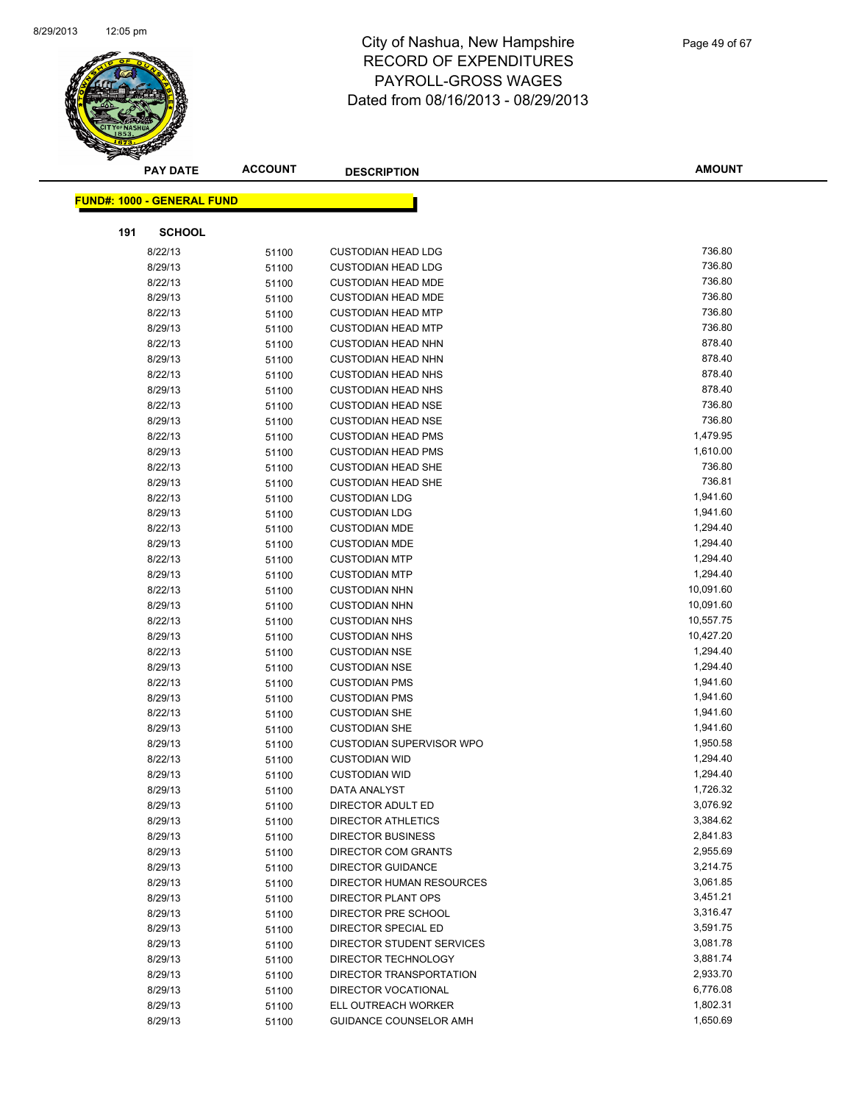

|     | <b>PAY DATE</b>                   | <b>ACCOUNT</b> | <b>DESCRIPTION</b>               | <b>AMOUNT</b> |
|-----|-----------------------------------|----------------|----------------------------------|---------------|
|     | <b>FUND#: 1000 - GENERAL FUND</b> |                |                                  |               |
|     |                                   |                |                                  |               |
| 191 | <b>SCHOOL</b>                     |                |                                  |               |
|     | 8/22/13                           | 51100          | <b>CUSTODIAN HEAD LDG</b>        | 736.80        |
|     | 8/29/13                           | 51100          | <b>CUSTODIAN HEAD LDG</b>        | 736.80        |
|     | 8/22/13                           | 51100          | <b>CUSTODIAN HEAD MDE</b>        | 736.80        |
|     | 8/29/13                           | 51100          | <b>CUSTODIAN HEAD MDE</b>        | 736.80        |
|     | 8/22/13                           | 51100          | <b>CUSTODIAN HEAD MTP</b>        | 736.80        |
|     | 8/29/13                           | 51100          | <b>CUSTODIAN HEAD MTP</b>        | 736.80        |
|     | 8/22/13                           | 51100          | <b>CUSTODIAN HEAD NHN</b>        | 878.40        |
|     | 8/29/13                           | 51100          | <b>CUSTODIAN HEAD NHN</b>        | 878.40        |
|     | 8/22/13                           | 51100          | <b>CUSTODIAN HEAD NHS</b>        | 878.40        |
|     | 8/29/13                           | 51100          | <b>CUSTODIAN HEAD NHS</b>        | 878.40        |
|     | 8/22/13                           | 51100          | <b>CUSTODIAN HEAD NSE</b>        | 736.80        |
|     | 8/29/13                           | 51100          | <b>CUSTODIAN HEAD NSE</b>        | 736.80        |
|     | 8/22/13                           | 51100          | <b>CUSTODIAN HEAD PMS</b>        | 1,479.95      |
|     | 8/29/13                           | 51100          | <b>CUSTODIAN HEAD PMS</b>        | 1,610.00      |
|     | 8/22/13                           | 51100          | <b>CUSTODIAN HEAD SHE</b>        | 736.80        |
|     | 8/29/13                           | 51100          | <b>CUSTODIAN HEAD SHE</b>        | 736.81        |
|     | 8/22/13                           | 51100          | <b>CUSTODIAN LDG</b>             | 1,941.60      |
|     | 8/29/13                           | 51100          | <b>CUSTODIAN LDG</b>             | 1,941.60      |
|     | 8/22/13                           | 51100          | <b>CUSTODIAN MDE</b>             | 1,294.40      |
|     | 8/29/13                           | 51100          | <b>CUSTODIAN MDE</b>             | 1,294.40      |
|     | 8/22/13                           | 51100          | <b>CUSTODIAN MTP</b>             | 1,294.40      |
|     | 8/29/13                           | 51100          | <b>CUSTODIAN MTP</b>             | 1,294.40      |
|     | 8/22/13                           | 51100          | <b>CUSTODIAN NHN</b>             | 10,091.60     |
|     | 8/29/13                           | 51100          | <b>CUSTODIAN NHN</b>             | 10,091.60     |
|     | 8/22/13                           | 51100          | <b>CUSTODIAN NHS</b>             | 10,557.75     |
|     | 8/29/13                           | 51100          | <b>CUSTODIAN NHS</b>             | 10,427.20     |
|     | 8/22/13                           | 51100          | <b>CUSTODIAN NSE</b>             | 1,294.40      |
|     | 8/29/13                           | 51100          | <b>CUSTODIAN NSE</b>             | 1,294.40      |
|     | 8/22/13                           | 51100          | <b>CUSTODIAN PMS</b>             | 1,941.60      |
|     | 8/29/13                           | 51100          | <b>CUSTODIAN PMS</b>             | 1,941.60      |
|     | 8/22/13                           | 51100          | <b>CUSTODIAN SHE</b>             | 1,941.60      |
|     | 8/29/13                           | 51100          | <b>CUSTODIAN SHE</b>             | 1,941.60      |
|     | 8/29/13                           | 51100          | <b>CUSTODIAN SUPERVISOR WPO</b>  | 1,950.58      |
|     | 8/22/13                           | 51100          | <b>CUSTODIAN WID</b>             | 1,294.40      |
|     | 8/29/13                           | 51100          | <b>CUSTODIAN WID</b>             | 1,294.40      |
|     | 8/29/13                           | 51100          | <b>DATA ANALYST</b>              | 1,726.32      |
|     | 8/29/13                           | 51100          | DIRECTOR ADULT ED                | 3,076.92      |
|     | 8/29/13                           | 51100          | <b>DIRECTOR ATHLETICS</b>        | 3,384.62      |
|     | 8/29/13                           | 51100          | <b>DIRECTOR BUSINESS</b>         | 2,841.83      |
|     | 8/29/13                           | 51100          | <b>DIRECTOR COM GRANTS</b>       | 2,955.69      |
|     | 8/29/13                           | 51100          | <b>DIRECTOR GUIDANCE</b>         | 3,214.75      |
|     | 8/29/13                           | 51100          | DIRECTOR HUMAN RESOURCES         | 3,061.85      |
|     | 8/29/13                           | 51100          | DIRECTOR PLANT OPS               | 3,451.21      |
|     | 8/29/13                           | 51100          | DIRECTOR PRE SCHOOL              | 3,316.47      |
|     | 8/29/13                           | 51100          | DIRECTOR SPECIAL ED              | 3,591.75      |
|     | 8/29/13                           | 51100          | <b>DIRECTOR STUDENT SERVICES</b> | 3,081.78      |
|     | 8/29/13                           | 51100          | DIRECTOR TECHNOLOGY              | 3,881.74      |
|     | 8/29/13                           | 51100          | DIRECTOR TRANSPORTATION          | 2,933.70      |
|     | 8/29/13                           | 51100          | DIRECTOR VOCATIONAL              | 6,776.08      |
|     | 8/29/13                           | 51100          | ELL OUTREACH WORKER              | 1,802.31      |
|     | 8/29/13                           | 51100          | GUIDANCE COUNSELOR AMH           | 1,650.69      |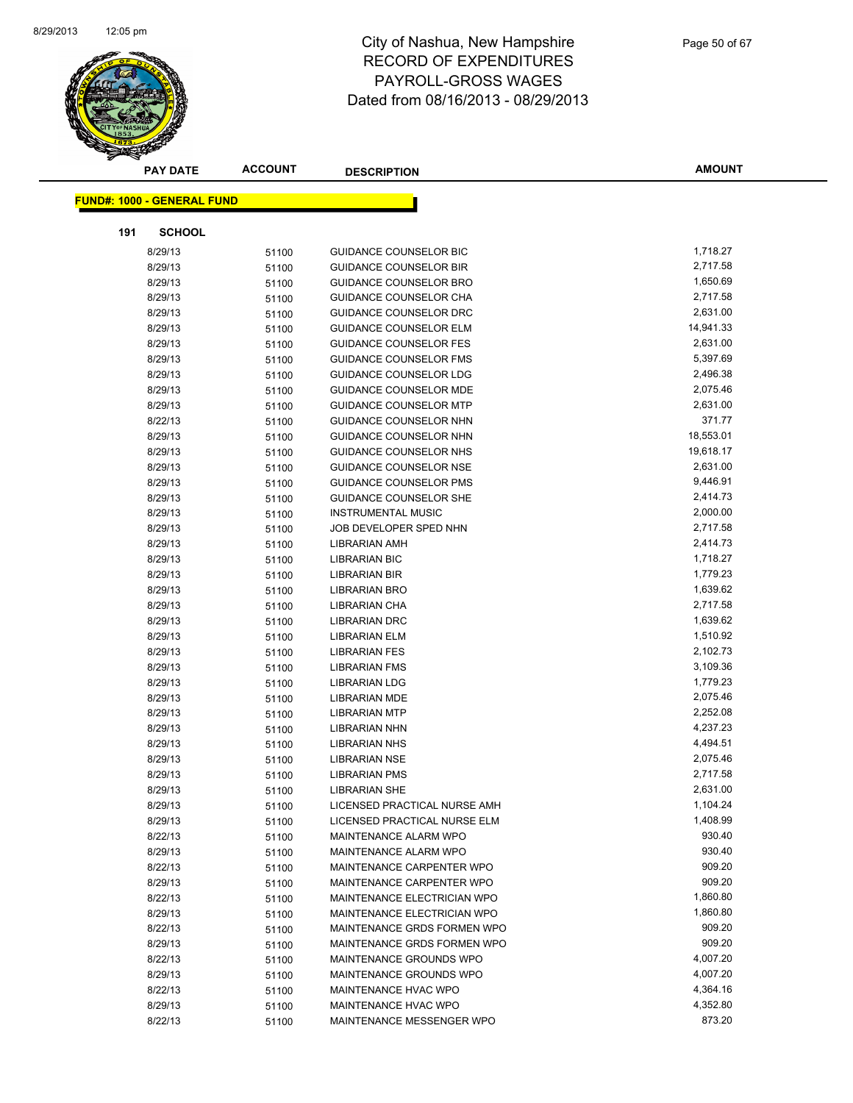

|     | <b>PAY DATE</b>                   | <b>ACCOUNT</b> | <b>DESCRIPTION</b>                                     | <b>AMOUNT</b>        |
|-----|-----------------------------------|----------------|--------------------------------------------------------|----------------------|
|     | <b>FUND#: 1000 - GENERAL FUND</b> |                |                                                        |                      |
|     |                                   |                |                                                        |                      |
| 191 | <b>SCHOOL</b>                     |                |                                                        |                      |
|     | 8/29/13                           | 51100          | <b>GUIDANCE COUNSELOR BIC</b>                          | 1,718.27             |
|     | 8/29/13                           | 51100          | <b>GUIDANCE COUNSELOR BIR</b>                          | 2,717.58             |
|     | 8/29/13                           | 51100          | <b>GUIDANCE COUNSELOR BRO</b>                          | 1,650.69             |
|     | 8/29/13                           | 51100          | <b>GUIDANCE COUNSELOR CHA</b>                          | 2,717.58             |
|     | 8/29/13                           | 51100          | GUIDANCE COUNSELOR DRC                                 | 2,631.00             |
|     | 8/29/13                           | 51100          | GUIDANCE COUNSELOR ELM                                 | 14,941.33            |
|     | 8/29/13                           | 51100          | <b>GUIDANCE COUNSELOR FES</b>                          | 2,631.00             |
|     | 8/29/13                           | 51100          | <b>GUIDANCE COUNSELOR FMS</b>                          | 5,397.69             |
|     | 8/29/13                           | 51100          | <b>GUIDANCE COUNSELOR LDG</b>                          | 2,496.38             |
|     | 8/29/13                           | 51100          | <b>GUIDANCE COUNSELOR MDE</b>                          | 2,075.46             |
|     | 8/29/13                           | 51100          | <b>GUIDANCE COUNSELOR MTP</b>                          | 2,631.00             |
|     | 8/22/13                           | 51100          | <b>GUIDANCE COUNSELOR NHN</b>                          | 371.77               |
|     | 8/29/13                           | 51100          | <b>GUIDANCE COUNSELOR NHN</b>                          | 18,553.01            |
|     | 8/29/13                           | 51100          | GUIDANCE COUNSELOR NHS                                 | 19,618.17            |
|     | 8/29/13                           | 51100          | <b>GUIDANCE COUNSELOR NSE</b>                          | 2,631.00             |
|     | 8/29/13                           | 51100          | <b>GUIDANCE COUNSELOR PMS</b>                          | 9,446.91             |
|     | 8/29/13                           | 51100          | <b>GUIDANCE COUNSELOR SHE</b>                          | 2,414.73             |
|     | 8/29/13                           | 51100          | <b>INSTRUMENTAL MUSIC</b>                              | 2,000.00             |
|     | 8/29/13                           | 51100          | JOB DEVELOPER SPED NHN                                 | 2,717.58             |
|     | 8/29/13                           | 51100          | <b>LIBRARIAN AMH</b>                                   | 2,414.73             |
|     | 8/29/13                           | 51100          | <b>LIBRARIAN BIC</b>                                   | 1,718.27             |
|     | 8/29/13                           | 51100          | LIBRARIAN BIR                                          | 1,779.23             |
|     | 8/29/13                           | 51100          | LIBRARIAN BRO                                          | 1,639.62             |
|     | 8/29/13                           | 51100          | LIBRARIAN CHA                                          | 2,717.58             |
|     | 8/29/13                           | 51100          | <b>LIBRARIAN DRC</b>                                   | 1,639.62             |
|     | 8/29/13                           | 51100          | <b>LIBRARIAN ELM</b>                                   | 1,510.92             |
|     | 8/29/13                           | 51100          | <b>LIBRARIAN FES</b>                                   | 2,102.73             |
|     | 8/29/13                           | 51100          | <b>LIBRARIAN FMS</b>                                   | 3,109.36             |
|     | 8/29/13                           | 51100          | <b>LIBRARIAN LDG</b>                                   | 1,779.23             |
|     | 8/29/13                           | 51100          | <b>LIBRARIAN MDE</b>                                   | 2,075.46             |
|     | 8/29/13                           | 51100          | <b>LIBRARIAN MTP</b>                                   | 2,252.08             |
|     | 8/29/13                           | 51100          | LIBRARIAN NHN                                          | 4,237.23             |
|     | 8/29/13                           | 51100          | <b>LIBRARIAN NHS</b>                                   | 4,494.51             |
|     | 8/29/13                           | 51100          | <b>LIBRARIAN NSE</b>                                   | 2,075.46             |
|     | 8/29/13                           | 51100          | <b>LIBRARIAN PMS</b>                                   | 2,717.58<br>2,631.00 |
|     | 8/29/13                           | 51100          | <b>LIBRARIAN SHE</b>                                   |                      |
|     | 8/29/13                           | 51100          | LICENSED PRACTICAL NURSE AMH                           | 1,104.24<br>1,408.99 |
|     | 8/29/13                           | 51100          | LICENSED PRACTICAL NURSE ELM                           |                      |
|     | 8/22/13                           | 51100          | MAINTENANCE ALARM WPO                                  | 930.40<br>930.40     |
|     | 8/29/13                           | 51100          | MAINTENANCE ALARM WPO                                  | 909.20               |
|     | 8/22/13<br>8/29/13                | 51100          | MAINTENANCE CARPENTER WPO<br>MAINTENANCE CARPENTER WPO | 909.20               |
|     | 8/22/13                           | 51100          | MAINTENANCE ELECTRICIAN WPO                            | 1,860.80             |
|     | 8/29/13                           | 51100          | MAINTENANCE ELECTRICIAN WPO                            | 1,860.80             |
|     | 8/22/13                           | 51100          | MAINTENANCE GRDS FORMEN WPO                            | 909.20               |
|     | 8/29/13                           | 51100          | MAINTENANCE GRDS FORMEN WPO                            | 909.20               |
|     | 8/22/13                           | 51100          | MAINTENANCE GROUNDS WPO                                | 4,007.20             |
|     | 8/29/13                           | 51100          | MAINTENANCE GROUNDS WPO                                | 4,007.20             |
|     | 8/22/13                           | 51100          | MAINTENANCE HVAC WPO                                   | 4,364.16             |
|     | 8/29/13                           | 51100<br>51100 | MAINTENANCE HVAC WPO                                   | 4,352.80             |
|     | 8/22/13                           | 51100          | MAINTENANCE MESSENGER WPO                              | 873.20               |
|     |                                   |                |                                                        |                      |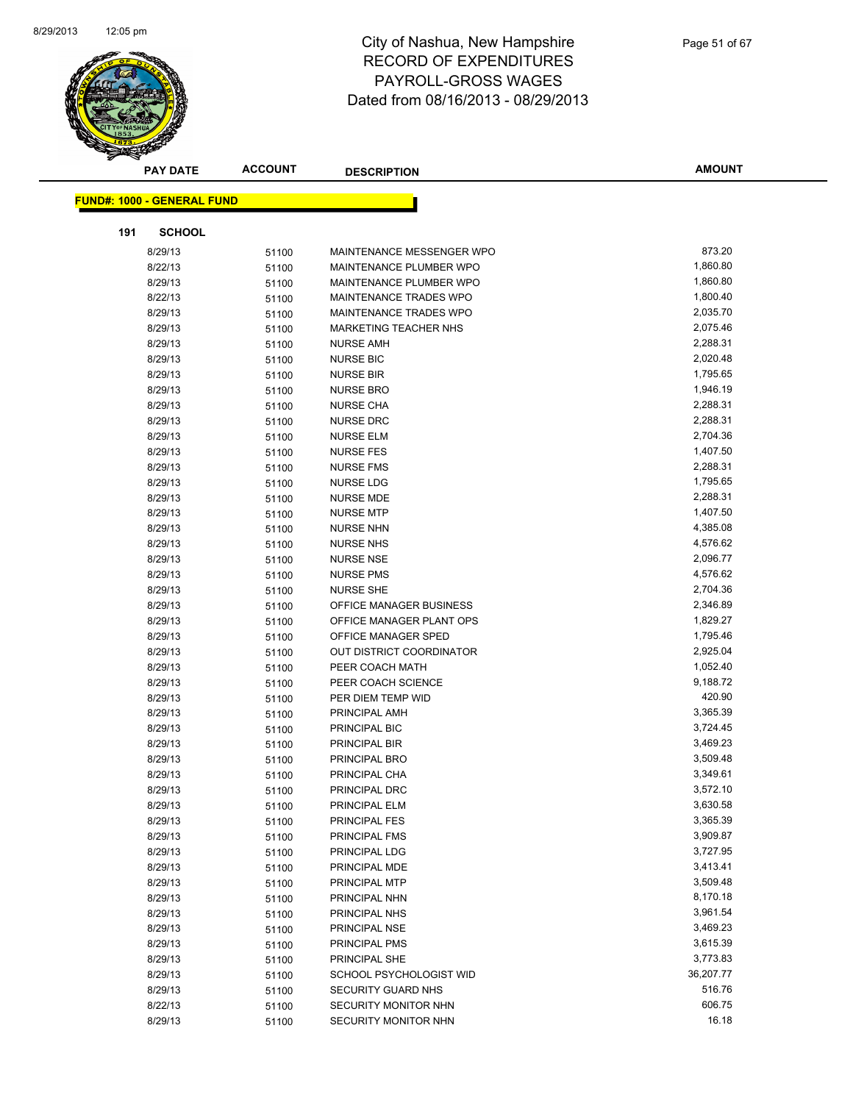

|     | <b>PAY DATE</b>                   | <b>ACCOUNT</b> | <b>DESCRIPTION</b>            | <b>AMOUNT</b> |  |
|-----|-----------------------------------|----------------|-------------------------------|---------------|--|
|     | <b>FUND#: 1000 - GENERAL FUND</b> |                |                               |               |  |
|     |                                   |                |                               |               |  |
| 191 | <b>SCHOOL</b>                     |                |                               |               |  |
|     | 8/29/13                           | 51100          | MAINTENANCE MESSENGER WPO     | 873.20        |  |
|     | 8/22/13                           | 51100          | MAINTENANCE PLUMBER WPO       | 1,860.80      |  |
|     | 8/29/13                           | 51100          | MAINTENANCE PLUMBER WPO       | 1,860.80      |  |
|     | 8/22/13                           | 51100          | MAINTENANCE TRADES WPO        | 1,800.40      |  |
|     | 8/29/13                           | 51100          | <b>MAINTENANCE TRADES WPO</b> | 2,035.70      |  |
|     | 8/29/13                           | 51100          | MARKETING TEACHER NHS         | 2,075.46      |  |
|     | 8/29/13                           | 51100          | <b>NURSE AMH</b>              | 2,288.31      |  |
|     | 8/29/13                           | 51100          | <b>NURSE BIC</b>              | 2,020.48      |  |
|     | 8/29/13                           | 51100          | <b>NURSE BIR</b>              | 1,795.65      |  |
|     | 8/29/13                           | 51100          | <b>NURSE BRO</b>              | 1,946.19      |  |
|     | 8/29/13                           | 51100          | <b>NURSE CHA</b>              | 2,288.31      |  |
|     | 8/29/13                           | 51100          | <b>NURSE DRC</b>              | 2,288.31      |  |
|     | 8/29/13                           | 51100          | <b>NURSE ELM</b>              | 2,704.36      |  |
|     | 8/29/13                           | 51100          | <b>NURSE FES</b>              | 1,407.50      |  |
|     | 8/29/13                           | 51100          | <b>NURSE FMS</b>              | 2,288.31      |  |
|     | 8/29/13                           | 51100          | <b>NURSE LDG</b>              | 1,795.65      |  |
|     | 8/29/13                           | 51100          | <b>NURSE MDE</b>              | 2,288.31      |  |
|     | 8/29/13                           | 51100          | <b>NURSE MTP</b>              | 1,407.50      |  |
|     | 8/29/13                           | 51100          | <b>NURSE NHN</b>              | 4,385.08      |  |
|     | 8/29/13                           | 51100          | <b>NURSE NHS</b>              | 4,576.62      |  |
|     | 8/29/13                           | 51100          | <b>NURSE NSE</b>              | 2,096.77      |  |
|     | 8/29/13                           | 51100          | <b>NURSE PMS</b>              | 4,576.62      |  |
|     | 8/29/13                           | 51100          | <b>NURSE SHE</b>              | 2,704.36      |  |
|     | 8/29/13                           | 51100          | OFFICE MANAGER BUSINESS       | 2,346.89      |  |
|     | 8/29/13                           | 51100          | OFFICE MANAGER PLANT OPS      | 1,829.27      |  |
|     | 8/29/13                           | 51100          | OFFICE MANAGER SPED           | 1,795.46      |  |
|     | 8/29/13                           | 51100          | OUT DISTRICT COORDINATOR      | 2,925.04      |  |
|     | 8/29/13                           | 51100          | PEER COACH MATH               | 1,052.40      |  |
|     | 8/29/13                           | 51100          | PEER COACH SCIENCE            | 9,188.72      |  |
|     | 8/29/13                           | 51100          | PER DIEM TEMP WID             | 420.90        |  |
|     | 8/29/13                           | 51100          | PRINCIPAL AMH                 | 3,365.39      |  |
|     | 8/29/13                           | 51100          | PRINCIPAL BIC                 | 3,724.45      |  |
|     | 8/29/13                           | 51100          | PRINCIPAL BIR                 | 3,469.23      |  |
|     | 8/29/13                           | 51100          | PRINCIPAL BRO                 | 3,509.48      |  |
|     | 8/29/13                           | 51100          | PRINCIPAL CHA                 | 3,349.61      |  |
|     | 8/29/13                           | 51100          | PRINCIPAL DRC                 | 3,572.10      |  |
|     | 8/29/13                           | 51100          | PRINCIPAL ELM                 | 3,630.58      |  |
|     | 8/29/13                           | 51100          | <b>PRINCIPAL FES</b>          | 3,365.39      |  |
|     | 8/29/13                           | 51100          | PRINCIPAL FMS                 | 3,909.87      |  |
|     | 8/29/13                           | 51100          | PRINCIPAL LDG                 | 3,727.95      |  |
|     | 8/29/13                           | 51100          | PRINCIPAL MDE                 | 3,413.41      |  |
|     | 8/29/13                           | 51100          | PRINCIPAL MTP                 | 3,509.48      |  |
|     | 8/29/13                           | 51100          | PRINCIPAL NHN                 | 8,170.18      |  |
|     | 8/29/13                           | 51100          | PRINCIPAL NHS                 | 3,961.54      |  |
|     | 8/29/13                           | 51100          | PRINCIPAL NSE                 | 3,469.23      |  |
|     | 8/29/13                           | 51100          | PRINCIPAL PMS                 | 3,615.39      |  |
|     | 8/29/13                           | 51100          | PRINCIPAL SHE                 | 3,773.83      |  |
|     | 8/29/13                           | 51100          | SCHOOL PSYCHOLOGIST WID       | 36,207.77     |  |
|     | 8/29/13                           | 51100          | SECURITY GUARD NHS            | 516.76        |  |
|     | 8/22/13                           | 51100          | SECURITY MONITOR NHN          | 606.75        |  |
|     | 8/29/13                           | 51100          | SECURITY MONITOR NHN          | 16.18         |  |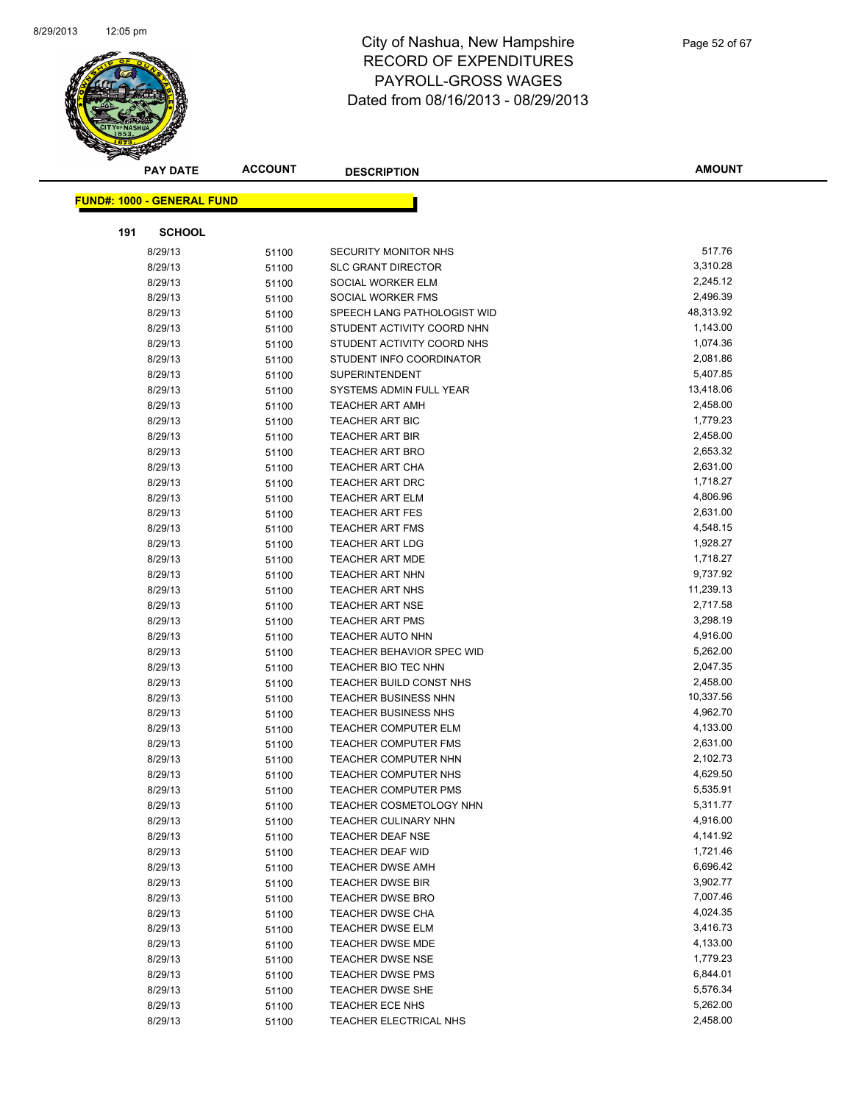

| <b>PAY DATE</b>                   | <b>ACCOUNT</b> | <b>DESCRIPTION</b>                          | <b>AMOUNT</b>        |
|-----------------------------------|----------------|---------------------------------------------|----------------------|
|                                   |                |                                             |                      |
| <b>FUND#: 1000 - GENERAL FUND</b> |                |                                             |                      |
| 191<br><b>SCHOOL</b>              |                |                                             |                      |
| 8/29/13                           | 51100          | <b>SECURITY MONITOR NHS</b>                 | 517.76               |
| 8/29/13                           | 51100          | <b>SLC GRANT DIRECTOR</b>                   | 3,310.28             |
| 8/29/13                           | 51100          | SOCIAL WORKER ELM                           | 2,245.12             |
| 8/29/13                           | 51100          | SOCIAL WORKER FMS                           | 2,496.39             |
| 8/29/13                           | 51100          | SPEECH LANG PATHOLOGIST WID                 | 48,313.92            |
| 8/29/13                           | 51100          | STUDENT ACTIVITY COORD NHN                  | 1,143.00             |
| 8/29/13                           | 51100          | STUDENT ACTIVITY COORD NHS                  | 1,074.36             |
| 8/29/13                           | 51100          | STUDENT INFO COORDINATOR                    | 2,081.86             |
| 8/29/13                           | 51100          | <b>SUPERINTENDENT</b>                       | 5,407.85             |
| 8/29/13                           | 51100          | SYSTEMS ADMIN FULL YEAR                     | 13,418.06            |
| 8/29/13                           | 51100          | <b>TEACHER ART AMH</b>                      | 2,458.00             |
| 8/29/13                           | 51100          | <b>TEACHER ART BIC</b>                      | 1,779.23             |
| 8/29/13                           | 51100          | <b>TEACHER ART BIR</b>                      | 2,458.00             |
| 8/29/13                           | 51100          | <b>TEACHER ART BRO</b>                      | 2,653.32             |
| 8/29/13                           | 51100          | <b>TEACHER ART CHA</b>                      | 2,631.00             |
| 8/29/13                           | 51100          | TEACHER ART DRC                             | 1,718.27             |
| 8/29/13                           | 51100          | <b>TEACHER ART ELM</b>                      | 4,806.96             |
| 8/29/13                           | 51100          | <b>TEACHER ART FES</b>                      | 2,631.00             |
| 8/29/13                           | 51100          | <b>TEACHER ART FMS</b>                      | 4,548.15             |
| 8/29/13                           | 51100          | <b>TEACHER ART LDG</b>                      | 1,928.27             |
| 8/29/13                           | 51100          | <b>TEACHER ART MDE</b>                      | 1,718.27             |
| 8/29/13                           | 51100          | <b>TEACHER ART NHN</b>                      | 9,737.92             |
| 8/29/13                           | 51100          | <b>TEACHER ART NHS</b>                      | 11,239.13            |
| 8/29/13                           | 51100          | <b>TEACHER ART NSE</b>                      | 2,717.58             |
| 8/29/13                           | 51100          | <b>TEACHER ART PMS</b>                      | 3,298.19             |
| 8/29/13                           | 51100          | <b>TEACHER AUTO NHN</b>                     | 4,916.00             |
| 8/29/13                           | 51100          | TEACHER BEHAVIOR SPEC WID                   | 5,262.00             |
| 8/29/13                           | 51100          | TEACHER BIO TEC NHN                         | 2,047.35             |
| 8/29/13                           | 51100          | TEACHER BUILD CONST NHS                     | 2,458.00             |
| 8/29/13                           | 51100          | <b>TEACHER BUSINESS NHN</b>                 | 10,337.56            |
| 8/29/13                           | 51100          | <b>TEACHER BUSINESS NHS</b>                 | 4,962.70             |
| 8/29/13                           | 51100          | <b>TEACHER COMPUTER ELM</b>                 | 4,133.00             |
| 8/29/13                           | 51100          | <b>TEACHER COMPUTER FMS</b>                 | 2,631.00             |
| 8/29/13                           | 51100          | TEACHER COMPUTER NHN                        | 2,102.73             |
| 8/29/13                           | 51100          | <b>TEACHER COMPUTER NHS</b>                 | 4,629.50             |
| 8/29/13                           | 51100          | TEACHER COMPUTER PMS                        | 5,535.91             |
| 8/29/13                           | 51100          | TEACHER COSMETOLOGY NHN                     | 5,311.77             |
| 8/29/13                           | 51100          | <b>TEACHER CULINARY NHN</b>                 | 4,916.00             |
| 8/29/13                           | 51100          | <b>TEACHER DEAF NSE</b>                     | 4,141.92<br>1,721.46 |
| 8/29/13<br>8/29/13                | 51100          | TEACHER DEAF WID                            | 6,696.42             |
|                                   | 51100          | <b>TEACHER DWSE AMH</b>                     | 3,902.77             |
| 8/29/13                           | 51100          | <b>TEACHER DWSE BIR</b>                     | 7,007.46             |
| 8/29/13<br>8/29/13                | 51100          | <b>TEACHER DWSE BRO</b><br>TEACHER DWSE CHA | 4,024.35             |
| 8/29/13                           | 51100          | <b>TEACHER DWSE ELM</b>                     | 3,416.73             |
| 8/29/13                           | 51100<br>51100 | TEACHER DWSE MDE                            | 4,133.00             |
| 8/29/13                           |                | <b>TEACHER DWSE NSE</b>                     | 1,779.23             |
| 8/29/13                           | 51100<br>51100 | TEACHER DWSE PMS                            | 6,844.01             |
| 8/29/13                           | 51100          | <b>TEACHER DWSE SHE</b>                     | 5,576.34             |
| 8/29/13                           | 51100          | TEACHER ECE NHS                             | 5,262.00             |
| 8/29/13                           | 51100          | TEACHER ELECTRICAL NHS                      | 2,458.00             |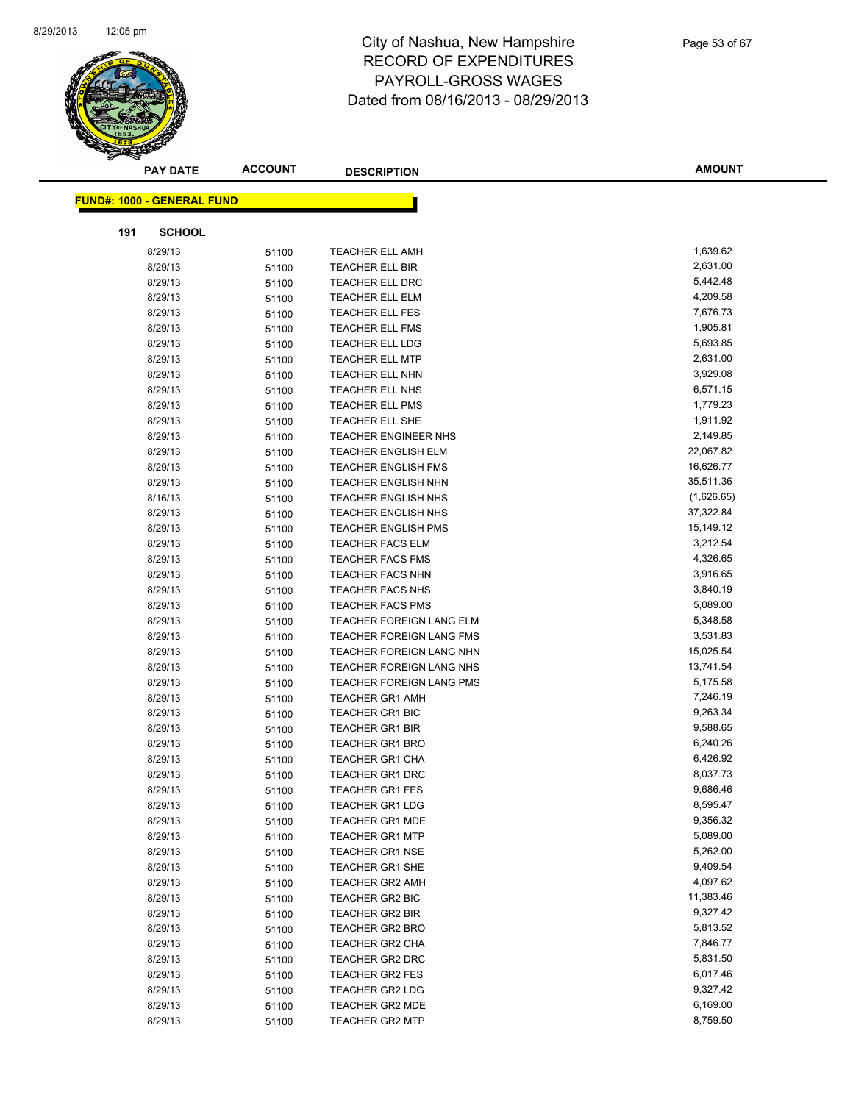

|     | <b>PAY DATE</b>                   | <b>ACCOUNT</b> | <b>DESCRIPTION</b>          | <b>AMOUNT</b> |
|-----|-----------------------------------|----------------|-----------------------------|---------------|
|     |                                   |                |                             |               |
|     | <b>FUND#: 1000 - GENERAL FUND</b> |                |                             |               |
| 191 | <b>SCHOOL</b>                     |                |                             |               |
|     | 8/29/13                           | 51100          | <b>TEACHER ELL AMH</b>      | 1,639.62      |
|     | 8/29/13                           | 51100          | TEACHER ELL BIR             | 2,631.00      |
|     | 8/29/13                           | 51100          | TEACHER ELL DRC             | 5,442.48      |
|     | 8/29/13                           | 51100          | <b>TEACHER ELL ELM</b>      | 4,209.58      |
|     | 8/29/13                           | 51100          | TEACHER ELL FES             | 7,676.73      |
|     | 8/29/13                           | 51100          | <b>TEACHER ELL FMS</b>      | 1,905.81      |
|     | 8/29/13                           | 51100          | <b>TEACHER ELL LDG</b>      | 5,693.85      |
|     | 8/29/13                           | 51100          | <b>TEACHER ELL MTP</b>      | 2,631.00      |
|     | 8/29/13                           | 51100          | TEACHER ELL NHN             | 3,929.08      |
|     | 8/29/13                           | 51100          | TEACHER ELL NHS             | 6,571.15      |
|     | 8/29/13                           | 51100          | <b>TEACHER ELL PMS</b>      | 1,779.23      |
|     | 8/29/13                           | 51100          | TEACHER ELL SHE             | 1,911.92      |
|     | 8/29/13                           | 51100          | <b>TEACHER ENGINEER NHS</b> | 2,149.85      |
|     | 8/29/13                           | 51100          | <b>TEACHER ENGLISH ELM</b>  | 22,067.82     |
|     | 8/29/13                           | 51100          | <b>TEACHER ENGLISH FMS</b>  | 16,626.77     |
|     | 8/29/13                           | 51100          | <b>TEACHER ENGLISH NHN</b>  | 35,511.36     |
|     | 8/16/13                           | 51100          | TEACHER ENGLISH NHS         | (1,626.65)    |
|     | 8/29/13                           | 51100          | <b>TEACHER ENGLISH NHS</b>  | 37,322.84     |
|     | 8/29/13                           | 51100          | <b>TEACHER ENGLISH PMS</b>  | 15,149.12     |
|     | 8/29/13                           | 51100          | <b>TEACHER FACS ELM</b>     | 3,212.54      |
|     | 8/29/13                           | 51100          | <b>TEACHER FACS FMS</b>     | 4,326.65      |
|     | 8/29/13                           | 51100          | <b>TEACHER FACS NHN</b>     | 3,916.65      |
|     | 8/29/13                           | 51100          | <b>TEACHER FACS NHS</b>     | 3,840.19      |
|     | 8/29/13                           | 51100          | TEACHER FACS PMS            | 5,089.00      |
|     | 8/29/13                           | 51100          | TEACHER FOREIGN LANG ELM    | 5,348.58      |
|     | 8/29/13                           | 51100          | TEACHER FOREIGN LANG FMS    | 3,531.83      |
|     | 8/29/13                           | 51100          | TEACHER FOREIGN LANG NHN    | 15,025.54     |
|     | 8/29/13                           | 51100          | TEACHER FOREIGN LANG NHS    | 13,741.54     |
|     | 8/29/13                           | 51100          | TEACHER FOREIGN LANG PMS    | 5,175.58      |
|     | 8/29/13                           | 51100          | <b>TEACHER GR1 AMH</b>      | 7,246.19      |
|     | 8/29/13                           | 51100          | TEACHER GR1 BIC             | 9,263.34      |
|     | 8/29/13                           | 51100          | <b>TEACHER GR1 BIR</b>      | 9,588.65      |
|     | 8/29/13                           | 51100          | <b>TEACHER GR1 BRO</b>      | 6,240.26      |
|     | 8/29/13                           | 51100          | <b>TEACHER GR1 CHA</b>      | 6,426.92      |
|     | 8/29/13                           | 51100          | <b>TEACHER GR1 DRC</b>      | 8,037.73      |
|     | 8/29/13                           | 51100          | <b>TEACHER GR1 FES</b>      | 9,686.46      |
|     | 8/29/13                           | 51100          | <b>TEACHER GR1 LDG</b>      | 8,595.47      |
|     | 8/29/13                           | 51100          | <b>TEACHER GR1 MDE</b>      | 9,356.32      |
|     | 8/29/13                           | 51100          | <b>TEACHER GR1 MTP</b>      | 5,089.00      |
|     | 8/29/13                           | 51100          | <b>TEACHER GR1 NSE</b>      | 5,262.00      |
|     | 8/29/13                           | 51100          | <b>TEACHER GR1 SHE</b>      | 9,409.54      |
|     | 8/29/13                           | 51100          | <b>TEACHER GR2 AMH</b>      | 4,097.62      |
|     | 8/29/13                           | 51100          | TEACHER GR2 BIC             | 11,383.46     |
|     | 8/29/13                           | 51100          | <b>TEACHER GR2 BIR</b>      | 9,327.42      |
|     | 8/29/13                           | 51100          | <b>TEACHER GR2 BRO</b>      | 5,813.52      |
|     | 8/29/13                           | 51100          | TEACHER GR2 CHA             | 7,846.77      |
|     | 8/29/13                           | 51100          | <b>TEACHER GR2 DRC</b>      | 5,831.50      |
|     | 8/29/13                           | 51100          | <b>TEACHER GR2 FES</b>      | 6,017.46      |
|     | 8/29/13                           | 51100          | <b>TEACHER GR2 LDG</b>      | 9,327.42      |
|     | 8/29/13                           | 51100          | TEACHER GR2 MDE             | 6,169.00      |
|     | 8/29/13                           | 51100          | <b>TEACHER GR2 MTP</b>      | 8,759.50      |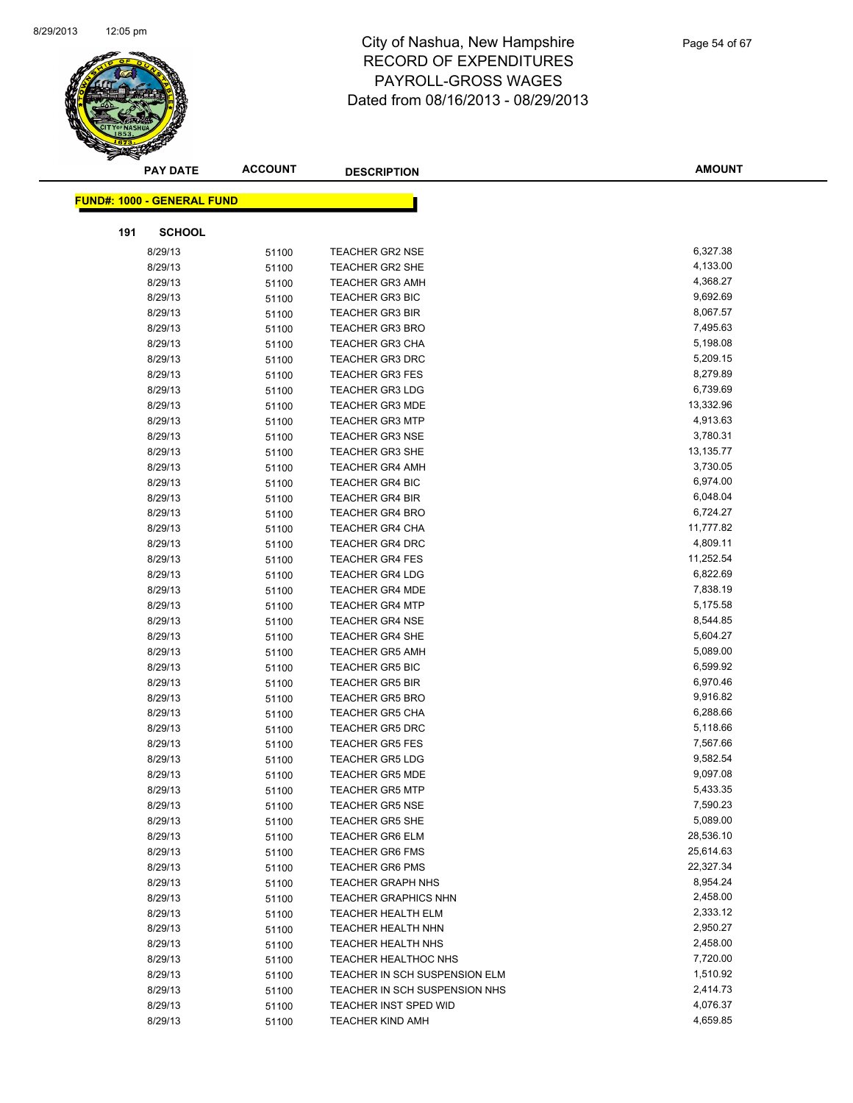

| <b>PAY DATE</b>                   | <b>ACCOUNT</b> | <b>DESCRIPTION</b>            | <b>AMOUNT</b> |
|-----------------------------------|----------------|-------------------------------|---------------|
| <b>FUND#: 1000 - GENERAL FUND</b> |                |                               |               |
|                                   |                |                               |               |
| <b>SCHOOL</b><br>191              |                |                               |               |
| 8/29/13                           | 51100          | <b>TEACHER GR2 NSE</b>        | 6,327.38      |
| 8/29/13                           | 51100          | <b>TEACHER GR2 SHE</b>        | 4,133.00      |
| 8/29/13                           | 51100          | <b>TEACHER GR3 AMH</b>        | 4,368.27      |
| 8/29/13                           | 51100          | <b>TEACHER GR3 BIC</b>        | 9,692.69      |
| 8/29/13                           | 51100          | <b>TEACHER GR3 BIR</b>        | 8,067.57      |
| 8/29/13                           | 51100          | <b>TEACHER GR3 BRO</b>        | 7,495.63      |
| 8/29/13                           | 51100          | TEACHER GR3 CHA               | 5,198.08      |
| 8/29/13                           | 51100          | <b>TEACHER GR3 DRC</b>        | 5,209.15      |
| 8/29/13                           | 51100          | <b>TEACHER GR3 FES</b>        | 8,279.89      |
| 8/29/13                           | 51100          | <b>TEACHER GR3 LDG</b>        | 6,739.69      |
| 8/29/13                           | 51100          | <b>TEACHER GR3 MDE</b>        | 13,332.96     |
| 8/29/13                           | 51100          | <b>TEACHER GR3 MTP</b>        | 4,913.63      |
| 8/29/13                           | 51100          | <b>TEACHER GR3 NSE</b>        | 3,780.31      |
| 8/29/13                           | 51100          | <b>TEACHER GR3 SHE</b>        | 13,135.77     |
| 8/29/13                           | 51100          | <b>TEACHER GR4 AMH</b>        | 3,730.05      |
| 8/29/13                           | 51100          | <b>TEACHER GR4 BIC</b>        | 6,974.00      |
| 8/29/13                           | 51100          | <b>TEACHER GR4 BIR</b>        | 6,048.04      |
| 8/29/13                           | 51100          | <b>TEACHER GR4 BRO</b>        | 6,724.27      |
| 8/29/13                           | 51100          | <b>TEACHER GR4 CHA</b>        | 11,777.82     |
| 8/29/13                           | 51100          | <b>TEACHER GR4 DRC</b>        | 4,809.11      |
| 8/29/13                           | 51100          | <b>TEACHER GR4 FES</b>        | 11,252.54     |
| 8/29/13                           | 51100          | <b>TEACHER GR4 LDG</b>        | 6,822.69      |
| 8/29/13                           | 51100          | <b>TEACHER GR4 MDE</b>        | 7,838.19      |
| 8/29/13                           | 51100          | TEACHER GR4 MTP               | 5,175.58      |
| 8/29/13                           | 51100          | <b>TEACHER GR4 NSE</b>        | 8,544.85      |
| 8/29/13                           | 51100          | <b>TEACHER GR4 SHE</b>        | 5,604.27      |
| 8/29/13                           | 51100          | <b>TEACHER GR5 AMH</b>        | 5,089.00      |
| 8/29/13                           | 51100          | <b>TEACHER GR5 BIC</b>        | 6,599.92      |
| 8/29/13                           | 51100          | <b>TEACHER GR5 BIR</b>        | 6,970.46      |
| 8/29/13                           | 51100          | <b>TEACHER GR5 BRO</b>        | 9,916.82      |
| 8/29/13                           | 51100          | <b>TEACHER GR5 CHA</b>        | 6,288.66      |
| 8/29/13                           | 51100          | <b>TEACHER GR5 DRC</b>        | 5,118.66      |
| 8/29/13                           | 51100          | <b>TEACHER GR5 FES</b>        | 7,567.66      |
| 8/29/13                           | 51100          | <b>TEACHER GR5 LDG</b>        | 9,582.54      |
| 8/29/13                           | 51100          | <b>TEACHER GR5 MDE</b>        | 9,097.08      |
| 8/29/13                           | 51100          | <b>TEACHER GR5 MTP</b>        | 5,433.35      |
| 8/29/13                           | 51100          | <b>TEACHER GR5 NSE</b>        | 7,590.23      |
| 8/29/13                           | 51100          | <b>TEACHER GR5 SHE</b>        | 5,089.00      |
| 8/29/13                           | 51100          | <b>TEACHER GR6 ELM</b>        | 28,536.10     |
| 8/29/13                           | 51100          | <b>TEACHER GR6 FMS</b>        | 25,614.63     |
| 8/29/13                           | 51100          | <b>TEACHER GR6 PMS</b>        | 22,327.34     |
| 8/29/13                           | 51100          | <b>TEACHER GRAPH NHS</b>      | 8,954.24      |
| 8/29/13                           | 51100          | <b>TEACHER GRAPHICS NHN</b>   | 2,458.00      |
| 8/29/13                           | 51100          | <b>TEACHER HEALTH ELM</b>     | 2,333.12      |
| 8/29/13                           | 51100          | <b>TEACHER HEALTH NHN</b>     | 2,950.27      |
| 8/29/13                           | 51100          | <b>TEACHER HEALTH NHS</b>     | 2,458.00      |
| 8/29/13                           | 51100          | TEACHER HEALTHOC NHS          | 7,720.00      |
| 8/29/13                           | 51100          | TEACHER IN SCH SUSPENSION ELM | 1,510.92      |
| 8/29/13                           | 51100          | TEACHER IN SCH SUSPENSION NHS | 2,414.73      |
| 8/29/13                           | 51100          | TEACHER INST SPED WID         | 4,076.37      |
| 8/29/13                           | 51100          | <b>TEACHER KIND AMH</b>       | 4,659.85      |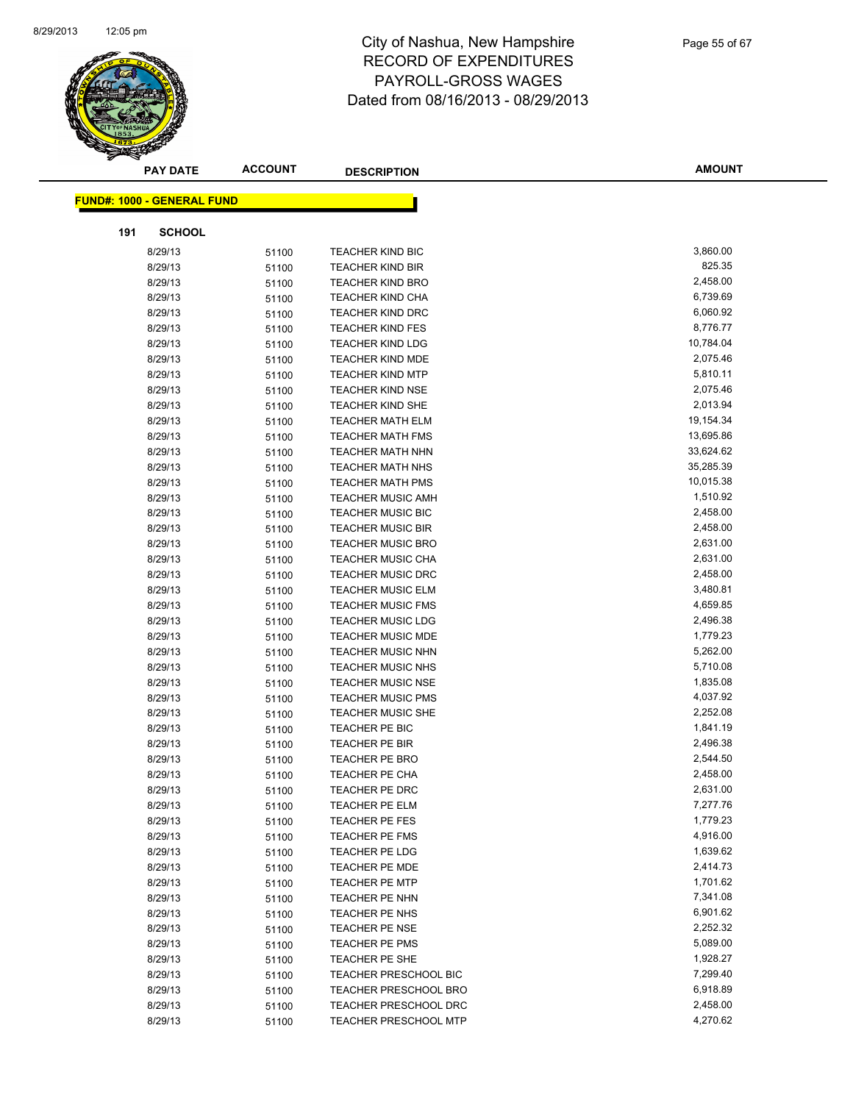

|     | <b>PAY DATE</b>                   | <b>ACCOUNT</b> | <b>DESCRIPTION</b>           | <b>AMOUNT</b> |
|-----|-----------------------------------|----------------|------------------------------|---------------|
|     | <b>FUND#: 1000 - GENERAL FUND</b> |                |                              |               |
|     |                                   |                |                              |               |
| 191 | <b>SCHOOL</b>                     |                |                              |               |
|     | 8/29/13                           | 51100          | <b>TEACHER KIND BIC</b>      | 3,860.00      |
|     | 8/29/13                           | 51100          | <b>TEACHER KIND BIR</b>      | 825.35        |
|     | 8/29/13                           | 51100          | <b>TEACHER KIND BRO</b>      | 2,458.00      |
|     | 8/29/13                           | 51100          | <b>TEACHER KIND CHA</b>      | 6,739.69      |
|     | 8/29/13                           | 51100          | <b>TEACHER KIND DRC</b>      | 6,060.92      |
|     | 8/29/13                           | 51100          | <b>TEACHER KIND FES</b>      | 8,776.77      |
|     | 8/29/13                           | 51100          | <b>TEACHER KIND LDG</b>      | 10,784.04     |
|     | 8/29/13                           | 51100          | <b>TEACHER KIND MDE</b>      | 2,075.46      |
|     | 8/29/13                           | 51100          | <b>TEACHER KIND MTP</b>      | 5,810.11      |
|     | 8/29/13                           | 51100          | <b>TEACHER KIND NSE</b>      | 2,075.46      |
|     | 8/29/13                           | 51100          | TEACHER KIND SHE             | 2,013.94      |
|     | 8/29/13                           | 51100          | <b>TEACHER MATH ELM</b>      | 19,154.34     |
|     | 8/29/13                           | 51100          | <b>TEACHER MATH FMS</b>      | 13,695.86     |
|     | 8/29/13                           | 51100          | <b>TEACHER MATH NHN</b>      | 33,624.62     |
|     | 8/29/13                           | 51100          | <b>TEACHER MATH NHS</b>      | 35,285.39     |
|     | 8/29/13                           | 51100          | <b>TEACHER MATH PMS</b>      | 10,015.38     |
|     | 8/29/13                           | 51100          | <b>TEACHER MUSIC AMH</b>     | 1,510.92      |
|     | 8/29/13                           | 51100          | <b>TEACHER MUSIC BIC</b>     | 2,458.00      |
|     | 8/29/13                           | 51100          | <b>TEACHER MUSIC BIR</b>     | 2,458.00      |
|     | 8/29/13                           | 51100          | <b>TEACHER MUSIC BRO</b>     | 2,631.00      |
|     | 8/29/13                           | 51100          | <b>TEACHER MUSIC CHA</b>     | 2,631.00      |
|     | 8/29/13                           | 51100          | <b>TEACHER MUSIC DRC</b>     | 2,458.00      |
|     | 8/29/13                           | 51100          | <b>TEACHER MUSIC ELM</b>     | 3,480.81      |
|     | 8/29/13                           | 51100          | <b>TEACHER MUSIC FMS</b>     | 4,659.85      |
|     | 8/29/13                           | 51100          | <b>TEACHER MUSIC LDG</b>     | 2,496.38      |
|     | 8/29/13                           | 51100          | <b>TEACHER MUSIC MDE</b>     | 1,779.23      |
|     | 8/29/13                           | 51100          | <b>TEACHER MUSIC NHN</b>     | 5,262.00      |
|     | 8/29/13                           | 51100          | <b>TEACHER MUSIC NHS</b>     | 5,710.08      |
|     | 8/29/13                           | 51100          | <b>TEACHER MUSIC NSE</b>     | 1,835.08      |
|     | 8/29/13                           | 51100          | <b>TEACHER MUSIC PMS</b>     | 4,037.92      |
|     | 8/29/13                           | 51100          | <b>TEACHER MUSIC SHE</b>     | 2,252.08      |
|     | 8/29/13                           | 51100          | TEACHER PE BIC               | 1,841.19      |
|     | 8/29/13                           | 51100          | TEACHER PE BIR               | 2,496.38      |
|     | 8/29/13                           | 51100          | <b>TEACHER PE BRO</b>        | 2,544.50      |
|     | 8/29/13                           | 51100          | <b>TEACHER PE CHA</b>        | 2,458.00      |
|     | 8/29/13                           | 51100          | <b>TEACHER PE DRC</b>        | 2,631.00      |
|     | 8/29/13                           | 51100          | <b>TEACHER PE ELM</b>        | 7,277.76      |
|     | 8/29/13                           | 51100          | <b>TEACHER PE FES</b>        | 1,779.23      |
|     | 8/29/13                           | 51100          | <b>TEACHER PE FMS</b>        | 4,916.00      |
|     | 8/29/13                           | 51100          | TEACHER PE LDG               | 1,639.62      |
|     | 8/29/13                           | 51100          | <b>TEACHER PE MDE</b>        | 2,414.73      |
|     | 8/29/13                           | 51100          | <b>TEACHER PE MTP</b>        | 1,701.62      |
|     | 8/29/13                           | 51100          | TEACHER PE NHN               | 7,341.08      |
|     | 8/29/13                           | 51100          | TEACHER PE NHS               | 6,901.62      |
|     | 8/29/13                           | 51100          | <b>TEACHER PE NSE</b>        | 2,252.32      |
|     | 8/29/13                           | 51100          | TEACHER PE PMS               | 5,089.00      |
|     | 8/29/13                           | 51100          | TEACHER PE SHE               | 1,928.27      |
|     | 8/29/13                           | 51100          | <b>TEACHER PRESCHOOL BIC</b> | 7,299.40      |
|     | 8/29/13                           | 51100          | TEACHER PRESCHOOL BRO        | 6,918.89      |
|     | 8/29/13                           | 51100          | TEACHER PRESCHOOL DRC        | 2,458.00      |
|     | 8/29/13                           | 51100          | <b>TEACHER PRESCHOOL MTP</b> | 4,270.62      |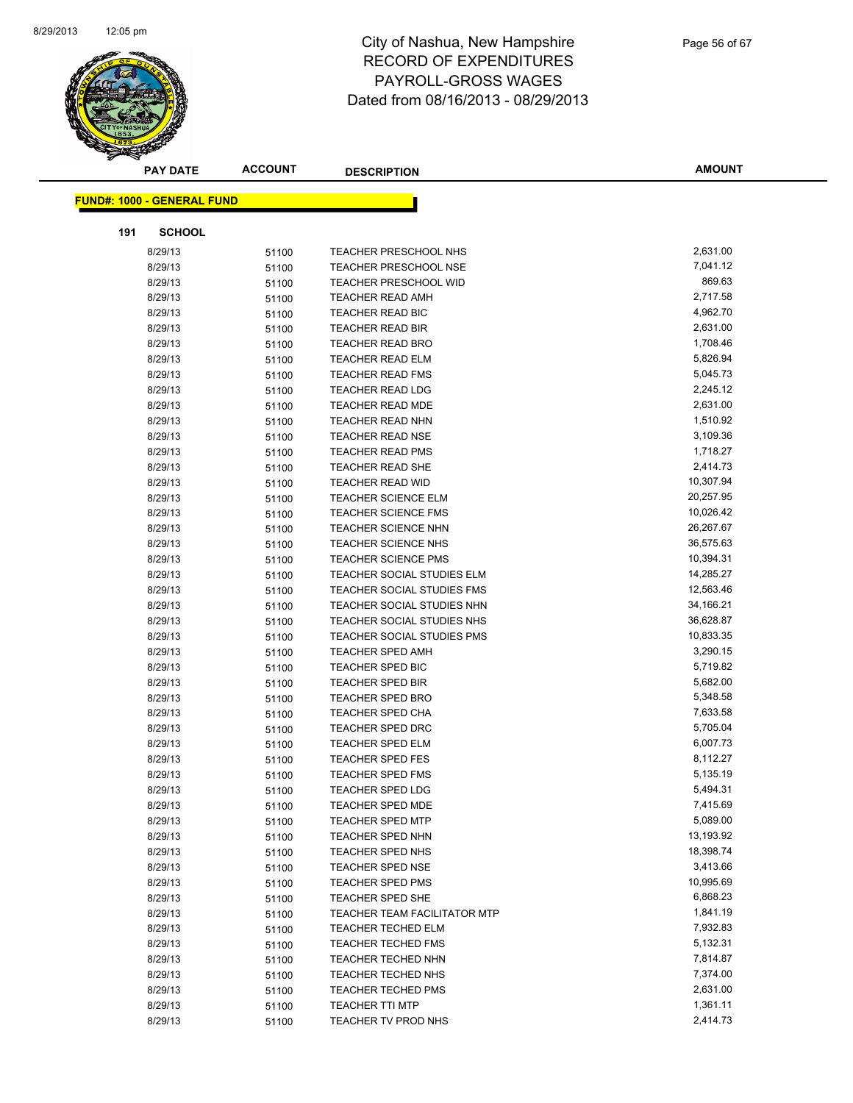

|     | <b>PAY DATE</b>                   | <b>ACCOUNT</b> | <b>DESCRIPTION</b>                  | <b>AMOUNT</b> |
|-----|-----------------------------------|----------------|-------------------------------------|---------------|
|     | <b>FUND#: 1000 - GENERAL FUND</b> |                |                                     |               |
|     |                                   |                |                                     |               |
| 191 | <b>SCHOOL</b>                     |                |                                     |               |
|     | 8/29/13                           | 51100          | TEACHER PRESCHOOL NHS               | 2,631.00      |
|     | 8/29/13                           | 51100          | <b>TEACHER PRESCHOOL NSE</b>        | 7,041.12      |
|     | 8/29/13                           | 51100          | <b>TEACHER PRESCHOOL WID</b>        | 869.63        |
|     | 8/29/13                           | 51100          | <b>TEACHER READ AMH</b>             | 2,717.58      |
|     | 8/29/13                           | 51100          | <b>TEACHER READ BIC</b>             | 4,962.70      |
|     | 8/29/13                           | 51100          | <b>TEACHER READ BIR</b>             | 2,631.00      |
|     | 8/29/13                           | 51100          | <b>TEACHER READ BRO</b>             | 1,708.46      |
|     | 8/29/13                           | 51100          | <b>TEACHER READ ELM</b>             | 5,826.94      |
|     | 8/29/13                           | 51100          | <b>TEACHER READ FMS</b>             | 5,045.73      |
|     | 8/29/13                           | 51100          | <b>TEACHER READ LDG</b>             | 2,245.12      |
|     | 8/29/13                           | 51100          | <b>TEACHER READ MDE</b>             | 2,631.00      |
|     | 8/29/13                           | 51100          | <b>TEACHER READ NHN</b>             | 1,510.92      |
|     | 8/29/13                           | 51100          | <b>TEACHER READ NSE</b>             | 3,109.36      |
|     | 8/29/13                           | 51100          | <b>TEACHER READ PMS</b>             | 1,718.27      |
|     | 8/29/13                           | 51100          | TEACHER READ SHE                    | 2,414.73      |
|     | 8/29/13                           | 51100          | TEACHER READ WID                    | 10,307.94     |
|     | 8/29/13                           | 51100          | <b>TEACHER SCIENCE ELM</b>          | 20,257.95     |
|     | 8/29/13                           | 51100          | <b>TEACHER SCIENCE FMS</b>          | 10,026.42     |
|     | 8/29/13                           | 51100          | TEACHER SCIENCE NHN                 | 26,267.67     |
|     | 8/29/13                           | 51100          | TEACHER SCIENCE NHS                 | 36,575.63     |
|     | 8/29/13                           | 51100          | <b>TEACHER SCIENCE PMS</b>          | 10,394.31     |
|     | 8/29/13                           | 51100          | TEACHER SOCIAL STUDIES ELM          | 14,285.27     |
|     | 8/29/13                           | 51100          | TEACHER SOCIAL STUDIES FMS          | 12,563.46     |
|     | 8/29/13                           | 51100          | TEACHER SOCIAL STUDIES NHN          | 34,166.21     |
|     | 8/29/13                           | 51100          | TEACHER SOCIAL STUDIES NHS          | 36,628.87     |
|     | 8/29/13                           | 51100          | TEACHER SOCIAL STUDIES PMS          | 10,833.35     |
|     | 8/29/13                           | 51100          | <b>TEACHER SPED AMH</b>             | 3,290.15      |
|     | 8/29/13                           | 51100          | <b>TEACHER SPED BIC</b>             | 5,719.82      |
|     | 8/29/13                           | 51100          | <b>TEACHER SPED BIR</b>             | 5,682.00      |
|     | 8/29/13                           | 51100          | TEACHER SPED BRO                    | 5,348.58      |
|     | 8/29/13                           | 51100          | TEACHER SPED CHA                    | 7,633.58      |
|     | 8/29/13                           | 51100          | <b>TEACHER SPED DRC</b>             | 5,705.04      |
|     | 8/29/13                           | 51100          | <b>TEACHER SPED ELM</b>             | 6,007.73      |
|     | 8/29/13                           | 51100          | <b>TEACHER SPED FES</b>             | 8,112.27      |
|     | 8/29/13                           | 51100          | <b>TEACHER SPED FMS</b>             | 5,135.19      |
|     | 8/29/13                           | 51100          | TEACHER SPED LDG                    | 5,494.31      |
|     | 8/29/13                           | 51100          | <b>TEACHER SPED MDE</b>             | 7,415.69      |
|     | 8/29/13                           | 51100          | <b>TEACHER SPED MTP</b>             | 5,089.00      |
|     | 8/29/13                           | 51100          | <b>TEACHER SPED NHN</b>             | 13,193.92     |
|     | 8/29/13                           | 51100          | TEACHER SPED NHS                    | 18,398.74     |
|     | 8/29/13                           | 51100          | <b>TEACHER SPED NSE</b>             | 3,413.66      |
|     | 8/29/13                           | 51100          | TEACHER SPED PMS                    | 10,995.69     |
|     | 8/29/13                           | 51100          | TEACHER SPED SHE                    | 6,868.23      |
|     | 8/29/13                           | 51100          | <b>TEACHER TEAM FACILITATOR MTP</b> | 1,841.19      |
|     | 8/29/13                           | 51100          | <b>TEACHER TECHED ELM</b>           | 7,932.83      |
|     | 8/29/13                           | 51100          | <b>TEACHER TECHED FMS</b>           | 5,132.31      |
|     | 8/29/13                           | 51100          | TEACHER TECHED NHN                  | 7,814.87      |
|     | 8/29/13                           | 51100          | <b>TEACHER TECHED NHS</b>           | 7,374.00      |
|     | 8/29/13                           | 51100          | TEACHER TECHED PMS                  | 2,631.00      |
|     | 8/29/13                           | 51100          | <b>TEACHER TTI MTP</b>              | 1,361.11      |
|     | 8/29/13                           | 51100          | TEACHER TV PROD NHS                 | 2,414.73      |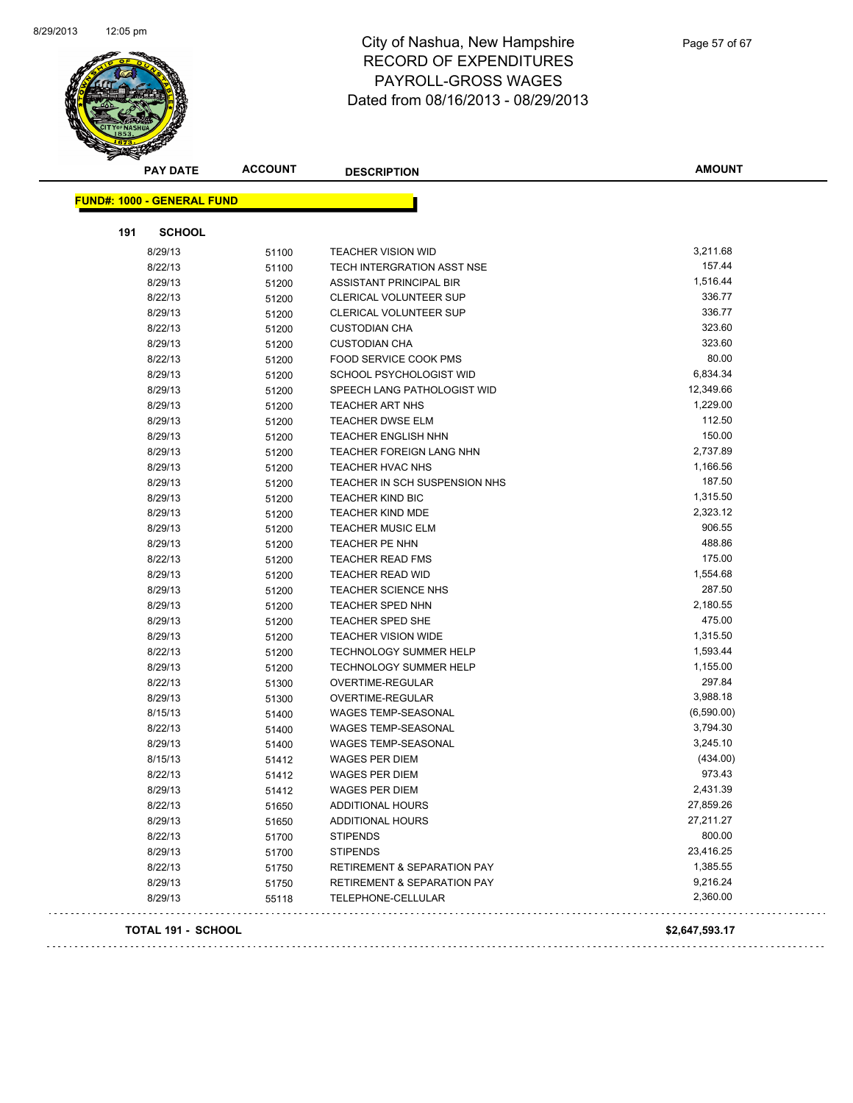

| <b>PAY DATE</b>                   | <b>ACCOUNT</b> | <b>DESCRIPTION</b>                     | <b>AMOUNT</b>  |
|-----------------------------------|----------------|----------------------------------------|----------------|
| <b>FUND#: 1000 - GENERAL FUND</b> |                |                                        |                |
| 191<br><b>SCHOOL</b>              |                |                                        |                |
| 8/29/13                           | 51100          | <b>TEACHER VISION WID</b>              | 3,211.68       |
| 8/22/13                           | 51100          | TECH INTERGRATION ASST NSE             | 157.44         |
| 8/29/13                           | 51200          | ASSISTANT PRINCIPAL BIR                | 1,516.44       |
| 8/22/13                           | 51200          | <b>CLERICAL VOLUNTEER SUP</b>          | 336.77         |
| 8/29/13                           | 51200          | <b>CLERICAL VOLUNTEER SUP</b>          | 336.77         |
| 8/22/13                           | 51200          | <b>CUSTODIAN CHA</b>                   | 323.60         |
| 8/29/13                           | 51200          | <b>CUSTODIAN CHA</b>                   | 323.60         |
| 8/22/13                           | 51200          | FOOD SERVICE COOK PMS                  | 80.00          |
| 8/29/13                           | 51200          | SCHOOL PSYCHOLOGIST WID                | 6,834.34       |
| 8/29/13                           | 51200          | SPEECH LANG PATHOLOGIST WID            | 12,349.66      |
| 8/29/13                           | 51200          | <b>TEACHER ART NHS</b>                 | 1,229.00       |
| 8/29/13                           | 51200          | <b>TEACHER DWSE ELM</b>                | 112.50         |
| 8/29/13                           | 51200          | <b>TEACHER ENGLISH NHN</b>             | 150.00         |
| 8/29/13                           | 51200          | TEACHER FOREIGN LANG NHN               | 2,737.89       |
| 8/29/13                           | 51200          | <b>TEACHER HVAC NHS</b>                | 1,166.56       |
| 8/29/13                           | 51200          | TEACHER IN SCH SUSPENSION NHS          | 187.50         |
| 8/29/13                           | 51200          | <b>TEACHER KIND BIC</b>                | 1,315.50       |
| 8/29/13                           | 51200          | <b>TEACHER KIND MDE</b>                | 2,323.12       |
| 8/29/13                           | 51200          | <b>TEACHER MUSIC ELM</b>               | 906.55         |
| 8/29/13                           | 51200          | TEACHER PE NHN                         | 488.86         |
| 8/22/13                           | 51200          | <b>TEACHER READ FMS</b>                | 175.00         |
| 8/29/13                           | 51200          | <b>TEACHER READ WID</b>                | 1,554.68       |
| 8/29/13                           | 51200          | TEACHER SCIENCE NHS                    | 287.50         |
| 8/29/13                           | 51200          | TEACHER SPED NHN                       | 2,180.55       |
| 8/29/13                           | 51200          | <b>TEACHER SPED SHE</b>                | 475.00         |
| 8/29/13                           | 51200          | <b>TEACHER VISION WIDE</b>             | 1,315.50       |
| 8/22/13                           | 51200          | <b>TECHNOLOGY SUMMER HELP</b>          | 1,593.44       |
| 8/29/13                           | 51200          | <b>TECHNOLOGY SUMMER HELP</b>          | 1,155.00       |
| 8/22/13                           | 51300          | OVERTIME-REGULAR                       | 297.84         |
| 8/29/13                           | 51300          | OVERTIME-REGULAR                       | 3,988.18       |
| 8/15/13                           | 51400          | WAGES TEMP-SEASONAL                    | (6,590.00)     |
| 8/22/13                           | 51400          | WAGES TEMP-SEASONAL                    | 3,794.30       |
| 8/29/13                           | 51400          | <b>WAGES TEMP-SEASONAL</b>             | 3,245.10       |
| 8/15/13                           | 51412          | WAGES PER DIEM                         | (434.00)       |
| 8/22/13                           | 51412          | <b>WAGES PER DIEM</b>                  | 973.43         |
| 8/29/13                           | 51412          | WAGES PER DIEM                         | 2,431.39       |
| 8/22/13                           | 51650          | ADDITIONAL HOURS                       | 27,859.26      |
| 8/29/13                           | 51650          | ADDITIONAL HOURS                       | 27,211.27      |
| 8/22/13                           | 51700          | <b>STIPENDS</b>                        | 800.00         |
| 8/29/13                           | 51700          | <b>STIPENDS</b>                        | 23,416.25      |
| 8/22/13                           | 51750          | <b>RETIREMENT &amp; SEPARATION PAY</b> | 1,385.55       |
| 8/29/13                           | 51750          | <b>RETIREMENT &amp; SEPARATION PAY</b> | 9,216.24       |
| 8/29/13                           | 55118          | TELEPHONE-CELLULAR                     | 2,360.00       |
| TOTAL 191 - SCHOOL                |                |                                        | \$2,647,593.17 |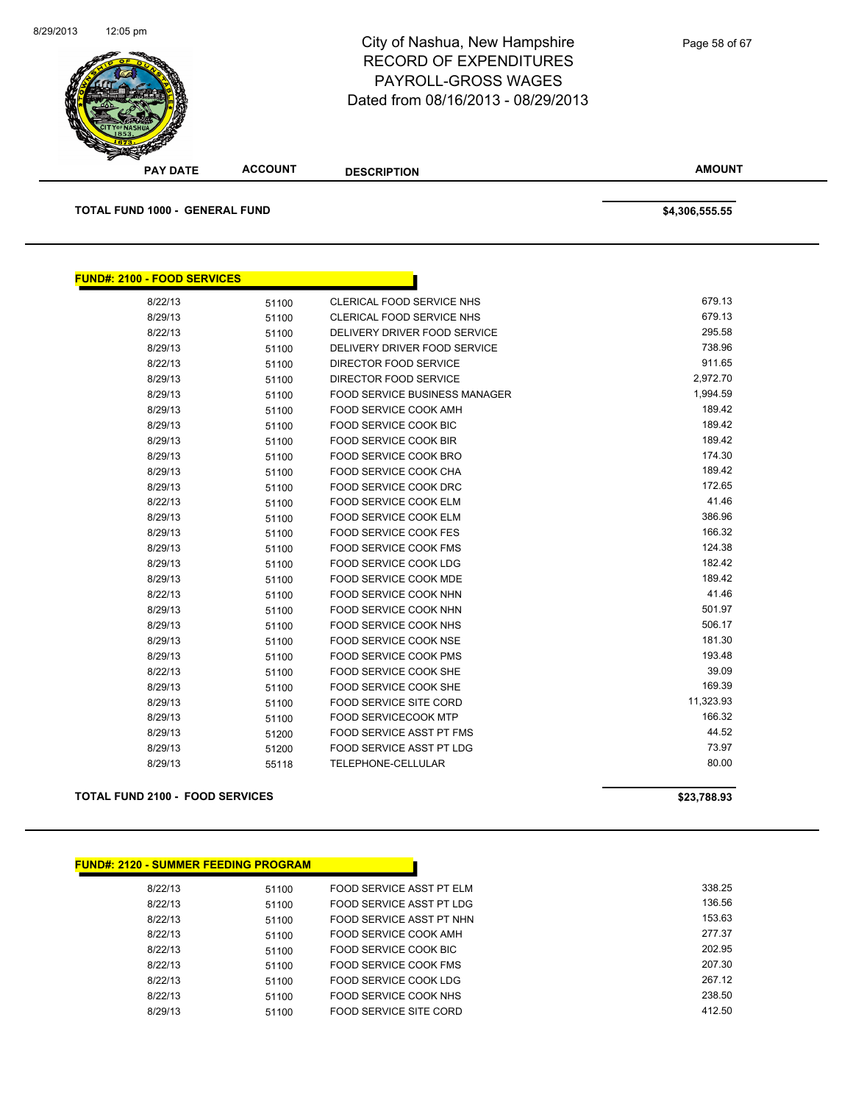

| <b>PAY DATE</b>                       | <b>ACCOUNT</b> | <b>DESCRIPTION</b>                   | <b>AMOUNT</b>  |
|---------------------------------------|----------------|--------------------------------------|----------------|
| <b>TOTAL FUND 1000 - GENERAL FUND</b> |                |                                      | \$4,306,555.55 |
| <b>FUND#: 2100 - FOOD SERVICES</b>    |                |                                      |                |
| 8/22/13                               | 51100          | CLERICAL FOOD SERVICE NHS            | 679.13         |
| 8/29/13                               | 51100          | CLERICAL FOOD SERVICE NHS            | 679.13         |
| 8/22/13                               | 51100          | DELIVERY DRIVER FOOD SERVICE         | 295.58         |
| 8/29/13                               | 51100          | DELIVERY DRIVER FOOD SERVICE         | 738.96         |
| 8/22/13                               | 51100          | DIRECTOR FOOD SERVICE                | 911.65         |
| 8/29/13                               | 51100          | DIRECTOR FOOD SERVICE                | 2,972.70       |
| 8/29/13                               | 51100          | <b>FOOD SERVICE BUSINESS MANAGER</b> | 1,994.59       |
| 8/29/13                               | 51100          | FOOD SERVICE COOK AMH                | 189.42         |
| 8/29/13                               | 51100          | <b>FOOD SERVICE COOK BIC</b>         | 189.42         |
| 8/29/13                               | 51100          | FOOD SERVICE COOK BIR                | 189.42         |
| 8/29/13                               | 51100          | <b>FOOD SERVICE COOK BRO</b>         | 174.30         |
| 8/29/13                               | 51100          | FOOD SERVICE COOK CHA                | 189.42         |
| 8/29/13                               | 51100          | FOOD SERVICE COOK DRC                | 172.65         |
| 8/22/13                               | 51100          | FOOD SERVICE COOK ELM                | 41.46          |
| 8/29/13                               | 51100          | FOOD SERVICE COOK ELM                | 386.96         |
| 8/29/13                               | 51100          | <b>FOOD SERVICE COOK FES</b>         | 166.32         |
| 8/29/13                               | 51100          | <b>FOOD SERVICE COOK FMS</b>         | 124.38         |
| 8/29/13                               | 51100          | FOOD SERVICE COOK LDG                | 182.42         |
| 8/29/13                               | 51100          | FOOD SERVICE COOK MDE                | 189.42         |
| 8/22/13                               | 51100          | FOOD SERVICE COOK NHN                | 41.46          |
| 8/29/13                               | 51100          | FOOD SERVICE COOK NHN                | 501.97         |
| 8/29/13                               | 51100          | FOOD SERVICE COOK NHS                | 506.17         |
| 8/29/13                               | 51100          | <b>FOOD SERVICE COOK NSE</b>         | 181.30         |
| 8/29/13                               | 51100          | <b>FOOD SERVICE COOK PMS</b>         | 193.48         |
| 8/22/13                               | 51100          | FOOD SERVICE COOK SHE                | 39.09          |
| 8/29/13                               | 51100          | FOOD SERVICE COOK SHE                | 169.39         |
| 8/29/13                               | 51100          | <b>FOOD SERVICE SITE CORD</b>        | 11,323.93      |
| 8/29/13                               | 51100          | <b>FOOD SERVICECOOK MTP</b>          | 166.32         |
| 8/29/13                               | 51200          | <b>FOOD SERVICE ASST PT FMS</b>      | 44.52          |
| 8/29/13                               | 51200          | FOOD SERVICE ASST PT LDG             | 73.97          |

8/29/13 55118 TELEPHONE-CELLULAR 80.00

### **TOTAL FUND 2100 - FOOD SERVICES \$23,788.93**

| 8/22/13<br>FOOD SERVICE ASST PT ELM<br>51100 |
|----------------------------------------------|
|                                              |
| FOOD SERVICE ASST PT LDG<br>8/22/13<br>51100 |
| 8/22/13<br>FOOD SERVICE ASST PT NHN<br>51100 |
| 8/22/13<br>FOOD SERVICE COOK AMH<br>51100    |
| 8/22/13<br>FOOD SERVICE COOK BIC<br>51100    |
| 8/22/13<br>FOOD SERVICE COOK FMS<br>51100    |
| 8/22/13<br>FOOD SERVICE COOK LDG<br>51100    |
| 8/22/13<br>FOOD SERVICE COOK NHS<br>51100    |
| 8/29/13<br>FOOD SERVICE SITE CORD<br>51100   |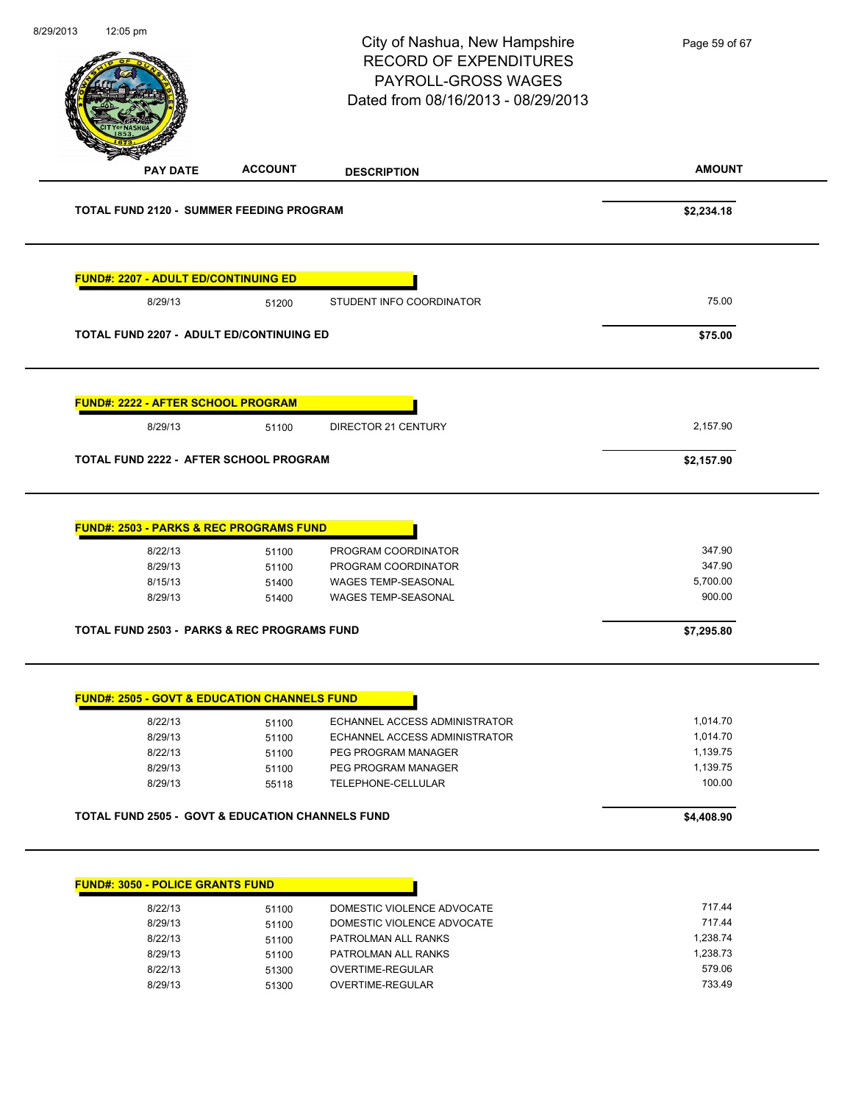|                                                                                                |                                  | City of Nashua, New Hampshire<br><b>RECORD OF EXPENDITURES</b><br>PAYROLL-GROSS WAGES<br>Dated from 08/16/2013 - 08/29/2013 | Page 59 of 67                          |
|------------------------------------------------------------------------------------------------|----------------------------------|-----------------------------------------------------------------------------------------------------------------------------|----------------------------------------|
| <b>PAY DATE</b>                                                                                | <b>ACCOUNT</b>                   | <b>DESCRIPTION</b>                                                                                                          | <b>AMOUNT</b>                          |
| TOTAL FUND 2120 - SUMMER FEEDING PROGRAM                                                       |                                  |                                                                                                                             | \$2,234.18                             |
| <b>FUND#: 2207 - ADULT ED/CONTINUING ED</b>                                                    |                                  |                                                                                                                             |                                        |
| 8/29/13                                                                                        | 51200                            | STUDENT INFO COORDINATOR                                                                                                    | 75.00                                  |
| <b>TOTAL FUND 2207 - ADULT ED/CONTINUING ED</b>                                                |                                  |                                                                                                                             | \$75.00                                |
| FUND#: 2222 - AFTER SCHOOL PROGRAM                                                             |                                  |                                                                                                                             |                                        |
| 8/29/13                                                                                        | 51100                            | DIRECTOR 21 CENTURY                                                                                                         | 2,157.90                               |
| <b>TOTAL FUND 2222 - AFTER SCHOOL PROGRAM</b>                                                  |                                  |                                                                                                                             | \$2,157.90                             |
| <b>FUND#: 2503 - PARKS &amp; REC PROGRAMS FUND</b><br>8/22/13<br>8/29/13<br>8/15/13<br>8/29/13 | 51100<br>51100<br>51400<br>51400 | PROGRAM COORDINATOR<br>PROGRAM COORDINATOR<br>WAGES TEMP-SEASONAL<br>WAGES TEMP-SEASONAL                                    | 347.90<br>347.90<br>5,700.00<br>900.00 |
| <b>TOTAL FUND 2503 - PARKS &amp; REC PROGRAMS FUND</b>                                         |                                  |                                                                                                                             | \$7,295.80                             |
|                                                                                                |                                  |                                                                                                                             |                                        |
| <b>FUND#: 2505 - GOVT &amp; EDUCATION CHANNELS FUND</b>                                        |                                  |                                                                                                                             |                                        |
| 8/22/13                                                                                        | 51100                            | ECHANNEL ACCESS ADMINISTRATOR                                                                                               | 1,014.70                               |
| 8/29/13                                                                                        | 51100                            | ECHANNEL ACCESS ADMINISTRATOR                                                                                               | 1,014.70                               |
| 8/22/13<br>8/29/13                                                                             | 51100<br>51100                   | PEG PROGRAM MANAGER<br>PEG PROGRAM MANAGER                                                                                  | 1,139.75<br>1,139.75                   |
| 8/29/13                                                                                        | 55118                            | TELEPHONE-CELLULAR                                                                                                          | 100.00                                 |
| <b>TOTAL FUND 2505 - GOVT &amp; EDUCATION CHANNELS FUND</b>                                    |                                  |                                                                                                                             | \$4,408.90                             |
| <b>FUND#: 3050 - POLICE GRANTS FUND</b>                                                        |                                  |                                                                                                                             |                                        |
| 8/22/13                                                                                        | 51100                            | DOMESTIC VIOLENCE ADVOCATE                                                                                                  | 717.44                                 |
| 8/29/13                                                                                        | 51100                            | DOMESTIC VIOLENCE ADVOCATE                                                                                                  | 717.44                                 |
| 8/22/13                                                                                        | 51100                            | PATROLMAN ALL RANKS                                                                                                         | 1,238.74                               |
| 8/29/13<br>8/22/13                                                                             | 51100<br>51300                   | PATROLMAN ALL RANKS<br>OVERTIME-REGULAR                                                                                     | 1,238.73<br>579.06                     |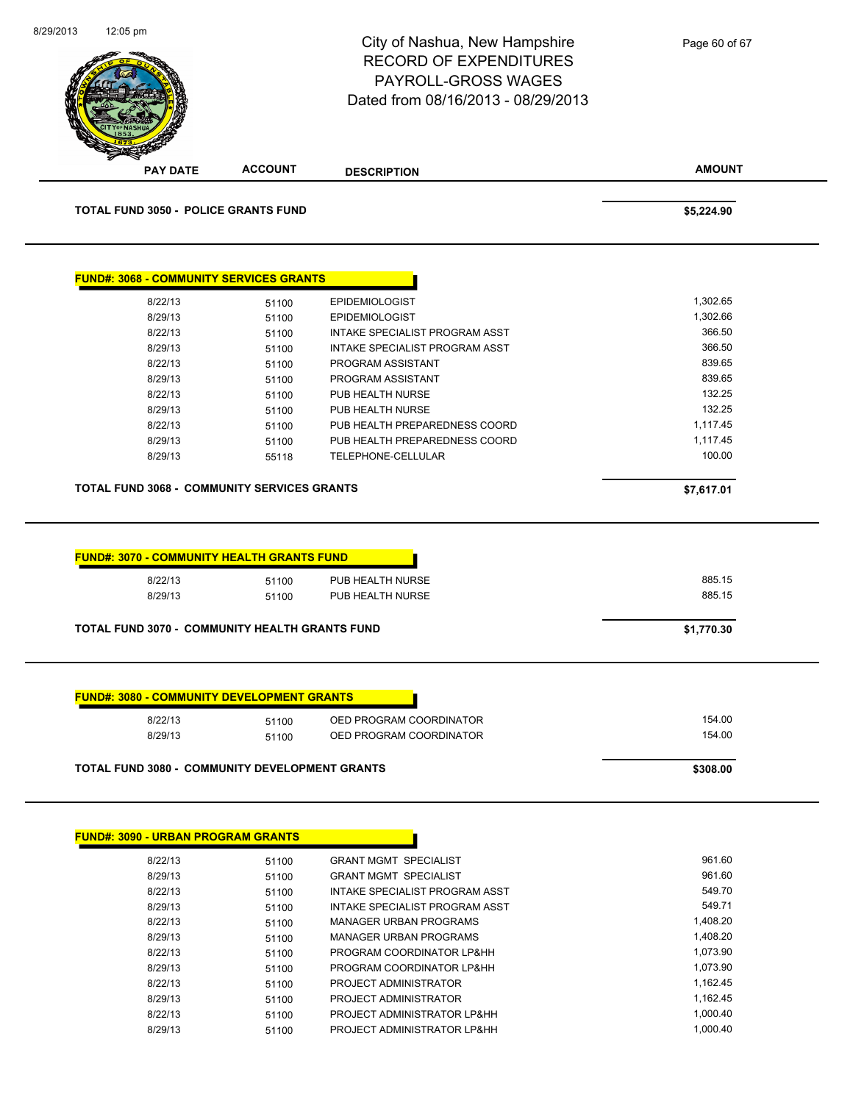

| 8/29/13 | 51100 | GRANT MGMT SPECIALIST          | 961.60   |
|---------|-------|--------------------------------|----------|
| 8/22/13 | 51100 | INTAKE SPECIALIST PROGRAM ASST | 549.70   |
| 8/29/13 | 51100 | INTAKE SPECIALIST PROGRAM ASST | 549.71   |
| 8/22/13 | 51100 | MANAGER URBAN PROGRAMS         | 1,408.20 |
| 8/29/13 | 51100 | MANAGER URBAN PROGRAMS         | 1,408.20 |
| 8/22/13 | 51100 | PROGRAM COORDINATOR LP&HH      | 1.073.90 |
| 8/29/13 | 51100 | PROGRAM COORDINATOR LP&HH      | 1.073.90 |
| 8/22/13 | 51100 | PROJECT ADMINISTRATOR          | 1.162.45 |
| 8/29/13 | 51100 | PROJECT ADMINISTRATOR          | 1,162.45 |
| 8/22/13 | 51100 | PROJECT ADMINISTRATOR LP&HH    | 1.000.40 |
| 8/29/13 | 51100 | PROJECT ADMINISTRATOR LP&HH    | 1.000.40 |
|         |       |                                |          |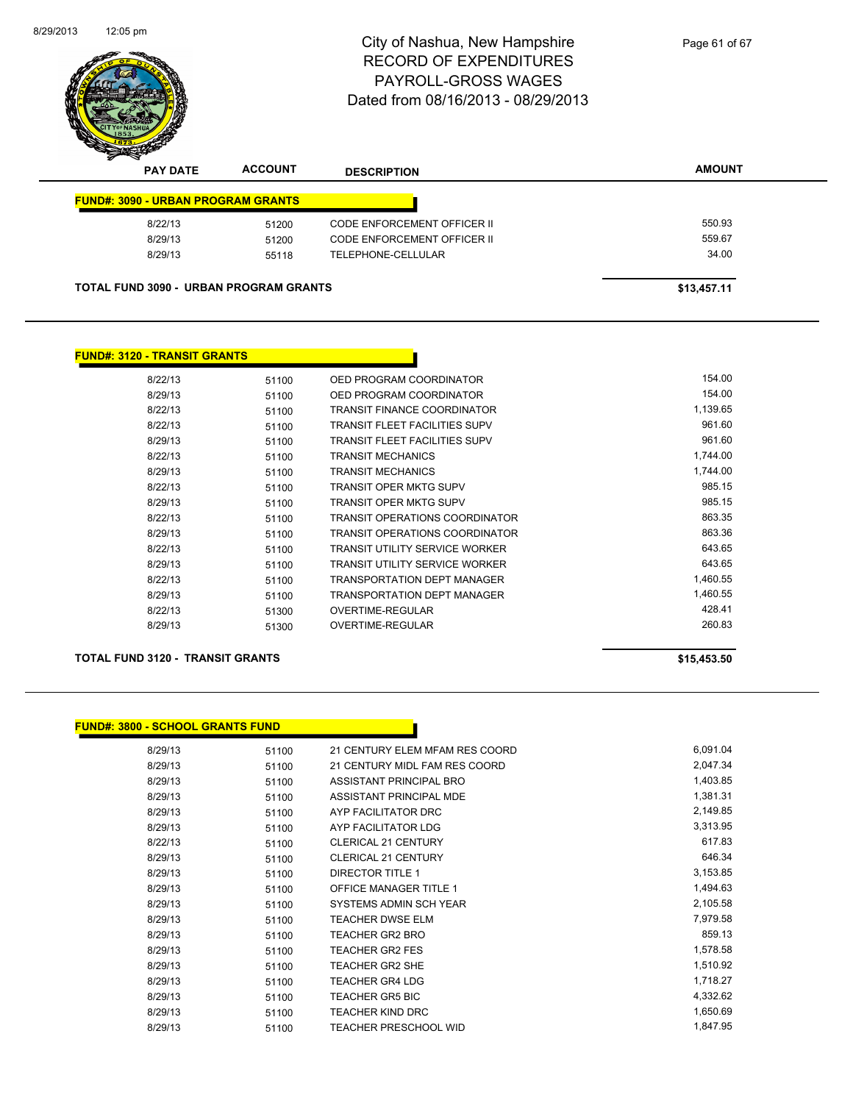

| <b>PAY DATE</b>                           | <b>ACCOUNT</b>                                | <b>DESCRIPTION</b>                 | <b>AMOUNT</b> |
|-------------------------------------------|-----------------------------------------------|------------------------------------|---------------|
| <b>FUND#: 3090 - URBAN PROGRAM GRANTS</b> |                                               |                                    |               |
| 8/22/13                                   | 51200                                         | <b>CODE ENFORCEMENT OFFICER II</b> | 550.93        |
| 8/29/13                                   | 51200                                         | CODE ENFORCEMENT OFFICER II        | 559.67        |
| 8/29/13                                   | 55118                                         | TELEPHONE-CELLULAR                 | 34.00         |
|                                           |                                               |                                    |               |
|                                           | <b>TOTAL FUND 3090 - URBAN PROGRAM GRANTS</b> |                                    | \$13,457.11   |

### **FUND#: 3120 - TRANSIT GRANTS**

| 8/22/13 | 51100 | OED PROGRAM COORDINATOR               | 154.00   |
|---------|-------|---------------------------------------|----------|
| 8/29/13 | 51100 | OED PROGRAM COORDINATOR               | 154.00   |
| 8/22/13 | 51100 | <b>TRANSIT FINANCE COORDINATOR</b>    | 1.139.65 |
| 8/22/13 | 51100 | TRANSIT FLEET FACILITIES SUPV         | 961.60   |
| 8/29/13 | 51100 | TRANSIT FLEET FACILITIES SUPV         | 961.60   |
| 8/22/13 | 51100 | <b>TRANSIT MECHANICS</b>              | 1,744.00 |
| 8/29/13 | 51100 | <b>TRANSIT MECHANICS</b>              | 1.744.00 |
| 8/22/13 | 51100 | TRANSIT OPER MKTG SUPV                | 985.15   |
| 8/29/13 | 51100 | <b>TRANSIT OPER MKTG SUPV</b>         | 985.15   |
| 8/22/13 | 51100 | TRANSIT OPERATIONS COORDINATOR        | 863.35   |
| 8/29/13 | 51100 | TRANSIT OPERATIONS COORDINATOR        | 863.36   |
| 8/22/13 | 51100 | <b>TRANSIT UTILITY SERVICE WORKER</b> | 643.65   |
| 8/29/13 | 51100 | <b>TRANSIT UTILITY SERVICE WORKER</b> | 643.65   |
| 8/22/13 | 51100 | TRANSPORTATION DEPT MANAGER           | 1,460.55 |
| 8/29/13 | 51100 | TRANSPORTATION DEPT MANAGER           | 1.460.55 |
| 8/22/13 | 51300 | OVERTIME-REGULAR                      | 428.41   |
| 8/29/13 | 51300 | OVERTIME-REGULAR                      | 260.83   |
|         |       |                                       |          |

### **TOTAL FUND 3120 - TRANSIT GRANTS \$15,453.50**

### **FUND#: 3800 - SCHOOL GRANTS FUND**

| 8/29/13 | 51100 | 21 CENTURY ELEM MFAM RES COORD | 6,091.04 |
|---------|-------|--------------------------------|----------|
| 8/29/13 | 51100 | 21 CENTURY MIDL FAM RES COORD  | 2,047.34 |
| 8/29/13 | 51100 | ASSISTANT PRINCIPAL BRO        | 1,403.85 |
| 8/29/13 | 51100 | ASSISTANT PRINCIPAL MDE        | 1,381.31 |
| 8/29/13 | 51100 | AYP FACILITATOR DRC            | 2,149.85 |
| 8/29/13 | 51100 | AYP FACILITATOR LDG            | 3,313.95 |
| 8/22/13 | 51100 | <b>CLERICAL 21 CENTURY</b>     | 617.83   |
| 8/29/13 | 51100 | <b>CLERICAL 21 CENTURY</b>     | 646.34   |
| 8/29/13 | 51100 | <b>DIRECTOR TITLE 1</b>        | 3,153.85 |
| 8/29/13 | 51100 | <b>OFFICE MANAGER TITLE 1</b>  | 1,494.63 |
| 8/29/13 | 51100 | SYSTEMS ADMIN SCH YEAR         | 2,105.58 |
| 8/29/13 | 51100 | <b>TEACHER DWSE ELM</b>        | 7,979.58 |
| 8/29/13 | 51100 | <b>TEACHER GR2 BRO</b>         | 859.13   |
| 8/29/13 | 51100 | <b>TEACHER GR2 FES</b>         | 1,578.58 |
| 8/29/13 | 51100 | TEACHER GR2 SHE                | 1,510.92 |
| 8/29/13 | 51100 | <b>TEACHER GR4 LDG</b>         | 1,718.27 |
| 8/29/13 | 51100 | <b>TEACHER GR5 BIC</b>         | 4,332.62 |
| 8/29/13 | 51100 | <b>TEACHER KIND DRC</b>        | 1,650.69 |
| 8/29/13 | 51100 | <b>TEACHER PRESCHOOL WID</b>   | 1,847.95 |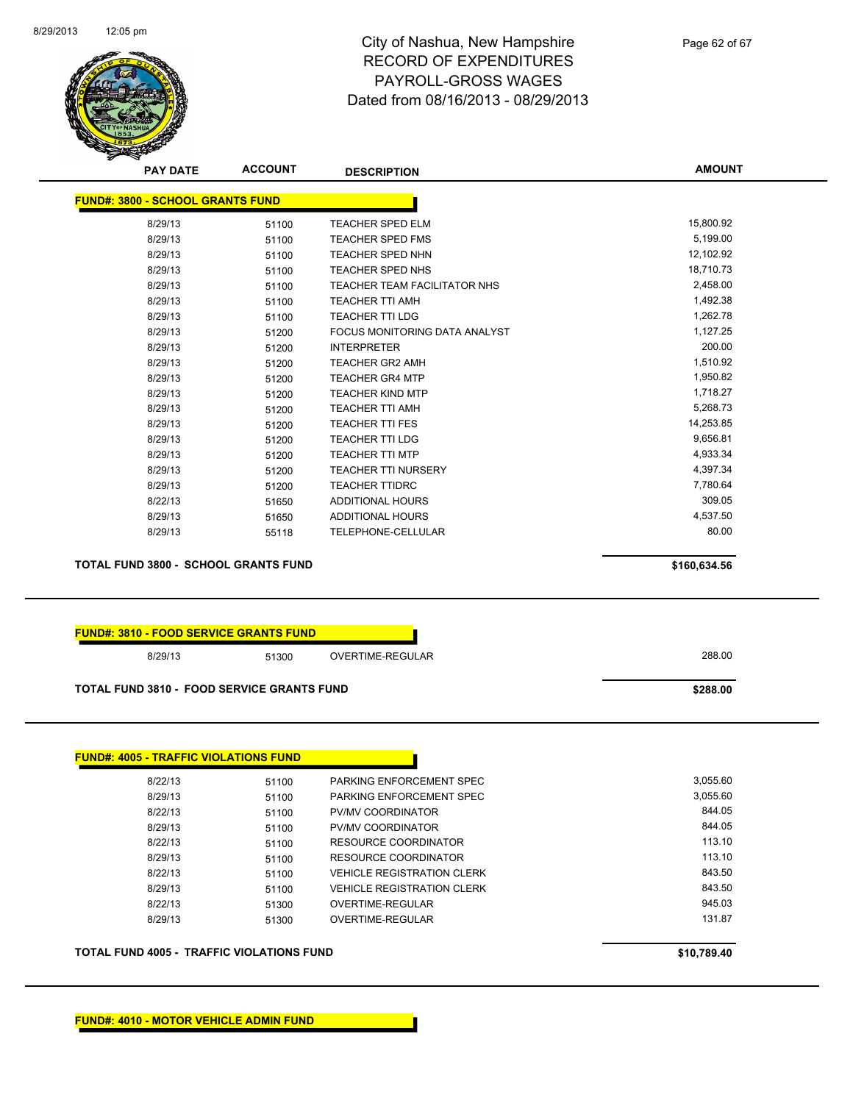

Page 62 of 67

| <b>FUND#: 3800 - SCHOOL GRANTS FUND</b>                 |                                                   |                                   |              |
|---------------------------------------------------------|---------------------------------------------------|-----------------------------------|--------------|
| 8/29/13                                                 | 51100                                             | <b>TEACHER SPED ELM</b>           | 15,800.92    |
| 8/29/13                                                 | 51100                                             | <b>TEACHER SPED FMS</b>           | 5,199.00     |
| 8/29/13                                                 | 51100                                             | <b>TEACHER SPED NHN</b>           | 12,102.92    |
| 8/29/13                                                 | 51100                                             | <b>TEACHER SPED NHS</b>           | 18,710.73    |
| 8/29/13                                                 | 51100                                             | TEACHER TEAM FACILITATOR NHS      | 2,458.00     |
| 8/29/13                                                 | 51100                                             | <b>TEACHER TTI AMH</b>            | 1,492.38     |
| 8/29/13                                                 | 51100                                             | <b>TEACHER TTI LDG</b>            | 1,262.78     |
| 8/29/13                                                 | 51200                                             | FOCUS MONITORING DATA ANALYST     | 1,127.25     |
| 8/29/13                                                 | 51200                                             | <b>INTERPRETER</b>                | 200.00       |
| 8/29/13                                                 | 51200                                             | <b>TEACHER GR2 AMH</b>            | 1,510.92     |
| 8/29/13                                                 | 51200                                             | <b>TEACHER GR4 MTP</b>            | 1,950.82     |
| 8/29/13                                                 | 51200                                             | <b>TEACHER KIND MTP</b>           | 1,718.27     |
| 8/29/13                                                 | 51200                                             | <b>TEACHER TTI AMH</b>            | 5,268.73     |
| 8/29/13                                                 | 51200                                             | <b>TEACHER TTI FES</b>            | 14,253.85    |
| 8/29/13                                                 | 51200                                             | <b>TEACHER TTI LDG</b>            | 9,656.81     |
| 8/29/13                                                 | 51200                                             | <b>TEACHER TTI MTP</b>            | 4,933.34     |
| 8/29/13                                                 | 51200                                             | <b>TEACHER TTI NURSERY</b>        | 4,397.34     |
| 8/29/13                                                 | 51200                                             | <b>TEACHER TTIDRC</b>             | 7,780.64     |
| 8/22/13                                                 | 51650                                             | <b>ADDITIONAL HOURS</b>           | 309.05       |
| 8/29/13                                                 | 51650                                             | <b>ADDITIONAL HOURS</b>           | 4,537.50     |
| 8/29/13                                                 | 55118                                             | TELEPHONE-CELLULAR                | 80.00        |
|                                                         | <b>TOTAL FUND 3800 - SCHOOL GRANTS FUND</b>       |                                   | \$160,634.56 |
|                                                         | <b>FUND#: 3810 - FOOD SERVICE GRANTS FUND</b>     |                                   |              |
| 8/29/13                                                 | 51300                                             | OVERTIME-REGULAR                  | 288.00       |
|                                                         | <b>TOTAL FUND 3810 - FOOD SERVICE GRANTS FUND</b> |                                   | \$288.00     |
|                                                         |                                                   |                                   |              |
| 8/22/13                                                 | 51100                                             | PARKING ENFORCEMENT SPEC          | 3,055.60     |
| 8/29/13                                                 | 51100                                             | PARKING ENFORCEMENT SPEC          | 3,055.60     |
|                                                         |                                                   | PV/MV COORDINATOR                 | 844.05       |
| 8/22/13<br>8/29/13                                      | 51100                                             | PV/MV COORDINATOR                 | 844.05       |
|                                                         | 51100                                             |                                   | 113.10       |
| 8/22/13                                                 | 51100                                             | RESOURCE COORDINATOR              | 113.10       |
| 8/29/13                                                 | 51100                                             | <b>RESOURCE COORDINATOR</b>       |              |
| 8/22/13                                                 | 51100                                             | <b>VEHICLE REGISTRATION CLERK</b> | 843.50       |
| 8/29/13                                                 | 51100                                             | <b>VEHICLE REGISTRATION CLERK</b> | 843.50       |
| 8/22/13                                                 | 51300                                             | OVERTIME-REGULAR                  | 945.03       |
| <b>FUND#: 4005 - TRAFFIC VIOLATIONS FUND</b><br>8/29/13 | 51300                                             | OVERTIME-REGULAR                  | 131.87       |
|                                                         | <b>TOTAL FUND 4005 - TRAFFIC VIOLATIONS FUND</b>  |                                   | \$10,789.40  |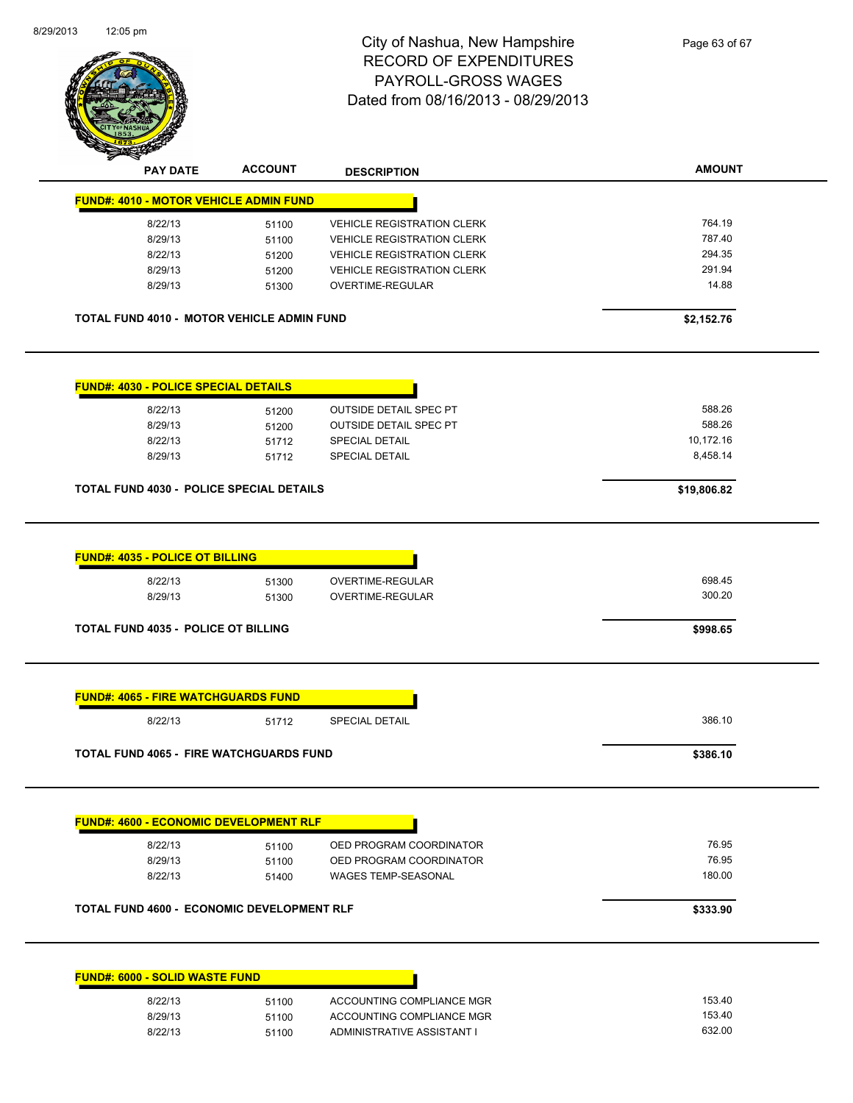| וווק טט.בו                                        |                | City of Nashua, New Hampshire      | Page 63 of 67 |
|---------------------------------------------------|----------------|------------------------------------|---------------|
|                                                   |                | <b>RECORD OF EXPENDITURES</b>      |               |
|                                                   |                | PAYROLL-GROSS WAGES                |               |
|                                                   |                | Dated from 08/16/2013 - 08/29/2013 |               |
|                                                   |                |                                    |               |
|                                                   |                |                                    |               |
|                                                   |                |                                    |               |
| <b>PAY DATE</b>                                   | <b>ACCOUNT</b> | <b>DESCRIPTION</b>                 | <b>AMOUNT</b> |
| <b>FUND#: 4010 - MOTOR VEHICLE ADMIN FUND</b>     |                |                                    |               |
| 8/22/13                                           | 51100          | <b>VEHICLE REGISTRATION CLERK</b>  | 764.19        |
| 8/29/13                                           | 51100          | <b>VEHICLE REGISTRATION CLERK</b>  | 787.40        |
| 8/22/13                                           | 51200          | <b>VEHICLE REGISTRATION CLERK</b>  | 294.35        |
| 8/29/13                                           | 51200          | <b>VEHICLE REGISTRATION CLERK</b>  | 291.94        |
| 8/29/13                                           | 51300          | OVERTIME-REGULAR                   | 14.88         |
| TOTAL FUND 4010 - MOTOR VEHICLE ADMIN FUND        |                |                                    | \$2,152.76    |
|                                                   |                |                                    |               |
|                                                   |                |                                    |               |
| <b>FUND#: 4030 - POLICE SPECIAL DETAILS</b>       |                |                                    |               |
| 8/22/13                                           | 51200          | <b>OUTSIDE DETAIL SPEC PT</b>      | 588.26        |
| 8/29/13                                           | 51200          | OUTSIDE DETAIL SPEC PT             | 588.26        |
| 8/22/13                                           | 51712          | SPECIAL DETAIL                     | 10,172.16     |
| 8/29/13                                           | 51712          | SPECIAL DETAIL                     | 8,458.14      |
|                                                   |                |                                    |               |
| <b>TOTAL FUND 4030 - POLICE SPECIAL DETAILS</b>   |                |                                    | \$19,806.82   |
|                                                   |                |                                    |               |
| <b>FUND#: 4035 - POLICE OT BILLING</b>            |                |                                    |               |
| 8/22/13                                           | 51300          | OVERTIME-REGULAR                   | 698.45        |
| 8/29/13                                           | 51300          | OVERTIME-REGULAR                   | 300.20        |
| <b>TOTAL FUND 4035 - POLICE OT BILLING</b>        |                |                                    | \$998.65      |
|                                                   |                |                                    |               |
| <b>FUND#: 4065 - FIRE WATCHGUARDS FUND</b>        |                |                                    |               |
| 8/22/13                                           | 51712          | <b>SPECIAL DETAIL</b>              | 386.10        |
| <b>TOTAL FUND 4065 - FIRE WATCHGUARDS FUND</b>    |                |                                    | \$386.10      |
|                                                   |                |                                    |               |
|                                                   |                |                                    |               |
| <b>FUND#: 4600 - ECONOMIC DEVELOPMENT RLF</b>     |                |                                    |               |
| 8/22/13                                           | 51100          | OED PROGRAM COORDINATOR            | 76.95         |
| 8/29/13                                           | 51100          | OED PROGRAM COORDINATOR            | 76.95         |
| 8/22/13                                           | 51400          | WAGES TEMP-SEASONAL                | 180.00        |
| <b>TOTAL FUND 4600 - ECONOMIC DEVELOPMENT RLF</b> |                |                                    | \$333.90      |
|                                                   |                |                                    |               |
| <b>FUND#: 6000 - SOLID WASTE FUND</b>             |                |                                    |               |
|                                                   |                |                                    |               |
| 8/22/13                                           | 51100          | ACCOUNTING COMPLIANCE MGR          | 153.40        |
| 8/29/13                                           | 51100          | ACCOUNTING COMPLIANCE MGR          | 153.40        |
| 8/22/13                                           | 51100          | ADMINISTRATIVE ASSISTANT I         | 632.00        |

51100 ADMINISTRATIVE ASSISTANT I

8/29/2013

12:05 pm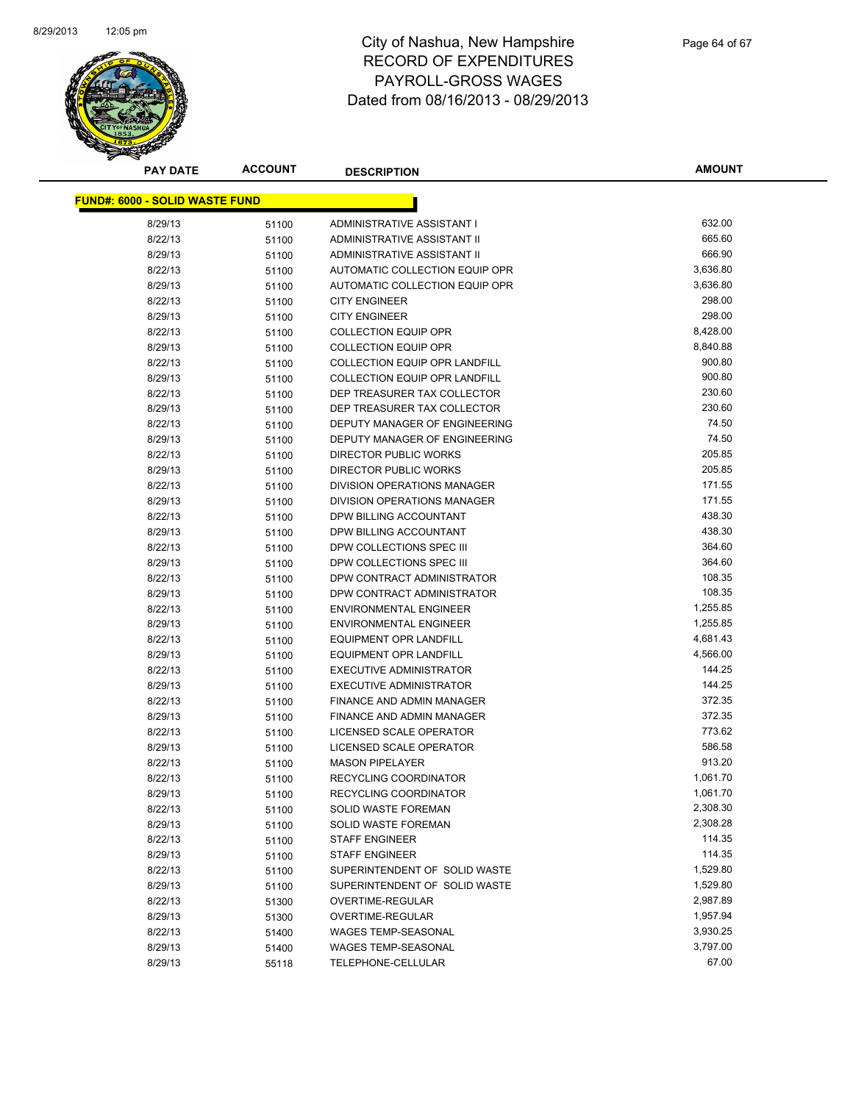

| <b>PAY DATE</b>                       | <b>ACCOUNT</b> | <b>DESCRIPTION</b>                   | <b>AMOUNT</b> |
|---------------------------------------|----------------|--------------------------------------|---------------|
| <b>FUND#: 6000 - SOLID WASTE FUND</b> |                |                                      |               |
| 8/29/13                               | 51100          | ADMINISTRATIVE ASSISTANT I           | 632.00        |
| 8/22/13                               | 51100          | ADMINISTRATIVE ASSISTANT II          | 665.60        |
| 8/29/13                               | 51100          | ADMINISTRATIVE ASSISTANT II          | 666.90        |
| 8/22/13                               | 51100          | AUTOMATIC COLLECTION EQUIP OPR       | 3,636.80      |
| 8/29/13                               |                | AUTOMATIC COLLECTION EQUIP OPR       | 3,636.80      |
| 8/22/13                               | 51100<br>51100 | <b>CITY ENGINEER</b>                 | 298.00        |
| 8/29/13                               |                | <b>CITY ENGINEER</b>                 | 298.00        |
| 8/22/13                               | 51100<br>51100 | <b>COLLECTION EQUIP OPR</b>          | 8,428.00      |
| 8/29/13                               | 51100          | <b>COLLECTION EQUIP OPR</b>          | 8,840.88      |
| 8/22/13                               |                | <b>COLLECTION EQUIP OPR LANDFILL</b> | 900.80        |
| 8/29/13                               | 51100          | <b>COLLECTION EQUIP OPR LANDFILL</b> | 900.80        |
| 8/22/13                               | 51100<br>51100 | DEP TREASURER TAX COLLECTOR          | 230.60        |
| 8/29/13                               |                | DEP TREASURER TAX COLLECTOR          | 230.60        |
| 8/22/13                               | 51100          | DEPUTY MANAGER OF ENGINEERING        | 74.50         |
| 8/29/13                               | 51100<br>51100 | DEPUTY MANAGER OF ENGINEERING        | 74.50         |
| 8/22/13                               |                | <b>DIRECTOR PUBLIC WORKS</b>         | 205.85        |
| 8/29/13                               | 51100          | DIRECTOR PUBLIC WORKS                | 205.85        |
| 8/22/13                               | 51100          | DIVISION OPERATIONS MANAGER          | 171.55        |
| 8/29/13                               | 51100          | <b>DIVISION OPERATIONS MANAGER</b>   | 171.55        |
| 8/22/13                               | 51100          | DPW BILLING ACCOUNTANT               | 438.30        |
| 8/29/13                               | 51100<br>51100 | DPW BILLING ACCOUNTANT               | 438.30        |
| 8/22/13                               |                | DPW COLLECTIONS SPEC III             | 364.60        |
| 8/29/13                               | 51100          | DPW COLLECTIONS SPEC III             | 364.60        |
| 8/22/13                               | 51100          | DPW CONTRACT ADMINISTRATOR           | 108.35        |
| 8/29/13                               | 51100<br>51100 | DPW CONTRACT ADMINISTRATOR           | 108.35        |
| 8/22/13                               |                | <b>ENVIRONMENTAL ENGINEER</b>        | 1,255.85      |
| 8/29/13                               | 51100<br>51100 | <b>ENVIRONMENTAL ENGINEER</b>        | 1,255.85      |
| 8/22/13                               | 51100          | EQUIPMENT OPR LANDFILL               | 4,681.43      |
| 8/29/13                               |                | EQUIPMENT OPR LANDFILL               | 4,566.00      |
| 8/22/13                               | 51100<br>51100 | EXECUTIVE ADMINISTRATOR              | 144.25        |
| 8/29/13                               | 51100          | <b>EXECUTIVE ADMINISTRATOR</b>       | 144.25        |
| 8/22/13                               | 51100          | FINANCE AND ADMIN MANAGER            | 372.35        |
| 8/29/13                               | 51100          | FINANCE AND ADMIN MANAGER            | 372.35        |
| 8/22/13                               | 51100          | LICENSED SCALE OPERATOR              | 773.62        |
| 8/29/13                               |                | LICENSED SCALE OPERATOR              | 586.58        |
| 8/22/13                               | 51100<br>51100 | <b>MASON PIPELAYER</b>               | 913.20        |
| 8/22/13                               | 51100          | RECYCLING COORDINATOR                | 1,061.70      |
| 8/29/13                               | 51100          | RECYCLING COORDINATOR                | 1,061.70      |
| 8/22/13                               | 51100          | SOLID WASTE FOREMAN                  | 2,308.30      |
| 8/29/13                               | 51100          | SOLID WASTE FOREMAN                  | 2,308.28      |
| 8/22/13                               | 51100          | <b>STAFF ENGINEER</b>                | 114.35        |
| 8/29/13                               | 51100          | <b>STAFF ENGINEER</b>                | 114.35        |
| 8/22/13                               | 51100          | SUPERINTENDENT OF SOLID WASTE        | 1,529.80      |
| 8/29/13                               | 51100          | SUPERINTENDENT OF SOLID WASTE        | 1,529.80      |
| 8/22/13                               | 51300          | OVERTIME-REGULAR                     | 2,987.89      |
| 8/29/13                               | 51300          | OVERTIME-REGULAR                     | 1,957.94      |
| 8/22/13                               | 51400          | <b>WAGES TEMP-SEASONAL</b>           | 3,930.25      |
| 8/29/13                               | 51400          | WAGES TEMP-SEASONAL                  | 3,797.00      |
| 8/29/13                               | 55118          | TELEPHONE-CELLULAR                   | 67.00         |
|                                       |                |                                      |               |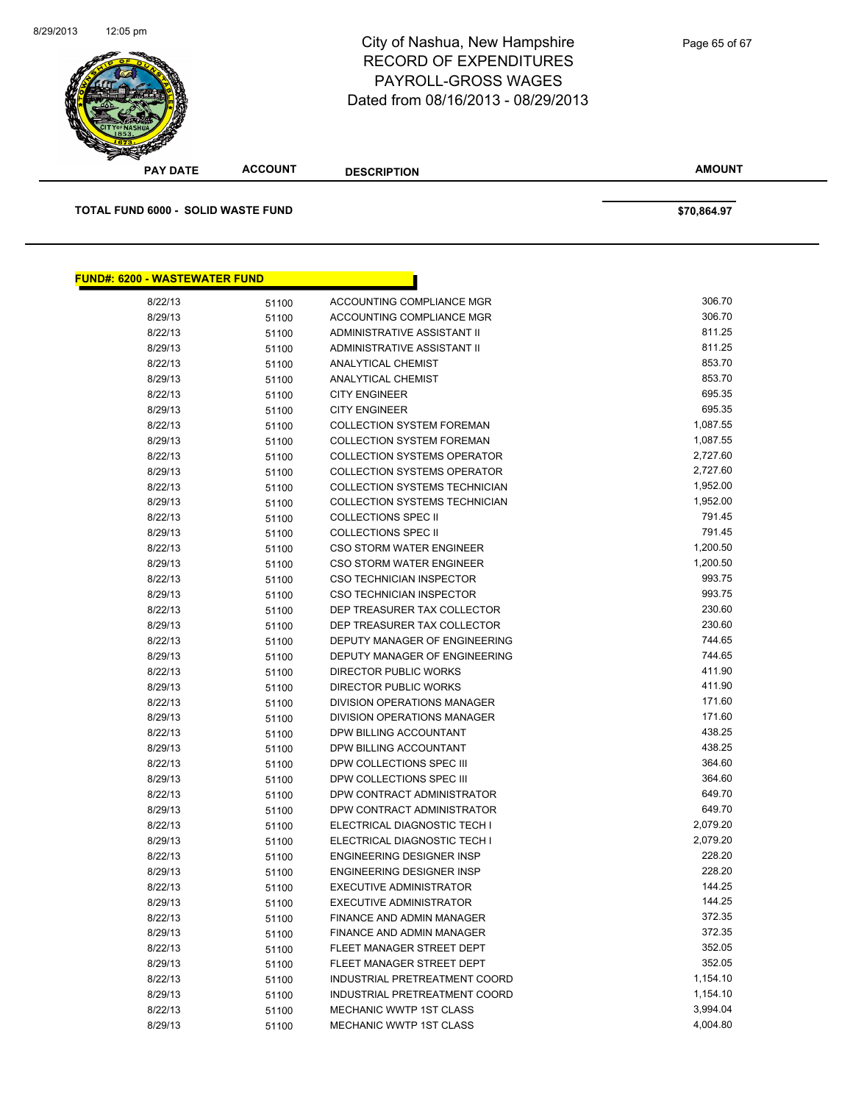

| <b>PAY DATE</b>                           | <b>ACCOUNT</b> | <b>DESCRIPTION</b>                   | <b>AMOUNT</b>    |  |
|-------------------------------------------|----------------|--------------------------------------|------------------|--|
| <b>TOTAL FUND 6000 - SOLID WASTE FUND</b> |                |                                      | \$70,864.97      |  |
|                                           |                |                                      |                  |  |
| <b>FUND#: 6200 - WASTEWATER FUND</b>      |                |                                      |                  |  |
| 8/22/13                                   | 51100          | ACCOUNTING COMPLIANCE MGR            | 306.70           |  |
| 8/29/13                                   | 51100          | <b>ACCOUNTING COMPLIANCE MGR</b>     | 306.70           |  |
| 8/22/13                                   | 51100          | ADMINISTRATIVE ASSISTANT II          | 811.25           |  |
| 8/29/13                                   | 51100          | ADMINISTRATIVE ASSISTANT II          | 811.25           |  |
| 8/22/13                                   | 51100          | ANALYTICAL CHEMIST                   | 853.70           |  |
| 8/29/13                                   | 51100          | <b>ANALYTICAL CHEMIST</b>            | 853.70           |  |
| 8/22/13                                   | 51100          | <b>CITY ENGINEER</b>                 | 695.35           |  |
| 8/29/13                                   | 51100          | <b>CITY ENGINEER</b>                 | 695.35           |  |
| 8/22/13                                   | 51100          | <b>COLLECTION SYSTEM FOREMAN</b>     | 1,087.55         |  |
| 8/29/13                                   | 51100          | <b>COLLECTION SYSTEM FOREMAN</b>     | 1,087.55         |  |
| 8/22/13                                   | 51100          | <b>COLLECTION SYSTEMS OPERATOR</b>   | 2,727.60         |  |
| 8/29/13                                   | 51100          | <b>COLLECTION SYSTEMS OPERATOR</b>   | 2,727.60         |  |
| 8/22/13                                   | 51100          | COLLECTION SYSTEMS TECHNICIAN        | 1,952.00         |  |
| 8/29/13                                   | 51100          | <b>COLLECTION SYSTEMS TECHNICIAN</b> | 1,952.00         |  |
| 8/22/13                                   | 51100          | <b>COLLECTIONS SPEC II</b>           | 791.45           |  |
| 8/29/13                                   | 51100          | <b>COLLECTIONS SPEC II</b>           | 791.45           |  |
| 8/22/13                                   | 51100          | <b>CSO STORM WATER ENGINEER</b>      | 1,200.50         |  |
| 8/29/13                                   | 51100          | <b>CSO STORM WATER ENGINEER</b>      | 1,200.50         |  |
| 8/22/13                                   | 51100          | <b>CSO TECHNICIAN INSPECTOR</b>      | 993.75           |  |
| 8/29/13                                   | 51100          | CSO TECHNICIAN INSPECTOR             | 993.75           |  |
| 8/22/13                                   | 51100          | DEP TREASURER TAX COLLECTOR          | 230.60           |  |
| 8/29/13                                   | 51100          | DEP TREASURER TAX COLLECTOR          | 230.60           |  |
| 8/22/13                                   | 51100          | DEPUTY MANAGER OF ENGINEERING        | 744.65           |  |
| 8/29/13                                   | 51100          | DEPUTY MANAGER OF ENGINEERING        | 744.65           |  |
| 8/22/13                                   | 51100          | DIRECTOR PUBLIC WORKS                | 411.90           |  |
| 8/29/13                                   | 51100          | DIRECTOR PUBLIC WORKS                | 411.90           |  |
| 8/22/13                                   | 51100          | <b>DIVISION OPERATIONS MANAGER</b>   | 171.60           |  |
| 8/29/13                                   | 51100          | <b>DIVISION OPERATIONS MANAGER</b>   | 171.60           |  |
| 8/22/13                                   | 51100          | DPW BILLING ACCOUNTANT               | 438.25           |  |
| 8/29/13                                   | 51100          | DPW BILLING ACCOUNTANT               | 438.25           |  |
| 8/22/13                                   | 51100          | DPW COLLECTIONS SPEC III             | 364.60           |  |
| 8/29/13                                   | 51100          | DPW COLLECTIONS SPEC III             | 364.60           |  |
| 8/22/13                                   | 51100          | DPW CONTRACT ADMINISTRATOR           | 649.70           |  |
| 8/29/13                                   | 51100          | DPW CONTRACT ADMINISTRATOR           | 649.70           |  |
| 8/22/13                                   | 51100          | ELECTRICAL DIAGNOSTIC TECH I         | 2,079.20         |  |
| 8/29/13                                   | 51100          | ELECTRICAL DIAGNOSTIC TECH I         | 2,079.20         |  |
| 8/22/13                                   | 51100          | ENGINEERING DESIGNER INSP            | 228.20           |  |
| 8/29/13                                   | 51100          | ENGINEERING DESIGNER INSP            | 228.20           |  |
| 8/22/13                                   | 51100          | <b>EXECUTIVE ADMINISTRATOR</b>       | 144.25           |  |
| 8/29/13                                   | 51100          | <b>EXECUTIVE ADMINISTRATOR</b>       | 144.25           |  |
| 8/22/13                                   | 51100          | FINANCE AND ADMIN MANAGER            | 372.35<br>372.35 |  |
| 8/29/13                                   | 51100          | FINANCE AND ADMIN MANAGER            | 352.05           |  |
| 8/22/13                                   | 51100          | FLEET MANAGER STREET DEPT            | 352.05           |  |
| 8/29/13                                   | 51100          | FLEET MANAGER STREET DEPT            |                  |  |
| 8/22/13                                   | 51100          | INDUSTRIAL PRETREATMENT COORD        | 1,154.10         |  |

8/29/13 51100 INDUSTRIAL PRETREATMENT COORD 1,154.10 8/22/13 51100 MECHANIC WWTP 1ST CLASS 3,994.04<br>18/29/13 51100 MECHANIC WWTP 1ST CLASS 4,004.80

8/29/13 51100 MECHANIC WWTP 1ST CLASS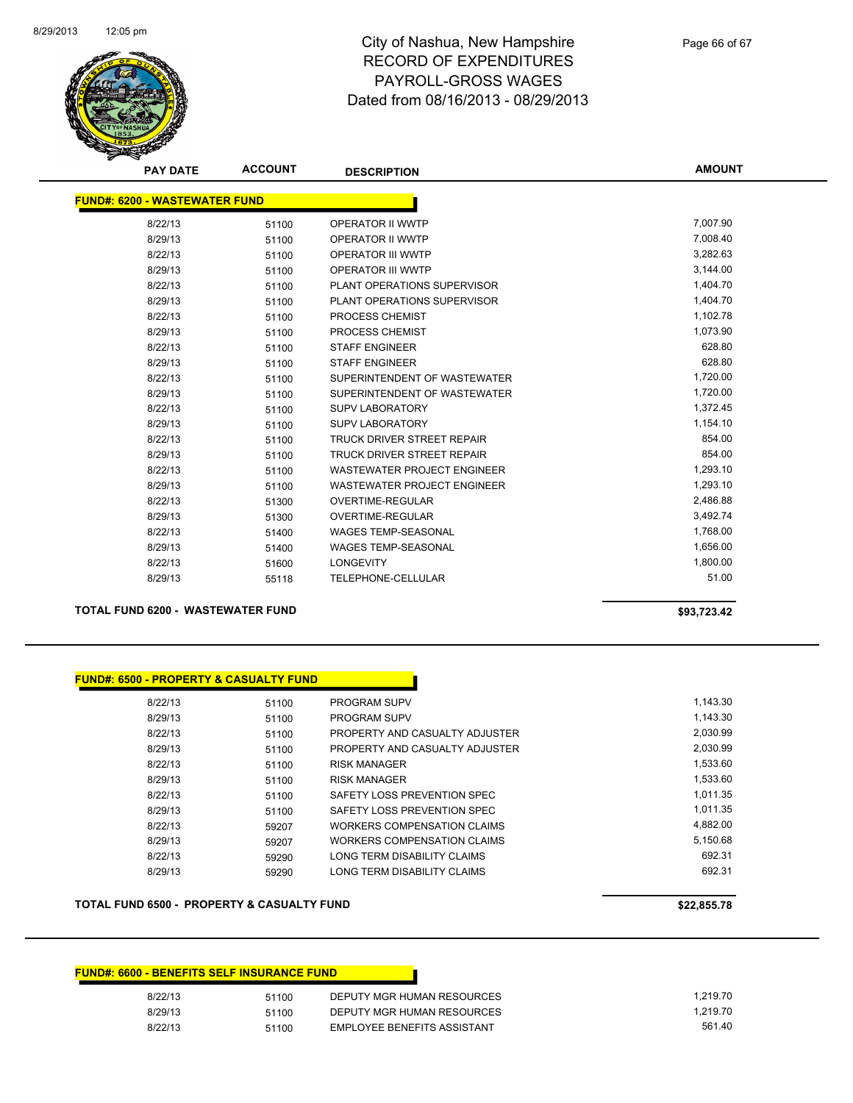

**AMOUNT**

| <b>FUND#: 6200 - WASTEWATER FUND</b> |       |                                    |          |
|--------------------------------------|-------|------------------------------------|----------|
| 8/22/13                              | 51100 | <b>OPERATOR II WWTP</b>            | 7,007.90 |
| 8/29/13                              | 51100 | <b>OPERATOR II WWTP</b>            | 7,008.40 |
| 8/22/13                              | 51100 | <b>OPERATOR III WWTP</b>           | 3,282.63 |
| 8/29/13                              | 51100 | <b>OPERATOR III WWTP</b>           | 3,144.00 |
| 8/22/13                              | 51100 | PLANT OPERATIONS SUPERVISOR        | 1,404.70 |
| 8/29/13                              | 51100 | PLANT OPERATIONS SUPERVISOR        | 1,404.70 |
| 8/22/13                              | 51100 | PROCESS CHEMIST                    | 1,102.78 |
| 8/29/13                              | 51100 | <b>PROCESS CHEMIST</b>             | 1.073.90 |
| 8/22/13                              | 51100 | <b>STAFF ENGINEER</b>              | 628.80   |
| 8/29/13                              | 51100 | <b>STAFF ENGINEER</b>              | 628.80   |
| 8/22/13                              | 51100 | SUPERINTENDENT OF WASTEWATER       | 1,720.00 |
| 8/29/13                              | 51100 | SUPERINTENDENT OF WASTEWATER       | 1,720.00 |
| 8/22/13                              | 51100 | <b>SUPV LABORATORY</b>             | 1,372.45 |
| 8/29/13                              | 51100 | <b>SUPV LABORATORY</b>             | 1,154.10 |
| 8/22/13                              | 51100 | <b>TRUCK DRIVER STREET REPAIR</b>  | 854.00   |
| 8/29/13                              | 51100 | <b>TRUCK DRIVER STREET REPAIR</b>  | 854.00   |
| 8/22/13                              | 51100 | <b>WASTEWATER PROJECT ENGINEER</b> | 1,293.10 |
| 8/29/13                              | 51100 | <b>WASTEWATER PROJECT ENGINEER</b> | 1,293.10 |
| 8/22/13                              | 51300 | <b>OVERTIME-REGULAR</b>            | 2,486.88 |
| 8/29/13                              | 51300 | <b>OVERTIME-REGULAR</b>            | 3,492.74 |
| 8/22/13                              | 51400 | <b>WAGES TEMP-SEASONAL</b>         | 1,768.00 |
| 8/29/13                              | 51400 | <b>WAGES TEMP-SEASONAL</b>         | 1,656.00 |
| 8/22/13                              | 51600 | <b>LONGEVITY</b>                   | 1,800.00 |
| 8/29/13                              | 55118 | <b>TELEPHONE-CELLULAR</b>          | 51.00    |

### **TOTAL FUND 6200 - WASTEWATER FUND \$93,723.42**

| <b>FUND#: 6500 - PROPERTY &amp; CASUALTY FUND</b> |       |                                |
|---------------------------------------------------|-------|--------------------------------|
| 8/22/13                                           | 51100 | <b>PROGRAM SUPV</b>            |
| 8/29/13                                           | 51100 | <b>PROGRAM SUPV</b>            |
| 8/22/13                                           | 51100 | PROPERTY AND CASUALTY ADJUSTER |
| 8/29/13                                           | 51100 | PROPERTY AND CASUALTY ADJUSTER |
| 8/22/13                                           | 51100 | <b>RISK MANAGER</b>            |
| 8/29/13                                           | 51100 | <b>RISK MANAGER</b>            |
| 8/22/13                                           | 51100 | SAFETY LOSS PREVENTION SPEC    |
| 8/29/13                                           | 51100 | SAFETY LOSS PREVENTION SPEC    |
| 8/22/13                                           | 59207 | WORKERS COMPENSATION CLAIMS    |
| 8/29/13                                           | 59207 | WORKERS COMPENSATION CLAIMS    |
| 8/22/13                                           | 59290 | LONG TERM DISABILITY CLAIMS    |
| 8/29/13                                           | 59290 | LONG TERM DISABILITY CLAIMS    |

### TOTAL FUND 6500 - PROPERTY & CASUALTY FUND<br>
\$22,855.78

| <b>FUND#: 6600 - BENEFITS SELF INSURANCE FUND</b> |       |                             |
|---------------------------------------------------|-------|-----------------------------|
| 8/22/13                                           | 51100 | DEPUTY MGR HUMAN RESOURCES  |
| 8/29/13                                           | 51100 | DEPUTY MGR HUMAN RESOURCES  |
| 8/22/13                                           | 51100 | EMPLOYEE BENEFITS ASSISTANT |